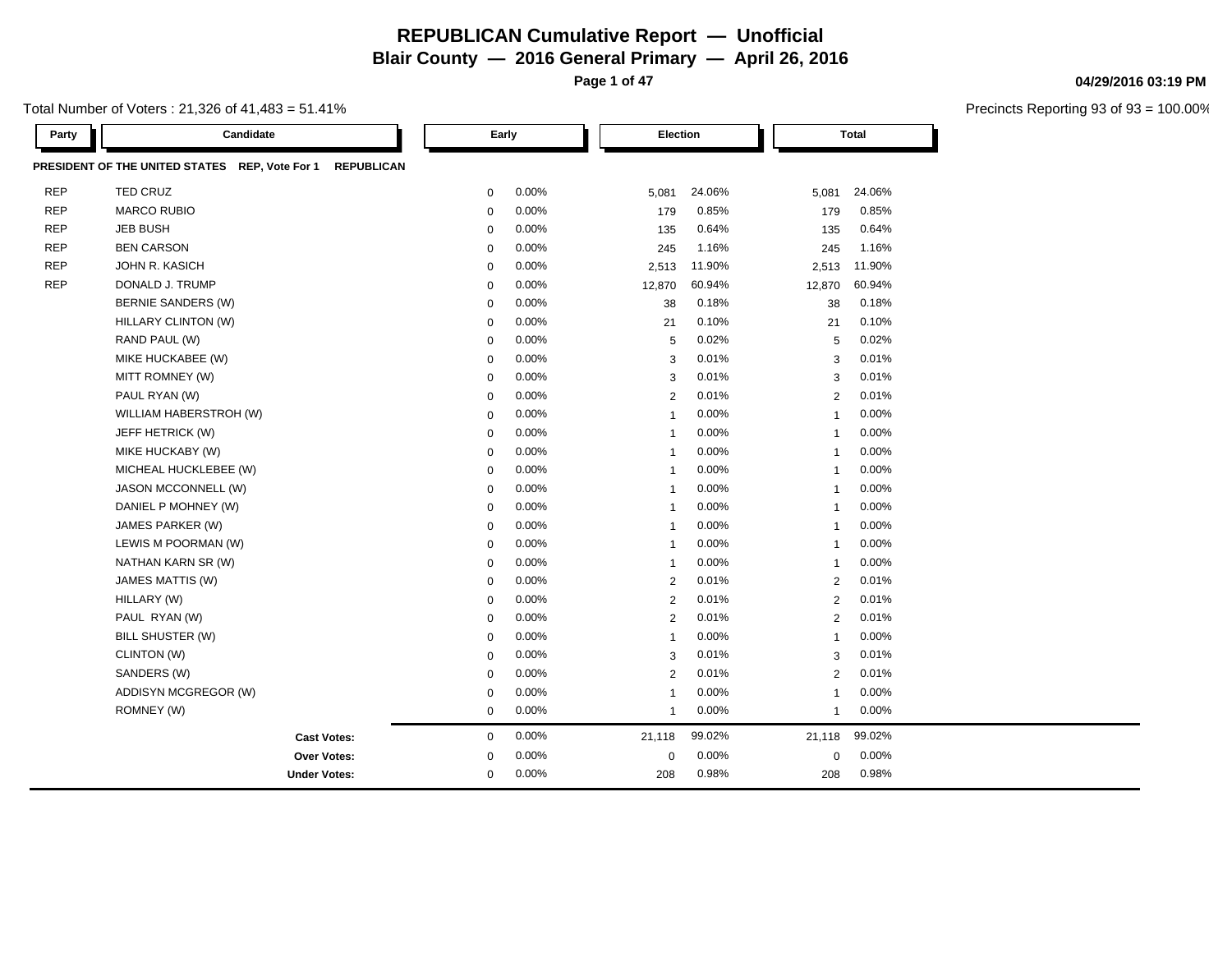**Page 1 of 47**

Total Number of Voters : 21,326 of 41,483 = 51.41%

| <b>Party</b> | Candidate                                                           |             | Early    | Election       |        |                | <b>Total</b> |  |
|--------------|---------------------------------------------------------------------|-------------|----------|----------------|--------|----------------|--------------|--|
|              | PRESIDENT OF THE UNITED STATES REP, Vote For 1<br><b>REPUBLICAN</b> |             |          |                |        |                |              |  |
| <b>REP</b>   | TED CRUZ                                                            | 0           | 0.00%    | 5,081          | 24.06% | 5,081          | 24.06%       |  |
| <b>REP</b>   | <b>MARCO RUBIO</b>                                                  | $\mathbf 0$ | 0.00%    | 179            | 0.85%  | 179            | 0.85%        |  |
| <b>REP</b>   | <b>JEB BUSH</b>                                                     | $\mathbf 0$ | 0.00%    | 135            | 0.64%  | 135            | 0.64%        |  |
| <b>REP</b>   | <b>BEN CARSON</b>                                                   | $\mathbf 0$ | 0.00%    | 245            | 1.16%  | 245            | 1.16%        |  |
| <b>REP</b>   | <b>JOHN R. KASICH</b>                                               | 0           | 0.00%    | 2,513          | 11.90% | 2,513          | 11.90%       |  |
| <b>REP</b>   | DONALD J. TRUMP                                                     | $\mathbf 0$ | 0.00%    | 12,870         | 60.94% | 12,870         | 60.94%       |  |
|              | <b>BERNIE SANDERS (W)</b>                                           | 0           | 0.00%    | 38             | 0.18%  | 38             | 0.18%        |  |
|              | HILLARY CLINTON (W)                                                 | $\mathbf 0$ | 0.00%    | 21             | 0.10%  | 21             | 0.10%        |  |
|              | RAND PAUL (W)                                                       | $\mathbf 0$ | 0.00%    | 5              | 0.02%  | 5              | 0.02%        |  |
|              | MIKE HUCKABEE (W)                                                   | $\mathbf 0$ | 0.00%    | 3              | 0.01%  | 3              | 0.01%        |  |
|              | MITT ROMNEY (W)                                                     | $\mathbf 0$ | 0.00%    | 3              | 0.01%  | 3              | 0.01%        |  |
|              | PAUL RYAN (W)                                                       | 0           | 0.00%    | 2              | 0.01%  | $\overline{2}$ | 0.01%        |  |
|              | WILLIAM HABERSTROH (W)                                              | $\mathbf 0$ | 0.00%    | $\mathbf{1}$   | 0.00%  | $\mathbf{1}$   | 0.00%        |  |
|              | JEFF HETRICK (W)                                                    | 0           | 0.00%    | -1             | 0.00%  | $\mathbf{1}$   | 0.00%        |  |
|              | MIKE HUCKABY (W)                                                    | $\mathbf 0$ | 0.00%    | $\overline{1}$ | 0.00%  | $\mathbf{1}$   | 0.00%        |  |
|              | MICHEAL HUCKLEBEE (W)                                               | $\mathbf 0$ | 0.00%    | -1             | 0.00%  | $\mathbf{1}$   | 0.00%        |  |
|              | JASON MCCONNELL (W)                                                 | $\mathbf 0$ | 0.00%    | -1             | 0.00%  | 1              | 0.00%        |  |
|              | DANIEL P MOHNEY (W)                                                 | 0           | 0.00%    | -1             | 0.00%  | $\mathbf{1}$   | 0.00%        |  |
|              | JAMES PARKER (W)                                                    | $\mathbf 0$ | 0.00%    | $\mathbf{1}$   | 0.00%  | $\mathbf{1}$   | 0.00%        |  |
|              | LEWIS M POORMAN (W)                                                 | $\mathbf 0$ | 0.00%    | -1             | 0.00%  | $\mathbf{1}$   | 0.00%        |  |
|              | NATHAN KARN SR (W)                                                  | 0           | 0.00%    | -1             | 0.00%  | 1              | 0.00%        |  |
|              | JAMES MATTIS (W)                                                    | $\mathbf 0$ | 0.00%    | 2              | 0.01%  | $\overline{2}$ | 0.01%        |  |
|              | HILLARY (W)                                                         | $\mathbf 0$ | 0.00%    | $\overline{2}$ | 0.01%  | $\overline{2}$ | 0.01%        |  |
|              | PAUL RYAN (W)                                                       | $\mathbf 0$ | 0.00%    | $\overline{2}$ | 0.01%  | $\overline{2}$ | 0.01%        |  |
|              | BILL SHUSTER (W)                                                    | $\mathbf 0$ | 0.00%    | $\overline{1}$ | 0.00%  | $\mathbf{1}$   | 0.00%        |  |
|              | CLINTON (W)                                                         | $\mathbf 0$ | $0.00\%$ | 3              | 0.01%  | 3              | 0.01%        |  |
|              | SANDERS (W)                                                         | $\mathbf 0$ | 0.00%    | 2              | 0.01%  | $\overline{2}$ | 0.01%        |  |
|              | ADDISYN MCGREGOR (W)                                                | 0           | 0.00%    | -1             | 0.00%  | 1              | $0.00\%$     |  |
|              | ROMNEY (W)                                                          | $\mathbf 0$ | 0.00%    | $\mathbf{1}$   | 0.00%  | $\mathbf{1}$   | 0.00%        |  |
|              | <b>Cast Votes:</b>                                                  | $\mathbf 0$ | 0.00%    | 21,118         | 99.02% | 21,118         | 99.02%       |  |
|              | <b>Over Votes:</b>                                                  | 0           | $0.00\%$ | $\mathbf 0$    | 0.00%  | $\mathbf 0$    | 0.00%        |  |
|              | <b>Under Votes:</b>                                                 | $\mathbf 0$ | 0.00%    | 208            | 0.98%  | 208            | 0.98%        |  |

#### **04/29/2016 03:19 PM**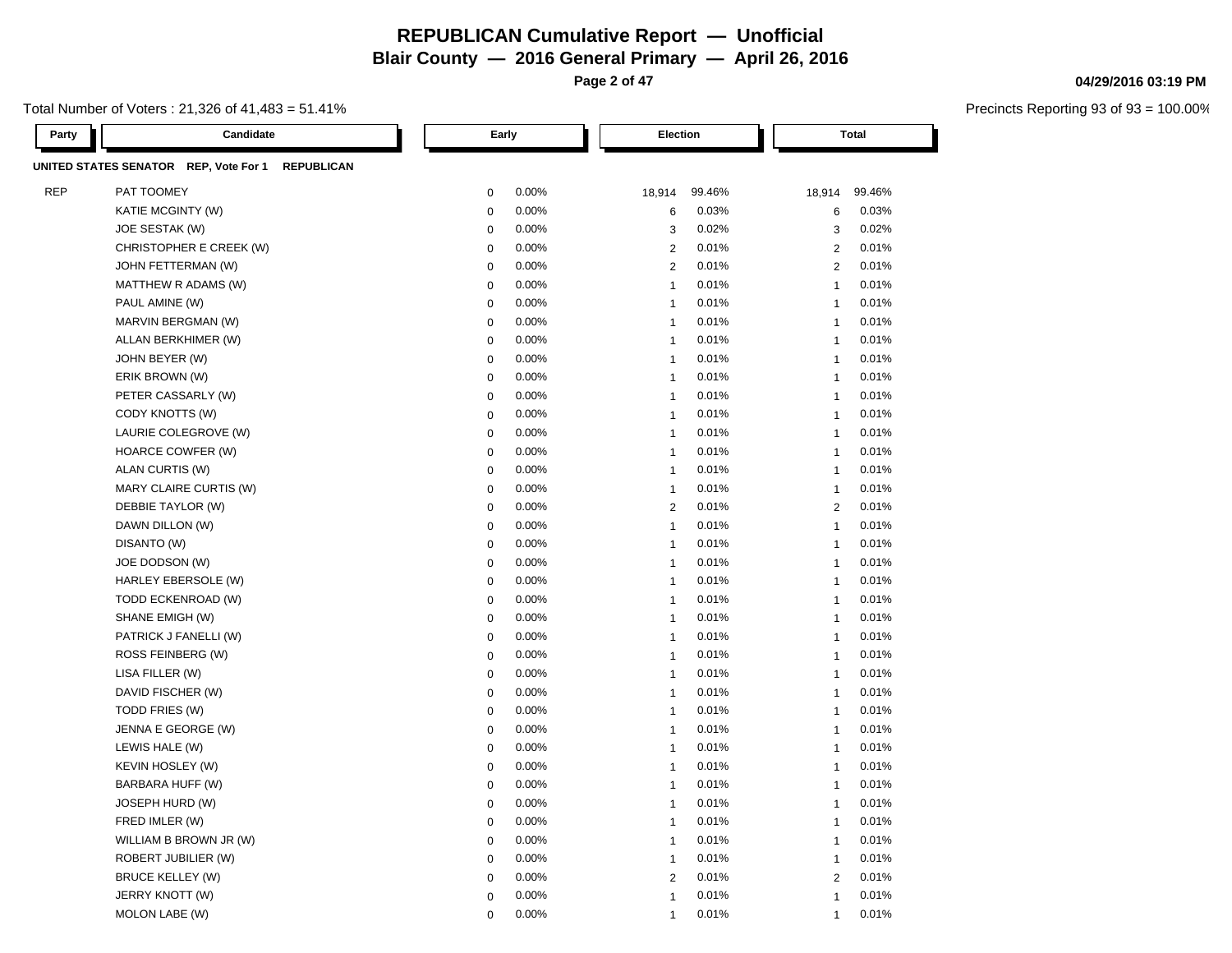**Blair County — 2016 General Primary — April 26, 2016**

**Page 2 of 47**

#### Total Number of Voters : 21,326 of 41,483 = 51.41%

**04/29/2016 03:19 PM**

| <b>Party</b> | Candidate                                                  | Early       |       | Election       |        |                | <b>Total</b> |
|--------------|------------------------------------------------------------|-------------|-------|----------------|--------|----------------|--------------|
|              | UNITED STATES SENATOR REP, Vote For 1<br><b>REPUBLICAN</b> |             |       |                |        |                |              |
| <b>REP</b>   | PAT TOOMEY                                                 | $\mathbf 0$ | 0.00% | 18,914         | 99.46% | 18,914         | 99.46%       |
|              | KATIE MCGINTY (W)                                          | $\mathbf 0$ | 0.00% | 6              | 0.03%  | 6              | 0.03%        |
|              | JOE SESTAK (W)                                             | $\mathbf 0$ | 0.00% | 3              | 0.02%  | 3              | 0.02%        |
|              | CHRISTOPHER E CREEK (W)                                    | $\mathbf 0$ | 0.00% | $\overline{2}$ | 0.01%  | $\overline{2}$ | 0.01%        |
|              | JOHN FETTERMAN (W)                                         | $\mathbf 0$ | 0.00% | $\overline{2}$ | 0.01%  | 2              | 0.01%        |
|              | MATTHEW R ADAMS (W)                                        | $\mathbf 0$ | 0.00% | $\overline{1}$ | 0.01%  | $\mathbf{1}$   | 0.01%        |
|              | PAUL AMINE (W)                                             | $\mathbf 0$ | 0.00% | $\overline{1}$ | 0.01%  | $\mathbf{1}$   | 0.01%        |
|              | MARVIN BERGMAN (W)                                         | $\mathbf 0$ | 0.00% | $\overline{1}$ | 0.01%  | 1              | 0.01%        |
|              | ALLAN BERKHIMER (W)                                        | $\mathbf 0$ | 0.00% | $\overline{1}$ | 0.01%  | $\mathbf{1}$   | 0.01%        |
|              | JOHN BEYER (W)                                             | $\mathbf 0$ | 0.00% | $\overline{1}$ | 0.01%  | $\mathbf{1}$   | 0.01%        |
|              | ERIK BROWN (W)                                             | $\mathbf 0$ | 0.00% | $\overline{1}$ | 0.01%  | $\mathbf{1}$   | 0.01%        |
|              | PETER CASSARLY (W)                                         | $\mathbf 0$ | 0.00% | $\overline{1}$ | 0.01%  | 1              | 0.01%        |
|              | CODY KNOTTS (W)                                            | $\mathbf 0$ | 0.00% | $\overline{1}$ | 0.01%  | $\mathbf{1}$   | 0.01%        |
|              | LAURIE COLEGROVE (W)                                       | $\mathbf 0$ | 0.00% | $\overline{1}$ | 0.01%  | $\mathbf{1}$   | 0.01%        |
|              | HOARCE COWFER (W)                                          | $\mathbf 0$ | 0.00% | $\overline{1}$ | 0.01%  | $\mathbf{1}$   | 0.01%        |
|              | ALAN CURTIS (W)                                            | $\mathbf 0$ | 0.00% | $\overline{1}$ | 0.01%  | $\overline{1}$ | 0.01%        |
|              | MARY CLAIRE CURTIS (W)                                     | $\mathbf 0$ | 0.00% | $\overline{1}$ | 0.01%  | $\overline{1}$ | 0.01%        |
|              | DEBBIE TAYLOR (W)                                          | $\mathbf 0$ | 0.00% | $\overline{2}$ | 0.01%  | $\overline{2}$ | 0.01%        |
|              | DAWN DILLON (W)                                            | $\mathbf 0$ | 0.00% | $\overline{1}$ | 0.01%  | $\overline{1}$ | 0.01%        |
|              | DISANTO (W)                                                | $\pmb{0}$   | 0.00% | $\overline{1}$ | 0.01%  | $\overline{1}$ | 0.01%        |
|              | JOE DODSON (W)                                             | $\mathbf 0$ | 0.00% | $\overline{1}$ | 0.01%  | 1              | 0.01%        |
|              | HARLEY EBERSOLE (W)                                        | $\mathbf 0$ | 0.00% | $\overline{1}$ | 0.01%  | $\mathbf{1}$   | 0.01%        |
|              | TODD ECKENROAD (W)                                         | $\pmb{0}$   | 0.00% | $\overline{1}$ | 0.01%  | $\mathbf{1}$   | 0.01%        |
|              | SHANE EMIGH (W)                                            | $\pmb{0}$   | 0.00% | $\overline{1}$ | 0.01%  | $\mathbf{1}$   | 0.01%        |
|              | PATRICK J FANELLI (W)                                      | $\pmb{0}$   | 0.00% | $\overline{1}$ | 0.01%  | $\mathbf{1}$   | 0.01%        |
|              | ROSS FEINBERG (W)                                          | $\pmb{0}$   | 0.00% | $\overline{1}$ | 0.01%  | $\mathbf{1}$   | 0.01%        |
|              | LISA FILLER (W)                                            | $\mathbf 0$ | 0.00% | $\overline{1}$ | 0.01%  | $\mathbf{1}$   | 0.01%        |
|              | DAVID FISCHER (W)                                          | $\mathbf 0$ | 0.00% | $\overline{1}$ | 0.01%  | $\mathbf{1}$   | 0.01%        |
|              | TODD FRIES (W)                                             | $\mathbf 0$ | 0.00% | $\overline{1}$ | 0.01%  | $\mathbf{1}$   | 0.01%        |
|              | JENNA E GEORGE (W)                                         | $\pmb{0}$   | 0.00% | $\overline{1}$ | 0.01%  | $\mathbf{1}$   | 0.01%        |
|              | LEWIS HALE (W)                                             | $\mathbf 0$ | 0.00% | $\overline{1}$ | 0.01%  | $\overline{1}$ | 0.01%        |
|              | <b>KEVIN HOSLEY (W)</b>                                    | $\mathbf 0$ | 0.00% | $\overline{1}$ | 0.01%  | $\overline{1}$ | 0.01%        |
|              | BARBARA HUFF (W)                                           | $\mathbf 0$ | 0.00% | $\overline{1}$ | 0.01%  | $\mathbf{1}$   | 0.01%        |
|              | JOSEPH HURD (W)                                            | $\mathbf 0$ | 0.00% | $\overline{1}$ | 0.01%  | $\overline{1}$ | 0.01%        |
|              | FRED IMLER (W)                                             | $\mathbf 0$ | 0.00% | $\overline{1}$ | 0.01%  | $\overline{1}$ | 0.01%        |
|              | WILLIAM B BROWN JR (W)                                     | $\mathbf 0$ | 0.00% | $\overline{1}$ | 0.01%  | $\mathbf{1}$   | 0.01%        |
|              | ROBERT JUBILIER (W)                                        | $\mathbf 0$ | 0.00% | $\overline{1}$ | 0.01%  | $\mathbf{1}$   | 0.01%        |
|              | <b>BRUCE KELLEY (W)</b>                                    | $\mathbf 0$ | 0.00% | $\overline{2}$ | 0.01%  | 2              | 0.01%        |
|              | JERRY KNOTT (W)                                            | $\mathbf 0$ | 0.00% | $\overline{1}$ | 0.01%  | $\overline{1}$ | 0.01%        |
|              | MOLON LABE (W)                                             | $\mathbf 0$ | 0.00% | 1              | 0.01%  | $\overline{1}$ | 0.01%        |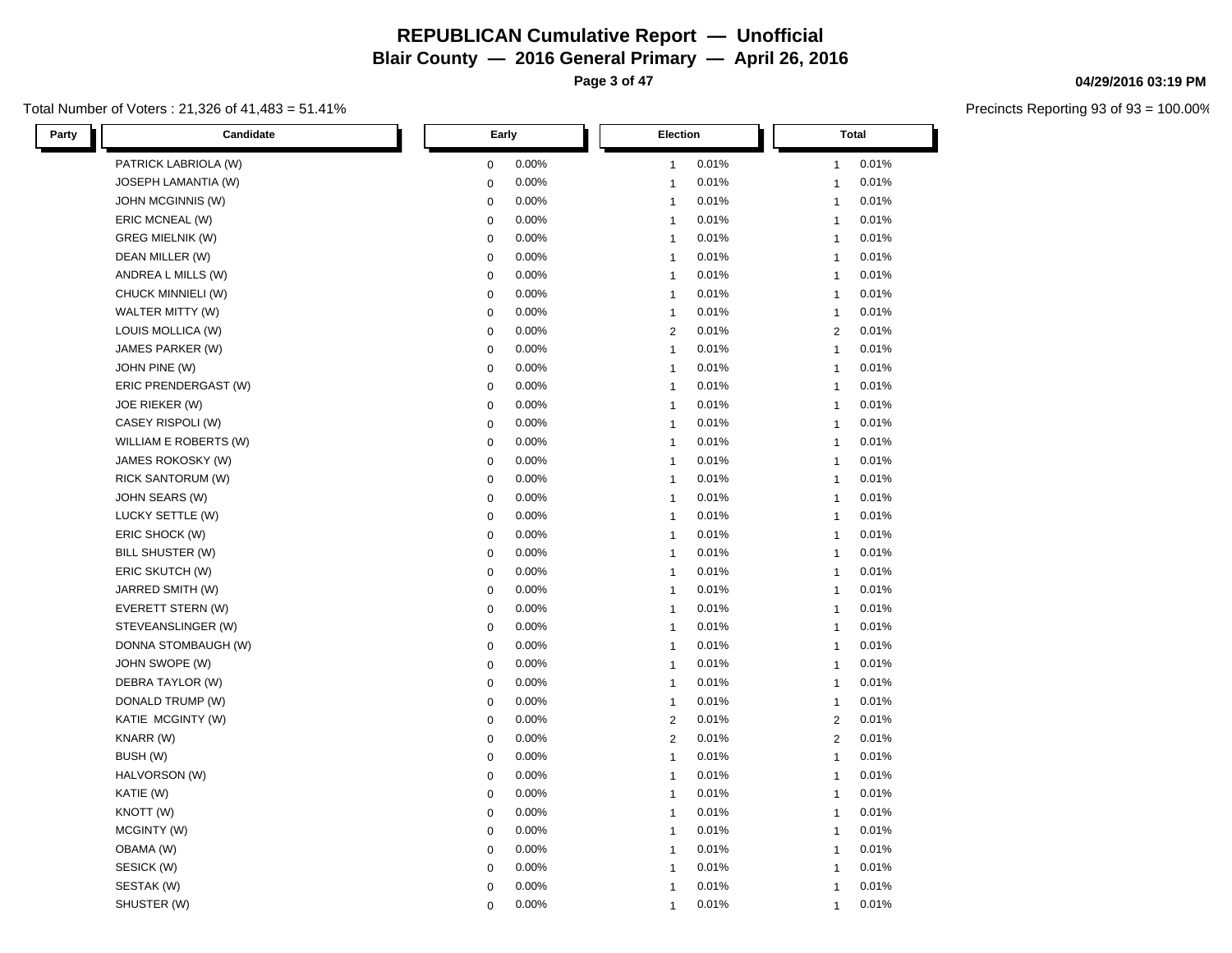**Page 3 of 47**

#### Total Number of Voters : 21,326 of 41,483 = 51.41%

| Party<br>Candidate       | Early       | Election       | <b>Total</b>   |  |
|--------------------------|-------------|----------------|----------------|--|
| PATRICK LABRIOLA (W)     | 0.00%       | 0.01%          | 0.01%          |  |
|                          | 0           | $\mathbf{1}$   | $\mathbf{1}$   |  |
| JOSEPH LAMANTIA (W)      | 0.00%       | 0.01%          | 0.01%          |  |
|                          | $\mathbf 0$ | $\overline{1}$ | $\mathbf{1}$   |  |
| JOHN MCGINNIS (W)        | 0.00%       | 0.01%          | 0.01%          |  |
|                          | 0           | $\overline{1}$ | $\mathbf{1}$   |  |
| ERIC MCNEAL (W)          | 0.00%       | 0.01%          | 0.01%          |  |
|                          | $\mathbf 0$ | $\mathbf{1}$   | $\mathbf{1}$   |  |
| <b>GREG MIELNIK (W)</b>  | 0.00%       | 0.01%          | 0.01%          |  |
|                          | $\mathbf 0$ | $\mathbf{1}$   | $\mathbf{1}$   |  |
| DEAN MILLER (W)          | $\mathbf 0$ | 0.01%          | 0.01%          |  |
|                          | 0.00%       | $\mathbf{1}$   | $\mathbf{1}$   |  |
| ANDREA L MILLS (W)       | 0.00%       | 0.01%          | 0.01%          |  |
|                          | $\mathbf 0$ | $\overline{1}$ | $\mathbf{1}$   |  |
| CHUCK MINNIELI (W)       | $\mathbf 0$ | $\overline{1}$ | 0.01%          |  |
|                          | 0.00%       | 0.01%          | $\mathbf{1}$   |  |
| WALTER MITTY (W)         | $\mathbf 0$ | 0.01%          | 0.01%          |  |
|                          | 0.00%       | $\overline{1}$ | $\mathbf{1}$   |  |
| LOUIS MOLLICA (W)        | 0.00%       | $\overline{2}$ | $\overline{2}$ |  |
|                          | $\mathbf 0$ | 0.01%          | 0.01%          |  |
| JAMES PARKER (W)         | 0.00%       | 0.01%          | 0.01%          |  |
|                          | $\mathbf 0$ | $\overline{1}$ | $\mathbf{1}$   |  |
| JOHN PINE (W)            | 0.00%       | 0.01%          | 0.01%          |  |
|                          | $\mathbf 0$ | $\overline{1}$ | $\mathbf{1}$   |  |
| ERIC PRENDERGAST (W)     | 0.00%       | 0.01%          | 0.01%          |  |
|                          | $\mathbf 0$ | $\overline{1}$ | $\mathbf{1}$   |  |
| <b>JOE RIEKER (W)</b>    | 0.00%       | 0.01%          | 0.01%          |  |
|                          | $\mathbf 0$ | $\mathbf{1}$   | $\mathbf{1}$   |  |
| CASEY RISPOLI (W)        | 0.00%       | 0.01%          | 0.01%          |  |
|                          | $\mathbf 0$ | $\overline{1}$ | $\mathbf{1}$   |  |
| WILLIAM E ROBERTS (W)    | $\mathbf 0$ | $\overline{1}$ | $\mathbf{1}$   |  |
|                          | 0.00%       | 0.01%          | 0.01%          |  |
| JAMES ROKOSKY (W)        | $\mathbf 0$ | 0.01%          | 0.01%          |  |
|                          | 0.00%       | $\overline{1}$ | $\mathbf{1}$   |  |
| <b>RICK SANTORUM (W)</b> | $\mathbf 0$ | 0.01%          | 0.01%          |  |
|                          | 0.00%       | $\mathbf{1}$   | $\mathbf{1}$   |  |
| JOHN SEARS (W)           | 0.00%       | 0.01%          | 0.01%          |  |
|                          | $\mathbf 0$ | $\overline{1}$ | $\mathbf{1}$   |  |
| LUCKY SETTLE (W)         | 0.00%       | 0.01%          | 0.01%          |  |
|                          | $\mathbf 0$ | $\mathbf{1}$   | $\mathbf{1}$   |  |
| ERIC SHOCK (W)           | 0.00%       | 0.01%          | 0.01%          |  |
|                          | $\mathbf 0$ | $\overline{1}$ | $\mathbf{1}$   |  |
| BILL SHUSTER (W)         | 0.00%       | 0.01%          | 0.01%          |  |
|                          | $\mathbf 0$ | $\mathbf{1}$   | $\mathbf{1}$   |  |
| ERIC SKUTCH (W)          | $\mathbf 0$ | 0.01%          | 0.01%          |  |
|                          | 0.00%       | $\overline{1}$ | $\mathbf{1}$   |  |
| JARRED SMITH (W)         | $\mathbf 0$ | 0.01%          | 0.01%          |  |
|                          | 0.00%       | $\mathbf{1}$   | $\mathbf{1}$   |  |
| EVERETT STERN (W)        | 0.00%       | 0.01%          | 0.01%          |  |
|                          | $\mathbf 0$ | $\overline{1}$ | $\mathbf{1}$   |  |
| STEVEANSLINGER (W)       | 0.00%       | 0.01%          | 0.01%          |  |
|                          | $\mathbf 0$ | $\mathbf{1}$   | $\mathbf{1}$   |  |
| DONNA STOMBAUGH (W)      | 0.00%       | 0.01%          | 0.01%          |  |
|                          | 0           | $\overline{1}$ | $\mathbf{1}$   |  |
| JOHN SWOPE (W)           | 0.00%       | 0.01%          | 0.01%          |  |
|                          | $\mathbf 0$ | $\overline{1}$ | $\mathbf{1}$   |  |
| DEBRA TAYLOR (W)         | 0.00%       | 0.01%          | 0.01%          |  |
|                          | $\mathbf 0$ | $\overline{1}$ | $\mathbf{1}$   |  |
| DONALD TRUMP (W)         | 0.00%       | 0.01%          | 0.01%          |  |
|                          | $\mathbf 0$ | $\mathbf{1}$   | $\mathbf{1}$   |  |
| KATIE MCGINTY (W)        | 0.00%       | 0.01%          | 0.01%          |  |
|                          | $\mathbf 0$ | $\overline{2}$ | $\overline{2}$ |  |
| KNARR (W)                | $\mathbf 0$ | $\overline{2}$ | 2              |  |
|                          | 0.00%       | 0.01%          | 0.01%          |  |
| BUSH (W)                 | 0.00%       | 0.01%          | 0.01%          |  |
|                          | $\mathbf 0$ | $\overline{1}$ | $\mathbf{1}$   |  |
| HALVORSON (W)            | 0.00%       | 0.01%          | 0.01%          |  |
|                          | $\mathbf 0$ | $\overline{1}$ | $\mathbf{1}$   |  |
| KATIE (W)                | 0.00%       | 0.01%          | 0.01%          |  |
|                          | $\mathbf 0$ | $\mathbf{1}$   | $\mathbf{1}$   |  |
| KNOTT (W)                | 0.00%       | 0.01%          | 0.01%          |  |
|                          | $\mathbf 0$ | $\overline{1}$ | $\mathbf{1}$   |  |
| MCGINTY (W)              | 0.00%       | 0.01%          | 0.01%          |  |
|                          | $\mathbf 0$ | $\overline{1}$ | $\mathbf{1}$   |  |
| OBAMA (W)                | 0.00%       | 0.01%          | 0.01%          |  |
|                          | $\mathbf 0$ | $\overline{1}$ | $\mathbf{1}$   |  |
| SESICK (W)               | 0.00%       | 0.01%          | 0.01%          |  |
|                          | $\mathbf 0$ | $\mathbf{1}$   | $\mathbf{1}$   |  |
| SESTAK (W)               | 0.00%       | 0.01%          | 0.01%          |  |
|                          | 0           | $\overline{1}$ | $\mathbf{1}$   |  |
| SHUSTER (W)              | 0.00%       | 0.01%          | 0.01%          |  |
|                          | $\Omega$    | $\mathbf{1}$   | $\mathbf{1}$   |  |

#### **04/29/2016 03:19 PM**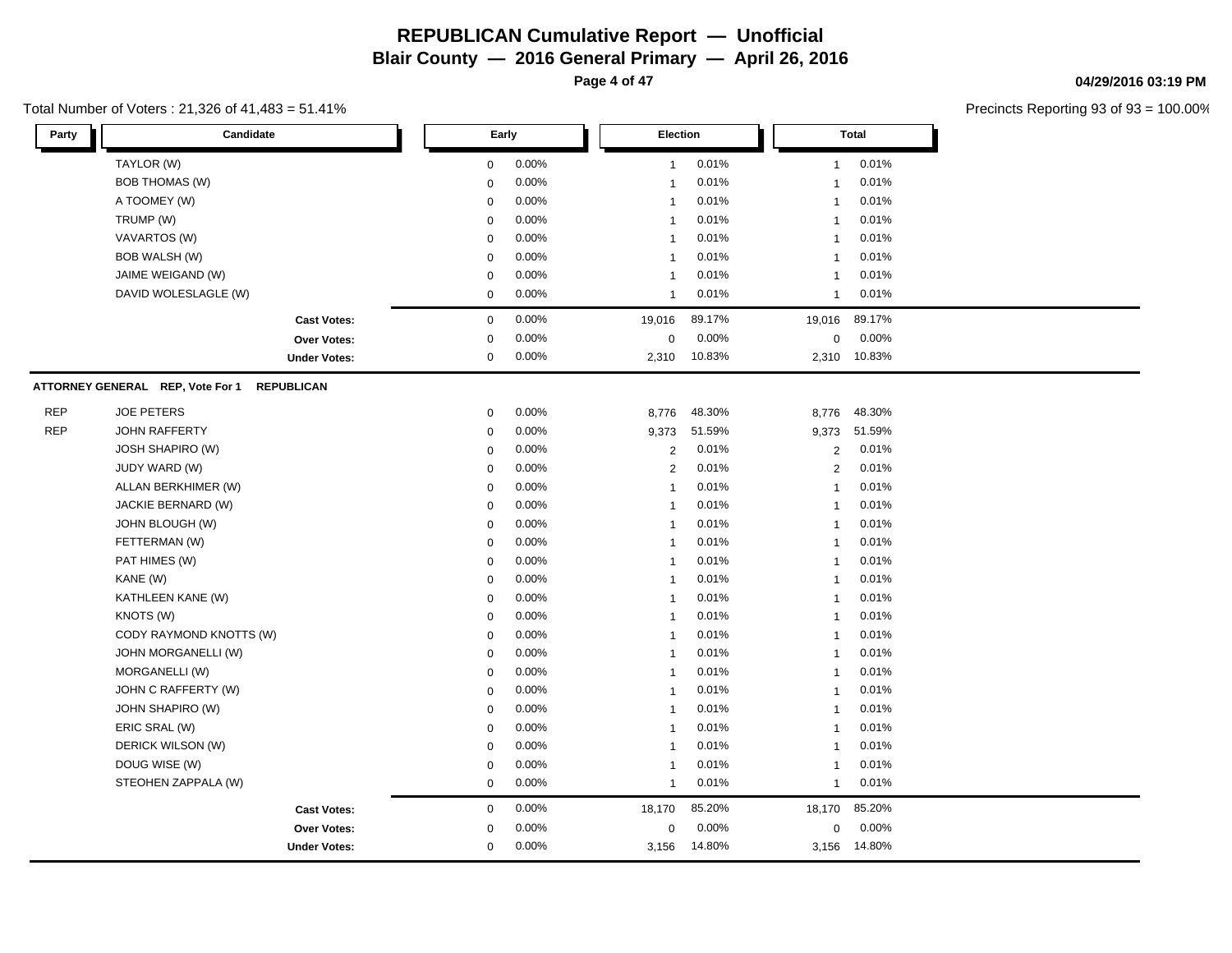**Page 4 of 47**

#### Total Number of Voters : 21,326 of 41,483 = 51.41%

**04/29/2016 03:19 PM**

| Party      | Candidate                                             |             | Early |                  | Election |                | <b>Total</b> |  |  |
|------------|-------------------------------------------------------|-------------|-------|------------------|----------|----------------|--------------|--|--|
|            | TAYLOR (W)                                            | 0           | 0.00% | $\mathbf{1}$     | 0.01%    | 1              | 0.01%        |  |  |
|            | <b>BOB THOMAS (W)</b>                                 | $\mathbf 0$ | 0.00% | $\mathbf{1}$     | 0.01%    | $\overline{1}$ | 0.01%        |  |  |
|            | A TOOMEY (W)                                          | 0           | 0.00% | $\mathbf{1}$     | 0.01%    | $\overline{1}$ | 0.01%        |  |  |
|            | TRUMP (W)                                             | $\Omega$    | 0.00% | $\mathbf{1}$     | 0.01%    | $\overline{1}$ | 0.01%        |  |  |
|            | VAVARTOS (W)                                          | 0           | 0.00% | 1                | 0.01%    | -1             | 0.01%        |  |  |
|            | <b>BOB WALSH (W)</b>                                  | $\mathbf 0$ | 0.00% | $\mathbf{1}$     | 0.01%    | $\overline{1}$ | 0.01%        |  |  |
|            | JAIME WEIGAND (W)                                     | $\mathbf 0$ | 0.00% | $\mathbf{1}$     | 0.01%    | $\overline{1}$ | 0.01%        |  |  |
|            | DAVID WOLESLAGLE (W)                                  | 0           | 0.00% | $\mathbf{1}$     | 0.01%    | $\mathbf{1}$   | 0.01%        |  |  |
|            | <b>Cast Votes:</b>                                    | 0           | 0.00% | 19,016           | 89.17%   | 19,016         | 89.17%       |  |  |
|            | Over Votes:                                           | $\mathbf 0$ | 0.00% | $\boldsymbol{0}$ | 0.00%    | 0              | 0.00%        |  |  |
|            | <b>Under Votes:</b>                                   | 0           | 0.00% | 2,310            | 10.83%   | 2,310          | 10.83%       |  |  |
|            | ATTORNEY GENERAL REP, Vote For 1<br><b>REPUBLICAN</b> |             |       |                  |          |                |              |  |  |
| <b>REP</b> | <b>JOE PETERS</b>                                     | $\mathbf 0$ | 0.00% | 8,776            | 48.30%   | 8,776          | 48.30%       |  |  |
| <b>REP</b> | <b>JOHN RAFFERTY</b>                                  | $\mathbf 0$ | 0.00% | 9,373            | 51.59%   | 9,373          | 51.59%       |  |  |
|            | <b>JOSH SHAPIRO (W)</b>                               | $\mathbf 0$ | 0.00% | 2                | 0.01%    | 2              | 0.01%        |  |  |
|            | JUDY WARD (W)                                         | $\mathbf 0$ | 0.00% | $\overline{2}$   | 0.01%    | 2              | 0.01%        |  |  |
|            | ALLAN BERKHIMER (W)                                   | $\mathbf 0$ | 0.00% | $\mathbf{1}$     | 0.01%    | $\overline{1}$ | 0.01%        |  |  |
|            | JACKIE BERNARD (W)                                    | 0           | 0.00% | $\mathbf{1}$     | 0.01%    | $\overline{1}$ | 0.01%        |  |  |
|            | JOHN BLOUGH (W)                                       | $\mathbf 0$ | 0.00% | $\mathbf{1}$     | 0.01%    | $\overline{1}$ | 0.01%        |  |  |
|            | FETTERMAN (W)                                         | $\mathbf 0$ | 0.00% | $\mathbf{1}$     | 0.01%    | $\overline{1}$ | 0.01%        |  |  |
|            | PAT HIMES (W)                                         | $\mathbf 0$ | 0.00% | $\mathbf{1}$     | 0.01%    | $\overline{1}$ | 0.01%        |  |  |
|            | KANE (W)                                              | $\mathbf 0$ | 0.00% | $\mathbf{1}$     | 0.01%    | $\overline{1}$ | 0.01%        |  |  |
|            | KATHLEEN KANE (W)                                     | $\mathbf 0$ | 0.00% | $\mathbf{1}$     | 0.01%    | $\overline{1}$ | 0.01%        |  |  |
|            | KNOTS (W)                                             | $\mathbf 0$ | 0.00% | 1                | 0.01%    | $\mathbf{1}$   | 0.01%        |  |  |
|            | CODY RAYMOND KNOTTS (W)                               | $\mathbf 0$ | 0.00% | $\mathbf{1}$     | 0.01%    | $\overline{1}$ | 0.01%        |  |  |
|            | JOHN MORGANELLI (W)                                   | 0           | 0.00% | $\mathbf{1}$     | 0.01%    | $\overline{1}$ | 0.01%        |  |  |
|            | MORGANELLI (W)                                        | 0           | 0.00% | $\mathbf{1}$     | 0.01%    | $\overline{1}$ | 0.01%        |  |  |
|            | JOHN C RAFFERTY (W)                                   | $\mathbf 0$ | 0.00% | $\mathbf{1}$     | 0.01%    | $\overline{1}$ | 0.01%        |  |  |
|            | <b>JOHN SHAPIRO (W)</b>                               | $\mathbf 0$ | 0.00% | $\mathbf{1}$     | 0.01%    | $\overline{1}$ | 0.01%        |  |  |
|            | ERIC SRAL (W)                                         | $\mathbf 0$ | 0.00% | $\mathbf{1}$     | 0.01%    | $\overline{1}$ | 0.01%        |  |  |
|            | DERICK WILSON (W)                                     | 0           | 0.00% | $\mathbf{1}$     | 0.01%    | $\overline{1}$ | 0.01%        |  |  |
|            | DOUG WISE (W)                                         | 0           | 0.00% | 1                | 0.01%    | $\mathbf{1}$   | 0.01%        |  |  |
|            | STEOHEN ZAPPALA (W)                                   | 0           | 0.00% | $\mathbf{1}$     | 0.01%    | $\overline{1}$ | 0.01%        |  |  |
|            | <b>Cast Votes:</b>                                    | $\mathbf 0$ | 0.00% | 18,170           | 85.20%   | 18,170         | 85.20%       |  |  |
|            | Over Votes:                                           | $\mathbf 0$ | 0.00% | 0                | 0.00%    | $\mathbf{0}$   | 0.00%        |  |  |
|            | <b>Under Votes:</b>                                   | $\mathbf 0$ | 0.00% | 3,156            | 14.80%   | 3,156          | 14.80%       |  |  |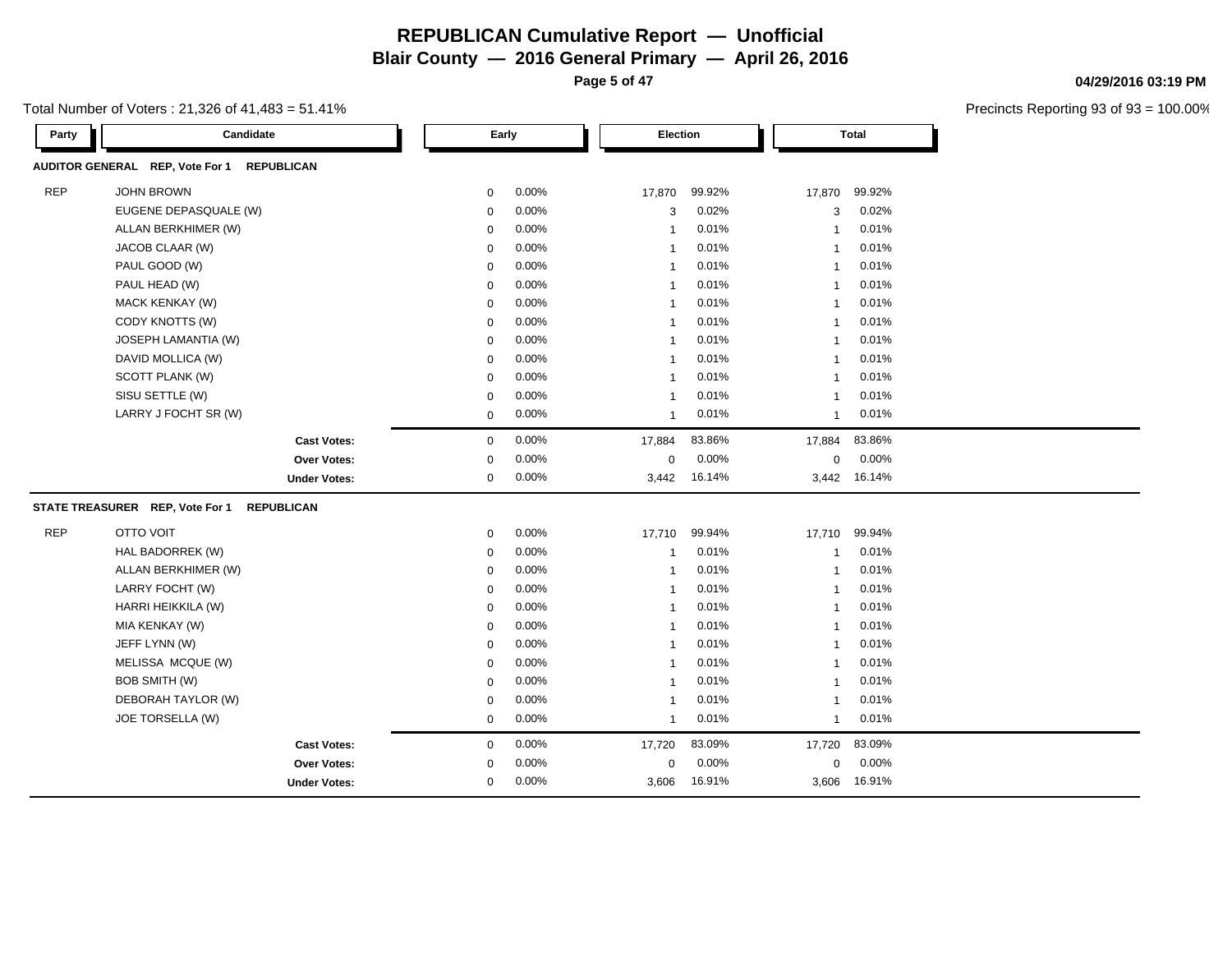**Page 5 of 47**

Precincts Reporting 93 of 93 = 100.00%

**04/29/2016 03:19 PM**

| Total Number of Voters : 21,326 of 41,483 = 51.41% |  |
|----------------------------------------------------|--|
|----------------------------------------------------|--|

| Party      | Candidate                                            |             | Early | Election     |        |             | <b>Total</b> |
|------------|------------------------------------------------------|-------------|-------|--------------|--------|-------------|--------------|
|            | AUDITOR GENERAL REP, Vote For 1<br><b>REPUBLICAN</b> |             |       |              |        |             |              |
| <b>REP</b> | JOHN BROWN                                           | 0           | 0.00% | 17,870       | 99.92% | 17,870      | 99.92%       |
|            | EUGENE DEPASQUALE (W)                                | $\mathbf 0$ | 0.00% | 3            | 0.02%  | 3           | 0.02%        |
|            | ALLAN BERKHIMER (W)                                  | 0           | 0.00% | 1            | 0.01%  | -1          | 0.01%        |
|            | JACOB CLAAR (W)                                      | 0           | 0.00% | $\mathbf 1$  | 0.01%  |             | 0.01%        |
|            | PAUL GOOD (W)                                        | $\mathbf 0$ | 0.00% | 1            | 0.01%  | -1          | 0.01%        |
|            | PAUL HEAD (W)                                        | $\mathbf 0$ | 0.00% | $\mathbf{1}$ | 0.01%  | -1          | 0.01%        |
|            | <b>MACK KENKAY (W)</b>                               | 0           | 0.00% | -1           | 0.01%  |             | 0.01%        |
|            | CODY KNOTTS (W)                                      | 0           | 0.00% | -1           | 0.01%  |             | 0.01%        |
|            | JOSEPH LAMANTIA (W)                                  | $\mathbf 0$ | 0.00% | $\mathbf 1$  | 0.01%  |             | 0.01%        |
|            | DAVID MOLLICA (W)                                    | $\mathbf 0$ | 0.00% | 1            | 0.01%  |             | 0.01%        |
|            | SCOTT PLANK (W)                                      | $\mathbf 0$ | 0.00% |              | 0.01%  |             | 0.01%        |
|            | SISU SETTLE (W)                                      | $\mathbf 0$ | 0.00% | 1            | 0.01%  | -1          | 0.01%        |
|            | LARRY J FOCHT SR (W)                                 | 0           | 0.00% | 1            | 0.01%  | -1          | 0.01%        |
|            | <b>Cast Votes:</b>                                   | $\mathbf 0$ | 0.00% | 17,884       | 83.86% | 17,884      | 83.86%       |
|            | Over Votes:                                          | 0           | 0.00% | $\Omega$     | 0.00%  | 0           | 0.00%        |
|            | <b>Under Votes:</b>                                  | 0           | 0.00% | 3,442        | 16.14% |             | 3,442 16.14% |
|            | STATE TREASURER REP, Vote For 1<br><b>REPUBLICAN</b> |             |       |              |        |             |              |
| <b>REP</b> | <b>OTTO VOIT</b>                                     | $\mathbf 0$ | 0.00% | 17,710       | 99.94% | 17,710      | 99.94%       |
|            | HAL BADORREK (W)                                     | 0           | 0.00% | $\mathbf{1}$ | 0.01%  | -1          | 0.01%        |
|            | ALLAN BERKHIMER (W)                                  | $\mathbf 0$ | 0.00% | $\mathbf{1}$ | 0.01%  | -1          | 0.01%        |
|            | LARRY FOCHT (W)                                      | $\mathbf 0$ | 0.00% | 1            | 0.01%  | 1           | 0.01%        |
|            | HARRI HEIKKILA (W)                                   | $\mathbf 0$ | 0.00% | -1           | 0.01%  |             | 0.01%        |
|            | MIA KENKAY (W)                                       | $\mathbf 0$ | 0.00% | 1            | 0.01%  | -1          | 0.01%        |
|            | JEFF LYNN (W)                                        | 0           | 0.00% | 1            | 0.01%  | -1          | 0.01%        |
|            | MELISSA MCQUE (W)                                    | $\mathbf 0$ | 0.00% | $\mathbf{1}$ | 0.01%  | -1          | 0.01%        |
|            | <b>BOB SMITH (W)</b>                                 | 0           | 0.00% | $\mathbf{1}$ | 0.01%  |             | 0.01%        |
|            | DEBORAH TAYLOR (W)                                   | 0           | 0.00% | $\mathbf{1}$ | 0.01%  |             | 0.01%        |
|            | JOE TORSELLA (W)                                     | 0           | 0.00% | $\mathbf{1}$ | 0.01%  | -1          | 0.01%        |
|            | <b>Cast Votes:</b>                                   | 0           | 0.00% | 17,720       | 83.09% | 17,720      | 83.09%       |
|            | <b>Over Votes:</b>                                   | 0           | 0.00% | $\mathbf 0$  | 0.00%  | $\mathbf 0$ | 0.00%        |
|            | <b>Under Votes:</b>                                  | 0           | 0.00% | 3,606        | 16.91% |             | 3,606 16.91% |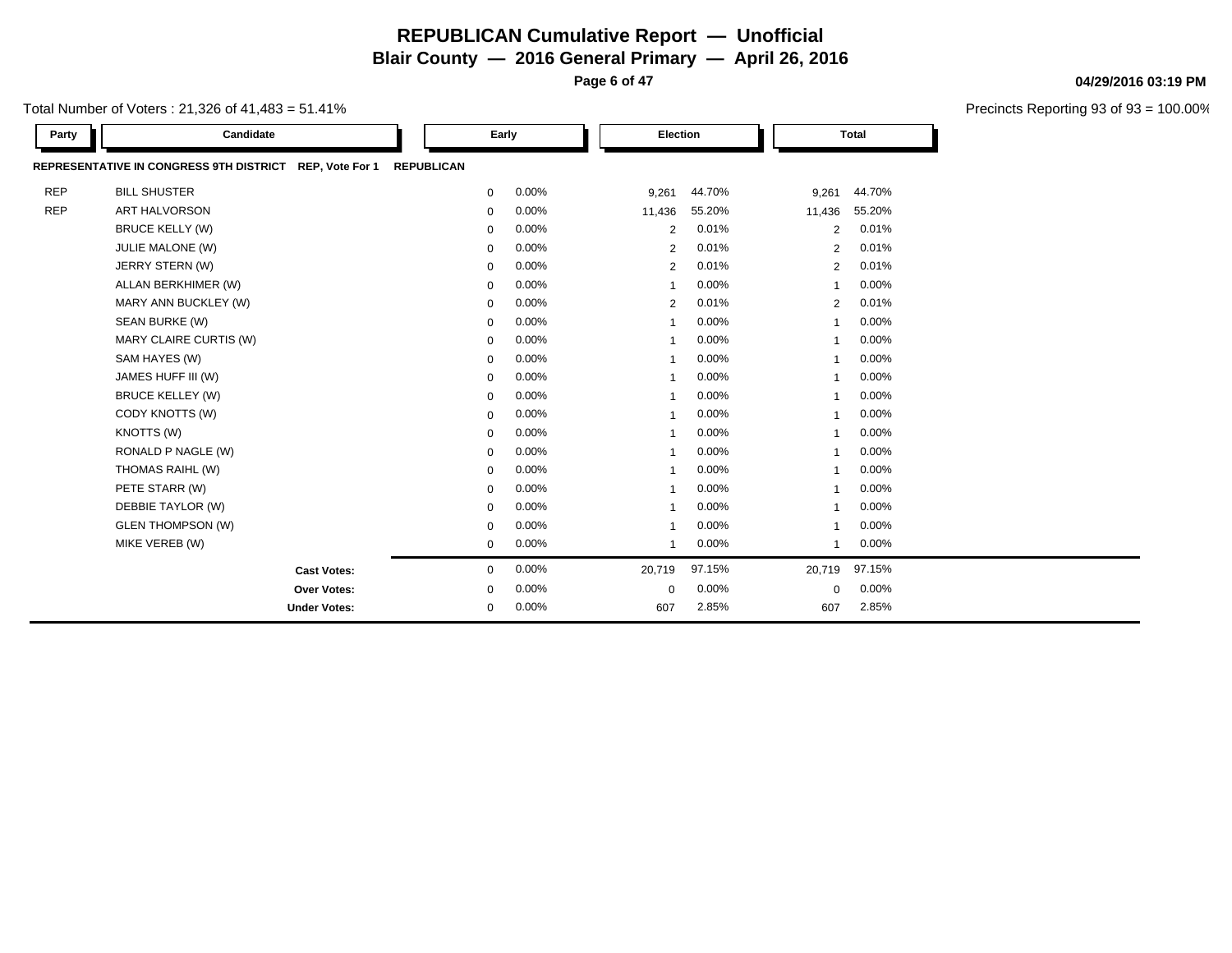**Page 6 of 47**

Precincts Reporting 93 of 93 = 100.00%

**04/29/2016 03:19 PM**

| Total Number of Voters : 21,326 of 41,483 = 51.41% |  |
|----------------------------------------------------|--|
|----------------------------------------------------|--|

| Party      | Candidate                                                         |                   | Early | Election       |          |                | <b>Total</b> |  |
|------------|-------------------------------------------------------------------|-------------------|-------|----------------|----------|----------------|--------------|--|
|            | <b>REPRESENTATIVE IN CONGRESS 9TH DISTRICT</b><br>REP, Vote For 1 | <b>REPUBLICAN</b> |       |                |          |                |              |  |
| <b>REP</b> | <b>BILL SHUSTER</b>                                               | $\mathbf 0$       | 0.00% | 9,261          | 44.70%   | 9,261          | 44.70%       |  |
| <b>REP</b> | <b>ART HALVORSON</b>                                              | $\mathbf 0$       | 0.00% | 11,436         | 55.20%   | 11,436         | 55.20%       |  |
|            | <b>BRUCE KELLY (W)</b>                                            | $\mathbf 0$       | 0.00% | 2              | 0.01%    | 2              | 0.01%        |  |
|            | JULIE MALONE (W)                                                  | 0                 | 0.00% | 2              | 0.01%    | 2              | 0.01%        |  |
|            | JERRY STERN (W)                                                   | $\mathbf 0$       | 0.00% | 2              | 0.01%    | 2              | 0.01%        |  |
|            | ALLAN BERKHIMER (W)                                               | $\mathbf 0$       | 0.00% | $\overline{1}$ | 0.00%    | $\mathbf{1}$   | 0.00%        |  |
|            | MARY ANN BUCKLEY (W)                                              | 0                 | 0.00% | 2              | 0.01%    | 2              | 0.01%        |  |
|            | SEAN BURKE (W)                                                    | 0                 | 0.00% |                | 0.00%    | -1             | 0.00%        |  |
|            | MARY CLAIRE CURTIS (W)                                            | 0                 | 0.00% | -1             | $0.00\%$ | $\mathbf{1}$   | 0.00%        |  |
|            | SAM HAYES (W)                                                     | $\mathbf 0$       | 0.00% | $\mathbf{1}$   | $0.00\%$ | $\mathbf{1}$   | 0.00%        |  |
|            | JAMES HUFF III (W)                                                | $\mathbf 0$       | 0.00% | $\overline{1}$ | 0.00%    | $\mathbf{1}$   | 0.00%        |  |
|            | <b>BRUCE KELLEY (W)</b>                                           | 0                 | 0.00% |                | 0.00%    | -1             | 0.00%        |  |
|            | CODY KNOTTS (W)                                                   | $\mathbf 0$       | 0.00% | $\mathbf{1}$   | 0.00%    | -1             | 0.00%        |  |
|            | KNOTTS (W)                                                        | $\mathbf 0$       | 0.00% | $\overline{1}$ | 0.00%    | $\overline{1}$ | 0.00%        |  |
|            | RONALD P NAGLE (W)                                                | $\mathbf 0$       | 0.00% | $\overline{1}$ | $0.00\%$ | $\overline{1}$ | 0.00%        |  |
|            | THOMAS RAIHL (W)                                                  | $\mathbf 0$       | 0.00% | -1             | 0.00%    | -1             | 0.00%        |  |
|            | PETE STARR (W)                                                    | 0                 | 0.00% |                | $0.00\%$ |                | 0.00%        |  |
|            | DEBBIE TAYLOR (W)                                                 | $\mathbf 0$       | 0.00% | $\overline{1}$ | $0.00\%$ | $\mathbf{1}$   | 0.00%        |  |
|            | <b>GLEN THOMPSON (W)</b>                                          | $\mathbf 0$       | 0.00% | $\overline{1}$ | $0.00\%$ | $\mathbf{1}$   | 0.00%        |  |
|            | MIKE VEREB (W)                                                    | $\mathbf 0$       | 0.00% | $\mathbf{1}$   | $0.00\%$ | $\mathbf{1}$   | 0.00%        |  |
|            | <b>Cast Votes:</b>                                                | 0                 | 0.00% | 20,719         | 97.15%   | 20,719         | 97.15%       |  |
|            | Over Votes:                                                       | 0                 | 0.00% | 0              | $0.00\%$ | $\mathbf 0$    | 0.00%        |  |
|            | <b>Under Votes:</b>                                               | 0                 | 0.00% | 607            | 2.85%    | 607            | 2.85%        |  |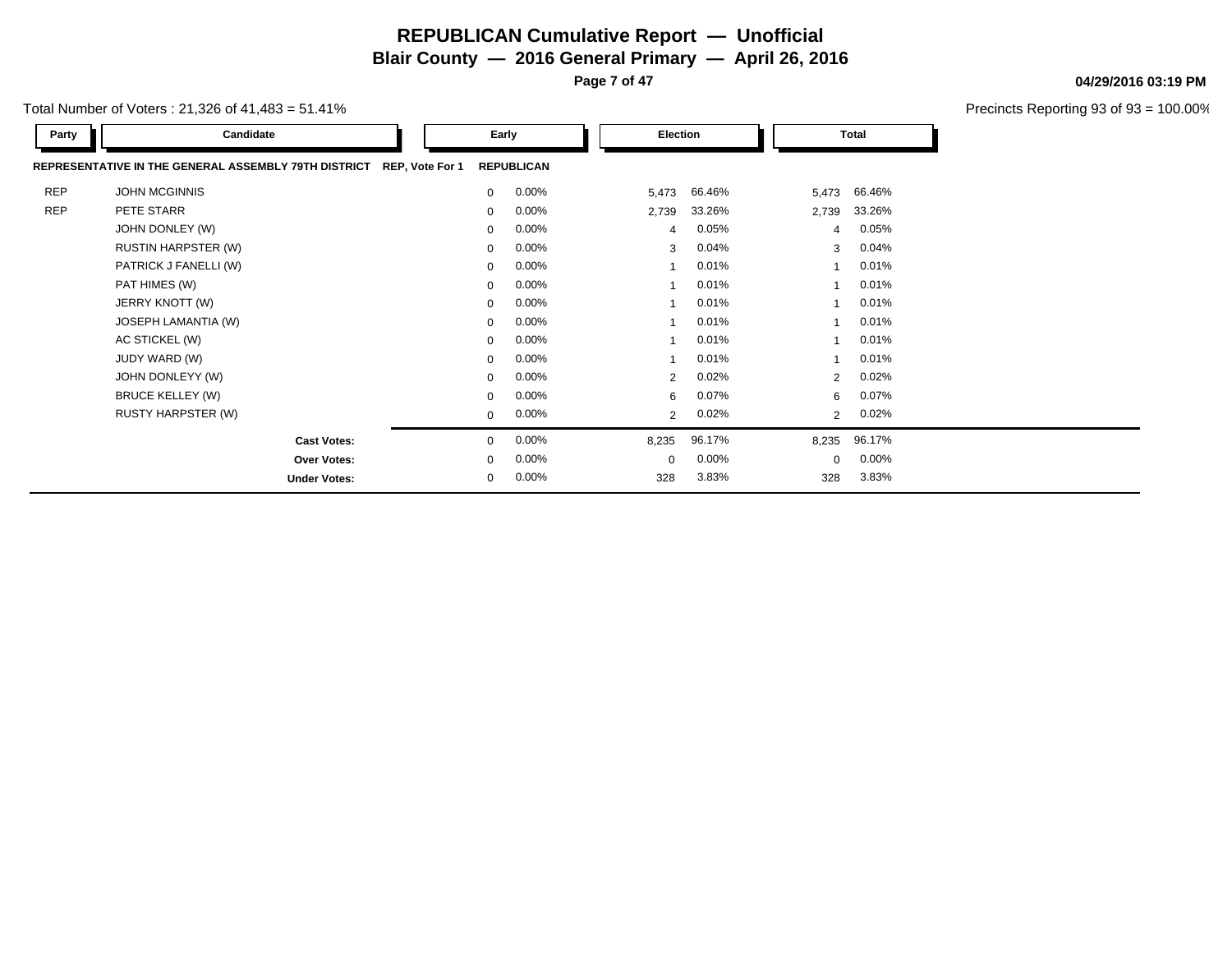**Page 7 of 47**

**04/29/2016 03:19 PM**

| Total Number of Voters : 21,326 of 41,483 = 51.41% |  |
|----------------------------------------------------|--|
|----------------------------------------------------|--|

| Party      | Candidate                                            |                 |             | Early             | Election       |          |       | <b>Total</b>   |          |
|------------|------------------------------------------------------|-----------------|-------------|-------------------|----------------|----------|-------|----------------|----------|
|            | REPRESENTATIVE IN THE GENERAL ASSEMBLY 79TH DISTRICT | REP, Vote For 1 |             | <b>REPUBLICAN</b> |                |          |       |                |          |
| <b>REP</b> | <b>JOHN MCGINNIS</b>                                 |                 | $\mathbf 0$ | 0.00%             | 5,473          | 66.46%   |       | 5,473          | 66.46%   |
| <b>REP</b> | PETE STARR                                           |                 | 0           | 0.00%             | 2,739          | 33.26%   | 2,739 |                | 33.26%   |
|            | JOHN DONLEY (W)                                      |                 | $\mathbf 0$ | 0.00%             | 4              | 0.05%    |       | 4              | 0.05%    |
|            | <b>RUSTIN HARPSTER (W)</b>                           |                 | $\Omega$    | 0.00%             | 3              | 0.04%    |       | 3              | 0.04%    |
|            | PATRICK J FANELLI (W)                                |                 | $\mathbf 0$ | 0.00%             |                | 0.01%    |       |                | 0.01%    |
|            | PAT HIMES (W)                                        |                 | $\mathbf 0$ | 0.00%             |                | 0.01%    |       |                | 0.01%    |
|            | JERRY KNOTT (W)                                      |                 | $\mathbf 0$ | 0.00%             |                | 0.01%    |       |                | 0.01%    |
|            | JOSEPH LAMANTIA (W)                                  |                 | $\mathbf 0$ | 0.00%             |                | 0.01%    |       |                | 0.01%    |
|            | AC STICKEL (W)                                       |                 | $\mathbf 0$ | 0.00%             |                | 0.01%    |       |                | 0.01%    |
|            | JUDY WARD (W)                                        |                 | $\mathbf 0$ | 0.00%             |                | 0.01%    |       |                | 0.01%    |
|            | JOHN DONLEYY (W)                                     |                 | $\mathbf 0$ | 0.00%             | 2              | 0.02%    |       | $\overline{2}$ | 0.02%    |
|            | <b>BRUCE KELLEY (W)</b>                              |                 | $\mathbf 0$ | 0.00%             | 6              | 0.07%    |       | 6              | 0.07%    |
|            | <b>RUSTY HARPSTER (W)</b>                            |                 | $\mathbf 0$ | 0.00%             | $\overline{2}$ | 0.02%    |       | $\overline{2}$ | 0.02%    |
|            | <b>Cast Votes:</b>                                   |                 | $\mathbf 0$ | 0.00%             | 8,235          | 96.17%   | 8,235 |                | 96.17%   |
|            | Over Votes:                                          |                 | $\mathbf 0$ | 0.00%             | $\Omega$       | $0.00\%$ |       | $\Omega$       | $0.00\%$ |
|            | <b>Under Votes:</b>                                  |                 | 0           | 0.00%             | 328            | 3.83%    |       | 328            | 3.83%    |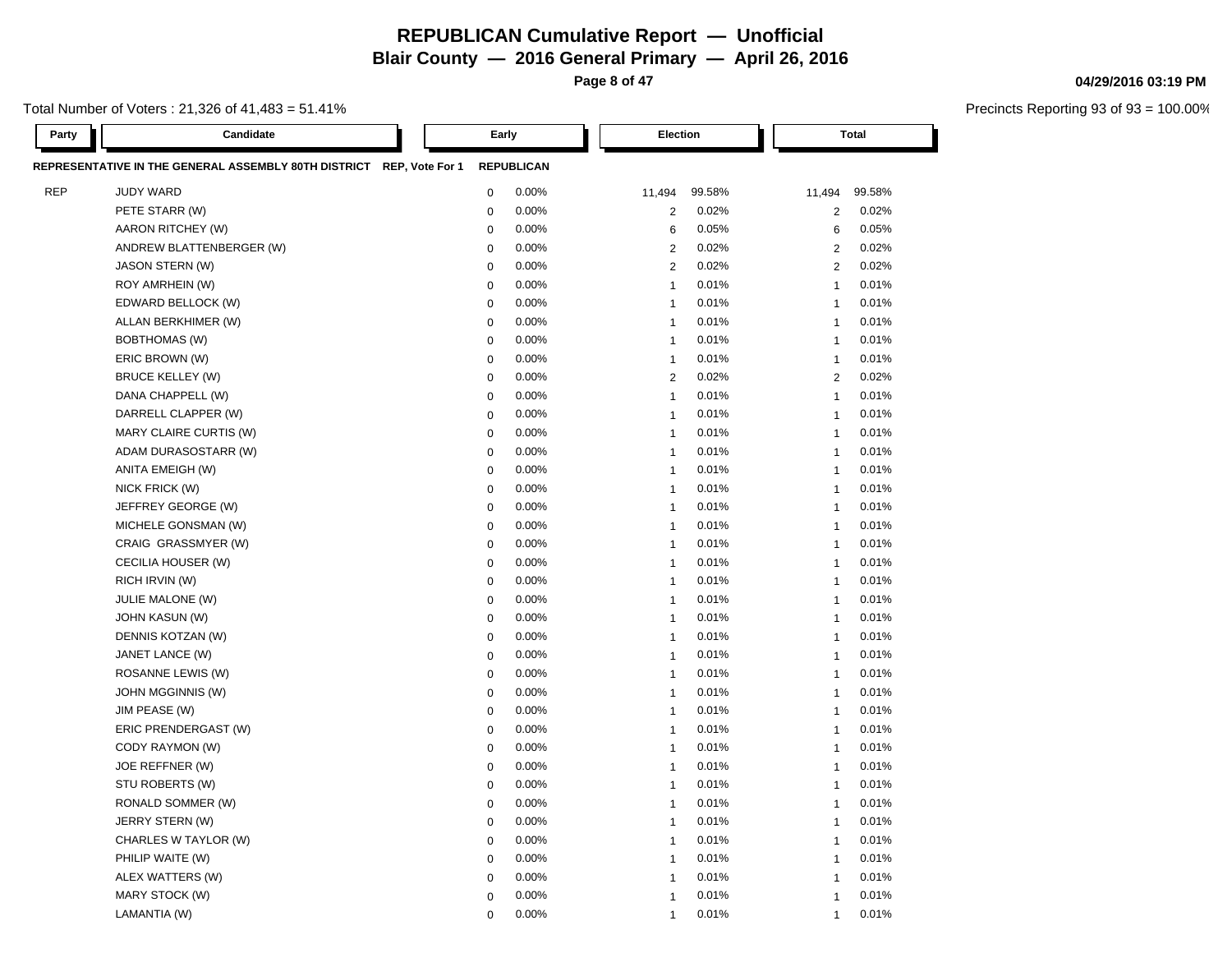**Blair County — 2016 General Primary — April 26, 2016**

**Page 8 of 47**

Total Number of Voters : 21,326 of 41,483 = 51.41%

| Party      | Candidate                                                            | Early            |                   | Election                |        |                | <b>Total</b> |
|------------|----------------------------------------------------------------------|------------------|-------------------|-------------------------|--------|----------------|--------------|
|            | REPRESENTATIVE IN THE GENERAL ASSEMBLY 80TH DISTRICT REP, Vote For 1 |                  | <b>REPUBLICAN</b> |                         |        |                |              |
| <b>REP</b> | <b>JUDY WARD</b>                                                     | $\mathbf 0$      | 0.00%             | 11,494                  | 99.58% | 11,494         | 99.58%       |
|            | PETE STARR (W)                                                       | $\pmb{0}$        | 0.00%             | $\overline{2}$          | 0.02%  | $\overline{c}$ | 0.02%        |
|            | AARON RITCHEY (W)                                                    | $\mathbf 0$      | 0.00%             | $\,6$                   | 0.05%  | 6              | 0.05%        |
|            | ANDREW BLATTENBERGER (W)                                             | $\mathbf 0$      | 0.00%             | $\overline{2}$          | 0.02%  | $\overline{2}$ | 0.02%        |
|            | JASON STERN (W)                                                      | $\mathbf 0$      | 0.00%             | $\overline{2}$          | 0.02%  | $\overline{2}$ | 0.02%        |
|            | ROY AMRHEIN (W)                                                      | $\mathbf 0$      | 0.00%             | $\overline{1}$          | 0.01%  | $\mathbf{1}$   | 0.01%        |
|            | EDWARD BELLOCK (W)                                                   | $\pmb{0}$        | 0.00%             | $\mathbf{1}$            | 0.01%  | $\mathbf{1}$   | 0.01%        |
|            | ALLAN BERKHIMER (W)                                                  | $\pmb{0}$        | 0.00%             | $\mathbf{1}$            | 0.01%  | $\mathbf{1}$   | 0.01%        |
|            | <b>BOBTHOMAS (W)</b>                                                 | $\boldsymbol{0}$ | 0.00%             | $\overline{1}$          | 0.01%  | $\mathbf{1}$   | 0.01%        |
|            | ERIC BROWN (W)                                                       | $\boldsymbol{0}$ | 0.00%             | $\mathbf{1}$            | 0.01%  | $\mathbf{1}$   | 0.01%        |
|            | <b>BRUCE KELLEY (W)</b>                                              | $\pmb{0}$        | 0.00%             | $\overline{2}$          | 0.02%  | 2              | 0.02%        |
|            | DANA CHAPPELL (W)                                                    | $\mathbf 0$      | 0.00%             | $\mathbf{1}$            | 0.01%  | $\mathbf{1}$   | 0.01%        |
|            | DARRELL CLAPPER (W)                                                  | $\mathbf 0$      | 0.00%             | $\overline{1}$          | 0.01%  | $\mathbf{1}$   | 0.01%        |
|            | MARY CLAIRE CURTIS (W)                                               | $\mathbf 0$      | 0.00%             | $\mathbf{1}$            | 0.01%  | $\mathbf{1}$   | 0.01%        |
|            | ADAM DURASOSTARR (W)                                                 | $\mathbf 0$      | 0.00%             | $\mathbf{1}$            | 0.01%  | $\mathbf{1}$   | 0.01%        |
|            | ANITA EMEIGH (W)                                                     | $\mathbf 0$      | 0.00%             | $\overline{1}$          | 0.01%  | $\mathbf{1}$   | 0.01%        |
|            | NICK FRICK (W)                                                       | $\mathbf 0$      | 0.00%             | $\overline{1}$          | 0.01%  | $\mathbf{1}$   | 0.01%        |
|            | JEFFREY GEORGE (W)                                                   | $\mathbf 0$      | 0.00%             | $\overline{1}$          | 0.01%  | $\mathbf{1}$   | 0.01%        |
|            | MICHELE GONSMAN (W)                                                  | $\mathbf 0$      | 0.00%             | $\overline{1}$          | 0.01%  | $\mathbf{1}$   | 0.01%        |
|            | CRAIG GRASSMYER (W)                                                  | $\mathbf 0$      | 0.00%             | $\overline{1}$          | 0.01%  | $\mathbf{1}$   | 0.01%        |
|            | CECILIA HOUSER (W)                                                   | $\mathbf 0$      | 0.00%             | $\overline{1}$          | 0.01%  | $\mathbf{1}$   | 0.01%        |
|            | RICH IRVIN (W)                                                       | $\pmb{0}$        | 0.00%             | $\overline{1}$          | 0.01%  | $\mathbf{1}$   | 0.01%        |
|            | JULIE MALONE (W)                                                     | $\mathbf 0$      | 0.00%             | $\overline{1}$          | 0.01%  | $\mathbf{1}$   | 0.01%        |
|            | <b>JOHN KASUN (W)</b>                                                | $\mathbf 0$      | 0.00%             | $\overline{1}$          | 0.01%  | $\mathbf{1}$   | 0.01%        |
|            | DENNIS KOTZAN (W)                                                    | $\mathbf 0$      | 0.00%             | $\mathbf{1}$            | 0.01%  | $\mathbf{1}$   | 0.01%        |
|            | JANET LANCE (W)                                                      | $\mathbf 0$      | 0.00%             | $\mathbf{1}$            | 0.01%  | $\mathbf{1}$   | 0.01%        |
|            | ROSANNE LEWIS (W)                                                    | $\pmb{0}$        | 0.00%             | $\mathbf{1}$            | 0.01%  | $\mathbf{1}$   | 0.01%        |
|            | JOHN MGGINNIS (W)                                                    | $\mathbf 0$      | 0.00%             | $\overline{\mathbf{1}}$ | 0.01%  | $\mathbf{1}$   | 0.01%        |
|            | JIM PEASE (W)                                                        | $\pmb{0}$        | 0.00%             | $\mathbf{1}$            | 0.01%  | $\mathbf{1}$   | 0.01%        |
|            | ERIC PRENDERGAST (W)                                                 | $\mathbf 0$      | 0.00%             | $\mathbf{1}$            | 0.01%  | $\mathbf{1}$   | 0.01%        |
|            | CODY RAYMON (W)                                                      | $\boldsymbol{0}$ | 0.00%             | $\mathbf{1}$            | 0.01%  | $\mathbf{1}$   | 0.01%        |
|            | JOE REFFNER (W)                                                      | $\boldsymbol{0}$ | 0.00%             | $\overline{\mathbf{1}}$ | 0.01%  | $\mathbf{1}$   | 0.01%        |
|            | STU ROBERTS (W)                                                      | $\pmb{0}$        | 0.00%             | $\mathbf{1}$            | 0.01%  | $\mathbf{1}$   | 0.01%        |
|            | RONALD SOMMER (W)                                                    | $\boldsymbol{0}$ | 0.00%             | $\mathbf{1}$            | 0.01%  | $\mathbf{1}$   | 0.01%        |
|            | JERRY STERN (W)                                                      | $\mathbf 0$      | 0.00%             | $\overline{1}$          | 0.01%  | $\mathbf{1}$   | 0.01%        |
|            | CHARLES W TAYLOR (W)                                                 | $\mathbf 0$      | 0.00%             | $\overline{1}$          | 0.01%  | $\mathbf{1}$   | 0.01%        |
|            | PHILIP WAITE (W)                                                     | $\mathbf 0$      | 0.00%             | $\mathbf{1}$            | 0.01%  | $\mathbf{1}$   | 0.01%        |
|            | ALEX WATTERS (W)                                                     | $\mathbf 0$      | 0.00%             | $\overline{1}$          | 0.01%  | $\mathbf{1}$   | 0.01%        |
|            | MARY STOCK (W)                                                       | $\mathbf 0$      | 0.00%             | $\overline{1}$          | 0.01%  | $\mathbf{1}$   | 0.01%        |
|            | LAMANTIA (W)                                                         | $\mathbf 0$      | 0.00%             | $\overline{1}$          | 0.01%  | $\overline{1}$ | 0.01%        |

#### **04/29/2016 03:19 PM**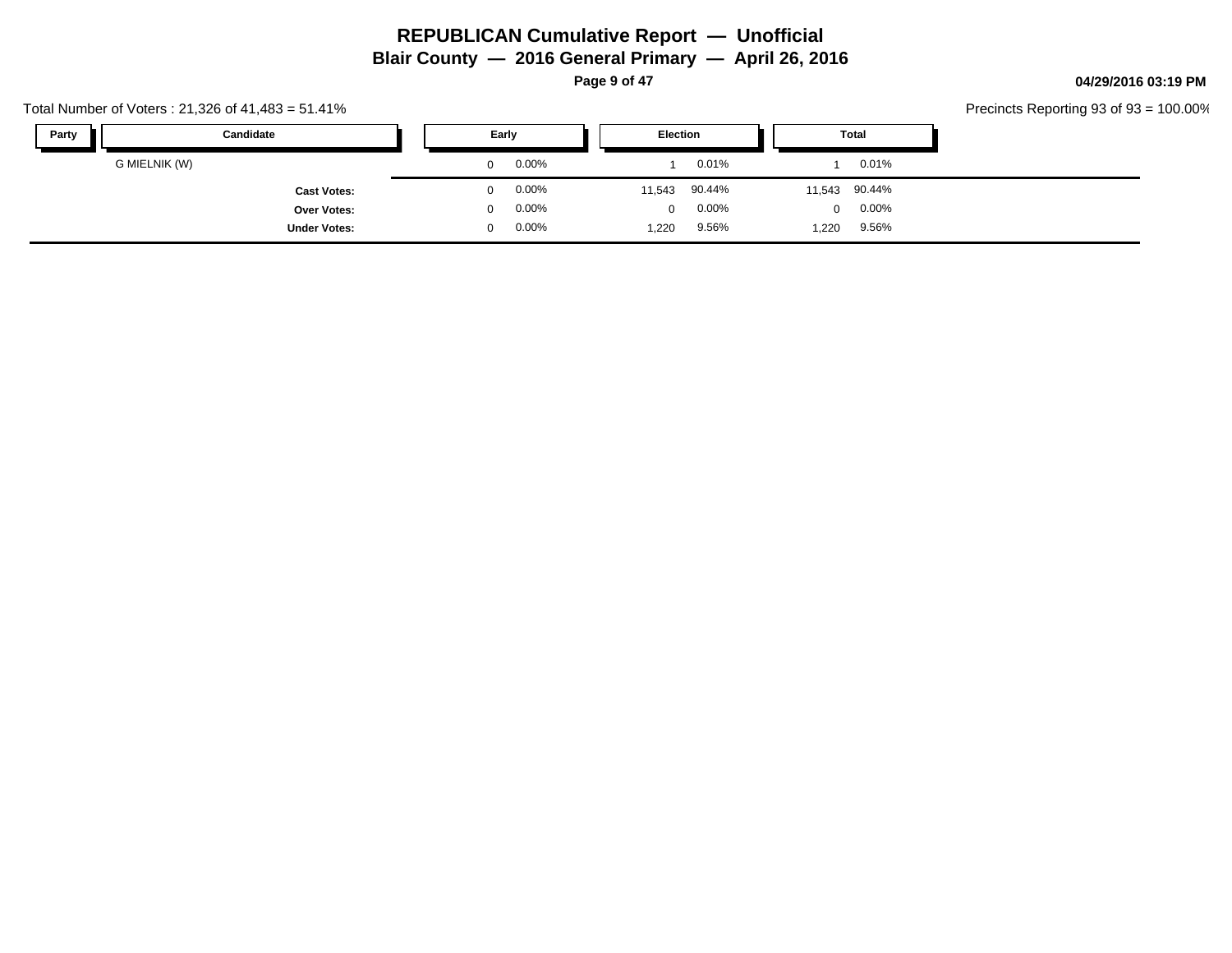**Page 9 of 47**

#### **04/29/2016 03:19 PM**

Precincts Reporting 93 of 93 = 100.00%

| Party | Candidate           | Early |       | Election |          |          | Total         |  |  |
|-------|---------------------|-------|-------|----------|----------|----------|---------------|--|--|
|       | G MIELNIK (W)       | 0     | 0.00% |          | 0.01%    |          | $0.01\%$      |  |  |
|       | <b>Cast Votes:</b>  | 0.    | 0.00% | 11,543   | 90.44%   |          | 11,543 90.44% |  |  |
|       | Over Votes:         | 0     | 0.00% | $\Omega$ | $0.00\%$ | $\Omega$ | $0.00\%$      |  |  |
|       | <b>Under Votes:</b> | ∩.    | 0.00% | 1,220    | 9.56%    | 1,220    | 9.56%         |  |  |

Total Number of Voters : 21,326 of 41,483 = 51.41%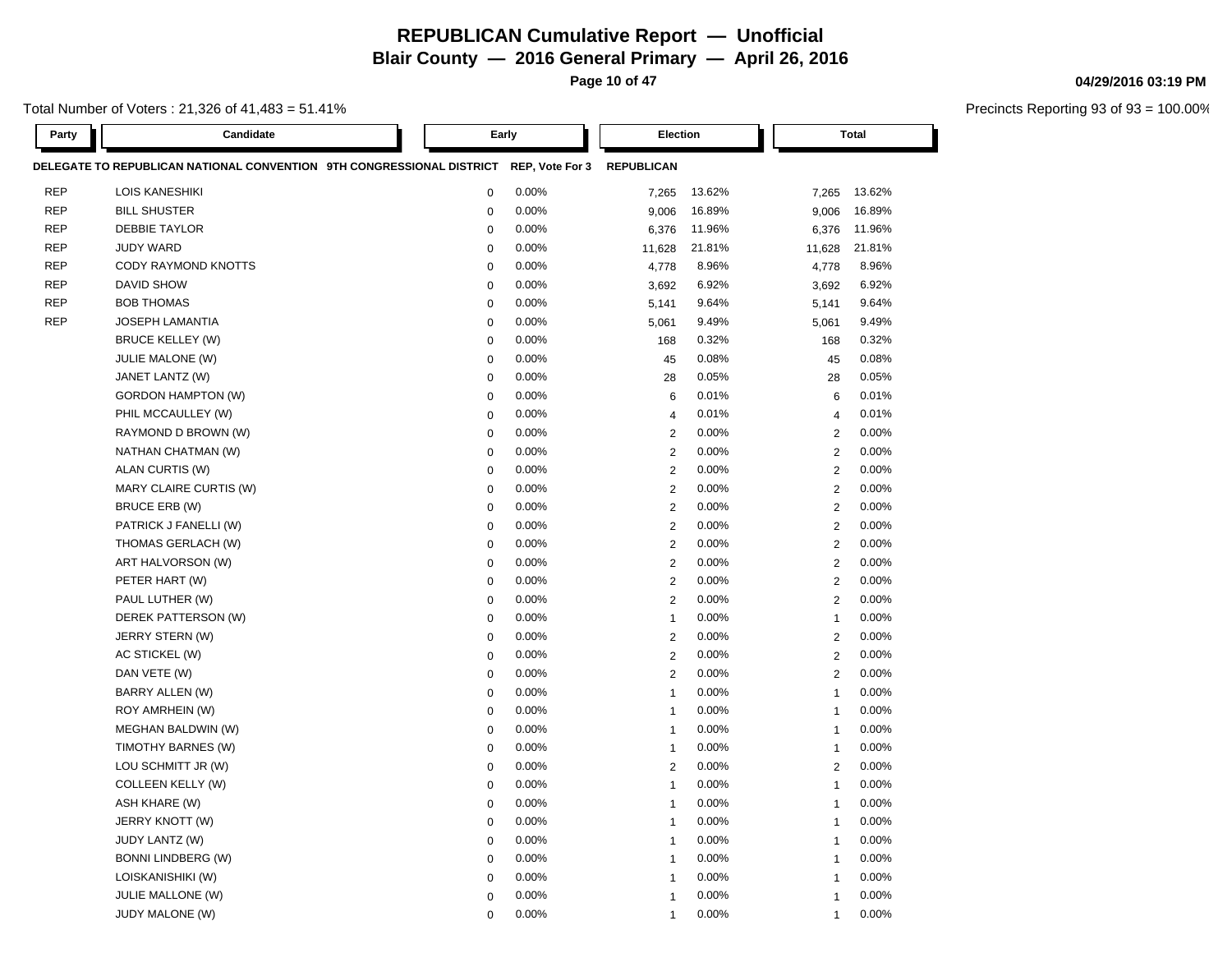**Page 10 of 47**

Total Number of Voters : 21,326 of 41,483 = 51.41%

| <b>Party</b> | Candidate                                                             |             | Early           | Election          |        |                         | <b>Total</b> |
|--------------|-----------------------------------------------------------------------|-------------|-----------------|-------------------|--------|-------------------------|--------------|
|              | DELEGATE TO REPUBLICAN NATIONAL CONVENTION 9TH CONGRESSIONAL DISTRICT |             | REP, Vote For 3 | <b>REPUBLICAN</b> |        |                         |              |
| <b>REP</b>   | <b>LOIS KANESHIKI</b>                                                 | $\mathbf 0$ | 0.00%           | 7,265             | 13.62% | 7,265                   | 13.62%       |
| <b>REP</b>   | <b>BILL SHUSTER</b>                                                   | $\mathsf 0$ | 0.00%           | 9,006             | 16.89% | 9,006                   | 16.89%       |
| <b>REP</b>   | <b>DEBBIE TAYLOR</b>                                                  | $\mathbf 0$ | 0.00%           | 6,376             | 11.96% | 6,376                   | 11.96%       |
| <b>REP</b>   | <b>JUDY WARD</b>                                                      | $\mathbf 0$ | 0.00%           | 11,628            | 21.81% | 11,628                  | 21.81%       |
| <b>REP</b>   | CODY RAYMOND KNOTTS                                                   | $\mathbf 0$ | 0.00%           | 4,778             | 8.96%  | 4,778                   | 8.96%        |
| <b>REP</b>   | DAVID SHOW                                                            | $\mathbf 0$ | 0.00%           | 3,692             | 6.92%  | 3,692                   | 6.92%        |
| <b>REP</b>   | <b>BOB THOMAS</b>                                                     | $\mathbf 0$ | 0.00%           | 5,141             | 9.64%  | 5,141                   | 9.64%        |
| <b>REP</b>   | <b>JOSEPH LAMANTIA</b>                                                | $\mathbf 0$ | 0.00%           | 5,061             | 9.49%  | 5,061                   | 9.49%        |
|              | <b>BRUCE KELLEY (W)</b>                                               | $\mathbf 0$ | 0.00%           | 168               | 0.32%  | 168                     | 0.32%        |
|              | <b>JULIE MALONE (W)</b>                                               | $\mathbf 0$ | 0.00%           | 45                | 0.08%  | 45                      | 0.08%        |
|              | JANET LANTZ (W)                                                       | $\mathbf 0$ | 0.00%           | 28                | 0.05%  | 28                      | 0.05%        |
|              | <b>GORDON HAMPTON (W)</b>                                             | 0           | 0.00%           | 6                 | 0.01%  | 6                       | 0.01%        |
|              | PHIL MCCAULLEY (W)                                                    | 0           | 0.00%           | $\overline{4}$    | 0.01%  | 4                       | 0.01%        |
|              | RAYMOND D BROWN (W)                                                   | 0           | 0.00%           | $\overline{2}$    | 0.00%  | 2                       | 0.00%        |
|              | NATHAN CHATMAN (W)                                                    | $\mathbf 0$ | 0.00%           | $\mathbf 2$       | 0.00%  | $\overline{\mathbf{c}}$ | 0.00%        |
|              | ALAN CURTIS (W)                                                       | $\mathbf 0$ | 0.00%           | $\overline{2}$    | 0.00%  | $\overline{2}$          | 0.00%        |
|              | MARY CLAIRE CURTIS (W)                                                | $\mathbf 0$ | 0.00%           | $\boldsymbol{2}$  | 0.00%  | $\overline{c}$          | 0.00%        |
|              | BRUCE ERB (W)                                                         | $\mathbf 0$ | 0.00%           | $\overline{2}$    | 0.00%  | $\overline{2}$          | 0.00%        |
|              | PATRICK J FANELLI (W)                                                 | $\mathbf 0$ | 0.00%           | $\overline{2}$    | 0.00%  | $\overline{2}$          | 0.00%        |
|              | THOMAS GERLACH (W)                                                    | $\mathbf 0$ | 0.00%           | $\sqrt{2}$        | 0.00%  | $\overline{2}$          | 0.00%        |
|              | ART HALVORSON (W)                                                     | $\mathbf 0$ | 0.00%           | $\overline{2}$    | 0.00%  | $\overline{c}$          | 0.00%        |
|              | PETER HART (W)                                                        | $\mathbf 0$ | 0.00%           | $\overline{2}$    | 0.00%  | $\overline{c}$          | 0.00%        |
|              | PAUL LUTHER (W)                                                       | $\mathbf 0$ | 0.00%           | $\overline{2}$    | 0.00%  | $\mathbf{2}$            | 0.00%        |
|              | DEREK PATTERSON (W)                                                   | $\mathbf 0$ | 0.00%           | 1                 | 0.00%  | $\overline{1}$          | 0.00%        |
|              | JERRY STERN (W)                                                       | $\mathbf 0$ | 0.00%           | $\overline{2}$    | 0.00%  | $\mathbf{2}$            | 0.00%        |
|              | AC STICKEL (W)                                                        | $\mathbf 0$ | 0.00%           | $\overline{2}$    | 0.00%  | $\mathbf{2}$            | 0.00%        |
|              | DAN VETE (W)                                                          | $\mathbf 0$ | 0.00%           | $\overline{2}$    | 0.00%  | $\mathbf{2}$            | 0.00%        |
|              | <b>BARRY ALLEN (W)</b>                                                | $\mathbf 0$ | 0.00%           | $\overline{1}$    | 0.00%  | $\overline{1}$          | 0.00%        |
|              | ROY AMRHEIN (W)                                                       | $\mathbf 0$ | 0.00%           | $\overline{1}$    | 0.00%  | $\overline{1}$          | 0.00%        |
|              | MEGHAN BALDWIN (W)                                                    | $\mathbf 0$ | 0.00%           | $\overline{1}$    | 0.00%  | $\mathbf{1}$            | 0.00%        |
|              | TIMOTHY BARNES (W)                                                    | $\mathbf 0$ | 0.00%           | $\overline{1}$    | 0.00%  | $\mathbf{1}$            | 0.00%        |
|              | LOU SCHMITT JR (W)                                                    | $\mathbf 0$ | 0.00%           | $\overline{2}$    | 0.00%  | $\mathbf{2}$            | 0.00%        |
|              | COLLEEN KELLY (W)                                                     | $\mathbf 0$ | 0.00%           | $\overline{1}$    | 0.00%  | $\mathbf{1}$            | 0.00%        |
|              | ASH KHARE (W)                                                         | $\mathbf 0$ | 0.00%           | $\mathbf{1}$      | 0.00%  | $\mathbf{1}$            | 0.00%        |
|              | JERRY KNOTT (W)                                                       | $\mathbf 0$ | 0.00%           | $\overline{1}$    | 0.00%  | $\overline{1}$          | 0.00%        |
|              | JUDY LANTZ (W)                                                        | $\mathbf 0$ | 0.00%           | 1                 | 0.00%  | $\mathbf{1}$            | 0.00%        |
|              | <b>BONNI LINDBERG (W)</b>                                             | $\mathbf 0$ | 0.00%           | $\overline{1}$    | 0.00%  | $\overline{1}$          | 0.00%        |
|              | LOISKANISHIKI (W)                                                     | $\mathbf 0$ | 0.00%           | $\mathbf{1}$      | 0.00%  | $\mathbf{1}$            | 0.00%        |
|              | <b>JULIE MALLONE (W)</b>                                              | $\mathbf 0$ | 0.00%           | $\mathbf 1$       | 0.00%  | $\mathbf{1}$            | 0.00%        |
|              | JUDY MALONE (W)                                                       | $\mathbf 0$ | 0.00%           | $\overline{1}$    | 0.00%  | 1                       | 0.00%        |

#### **04/29/2016 03:19 PM**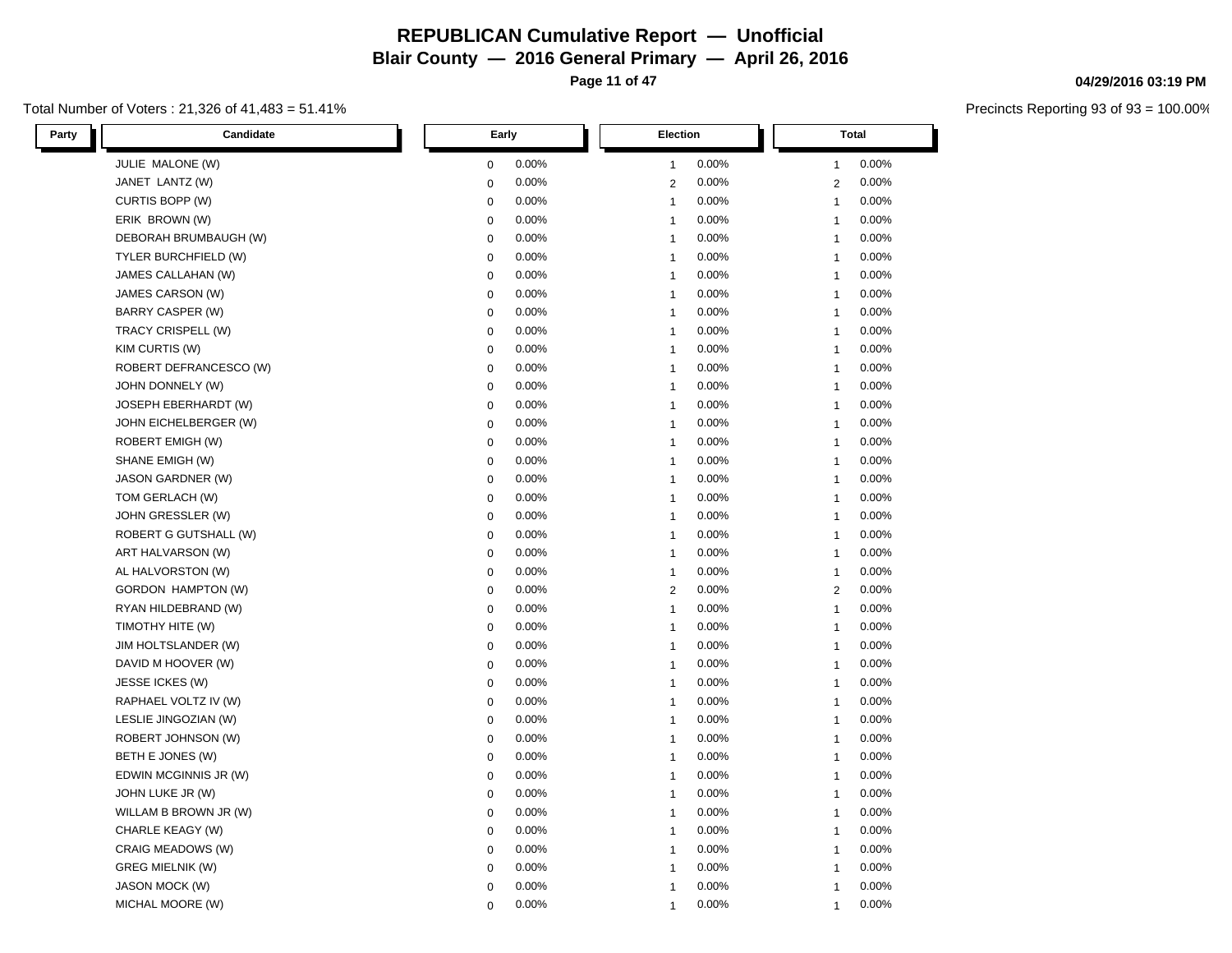**Page 11 of 47**

#### Total Number of Voters : 21,326 of 41,483 = 51.41%

| Party<br>Candidate        | Early       | <b>Election</b> | <b>Total</b>   |
|---------------------------|-------------|-----------------|----------------|
| JULIE MALONE (W)          | 0.00%       | 0.00%           | 0.00%          |
|                           | $\mathbf 0$ | 1               | $\mathbf{1}$   |
| JANET LANTZ (W)           | 0.00%       | 0.00%           | 0.00%          |
|                           | $\mathbf 0$ | $\overline{2}$  | $\overline{2}$ |
| CURTIS BOPP (W)           | 0.00%       | 0.00%           | 0.00%          |
|                           | $\mathbf 0$ | $\mathbf{1}$    | $\mathbf{1}$   |
| ERIK BROWN (W)            | 0.00%       | 0.00%           | 0.00%          |
|                           | 0           | $\mathbf{1}$    | $\mathbf{1}$   |
| DEBORAH BRUMBAUGH (W)     | 0.00%       | 0.00%           | 0.00%          |
|                           | 0           | $\mathbf{1}$    | $\mathbf{1}$   |
| TYLER BURCHFIELD (W)      | 0.00%       | 0.00%           | 0.00%          |
|                           | 0           | $\mathbf{1}$    | $\mathbf{1}$   |
| JAMES CALLAHAN (W)        | 0.00%       | 0.00%           | 0.00%          |
|                           | 0           | $\mathbf{1}$    | $\mathbf{1}$   |
| JAMES CARSON (W)          | $\pmb{0}$   | 0.00%           | 0.00%          |
|                           | 0.00%       | $\mathbf{1}$    | $\mathbf{1}$   |
| <b>BARRY CASPER (W)</b>   | 0.00%       | 0.00%           | 0.00%          |
|                           | 0           | $\mathbf{1}$    | $\mathbf{1}$   |
| TRACY CRISPELL (W)        | 0.00%       | 0.00%           | 0.00%          |
|                           | 0           | $\mathbf{1}$    | $\mathbf{1}$   |
| KIM CURTIS (W)            | $\pmb{0}$   | 0.00%           | 0.00%          |
|                           | 0.00%       | $\mathbf{1}$    | $\mathbf{1}$   |
| ROBERT DEFRANCESCO (W)    | 0           | 0.00%           | 0.00%          |
|                           | 0.00%       | $\mathbf{1}$    | $\mathbf{1}$   |
| JOHN DONNELY (W)          | 0.00%       | 0.00%           | 0.00%          |
|                           | 0           | 1               | $\mathbf{1}$   |
| JOSEPH EBERHARDT (W)      | 0.00%       | 0.00%           | 0.00%          |
|                           | $\mathbf 0$ | $\mathbf 1$     | $\mathbf{1}$   |
| JOHN EICHELBERGER (W)     | 0.00%       | 0.00%           | 0.00%          |
|                           | $\pmb{0}$   | $\mathbf{1}$    | $\mathbf{1}$   |
| ROBERT EMIGH (W)          | 0.00%       | 0.00%           | 0.00%          |
|                           | 0           | $\mathbf{1}$    | $\mathbf{1}$   |
| SHANE EMIGH (W)           | 0.00%       | 0.00%           | 0.00%          |
|                           | $\pmb{0}$   | 1               | $\mathbf{1}$   |
| JASON GARDNER (W)         | 0.00%       | 0.00%           | 0.00%          |
|                           | $\pmb{0}$   | 1               | $\mathbf{1}$   |
| TOM GERLACH (W)           | 0.00%       | 0.00%           | 0.00%          |
|                           | $\pmb{0}$   | $\mathbf{1}$    | $\mathbf{1}$   |
| JOHN GRESSLER (W)         | $\pmb{0}$   | 0.00%           | 0.00%          |
|                           | 0.00%       | $\mathbf{1}$    | $\mathbf{1}$   |
| ROBERT G GUTSHALL (W)     | 0.00%       | 0.00%           | 0.00%          |
|                           | 0           | 1               | $\mathbf{1}$   |
| ART HALVARSON (W)         | 0.00%       | 0.00%           | 0.00%          |
|                           | $\pmb{0}$   | $\mathbf 1$     | $\mathbf{1}$   |
| AL HALVORSTON (W)         | 0.00%       | 0.00%           | 0.00%          |
|                           | 0           | $\mathbf{1}$    | $\mathbf{1}$   |
| <b>GORDON HAMPTON (W)</b> | $\pmb{0}$   | $\overline{c}$  | $\overline{2}$ |
|                           | 0.00%       | 0.00%           | 0.00%          |
| RYAN HILDEBRAND (W)       | 0.00%       | 0.00%           | 0.00%          |
|                           | 0           | $\mathbf 1$     | $\mathbf{1}$   |
| TIMOTHY HITE (W)          | 0.00%       | 0.00%           | 0.00%          |
|                           | $\pmb{0}$   | $\mathbf{1}$    | $\mathbf 1$    |
| JIM HOLTSLANDER (W)       | 0.00%       | 0.00%           | 0.00%          |
|                           | 0           | 1               | $\mathbf{1}$   |
| DAVID M HOOVER (W)        | $\mathbf 0$ | 0.00%           | 0.00%          |
|                           | 0.00%       | $\mathbf{1}$    | $\mathbf{1}$   |
| JESSE ICKES (W)           | 0.00%       | 0.00%           | 0.00%          |
|                           | 0           | $\mathbf{1}$    | $\mathbf{1}$   |
| RAPHAEL VOLTZ IV (W)      | 0.00%       | 0.00%           | 0.00%          |
|                           | $\pmb{0}$   | $\mathbf{1}$    | $\mathbf{1}$   |
| LESLIE JINGOZIAN (W)      | 0           | 0.00%           | 0.00%          |
|                           | 0.00%       | $\mathbf{1}$    | $\mathbf{1}$   |
| ROBERT JOHNSON (W)        | 0           | 0.00%           | 0.00%          |
|                           | 0.00%       | $\mathbf{1}$    | $\mathbf{1}$   |
| BETH E JONES (W)          | 0.00%       | 0.00%           | 0.00%          |
|                           | $\pmb{0}$   | $\mathbf{1}$    | $\mathbf{1}$   |
| EDWIN MCGINNIS JR (W)     | 0.00%       | 0.00%           | 0.00%          |
|                           | 0           | $\mathbf{1}$    | $\mathbf{1}$   |
| JOHN LUKE JR (W)          | $\pmb{0}$   | 0.00%           | 0.00%          |
|                           | 0.00%       | $\mathbf{1}$    | $\mathbf{1}$   |
| WILLAM B BROWN JR (W)     | 0.00%       | 0.00%           | 0.00%          |
|                           | 0           | 1               | $\mathbf{1}$   |
| CHARLE KEAGY (W)          | 0.00%       | 0.00%           | 0.00%          |
|                           | $\pmb{0}$   | $\mathbf{1}$    | $\mathbf{1}$   |
| CRAIG MEADOWS (W)         | 0.00%       | 0.00%           | 0.00%          |
|                           | 0           | $\mathbf{1}$    | $\mathbf{1}$   |
| <b>GREG MIELNIK (W)</b>   | $\pmb{0}$   | 0.00%           | 0.00%          |
|                           | 0.00%       | 1               | $\mathbf 1$    |
| <b>JASON MOCK (W)</b>     | 0.00%       | 0.00%           | 0.00%          |
|                           | $\mathbf 0$ | 1               | $\mathbf{1}$   |
| MICHAL MOORE (W)          | 0.00%       | 0.00%           | 0.00%          |
|                           | $\Omega$    | 1               | -1             |

#### **04/29/2016 03:19 PM**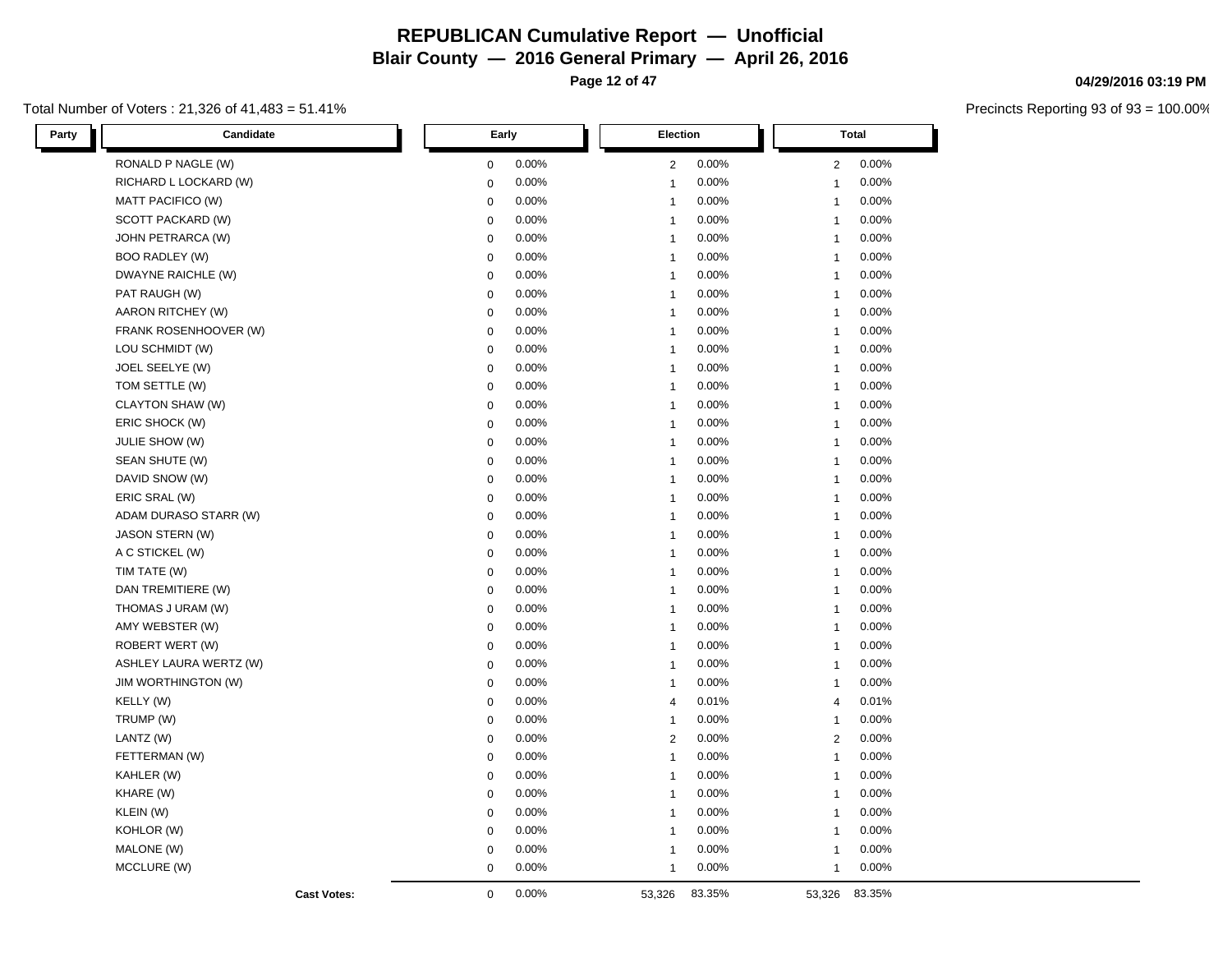**Page 12 of 47**

#### Total Number of Voters : 21,326 of 41,483 = 51.41%

| Candidate<br>Party     | Early            |       | Election       |        |                | <b>Total</b> |  |
|------------------------|------------------|-------|----------------|--------|----------------|--------------|--|
| RONALD P NAGLE (W)     | 0                | 0.00% | $\overline{2}$ | 0.00%  | $\overline{2}$ | 0.00%        |  |
| RICHARD L LOCKARD (W)  | $\mathbf 0$      | 0.00% | $\mathbf{1}$   | 0.00%  | $\mathbf{1}$   | 0.00%        |  |
| MATT PACIFICO (W)      | $\mathbf 0$      | 0.00% | $\mathbf{1}$   | 0.00%  | $\mathbf{1}$   | 0.00%        |  |
| SCOTT PACKARD (W)      | $\boldsymbol{0}$ | 0.00% | $\mathbf{1}$   | 0.00%  | $\mathbf{1}$   | 0.00%        |  |
| JOHN PETRARCA (W)      | $\boldsymbol{0}$ | 0.00% | $\mathbf{1}$   | 0.00%  | $\mathbf{1}$   | 0.00%        |  |
| <b>BOO RADLEY (W)</b>  | 0                | 0.00% | $\mathbf{1}$   | 0.00%  | $\mathbf{1}$   | 0.00%        |  |
| DWAYNE RAICHLE (W)     | $\mathbf 0$      | 0.00% | $\overline{1}$ | 0.00%  | $\mathbf{1}$   | 0.00%        |  |
| PAT RAUGH (W)          | $\boldsymbol{0}$ | 0.00% | $\mathbf{1}$   | 0.00%  | $\mathbf{1}$   | 0.00%        |  |
| AARON RITCHEY (W)      | $\mathbf 0$      | 0.00% | $\mathbf{1}$   | 0.00%  | $\mathbf{1}$   | 0.00%        |  |
| FRANK ROSENHOOVER (W)  | $\mathbf 0$      | 0.00% | $\mathbf{1}$   | 0.00%  | $\mathbf{1}$   | 0.00%        |  |
| LOU SCHMIDT (W)        | $\mathbf 0$      | 0.00% | $\mathbf{1}$   | 0.00%  | $\mathbf{1}$   | 0.00%        |  |
| JOEL SEELYE (W)        | $\boldsymbol{0}$ | 0.00% | $\mathbf{1}$   | 0.00%  | $\mathbf{1}$   | 0.00%        |  |
| TOM SETTLE (W)         | $\mathbf 0$      | 0.00% | $\mathbf{1}$   | 0.00%  | $\mathbf{1}$   | 0.00%        |  |
| CLAYTON SHAW (W)       | $\mathbf 0$      | 0.00% | $\mathbf{1}$   | 0.00%  | $\mathbf{1}$   | 0.00%        |  |
| ERIC SHOCK (W)         | $\boldsymbol{0}$ | 0.00% | $\mathbf{1}$   | 0.00%  | $\mathbf{1}$   | 0.00%        |  |
| JULIE SHOW (W)         | $\mathbf 0$      | 0.00% | $\mathbf{1}$   | 0.00%  | $\mathbf{1}$   | 0.00%        |  |
| SEAN SHUTE (W)         | $\mathbf 0$      | 0.00% | $\mathbf{1}$   | 0.00%  | $\mathbf{1}$   | 0.00%        |  |
| DAVID SNOW (W)         | $\mathbf 0$      | 0.00% | $\mathbf{1}$   | 0.00%  | $\mathbf{1}$   | 0.00%        |  |
| ERIC SRAL (W)          | $\boldsymbol{0}$ | 0.00% | $\mathbf{1}$   | 0.00%  | $\mathbf{1}$   | 0.00%        |  |
| ADAM DURASO STARR (W)  | $\boldsymbol{0}$ | 0.00% | $\mathbf{1}$   | 0.00%  | $\mathbf{1}$   | 0.00%        |  |
| <b>JASON STERN (W)</b> | $\mathbf 0$      | 0.00% | $\mathbf{1}$   | 0.00%  | $\mathbf{1}$   | 0.00%        |  |
| A C STICKEL (W)        | $\boldsymbol{0}$ | 0.00% | $\mathbf{1}$   | 0.00%  | $\mathbf{1}$   | 0.00%        |  |
| TIM TATE (W)           | $\boldsymbol{0}$ | 0.00% | $\mathbf{1}$   | 0.00%  | $\mathbf{1}$   | 0.00%        |  |
| DAN TREMITIERE (W)     | $\boldsymbol{0}$ | 0.00% | $\mathbf{1}$   | 0.00%  | $\mathbf{1}$   | 0.00%        |  |
| THOMAS J URAM (W)      | $\mathbf 0$      | 0.00% | $\overline{1}$ | 0.00%  | $\mathbf{1}$   | 0.00%        |  |
| AMY WEBSTER (W)        | $\mathbf 0$      | 0.00% | $\mathbf{1}$   | 0.00%  | $\mathbf{1}$   | 0.00%        |  |
| ROBERT WERT (W)        | $\mathbf 0$      | 0.00% | $\mathbf{1}$   | 0.00%  | $\mathbf{1}$   | 0.00%        |  |
| ASHLEY LAURA WERTZ (W) | $\boldsymbol{0}$ | 0.00% | $\mathbf{1}$   | 0.00%  | $\mathbf{1}$   | 0.00%        |  |
| JIM WORTHINGTON (W)    | $\mathbf 0$      | 0.00% | $\mathbf{1}$   | 0.00%  | $\mathbf{1}$   | 0.00%        |  |
| KELLY (W)              | $\mathbf 0$      | 0.00% | $\overline{4}$ | 0.01%  | $\overline{4}$ | 0.01%        |  |
| TRUMP (W)              | $\mathbf 0$      | 0.00% | $\mathbf{1}$   | 0.00%  | $\mathbf{1}$   | 0.00%        |  |
| LANTZ (W)              | $\mathbf 0$      | 0.00% | $\overline{2}$ | 0.00%  | 2              | 0.00%        |  |
| FETTERMAN (W)          | $\boldsymbol{0}$ | 0.00% | $\overline{1}$ | 0.00%  | $\mathbf{1}$   | 0.00%        |  |
| KAHLER (W)             | $\mathbf 0$      | 0.00% | $\mathbf{1}$   | 0.00%  | $\mathbf{1}$   | 0.00%        |  |
| KHARE (W)              | $\mathbf 0$      | 0.00% | $\mathbf{1}$   | 0.00%  | $\mathbf{1}$   | 0.00%        |  |
| KLEIN (W)              | $\mathbf 0$      | 0.00% | $\mathbf{1}$   | 0.00%  | $\mathbf{1}$   | 0.00%        |  |
| KOHLOR (W)             | $\boldsymbol{0}$ | 0.00% | $\mathbf{1}$   | 0.00%  | $\mathbf{1}$   | 0.00%        |  |
| MALONE (W)             | $\mathbf 0$      | 0.00% | $\mathbf{1}$   | 0.00%  | $\mathbf{1}$   | 0.00%        |  |
| MCCLURE (W)            | $\mathbf 0$      | 0.00% | $\mathbf{1}$   | 0.00%  | $\mathbf{1}$   | 0.00%        |  |
| <b>Cast Votes:</b>     | $\mathbf 0$      | 0.00% | 53,326         | 83.35% | 53,326         | 83.35%       |  |

#### **04/29/2016 03:19 PM**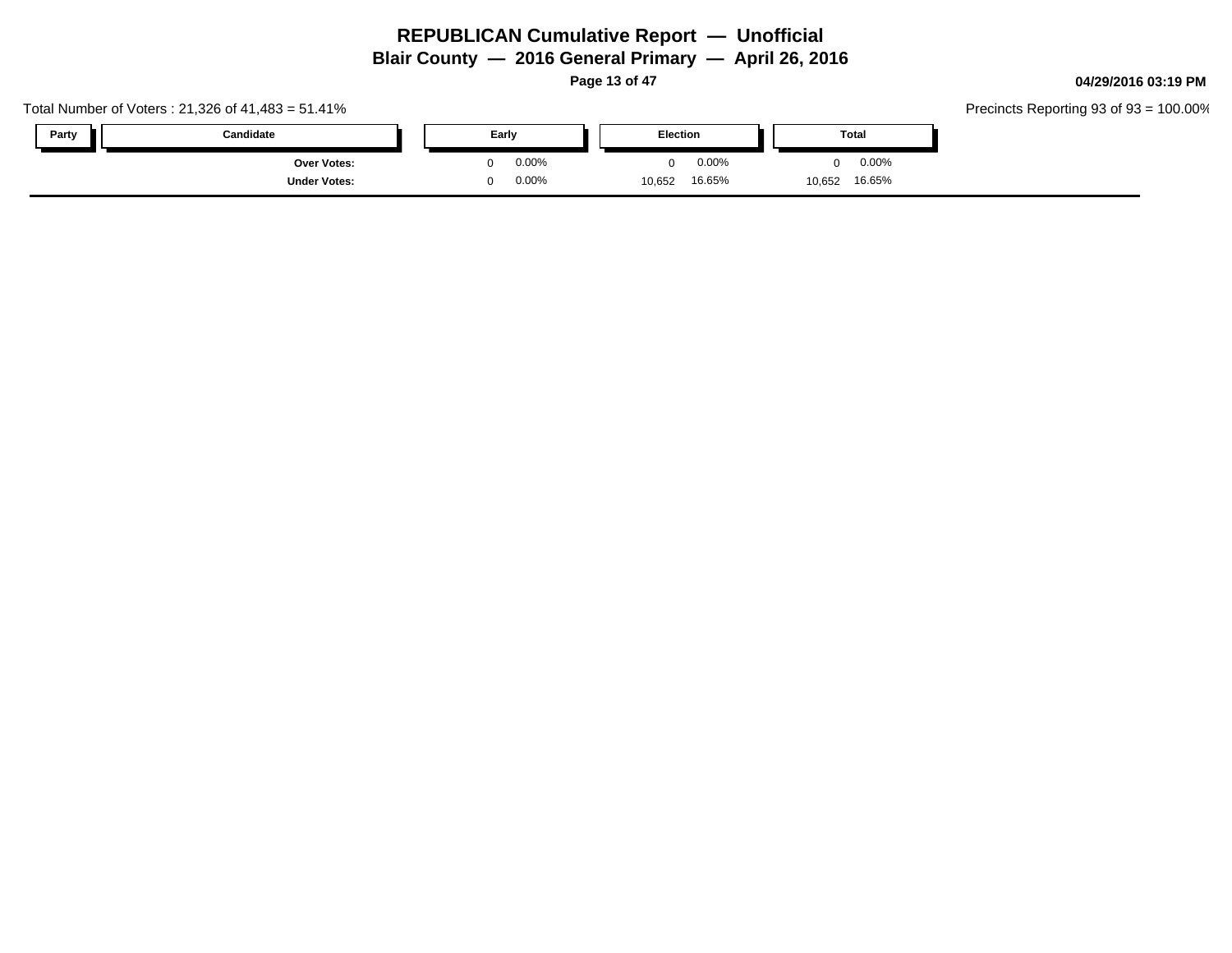**Page 13 of 47**

#### Total Number of Voters : 21,326 of 41,483 = 51.41% **Party Candidate Early Election Total Over Votes:** 0 0.00% **Under Votes:** 0 0.00% 0 0.00% 10,652 10,652 0.00% 0 0.00% 16.65% 16.65%

**04/29/2016 03:19 PM**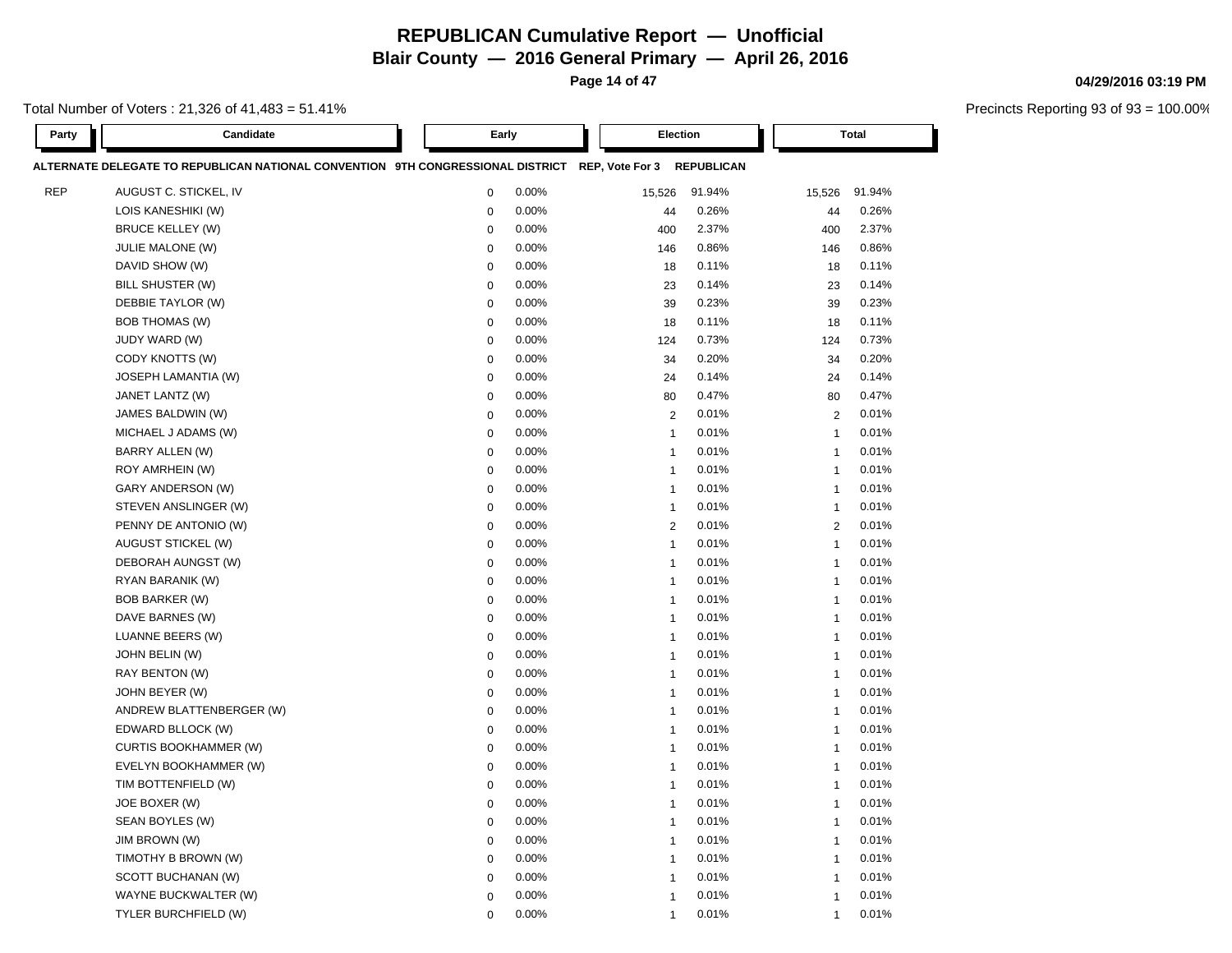**Blair County — 2016 General Primary — April 26, 2016**

**Page 14 of 47**

Total Number of Voters : 21,326 of 41,483 = 51.41%

| Party      | Candidate                                                                                                  |             | Early |                | Election |        | <b>Total</b>            |  |
|------------|------------------------------------------------------------------------------------------------------------|-------------|-------|----------------|----------|--------|-------------------------|--|
|            | ALTERNATE DELEGATE TO REPUBLICAN NATIONAL CONVENTION 9TH CONGRESSIONAL DISTRICT REP, Vote For 3 REPUBLICAN |             |       |                |          |        |                         |  |
| <b>REP</b> | AUGUST C. STICKEL, IV                                                                                      | $\mathbf 0$ | 0.00% | 15,526         | 91.94%   | 15,526 | 91.94%                  |  |
|            | LOIS KANESHIKI (W)                                                                                         | $\mathbf 0$ | 0.00% | 44             | 0.26%    |        | 0.26%<br>44             |  |
|            | <b>BRUCE KELLEY (W)</b>                                                                                    | $\mathbf 0$ | 0.00% | 400            | 2.37%    | 400    | 2.37%                   |  |
|            | <b>JULIE MALONE (W)</b>                                                                                    | $\mathbf 0$ | 0.00% | 146            | 0.86%    | 146    | 0.86%                   |  |
|            | DAVID SHOW (W)                                                                                             | $\mathbf 0$ | 0.00% | 18             | 0.11%    |        | 0.11%<br>18             |  |
|            | BILL SHUSTER (W)                                                                                           | $\mathbf 0$ | 0.00% | 23             | 0.14%    |        | 23<br>0.14%             |  |
|            | DEBBIE TAYLOR (W)                                                                                          | $\mathbf 0$ | 0.00% | 39             | 0.23%    |        | 0.23%<br>39             |  |
|            | <b>BOB THOMAS (W)</b>                                                                                      | $\mathbf 0$ | 0.00% | 18             | 0.11%    |        | 0.11%<br>18             |  |
|            | JUDY WARD (W)                                                                                              | $\mathbf 0$ | 0.00% | 124            | 0.73%    | 124    | 0.73%                   |  |
|            | CODY KNOTTS (W)                                                                                            | $\mathbf 0$ | 0.00% | 34             | 0.20%    |        | 0.20%<br>34             |  |
|            | JOSEPH LAMANTIA (W)                                                                                        | $\mathbf 0$ | 0.00% | 24             | 0.14%    |        | 0.14%<br>24             |  |
|            | JANET LANTZ (W)                                                                                            | $\mathbf 0$ | 0.00% | 80             | 0.47%    |        | 80<br>0.47%             |  |
|            | JAMES BALDWIN (W)                                                                                          | $\mathbf 0$ | 0.00% | $\overline{2}$ | 0.01%    |        | $\overline{2}$<br>0.01% |  |
|            | MICHAEL J ADAMS (W)                                                                                        | $\mathbf 0$ | 0.00% | $\overline{1}$ | 0.01%    |        | 0.01%<br>$\mathbf{1}$   |  |
|            | <b>BARRY ALLEN (W)</b>                                                                                     | $\mathbf 0$ | 0.00% | $\overline{1}$ | 0.01%    |        | 0.01%<br>$\mathbf{1}$   |  |
|            | ROY AMRHEIN (W)                                                                                            | $\mathbf 0$ | 0.00% | $\overline{1}$ | 0.01%    |        | 0.01%<br>$\mathbf{1}$   |  |
|            | GARY ANDERSON (W)                                                                                          | $\mathbf 0$ | 0.00% | $\overline{1}$ | 0.01%    |        | 0.01%<br>$\mathbf{1}$   |  |
|            | STEVEN ANSLINGER (W)                                                                                       | $\mathbf 0$ | 0.00% | $\overline{1}$ | 0.01%    |        | 0.01%<br>$\mathbf{1}$   |  |
|            | PENNY DE ANTONIO (W)                                                                                       | $\mathbf 0$ | 0.00% | $\overline{2}$ | 0.01%    |        | 0.01%<br>2              |  |
|            | AUGUST STICKEL (W)                                                                                         | $\mathbf 0$ | 0.00% | $\overline{1}$ | 0.01%    |        | 0.01%<br>$\overline{1}$ |  |
|            | DEBORAH AUNGST (W)                                                                                         | $\mathbf 0$ | 0.00% | $\overline{1}$ | 0.01%    |        | 0.01%<br>-1             |  |
|            | RYAN BARANIK (W)                                                                                           | $\mathbf 0$ | 0.00% | $\overline{1}$ | 0.01%    |        | 0.01%<br>$\mathbf{1}$   |  |
|            | <b>BOB BARKER (W)</b>                                                                                      | $\mathbf 0$ | 0.00% | $\overline{1}$ | 0.01%    |        | 0.01%<br>$\mathbf{1}$   |  |
|            | DAVE BARNES (W)                                                                                            | $\mathbf 0$ | 0.00% | $\overline{1}$ | 0.01%    |        | 0.01%<br>$\overline{1}$ |  |
|            | LUANNE BEERS (W)                                                                                           | $\mathbf 0$ | 0.00% | $\overline{1}$ | 0.01%    |        | 0.01%<br>$\overline{1}$ |  |
|            | JOHN BELIN (W)                                                                                             | $\mathbf 0$ | 0.00% | $\overline{1}$ | 0.01%    |        | 0.01%<br>$\mathbf{1}$   |  |
|            | RAY BENTON (W)                                                                                             | $\mathbf 0$ | 0.00% | $\overline{1}$ | 0.01%    |        | 0.01%<br>$\mathbf 1$    |  |
|            | JOHN BEYER (W)                                                                                             | $\mathbf 0$ | 0.00% | $\overline{1}$ | 0.01%    |        | 0.01%<br>$\mathbf{1}$   |  |
|            | ANDREW BLATTENBERGER (W)                                                                                   | $\mathbf 0$ | 0.00% | $\overline{1}$ | 0.01%    |        | 0.01%<br>$\mathbf{1}$   |  |
|            | EDWARD BLLOCK (W)                                                                                          | $\mathbf 0$ | 0.00% | $\overline{1}$ | 0.01%    |        | 0.01%<br>$\mathbf{1}$   |  |
|            | <b>CURTIS BOOKHAMMER (W)</b>                                                                               | $\mathbf 0$ | 0.00% | $\overline{1}$ | 0.01%    |        | 0.01%<br>$\mathbf{1}$   |  |
|            | EVELYN BOOKHAMMER (W)                                                                                      | $\mathbf 0$ | 0.00% | $\overline{1}$ | 0.01%    |        | 0.01%<br>$\mathbf{1}$   |  |
|            | TIM BOTTENFIELD (W)                                                                                        | $\mathbf 0$ | 0.00% | $\overline{1}$ | 0.01%    |        | 0.01%<br>$\mathbf{1}$   |  |
|            | JOE BOXER (W)                                                                                              | $\mathbf 0$ | 0.00% | $\overline{1}$ | 0.01%    |        | 0.01%<br>$\mathbf{1}$   |  |
|            | SEAN BOYLES (W)                                                                                            | $\mathbf 0$ | 0.00% | $\overline{1}$ | 0.01%    |        | 0.01%<br>$\mathbf{1}$   |  |
|            | JIM BROWN (W)                                                                                              | $\mathbf 0$ | 0.00% | $\overline{1}$ | 0.01%    |        | 0.01%<br>$\overline{1}$ |  |
|            | TIMOTHY B BROWN (W)                                                                                        | $\mathbf 0$ | 0.00% | $\overline{1}$ | 0.01%    |        | 0.01%<br>$\mathbf{1}$   |  |
|            | SCOTT BUCHANAN (W)                                                                                         | $\mathbf 0$ | 0.00% | $\overline{1}$ | 0.01%    |        | 0.01%<br>$\mathbf 1$    |  |
|            | WAYNE BUCKWALTER (W)                                                                                       | $\mathbf 0$ | 0.00% | $\overline{1}$ | 0.01%    |        | 0.01%<br>$\mathbf{1}$   |  |
|            | TYLER BURCHFIELD (W)                                                                                       | $\Omega$    | 0.00% | 1              | 0.01%    |        | 0.01%<br>$\mathbf 1$    |  |

#### **04/29/2016 03:19 PM**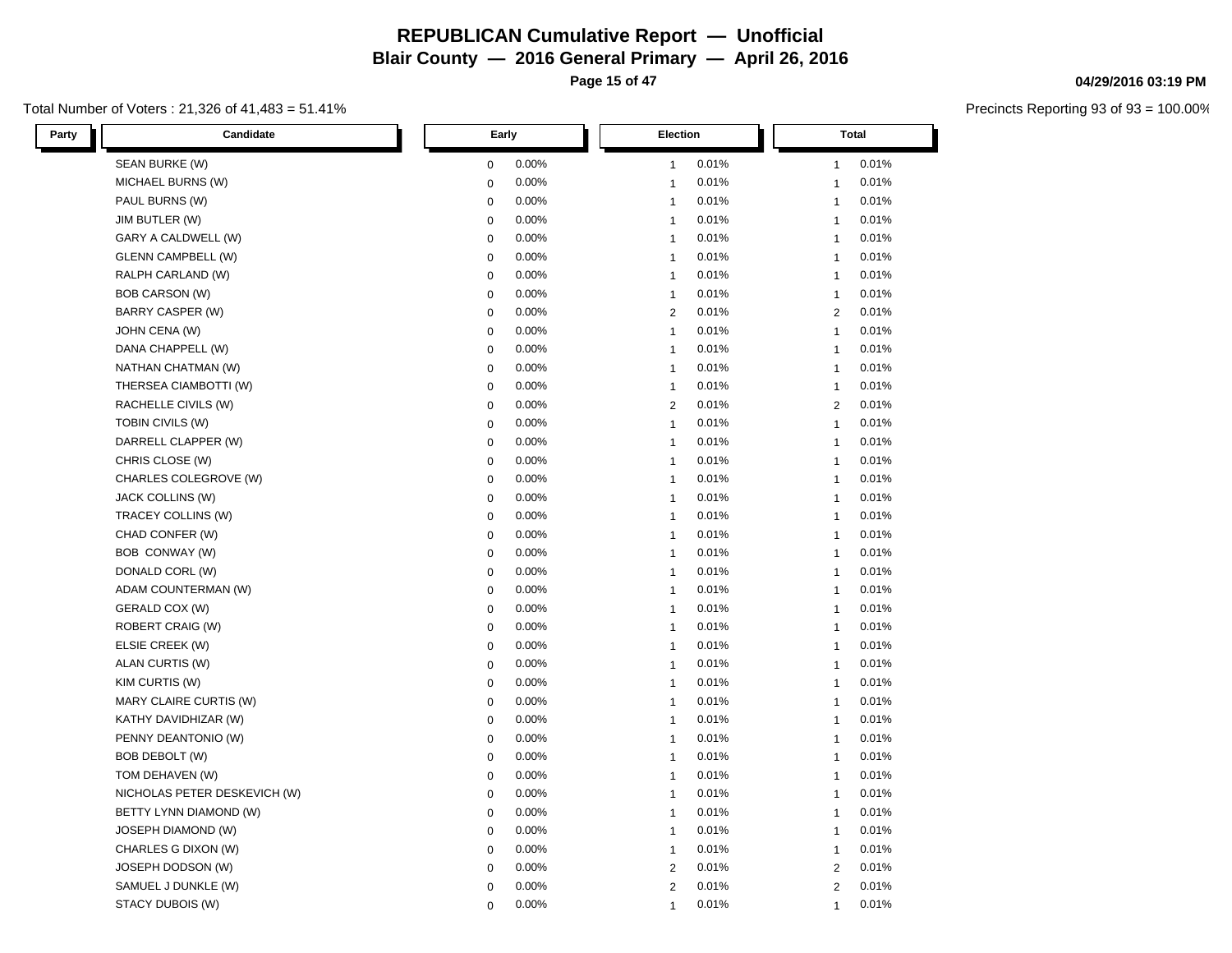**Page 15 of 47**

#### Total Number of Voters : 21,326 of 41,483 = 51.41%

| Party<br>Candidate           | Early       | <b>Election</b> | Total          |
|------------------------------|-------------|-----------------|----------------|
| SEAN BURKE (W)               | 0.00%       | 0.01%           | 0.01%          |
|                              | 0           | $\mathbf{1}$    | $\mathbf{1}$   |
| MICHAEL BURNS (W)            | 0.00%       | 0.01%           | 0.01%          |
|                              | $\mathbf 0$ | $\mathbf{1}$    | $\mathbf{1}$   |
| PAUL BURNS (W)               | 0.00%       | 0.01%           | 0.01%          |
|                              | $\mathbf 0$ | $\mathbf{1}$    | $\mathbf{1}$   |
| JIM BUTLER (W)               | 0.00%       | 0.01%           | 0.01%          |
|                              | $\mathbf 0$ | $\mathbf{1}$    | $\mathbf{1}$   |
| GARY A CALDWELL (W)          | 0.00%       | 0.01%           | 0.01%          |
|                              | $\mathbf 0$ | $\mathbf{1}$    | $\mathbf{1}$   |
| <b>GLENN CAMPBELL (W)</b>    | $\mathbf 0$ | $\overline{1}$  | 0.01%          |
|                              | 0.00%       | 0.01%           | $\mathbf{1}$   |
| RALPH CARLAND (W)            | 0.00%       | 0.01%           | 0.01%          |
|                              | $\mathbf 0$ | $\mathbf{1}$    | $\mathbf{1}$   |
| <b>BOB CARSON (W)</b>        | 0.00%       | $\overline{1}$  | 0.01%          |
|                              | $\mathbf 0$ | 0.01%           | $\mathbf{1}$   |
| BARRY CASPER (W)             | 0.00%       | 2               | $\overline{2}$ |
|                              | $\mathbf 0$ | 0.01%           | 0.01%          |
| JOHN CENA (W)                | 0.00%       | 0.01%           | 0.01%          |
|                              | $\mathbf 0$ | $\mathbf{1}$    | $\mathbf{1}$   |
| DANA CHAPPELL (W)            | 0.00%       | $\mathbf{1}$    | 0.01%          |
|                              | $\mathbf 0$ | 0.01%           | $\mathbf{1}$   |
| NATHAN CHATMAN (W)           | 0.00%       | $\overline{1}$  | 0.01%          |
|                              | $\mathbf 0$ | 0.01%           | $\mathbf{1}$   |
| THERSEA CIAMBOTTI (W)        | $\mathbf 0$ | 0.01%           | 0.01%          |
|                              | 0.00%       | $\mathbf{1}$    | $\mathbf{1}$   |
| RACHELLE CIVILS (W)          | 0.00%       | 0.01%           | 0.01%          |
|                              | $\mathbf 0$ | $\overline{2}$  | $\overline{2}$ |
| TOBIN CIVILS (W)             | $\mathbf 0$ | $\mathbf{1}$    | 0.01%          |
|                              | 0.00%       | 0.01%           | $\mathbf{1}$   |
| DARRELL CLAPPER (W)          | 0.00%       | $\overline{1}$  | $\mathbf{1}$   |
|                              | $\mathbf 0$ | 0.01%           | 0.01%          |
| CHRIS CLOSE (W)              | $\mathbf 0$ | 0.01%           | 0.01%          |
|                              | 0.00%       | $\mathbf{1}$    | $\mathbf{1}$   |
| CHARLES COLEGROVE (W)        | 0.00%       | $\mathbf{1}$    | 0.01%          |
|                              | $\mathbf 0$ | 0.01%           | $\mathbf{1}$   |
| JACK COLLINS (W)             | $\mathbf 0$ | 0.01%           | 0.01%          |
|                              | 0.00%       | $\overline{1}$  | $\mathbf{1}$   |
| TRACEY COLLINS (W)           | $\mathbf 0$ | $\overline{1}$  | $\mathbf{1}$   |
|                              | 0.00%       | 0.01%           | 0.01%          |
| CHAD CONFER (W)              | $\mathbf 0$ | 0.01%           | 0.01%          |
|                              | 0.00%       | $\mathbf{1}$    | $\mathbf{1}$   |
| BOB CONWAY (W)               | 0.00%       | 0.01%           | 0.01%          |
|                              | $\mathbf 0$ | $\mathbf{1}$    | $\mathbf{1}$   |
| DONALD CORL (W)              | $\mathbf 0$ | $\overline{1}$  | $\mathbf{1}$   |
|                              | 0.00%       | 0.01%           | 0.01%          |
| ADAM COUNTERMAN (W)          | $\mathbf 0$ | $\overline{1}$  | 0.01%          |
|                              | 0.00%       | 0.01%           | $\mathbf{1}$   |
| GERALD COX (W)               | 0.00%       | 0.01%           | 0.01%          |
|                              | $\mathbf 0$ | $\mathbf{1}$    | $\mathbf{1}$   |
| ROBERT CRAIG (W)             | 0.00%       | 0.01%           | 0.01%          |
|                              | $\mathbf 0$ | $\mathbf{1}$    | $\mathbf{1}$   |
| ELSIE CREEK (W)              | $\mathbf 0$ | $\overline{1}$  | $\mathbf{1}$   |
|                              | 0.00%       | 0.01%           | 0.01%          |
| ALAN CURTIS (W)              | 0.00%       | 0.01%           | 0.01%          |
|                              | $\mathbf 0$ | $\mathbf{1}$    | $\mathbf{1}$   |
| KIM CURTIS (W)               | 0.00%       | 0.01%           | 0.01%          |
|                              | $\mathbf 0$ | $\overline{1}$  | $\mathbf{1}$   |
| MARY CLAIRE CURTIS (W)       | 0.00%       | 0.01%           | 0.01%          |
|                              | $\mathbf 0$ | $\mathbf{1}$    | $\mathbf{1}$   |
| KATHY DAVIDHIZAR (W)         | $\mathbf 0$ | $\overline{1}$  | $\mathbf{1}$   |
|                              | 0.00%       | 0.01%           | 0.01%          |
| PENNY DEANTONIO (W)          | 0.00%       | 0.01%           | 0.01%          |
|                              | $\mathbf 0$ | $\overline{1}$  | $\mathbf{1}$   |
| BOB DEBOLT (W)               | $\mathbf 0$ | 0.01%           | 0.01%          |
|                              | 0.00%       | $\overline{1}$  | $\mathbf{1}$   |
| TOM DEHAVEN (W)              | 0.00%       | 0.01%           | 0.01%          |
|                              | $\mathbf 0$ | $\mathbf{1}$    | $\mathbf{1}$   |
| NICHOLAS PETER DESKEVICH (W) | $\mathbf 0$ | $\overline{1}$  | $\mathbf{1}$   |
|                              | 0.00%       | 0.01%           | 0.01%          |
| BETTY LYNN DIAMOND (W)       | 0.00%       | 0.01%           | 0.01%          |
|                              | $\mathbf 0$ | $\overline{1}$  | $\mathbf{1}$   |
| JOSEPH DIAMOND (W)           | 0.00%       | 0.01%           | 0.01%          |
|                              | $\mathbf 0$ | $\overline{1}$  | $\mathbf{1}$   |
| CHARLES G DIXON (W)          | $\mathbf 0$ | $\mathbf{1}$    | 0.01%          |
|                              | 0.00%       | 0.01%           | $\mathbf{1}$   |
| JOSEPH DODSON (W)            | 0.00%       | $\overline{2}$  | $\overline{2}$ |
|                              | 0           | 0.01%           | 0.01%          |
| SAMUEL J DUNKLE (W)          | 0.00%       | $\overline{c}$  | $\overline{2}$ |
|                              | 0           | 0.01%           | 0.01%          |
| STACY DUBOIS (W)             | 0.00%       | 0.01%           | 0.01%          |
|                              | 0           | $\mathbf{1}$    | $\mathbf{1}$   |

#### **04/29/2016 03:19 PM**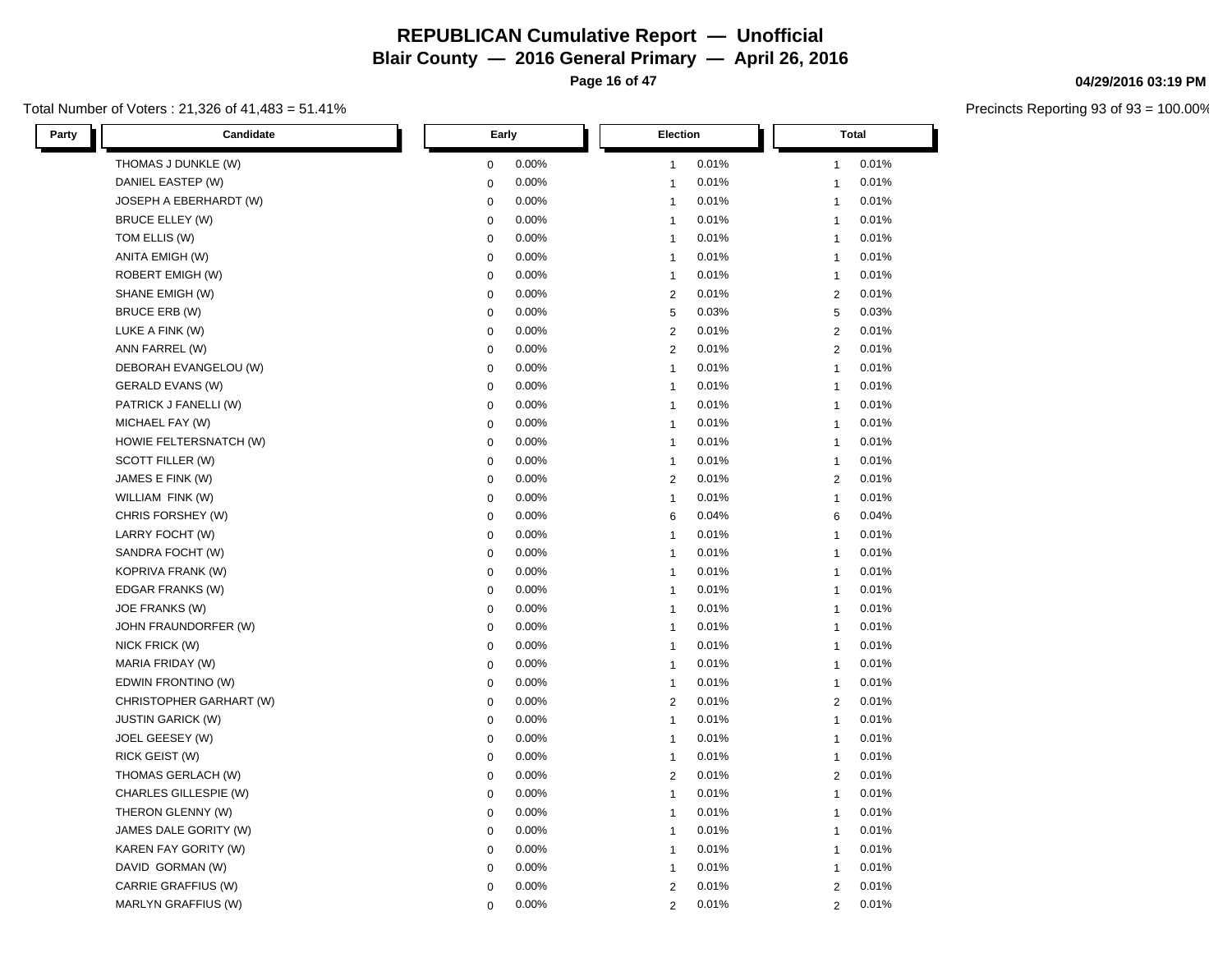**Page 16 of 47**

#### Total Number of Voters : 21,326 of 41,483 = 51.41%

| Party | Candidate                |             | Early | Election     |       |                | <b>Total</b> |  |
|-------|--------------------------|-------------|-------|--------------|-------|----------------|--------------|--|
|       | THOMAS J DUNKLE (W)      | 0           | 0.00% | $\mathbf{1}$ | 0.01% | $\mathbf{1}$   | 0.01%        |  |
|       | DANIEL EASTEP (W)        | 0           | 0.00% | $\mathbf{1}$ | 0.01% | $\overline{1}$ | 0.01%        |  |
|       | JOSEPH A EBERHARDT (W)   | 0           | 0.00% | $\mathbf{1}$ | 0.01% | $\mathbf{1}$   | 0.01%        |  |
|       | <b>BRUCE ELLEY (W)</b>   | $\mathbf 0$ | 0.00% | $\mathbf{1}$ | 0.01% | $\mathbf{1}$   | 0.01%        |  |
|       | TOM ELLIS (W)            | 0           | 0.00% | $\mathbf{1}$ | 0.01% | $\mathbf{1}$   | 0.01%        |  |
|       | ANITA EMIGH (W)          | 0           | 0.00% | $\mathbf{1}$ | 0.01% | $\mathbf{1}$   | 0.01%        |  |
|       | ROBERT EMIGH (W)         | 0           | 0.00% | $\mathbf{1}$ | 0.01% | $\mathbf{1}$   | 0.01%        |  |
|       | SHANE EMIGH (W)          | $\pmb{0}$   | 0.00% | 2            | 0.01% | 2              | 0.01%        |  |
|       | <b>BRUCE ERB (W)</b>     | 0           | 0.00% | 5            | 0.03% | 5              | 0.03%        |  |
|       | LUKE A FINK (W)          | $\mathbf 0$ | 0.00% | $\mathbf{2}$ | 0.01% | $\overline{2}$ | 0.01%        |  |
|       | ANN FARREL (W)           | 0           | 0.00% | 2            | 0.01% | $\overline{2}$ | 0.01%        |  |
|       | DEBORAH EVANGELOU (W)    | 0           | 0.00% | $\mathbf{1}$ | 0.01% | $\mathbf{1}$   | 0.01%        |  |
|       | GERALD EVANS (W)         | 0           | 0.00% | $\mathbf{1}$ | 0.01% | $\mathbf{1}$   | 0.01%        |  |
|       | PATRICK J FANELLI (W)    | $\pmb{0}$   | 0.00% | $\mathbf{1}$ | 0.01% | $\mathbf{1}$   | 0.01%        |  |
|       | MICHAEL FAY (W)          | 0           | 0.00% | $\mathbf{1}$ | 0.01% | $\overline{1}$ | 0.01%        |  |
|       | HOWIE FELTERSNATCH (W)   | $\mathbf 0$ | 0.00% | $\mathbf{1}$ | 0.01% | $\mathbf{1}$   | 0.01%        |  |
|       | SCOTT FILLER (W)         | 0           | 0.00% | $\mathbf{1}$ | 0.01% | $\mathbf{1}$   | 0.01%        |  |
|       | JAMES E FINK (W)         | $\pmb{0}$   | 0.00% | 2            | 0.01% | $\overline{2}$ | 0.01%        |  |
|       | WILLIAM FINK (W)         | 0           | 0.00% | $\mathbf{1}$ | 0.01% | $\mathbf{1}$   | 0.01%        |  |
|       | CHRIS FORSHEY (W)        | $\mathbf 0$ | 0.00% | 6            | 0.04% | 6              | 0.04%        |  |
|       | LARRY FOCHT (W)          | 0           | 0.00% | $\mathbf{1}$ | 0.01% | $\mathbf{1}$   | 0.01%        |  |
|       | SANDRA FOCHT (W)         | 0           | 0.00% | $\mathbf{1}$ | 0.01% | $\mathbf{1}$   | 0.01%        |  |
|       | KOPRIVA FRANK (W)        | 0           | 0.00% | $\mathbf{1}$ | 0.01% | $\mathbf{1}$   | 0.01%        |  |
|       | EDGAR FRANKS (W)         | 0           | 0.00% | $\mathbf{1}$ | 0.01% | $\mathbf{1}$   | 0.01%        |  |
|       | JOE FRANKS (W)           | 0           | 0.00% | $\mathbf{1}$ | 0.01% | $\mathbf{1}$   | 0.01%        |  |
|       | JOHN FRAUNDORFER (W)     | $\mathbf 0$ | 0.00% | $\mathbf{1}$ | 0.01% | $\mathbf{1}$   | 0.01%        |  |
|       | NICK FRICK (W)           | 0           | 0.00% | $\mathbf{1}$ | 0.01% | $\mathbf{1}$   | 0.01%        |  |
|       | MARIA FRIDAY (W)         | 0           | 0.00% | $\mathbf{1}$ | 0.01% | $\mathbf{1}$   | 0.01%        |  |
|       | EDWIN FRONTINO (W)       | 0           | 0.00% | $\mathbf{1}$ | 0.01% | $\mathbf{1}$   | 0.01%        |  |
|       | CHRISTOPHER GARHART (W)  | $\mathbf 0$ | 0.00% | $\mathbf{2}$ | 0.01% | $\overline{2}$ | 0.01%        |  |
|       | <b>JUSTIN GARICK (W)</b> | 0           | 0.00% | $\mathbf{1}$ | 0.01% | $\mathbf{1}$   | 0.01%        |  |
|       | JOEL GEESEY (W)          | $\mathbf 0$ | 0.00% | $\mathbf{1}$ | 0.01% | $\mathbf{1}$   | 0.01%        |  |
|       | RICK GEIST (W)           | 0           | 0.00% | $\mathbf{1}$ | 0.01% | $\mathbf{1}$   | 0.01%        |  |
|       | THOMAS GERLACH (W)       | $\mathbf 0$ | 0.00% | $\mathbf{2}$ | 0.01% | $\overline{2}$ | 0.01%        |  |
|       | CHARLES GILLESPIE (W)    | 0           | 0.00% | $\mathbf{1}$ | 0.01% | $\mathbf{1}$   | 0.01%        |  |
|       | THERON GLENNY (W)        | 0           | 0.00% | $\mathbf{1}$ | 0.01% | $\mathbf{1}$   | 0.01%        |  |
|       | JAMES DALE GORITY (W)    | $\mathbf 0$ | 0.00% | $\mathbf{1}$ | 0.01% | $\mathbf{1}$   | 0.01%        |  |
|       | KAREN FAY GORITY (W)     | 0           | 0.00% | $\mathbf{1}$ | 0.01% | $\mathbf{1}$   | 0.01%        |  |
|       | DAVID GORMAN (W)         | 0           | 0.00% | $\mathbf{1}$ | 0.01% | $\mathbf{1}$   | 0.01%        |  |
|       | CARRIE GRAFFIUS (W)      | 0           | 0.00% | $\mathbf{2}$ | 0.01% | $\overline{2}$ | 0.01%        |  |
|       | MARLYN GRAFFIUS (W)      | 0           | 0.00% | $\mathbf{2}$ | 0.01% | 2              | 0.01%        |  |

#### **04/29/2016 03:19 PM**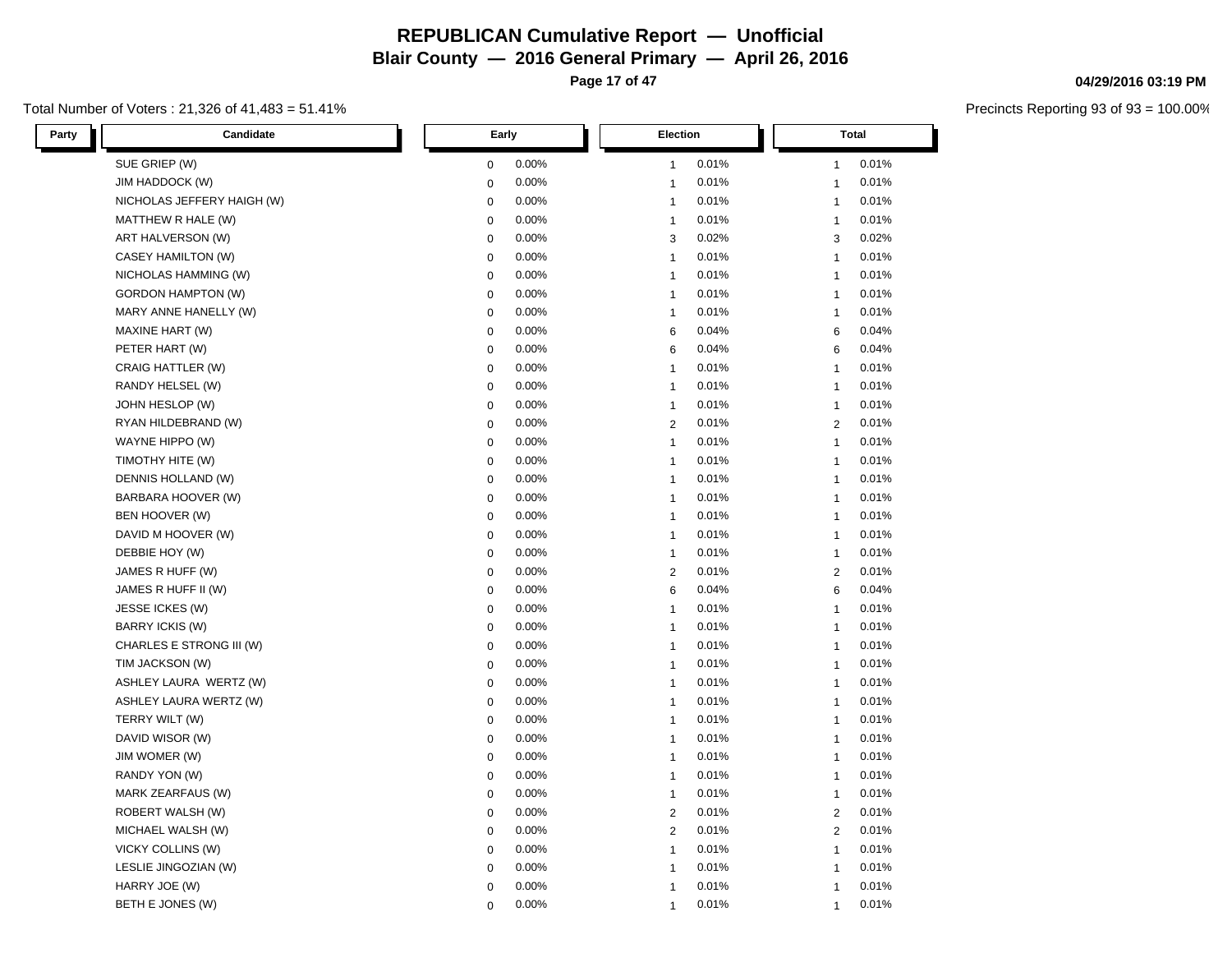**Page 17 of 47**

#### Total Number of Voters : 21,326 of 41,483 = 51.41%

| Party<br>Candidate         | Early     | <b>Election</b> | Total          |
|----------------------------|-----------|-----------------|----------------|
| SUE GRIEP (W)              | 0.00%     | 0.01%           | 0.01%          |
|                            | 0         | $\mathbf{1}$    | $\mathbf{1}$   |
| JIM HADDOCK (W)            | 0.00%     | 0.01%           | 0.01%          |
|                            | 0         | $\mathbf{1}$    | $\mathbf{1}$   |
| NICHOLAS JEFFERY HAIGH (W) | 0         | 0.01%           | 0.01%          |
|                            | 0.00%     | $\mathbf{1}$    | $\mathbf{1}$   |
| MATTHEW R HALE (W)         | 0.00%     | 0.01%           | 0.01%          |
|                            | 0         | $\mathbf{1}$    | $\mathbf{1}$   |
| ART HALVERSON (W)          | 0         | 0.02%           | 0.02%          |
|                            | 0.00%     | 3               | 3              |
| CASEY HAMILTON (W)         | 0.00%     | 0.01%           | 0.01%          |
|                            | 0         | $\mathbf{1}$    | $\mathbf{1}$   |
| NICHOLAS HAMMING (W)       | 0.00%     | 0.01%           | 0.01%          |
|                            | 0         | $\mathbf{1}$    | $\mathbf{1}$   |
| <b>GORDON HAMPTON (W)</b>  | 0.00%     | 0.01%           | 0.01%          |
|                            | 0         | $\mathbf{1}$    | $\mathbf{1}$   |
| MARY ANNE HANELLY (W)      | 0.00%     | 0.01%           | 0.01%          |
|                            | 0         | $\mathbf{1}$    | $\mathbf{1}$   |
| MAXINE HART (W)            | 0.00%     | 0.04%           | 0.04%          |
|                            | 0         | 6               | 6              |
| PETER HART (W)             | 0.00%     | 0.04%           | 0.04%          |
|                            | 0         | 6               | 6              |
| CRAIG HATTLER (W)          | 0         | 0.01%           | $\mathbf{1}$   |
|                            | 0.00%     | $\mathbf{1}$    | 0.01%          |
| RANDY HELSEL (W)           | 0         | 0.01%           | 0.01%          |
|                            | 0.00%     | $\mathbf{1}$    | $\mathbf{1}$   |
| JOHN HESLOP (W)            | 0.00%     | 0.01%           | 0.01%          |
|                            | 0         | $\mathbf{1}$    | $\mathbf{1}$   |
| RYAN HILDEBRAND (W)        | 0.00%     | 0.01%           | 0.01%          |
|                            | $\pmb{0}$ | 2               | 2              |
| WAYNE HIPPO (W)            | 0         | $\mathbf{1}$    | 0.01%          |
|                            | 0.00%     | 0.01%           | $\mathbf{1}$   |
| TIMOTHY HITE (W)           | 0.00%     | 0.01%           | 0.01%          |
|                            | 0         | $\mathbf{1}$    | $\mathbf{1}$   |
| DENNIS HOLLAND (W)         | 0.00%     | 0.01%           | 0.01%          |
|                            | 0         | $\mathbf{1}$    | $\mathbf{1}$   |
| BARBARA HOOVER (W)         | 0.00%     | 0.01%           | 0.01%          |
|                            | 0         | $\mathbf{1}$    | $\mathbf{1}$   |
| BEN HOOVER (W)             | 0         | 0.01%           | 0.01%          |
|                            | 0.00%     | $\mathbf{1}$    | $\mathbf{1}$   |
| DAVID M HOOVER (W)         | 0.00%     | 0.01%           | 0.01%          |
|                            | 0         | $\mathbf{1}$    | $\mathbf{1}$   |
| DEBBIE HOY (W)             | 0.00%     | 0.01%           | 0.01%          |
|                            | 0         | $\mathbf{1}$    | $\mathbf{1}$   |
| JAMES R HUFF (W)           | 0.00%     | 0.01%           | 0.01%          |
|                            | $\pmb{0}$ | 2               | $\overline{2}$ |
| JAMES R HUFF II (W)        | 0         | 0.04%           | 6              |
|                            | 0.00%     | 6               | 0.04%          |
| JESSE ICKES (W)            | 0.00%     | 0.01%           | 0.01%          |
|                            | 0         | $\mathbf{1}$    | $\mathbf{1}$   |
| BARRY ICKIS (W)            | 0.00%     | 0.01%           | 0.01%          |
|                            | 0         | $\mathbf{1}$    | $\mathbf{1}$   |
| CHARLES E STRONG III (W)   | 0.00%     | 0.01%           | 0.01%          |
|                            | 0         | $\mathbf{1}$    | $\mathbf{1}$   |
| TIM JACKSON (W)            | 0         | $\mathbf{1}$    | $\mathbf{1}$   |
|                            | 0.00%     | 0.01%           | 0.01%          |
| ASHLEY LAURA WERTZ (W)     | 0.00%     | 0.01%           | 0.01%          |
|                            | 0         | $\mathbf{1}$    | $\mathbf{1}$   |
| ASHLEY LAURA WERTZ (W)     | 0.00%     | 0.01%           | 0.01%          |
|                            | 0         | $\mathbf{1}$    | $\mathbf{1}$   |
| TERRY WILT (W)             | 0         | $\mathbf{1}$    | 0.01%          |
|                            | 0.00%     | 0.01%           | $\mathbf{1}$   |
| DAVID WISOR (W)            | 0         | 0.01%           | 0.01%          |
|                            | 0.00%     | $\mathbf{1}$    | $\mathbf{1}$   |
| JIM WOMER (W)              | 0.00%     | 0.01%           | 0.01%          |
|                            | 0         | $\mathbf{1}$    | $\mathbf{1}$   |
| RANDY YON (W)              | 0.00%     | 0.01%           | 0.01%          |
|                            | 0         | $\mathbf{1}$    | $\mathbf{1}$   |
| MARK ZEARFAUS (W)          | 0.00%     | 0.01%           | 0.01%          |
|                            | 0         | $\mathbf{1}$    | $\mathbf{1}$   |
| ROBERT WALSH (W)           | 0         | 2               | 0.01%          |
|                            | 0.00%     | 0.01%           | 2              |
| MICHAEL WALSH (W)          | 0.00%     | 0.01%           | 0.01%          |
|                            | 0         | $\mathbf{2}$    | 2              |
| VICKY COLLINS (W)          | 0.00%     | 0.01%           | 0.01%          |
|                            | 0         | $\mathbf{1}$    | $\mathbf{1}$   |
| LESLIE JINGOZIAN (W)       | 0         | 0.01%           | 0.01%          |
|                            | 0.00%     | $\mathbf{1}$    | $\mathbf{1}$   |
| HARRY JOE (W)              | 0.00%     | 0.01%           | 0.01%          |
|                            | 0         | $\overline{1}$  | $\mathbf{1}$   |
| BETH E JONES (W)           | 0.00%     | 0.01%           | 0.01%          |
|                            | $\Omega$  | $\mathbf 1$     | $\mathbf 1$    |

#### **04/29/2016 03:19 PM**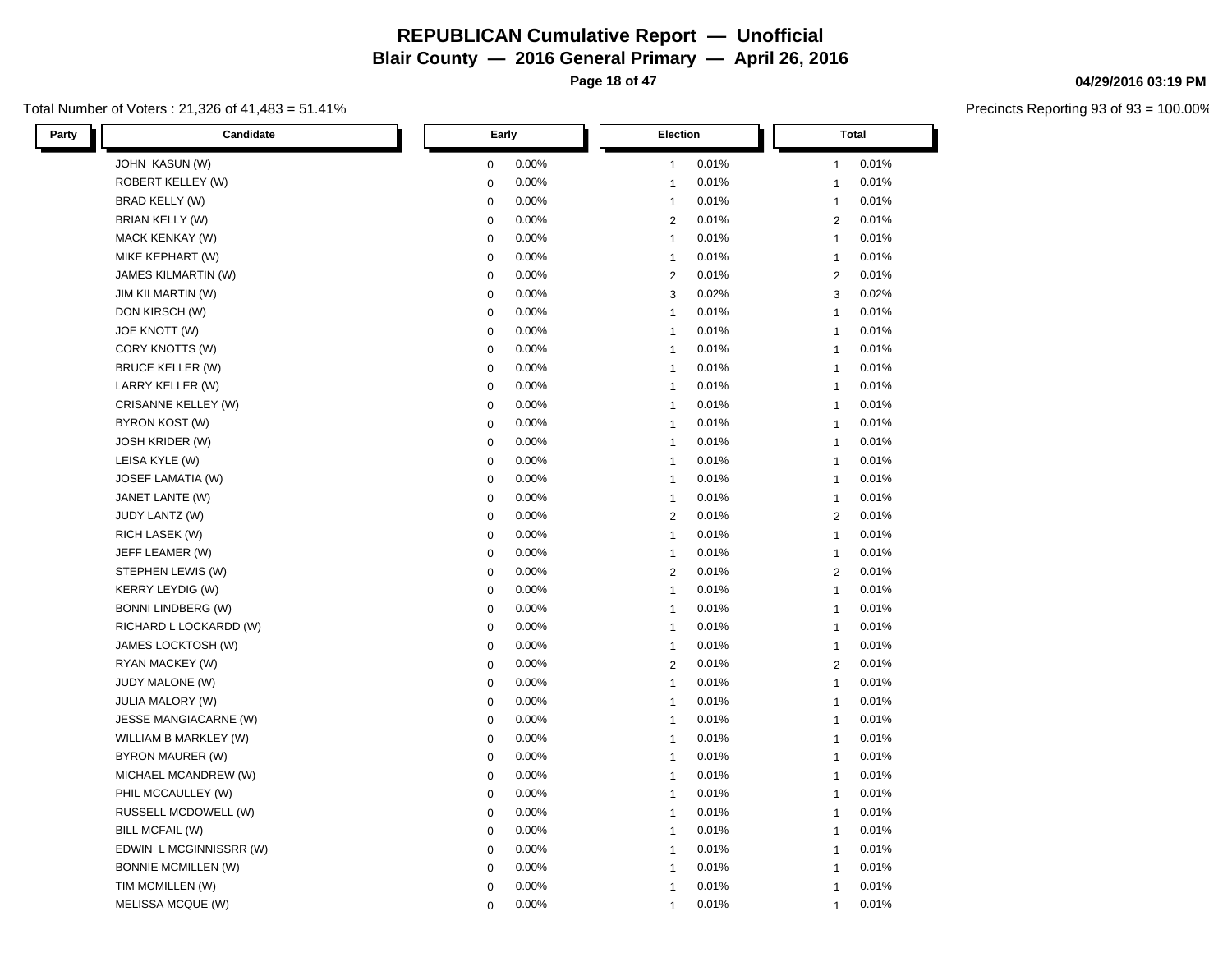**Page 18 of 47**

#### Total Number of Voters : 21,326 of 41,483 = 51.41%

| Party<br>Candidate         | Early        | Election                | <b>Total</b>   |
|----------------------------|--------------|-------------------------|----------------|
| JOHN KASUN (W)             | 0.00%        | 0.01%                   | 0.01%          |
|                            | $\mathbf 0$  | $\overline{1}$          | $\mathbf{1}$   |
| ROBERT KELLEY (W)          | $\mathbf 0$  | 0.01%                   | 0.01%          |
|                            | 0.00%        | $\overline{1}$          | $\mathbf 1$    |
| BRAD KELLY (W)             | 0.00%        | 0.01%                   | 0.01%          |
|                            | $\mathbf 0$  | $\overline{1}$          | $\mathbf{1}$   |
| <b>BRIAN KELLY (W)</b>     | 0.00%        | 0.01%                   | 0.01%          |
|                            | $\mathbf 0$  | $\overline{2}$          | 2              |
| MACK KENKAY (W)            | 0.00%        | 0.01%                   | 0.01%          |
|                            | $\mathbf 0$  | $\overline{1}$          | $\mathbf{1}$   |
| MIKE KEPHART (W)           | 0.00%        | 0.01%                   | 0.01%          |
|                            | $\mathbf 0$  | $\overline{1}$          | $\mathbf{1}$   |
| JAMES KILMARTIN (W)        | 0.00%        | 0.01%                   | 0.01%          |
|                            | $\mathbf 0$  | $\overline{2}$          | 2              |
| <b>JIM KILMARTIN (W)</b>   | 0.00%        | 0.02%                   | 0.02%          |
|                            | $\mathbf 0$  | 3                       | 3              |
| DON KIRSCH (W)             | 0.00%        | 0.01%                   | 0.01%          |
|                            | $\mathbf 0$  | $\overline{1}$          | $\mathbf{1}$   |
| JOE KNOTT (W)              | 0.00%        | 0.01%                   | 0.01%          |
|                            | $\mathbf 0$  | $\overline{1}$          | $\mathbf{1}$   |
| CORY KNOTTS (W)            | 0.00%        | 0.01%                   | 0.01%          |
|                            | $\mathbf 0$  | $\overline{1}$          | $\overline{1}$ |
| <b>BRUCE KELLER (W)</b>    | $\mathbf 0$  | 0.01%                   | 0.01%          |
|                            | 0.00%        | $\overline{1}$          | $\mathbf{1}$   |
| LARRY KELLER (W)           | 0.00%        | 0.01%                   | 0.01%          |
|                            | $\mathbf 0$  | $\overline{1}$          | $\mathbf{1}$   |
| CRISANNE KELLEY (W)        | 0.00%        | 0.01%                   | 0.01%          |
|                            | $\mathbf{0}$ | $\overline{1}$          | $\mathbf{1}$   |
| BYRON KOST (W)             | 0.00%        | 0.01%                   | 0.01%          |
|                            | $\mathbf 0$  | $\overline{1}$          | $\overline{1}$ |
| <b>JOSH KRIDER (W)</b>     | 0.00%        | 0.01%                   | 0.01%          |
|                            | $\mathbf 0$  | $\overline{1}$          | $\mathbf{1}$   |
| LEISA KYLE (W)             | 0.00%        | 0.01%                   | 0.01%          |
|                            | $\mathbf 0$  | $\overline{1}$          | $\mathbf{1}$   |
| JOSEF LAMATIA (W)          | 0.00%        | 0.01%                   | 0.01%          |
|                            | $\mathbf 0$  | $\overline{1}$          | $\mathbf{1}$   |
| JANET LANTE (W)            | 0.00%        | 0.01%                   | 0.01%          |
|                            | $\mathbf 0$  | $\overline{1}$          | $\mathbf{1}$   |
| JUDY LANTZ (W)             | 0.00%        | 0.01%                   | 0.01%          |
|                            | $\mathbf 0$  | $\overline{2}$          | 2              |
| RICH LASEK (W)             | 0.00%        | 0.01%                   | 0.01%          |
|                            | $\mathbf 0$  | $\overline{1}$          | $\mathbf{1}$   |
| JEFF LEAMER (W)            | 0.00%        | 0.01%                   | 0.01%          |
|                            | $\mathbf 0$  | $\overline{1}$          | $\overline{1}$ |
| STEPHEN LEWIS (W)          | 0.00%        | 0.01%                   | $\overline{2}$ |
|                            | $\mathbf 0$  | $\overline{2}$          | 0.01%          |
| <b>KERRY LEYDIG (W)</b>    | $\mathbf 0$  | 0.01%                   | 0.01%          |
|                            | 0.00%        | $\overline{1}$          | $\mathbf{1}$   |
| <b>BONNI LINDBERG (W)</b>  | 0.00%        | 0.01%                   | 0.01%          |
|                            | $\mathbf 0$  | $\overline{1}$          | $\overline{1}$ |
| RICHARD L LOCKARDD (W)     | 0.00%        | 0.01%                   | 0.01%          |
|                            | $\mathbf 0$  | $\overline{1}$          | $\mathbf 1$    |
| JAMES LOCKTOSH (W)         | $\mathbf 0$  | 0.01%                   | 0.01%          |
|                            | 0.00%        | $\overline{1}$          | $\mathbf{1}$   |
| RYAN MACKEY (W)            | 0.00%        | 0.01%                   | 0.01%          |
|                            | $\mathbf 0$  | $\overline{2}$          | $\overline{2}$ |
| JUDY MALONE (W)            | 0.00%        | 0.01%                   | 0.01%          |
|                            | $\mathbf 0$  | $\overline{1}$          | $\overline{1}$ |
| <b>JULIA MALORY (W)</b>    | 0.00%        | 0.01%                   | 0.01%          |
|                            | $\mathbf 0$  | $\overline{1}$          | $\mathbf{1}$   |
| JESSE MANGIACARNE (W)      | 0.00%        | 0.01%                   | 0.01%          |
|                            | $\mathbf 0$  | $\overline{1}$          | $\overline{1}$ |
| WILLIAM B MARKLEY (W)      | $\mathbf 0$  | 0.01%                   | 0.01%          |
|                            | 0.00%        | $\overline{1}$          | $\overline{1}$ |
| BYRON MAURER (W)           | 0.00%        | 0.01%                   | 0.01%          |
|                            | $\mathbf 0$  | $\overline{1}$          | $\mathbf{1}$   |
| MICHAEL MCANDREW (W)       | 0.00%        | 0.01%                   | 0.01%          |
|                            | $\mathbf 0$  | $\overline{1}$          | $\overline{1}$ |
| PHIL MCCAULLEY (W)         | $\mathbf 0$  | 0.01%                   | 0.01%          |
|                            | 0.00%        | $\overline{1}$          | $\mathbf{1}$   |
| RUSSELL MCDOWELL (W)       | 0.00%        | 0.01%                   | 0.01%          |
|                            | $\mathbf 0$  | $\overline{1}$          | $\mathbf 1$    |
| BILL MCFAIL (W)            | 0.00%        | 0.01%                   | 0.01%          |
|                            | $\mathbf 0$  | $\overline{\mathbf{1}}$ | $\mathbf{1}$   |
| EDWIN L MCGINNISSRR (W)    | $\mathbf 0$  | 0.01%                   | 0.01%          |
|                            | 0.00%        | $\overline{1}$          | $\mathbf 1$    |
| <b>BONNIE MCMILLEN (W)</b> | 0.00%        | 0.01%                   | 0.01%          |
|                            | $\mathbf 0$  | $\overline{1}$          | $\overline{1}$ |
| TIM MCMILLEN (W)           | 0.00%        | 0.01%                   | 0.01%          |
|                            | $\Omega$     | $\overline{1}$          | $\mathbf 1$    |
| MELISSA MCQUE (W)          | 0.00%        | 0.01%                   | 0.01%          |
|                            | $\mathbf 0$  | $\overline{1}$          | $\mathbf{1}$   |

#### **04/29/2016 03:19 PM**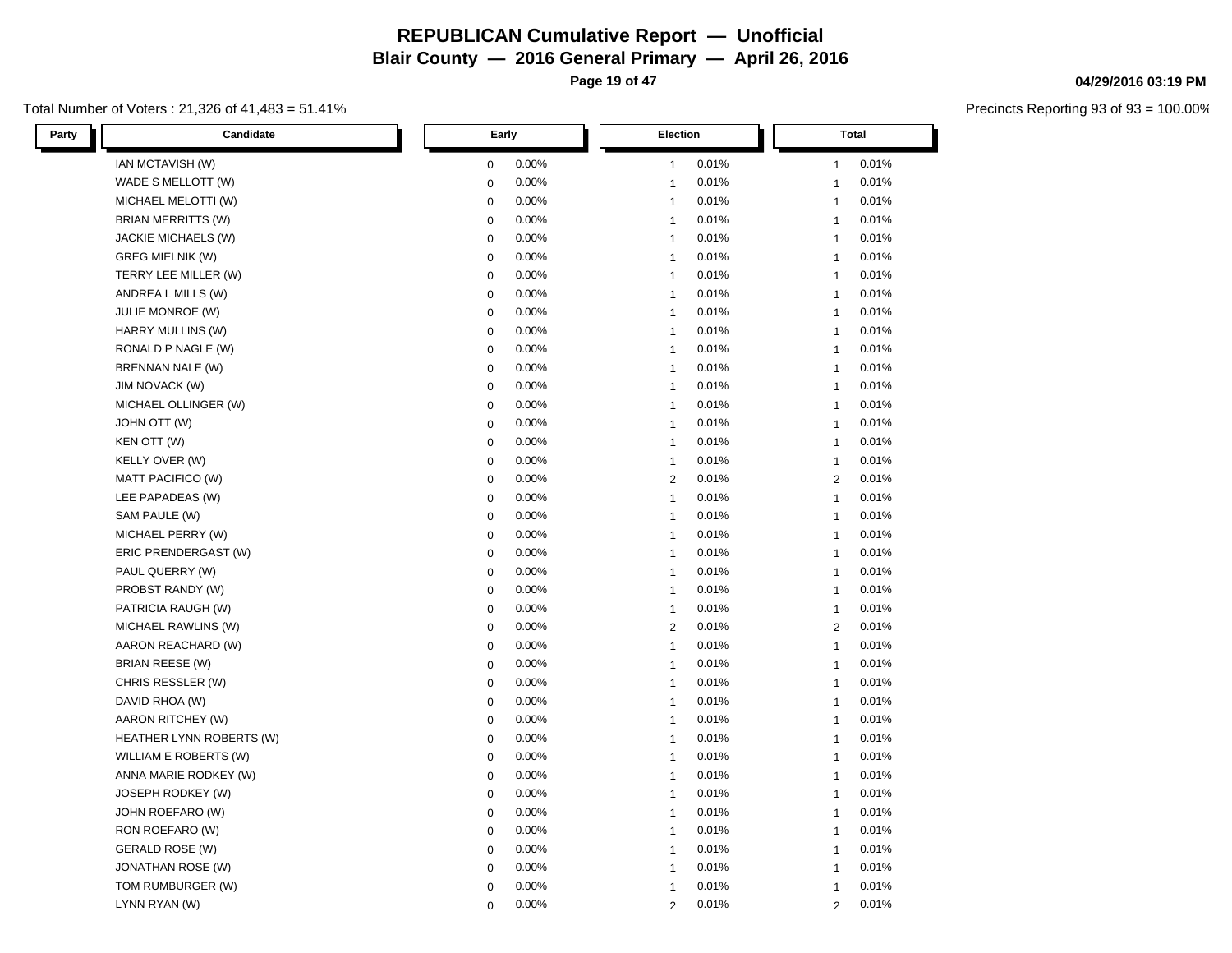**Page 19 of 47**

#### Total Number of Voters : 21,326 of 41,483 = 51.41%

| Party<br>Candidate       | Early       | Election       | Total          |
|--------------------------|-------------|----------------|----------------|
| IAN MCTAVISH (W)         | 0.00%       | 0.01%          | 0.01%          |
|                          | 0           | $\mathbf{1}$   | 1              |
| WADE S MELLOTT (W)       | $\mathbf 0$ | 0.01%          | 0.01%          |
|                          | 0.00%       | $\mathbf{1}$   | $\mathbf{1}$   |
| MICHAEL MELOTTI (W)      | $\mathbf 0$ | 0.01%          | 0.01%          |
|                          | 0.00%       | $\mathbf{1}$   | $\mathbf{1}$   |
| BRIAN MERRITTS (W)       | 0.00%       | 0.01%          | 0.01%          |
|                          | $\mathbf 0$ | $\mathbf{1}$   | $\mathbf{1}$   |
| JACKIE MICHAELS (W)      | $\mathbf 0$ | 0.01%          | 0.01%          |
|                          | 0.00%       | $\mathbf{1}$   | $\mathbf{1}$   |
| <b>GREG MIELNIK (W)</b>  | 0.00%       | 0.01%          | 0.01%          |
|                          | 0           | $\mathbf{1}$   | $\mathbf{1}$   |
| TERRY LEE MILLER (W)     | 0.00%       | 0.01%          | 0.01%          |
|                          | $\mathbf 0$ | $\mathbf{1}$   | $\mathbf{1}$   |
| ANDREA L MILLS (W)       | 0.00%       | 0.01%          | 0.01%          |
|                          | 0           | $\mathbf{1}$   | $\mathbf{1}$   |
| <b>JULIE MONROE (W)</b>  | 0.00%       | 0.01%          | 0.01%          |
|                          | 0           | $\mathbf{1}$   | 1              |
| HARRY MULLINS (W)        | 0.00%       | 0.01%          | 0.01%          |
|                          | $\mathbf 0$ | $\mathbf{1}$   | $\mathbf{1}$   |
| RONALD P NAGLE (W)       | $\mathbf 0$ | 0.01%          | 0.01%          |
|                          | 0.00%       | $\mathbf{1}$   | $\mathbf{1}$   |
| BRENNAN NALE (W)         | $\mathbf 0$ | 0.01%          | 0.01%          |
|                          | 0.00%       | $\mathbf{1}$   | $\mathbf{1}$   |
| <b>JIM NOVACK (W)</b>    | 0.00%       | 0.01%          | 0.01%          |
|                          | 0           | $\mathbf{1}$   | 1              |
| MICHAEL OLLINGER (W)     | 0.00%       | 0.01%          | 0.01%          |
|                          | 0           | $\mathbf{1}$   | $\mathbf{1}$   |
| JOHN OTT (W)             | 0.00%       | 0.01%          | 0.01%          |
|                          | $\mathbf 0$ | $\mathbf{1}$   | $\mathbf{1}$   |
| KEN OTT (W)              | 0.00%       | 0.01%          | 0.01%          |
|                          | $\mathbf 0$ | $\mathbf{1}$   | $\mathbf{1}$   |
| KELLY OVER (W)           | 0.00%       | 0.01%          | 0.01%          |
|                          | $\mathbf 0$ | $\mathbf{1}$   | $\mathbf{1}$   |
| MATT PACIFICO (W)        | 0.00%       | 0.01%          | 0.01%          |
|                          | $\mathbf 0$ | $\overline{2}$ | 2              |
| LEE PAPADEAS (W)         | 0.00%       | 0.01%          | 0.01%          |
|                          | 0           | $\mathbf{1}$   | $\mathbf{1}$   |
| SAM PAULE (W)            | 0.00%       | 0.01%          | 0.01%          |
|                          | 0           | $\mathbf{1}$   | $\mathbf{1}$   |
| MICHAEL PERRY (W)        | 0.00%       | 0.01%          | 0.01%          |
|                          | 0           | $\mathbf{1}$   | $\mathbf{1}$   |
| ERIC PRENDERGAST (W)     | 0.00%       | 0.01%          | 0.01%          |
|                          | $\mathbf 0$ | $\mathbf{1}$   | $\mathbf{1}$   |
| PAUL QUERRY (W)          | 0.00%       | 0.01%          | 0.01%          |
|                          | 0           | $\mathbf{1}$   | 1              |
| PROBST RANDY (W)         | $\mathbf 0$ | 0.01%          | 0.01%          |
|                          | 0.00%       | $\mathbf{1}$   | $\mathbf{1}$   |
| PATRICIA RAUGH (W)       | 0.00%       | 0.01%          | 0.01%          |
|                          | 0           | $\mathbf{1}$   | $\mathbf{1}$   |
| MICHAEL RAWLINS (W)      | 0.00%       | 0.01%          | 0.01%          |
|                          | 0           | $\overline{2}$ | $\overline{2}$ |
| AARON REACHARD (W)       | 0.00%       | 0.01%          | 0.01%          |
|                          | 0           | $\mathbf{1}$   | $\mathbf{1}$   |
| <b>BRIAN REESE (W)</b>   | $\mathbf 0$ | $\mathbf{1}$   | $\mathbf{1}$   |
|                          | 0.00%       | 0.01%          | 0.01%          |
| CHRIS RESSLER (W)        | 0.00%       | 0.01%          | 0.01%          |
|                          | $\mathbf 0$ | $\mathbf{1}$   | $\mathbf{1}$   |
| DAVID RHOA (W)           | 0.00%       | 0.01%          | 0.01%          |
|                          | $\mathbf 0$ | $\mathbf{1}$   | $\mathbf{1}$   |
| AARON RITCHEY (W)        | 0           | 0.01%          | 0.01%          |
|                          | 0.00%       | $\mathbf{1}$   | $\mathbf{1}$   |
| HEATHER LYNN ROBERTS (W) | $\mathbf 0$ | 0.01%          | 0.01%          |
|                          | 0.00%       | $\mathbf{1}$   | $\mathbf{1}$   |
| WILLIAM E ROBERTS (W)    | 0.00%       | 0.01%          | 0.01%          |
|                          | 0           | $\mathbf{1}$   | $\mathbf{1}$   |
| ANNA MARIE RODKEY (W)    | 0.00%       | 0.01%          | 0.01%          |
|                          | $\mathbf 0$ | $\mathbf{1}$   | $\mathbf{1}$   |
| JOSEPH RODKEY (W)        | 0.00%       | 0.01%          | 0.01%          |
|                          | 0           | $\mathbf{1}$   | $\mathbf{1}$   |
| JOHN ROEFARO (W)         | $\mathbf 0$ | 0.01%          | 0.01%          |
|                          | 0.00%       | $\mathbf{1}$   | $\mathbf{1}$   |
| RON ROEFARO (W)          | 0.00%       | 0.01%          | 0.01%          |
|                          | $\mathbf 0$ | $\mathbf{1}$   | $\mathbf{1}$   |
| <b>GERALD ROSE (W)</b>   | 0.00%       | 0.01%          | 0.01%          |
|                          | 0           | $\mathbf{1}$   | $\mathbf{1}$   |
| <b>JONATHAN ROSE (W)</b> | $\mathbf 0$ | 0.01%          | 0.01%          |
|                          | 0.00%       | $\mathbf 1$    | $\mathbf{1}$   |
| TOM RUMBURGER (W)        | 0.00%       | 0.01%          | 0.01%          |
|                          | 0           | $\mathbf{1}$   | $\mathbf{1}$   |
| LYNN RYAN (W)            | 0.00%       | 0.01%          | 0.01%          |
|                          | $\Omega$    | $\overline{2}$ | $\overline{2}$ |

#### **04/29/2016 03:19 PM**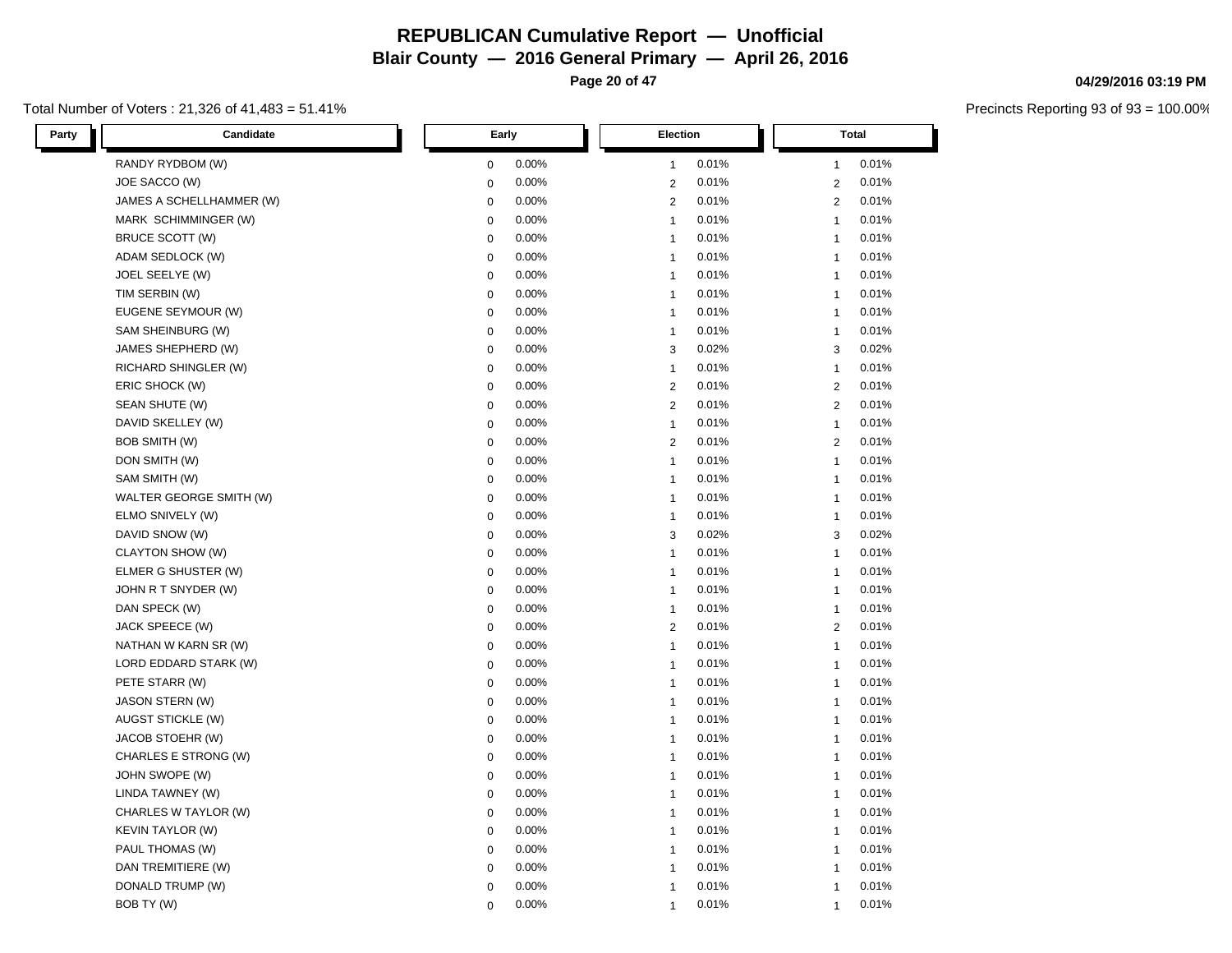**Page 20 of 47**

#### Total Number of Voters : 21,326 of 41,483 = 51.41%

| Party<br>Candidate       | Early            | Election       | <b>Total</b>   |
|--------------------------|------------------|----------------|----------------|
| RANDY RYDBOM (W)         | 0.00%            | 0.01%          | 0.01%          |
|                          | 0                | $\mathbf{1}$   | $\mathbf{1}$   |
| JOE SACCO (W)            | 0.00%            | 0.01%          | 0.01%          |
|                          | 0                | $\mathbf{2}$   | $\overline{2}$ |
| JAMES A SCHELLHAMMER (W) | 0.00%            | $\mathbf{2}$   | 0.01%          |
|                          | 0                | 0.01%          | $\overline{2}$ |
| MARK SCHIMMINGER (W)     | 0.00%            | 0.01%          | 0.01%          |
|                          | 0                | $\mathbf{1}$   | $\mathbf{1}$   |
| BRUCE SCOTT (W)          | 0                | 0.01%          | 0.01%          |
|                          | 0.00%            | $\mathbf{1}$   | $\mathbf{1}$   |
| ADAM SEDLOCK (W)         | 0.00%            | 0.01%          | 0.01%          |
|                          | 0                | $\mathbf{1}$   | $\mathbf{1}$   |
| JOEL SEELYE (W)          | 0.00%            | 0.01%          | 0.01%          |
|                          | 0                | $\mathbf{1}$   | $\mathbf{1}$   |
| TIM SERBIN (W)           | $\boldsymbol{0}$ | 0.01%          | 0.01%          |
|                          | 0.00%            | $\mathbf{1}$   | $\mathbf{1}$   |
| EUGENE SEYMOUR (W)       | 0.00%            | 0.01%          | 0.01%          |
|                          | 0                | $\mathbf{1}$   | $\mathbf{1}$   |
| SAM SHEINBURG (W)        | 0.00%            | 0.01%          | 0.01%          |
|                          | 0                | $\mathbf{1}$   | $\mathbf{1}$   |
| JAMES SHEPHERD (W)       | 0.00%            | 0.02%          | 0.02%          |
|                          | 0                | 3              | 3              |
| RICHARD SHINGLER (W)     | 0                | 0.01%          | $\mathbf{1}$   |
|                          | 0.00%            | $\mathbf{1}$   | 0.01%          |
| ERIC SHOCK (W)           | 0                | $\mathbf{2}$   | $\overline{2}$ |
|                          | 0.00%            | 0.01%          | 0.01%          |
| SEAN SHUTE (W)           | 0.00%            | 0.01%          | 0.01%          |
|                          | 0                | 2              | $\overline{2}$ |
| DAVID SKELLEY (W)        | 0.00%            | 0.01%          | 0.01%          |
|                          | $\boldsymbol{0}$ | $\mathbf{1}$   | $\mathbf{1}$   |
| <b>BOB SMITH (W)</b>     | 0                | $\overline{c}$ | $\overline{2}$ |
|                          | 0.00%            | 0.01%          | 0.01%          |
| DON SMITH (W)            | 0.00%            | 0.01%          | 0.01%          |
|                          | 0                | $\mathbf{1}$   | $\mathbf{1}$   |
| SAM SMITH (W)            | 0.00%            | 0.01%          | 0.01%          |
|                          | 0                | $\mathbf{1}$   | $\mathbf{1}$   |
| WALTER GEORGE SMITH (W)  | 0.00%            | 0.01%          | 0.01%          |
|                          | $\mathbf 0$      | $\mathbf{1}$   | $\overline{1}$ |
| ELMO SNIVELY (W)         | 0                | 0.01%          | 0.01%          |
|                          | 0.00%            | $\mathbf{1}$   | $\mathbf{1}$   |
| DAVID SNOW (W)           | 0.00%            | 0.02%          | 0.02%          |
|                          | $\pmb{0}$        | 3              | 3              |
| CLAYTON SHOW (W)         | 0.00%            | 0.01%          | 0.01%          |
|                          | 0                | $\mathbf{1}$   | $\mathbf{1}$   |
| ELMER G SHUSTER (W)      | 0.00%            | 0.01%          | 0.01%          |
|                          | $\pmb{0}$        | $\mathbf{1}$   | $\mathbf{1}$   |
| JOHN R T SNYDER (W)      | 0                | 0.01%          | $\mathbf{1}$   |
|                          | 0.00%            | $\mathbf{1}$   | 0.01%          |
| DAN SPECK (W)            | 0.00%            | 0.01%          | 0.01%          |
|                          | 0                | $\mathbf{1}$   | $\mathbf{1}$   |
| JACK SPEECE (W)          | 0.00%            | 0.01%          | 0.01%          |
|                          | 0                | $\overline{c}$ | $\overline{2}$ |
| NATHAN W KARN SR (W)     | 0.00%            | 0.01%          | 0.01%          |
|                          | $\pmb{0}$        | $\mathbf{1}$   | $\mathbf{1}$   |
| LORD EDDARD STARK (W)    | 0                | $\mathbf{1}$   | $\mathbf{1}$   |
|                          | 0.00%            | 0.01%          | 0.01%          |
| PETE STARR (W)           | 0.00%            | 0.01%          | 0.01%          |
|                          | 0                | $\mathbf{1}$   | $\mathbf{1}$   |
| JASON STERN (W)          | 0.00%            | 0.01%          | 0.01%          |
|                          | 0                | $\mathbf{1}$   | $\mathbf{1}$   |
| AUGST STICKLE (W)        | 0                | $\mathbf{1}$   | 0.01%          |
|                          | 0.00%            | 0.01%          | $\mathbf{1}$   |
| JACOB STOEHR (W)         | 0                | 0.01%          | 0.01%          |
|                          | 0.00%            | $\mathbf{1}$   | $\mathbf{1}$   |
| CHARLES E STRONG (W)     | 0.00%            | 0.01%          | 0.01%          |
|                          | 0                | $\mathbf{1}$   | $\mathbf{1}$   |
| JOHN SWOPE (W)           | 0.00%            | 0.01%          | 0.01%          |
|                          | 0                | $\mathbf{1}$   | $\mathbf{1}$   |
| LINDA TAWNEY (W)         | 0                | 0.01%          | 0.01%          |
|                          | 0.00%            | $\mathbf{1}$   | $\mathbf{1}$   |
| CHARLES W TAYLOR (W)     | 0.00%            | 0.01%          | 0.01%          |
|                          | 0                | $\mathbf{1}$   | $\mathbf{1}$   |
| <b>KEVIN TAYLOR (W)</b>  | 0.00%            | 0.01%          | 0.01%          |
|                          | 0                | $\mathbf{1}$   | $\mathbf{1}$   |
| PAUL THOMAS (W)          | 0.00%            | 0.01%          | 0.01%          |
|                          | 0                | $\mathbf{1}$   | $\mathbf{1}$   |
| DAN TREMITIERE (W)       | 0                | 0.01%          | 0.01%          |
|                          | 0.00%            | $\mathbf{1}$   | $\mathbf{1}$   |
| DONALD TRUMP (W)         | 0.00%            | 0.01%          | 0.01%          |
|                          | 0                | $\overline{1}$ | $\mathbf{1}$   |
| BOB TY (W)               | 0.00%            | 0.01%          | 0.01%          |
|                          | $\Omega$         | $\mathbf{1}$   | $\overline{1}$ |

#### **04/29/2016 03:19 PM**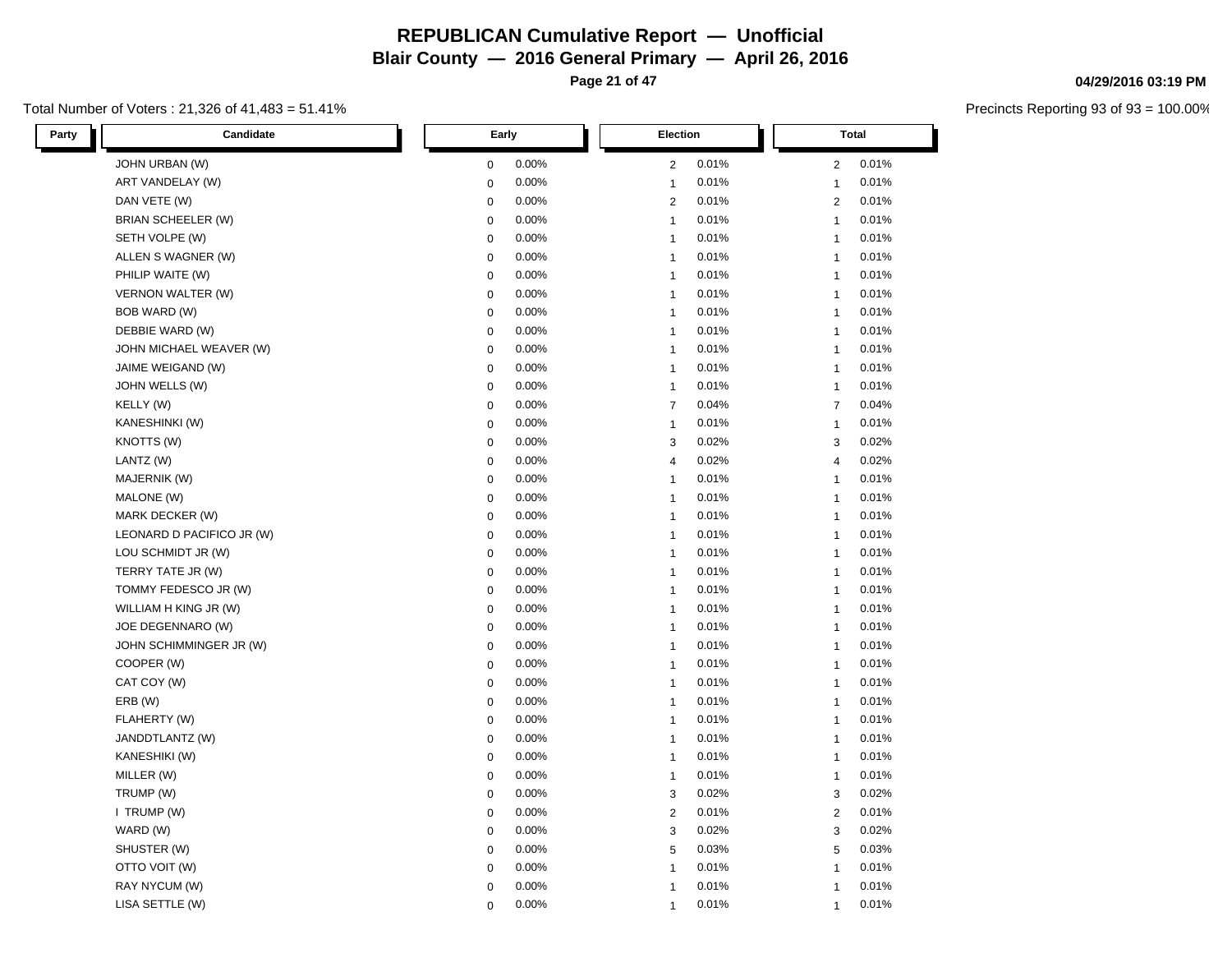**Page 21 of 47**

#### Total Number of Voters : 21,326 of 41,483 = 51.41%

| Party<br>Candidate        | Early       | Election       | <b>Total</b>   |
|---------------------------|-------------|----------------|----------------|
| JOHN URBAN (W)            | 0.00%       | 0.01%          | 0.01%          |
|                           | 0           | $\overline{c}$ | $\overline{2}$ |
| ART VANDELAY (W)          | 0.00%       | 0.01%          | 0.01%          |
|                           | 0           | $\mathbf{1}$   | $\mathbf{1}$   |
| DAN VETE (W)              | 0           | 0.01%          | 0.01%          |
|                           | 0.00%       | $\overline{c}$ | $\overline{2}$ |
| BRIAN SCHEELER (W)        | 0.00%       | 0.01%          | 0.01%          |
|                           | $\mathbf 0$ | $\overline{1}$ | $\mathbf{1}$   |
| SETH VOLPE (W)            | $\mathbf 0$ | 0.01%          | 0.01%          |
|                           | 0.00%       | $\mathbf{1}$   | $\mathbf{1}$   |
| ALLEN S WAGNER (W)        | 0.00%       | 0.01%          | 0.01%          |
|                           | $\mathbf 0$ | $\mathbf{1}$   | $\mathbf{1}$   |
| PHILIP WAITE (W)          | 0.00%       | 0.01%          | 0.01%          |
|                           | $\mathbf 0$ | $\overline{1}$ | $\mathbf{1}$   |
| VERNON WALTER (W)         | 0.00%       | 0.01%          | 0.01%          |
|                           | $\mathbf 0$ | $\overline{1}$ | $\mathbf{1}$   |
| BOB WARD (W)              | 0.00%       | 0.01%          | 0.01%          |
|                           | $\mathbf 0$ | $\overline{1}$ | $\mathbf{1}$   |
| DEBBIE WARD (W)           | 0.00%       | 0.01%          | 0.01%          |
|                           | $\mathbf 0$ | $\mathbf{1}$   | $\mathbf{1}$   |
| JOHN MICHAEL WEAVER (W)   | 0.00%       | 0.01%          | 0.01%          |
|                           | $\mathbf 0$ | $\overline{1}$ | $\mathbf{1}$   |
| JAIME WEIGAND (W)         | $\mathbf 0$ | $\overline{1}$ | $\mathbf{1}$   |
|                           | 0.00%       | 0.01%          | 0.01%          |
| JOHN WELLS (W)            | $\mathbf 0$ | 0.01%          | 0.01%          |
|                           | 0.00%       | $\overline{1}$ | $\mathbf{1}$   |
| KELLY (W)                 | 0.00%       | 0.04%          | 0.04%          |
|                           | $\mathbf 0$ | $\overline{7}$ | $\overline{7}$ |
| KANESHINKI (W)            | 0.00%       | 0.01%          | 0.01%          |
|                           | $\mathbf 0$ | $\overline{1}$ | $\mathbf{1}$   |
| KNOTTS (W)                | $\mathbf 0$ | 0.02%          | 0.02%          |
|                           | 0.00%       | 3              | 3              |
| LANTZ (W)                 | 0.00%       | 0.02%          | 0.02%          |
|                           | $\mathbf 0$ | 4              | $\overline{4}$ |
| MAJERNIK (W)              | 0.00%       | 0.01%          | 0.01%          |
|                           | $\mathbf 0$ | $\mathbf{1}$   | $\mathbf{1}$   |
| MALONE (W)                | 0.00%       | 0.01%          | 0.01%          |
|                           | $\mathbf 0$ | $\overline{1}$ | $\mathbf{1}$   |
| MARK DECKER (W)           | $\mathbf 0$ | 0.01%          | 0.01%          |
|                           | 0.00%       | $\mathbf{1}$   | $\mathbf{1}$   |
| LEONARD D PACIFICO JR (W) | 0.00%       | 0.01%          | 0.01%          |
|                           | $\mathbf 0$ | $\overline{1}$ | $\mathbf{1}$   |
| LOU SCHMIDT JR (W)        | 0.00%       | 0.01%          | 0.01%          |
|                           | $\mathbf 0$ | $\mathbf{1}$   | $\mathbf{1}$   |
| TERRY TATE JR (W)         | 0.00%       | 0.01%          | 0.01%          |
|                           | $\mathbf 0$ | $\overline{1}$ | $\mathbf{1}$   |
| TOMMY FEDESCO JR (W)      | $\mathbf 0$ | 0.01%          | $\mathbf{1}$   |
|                           | 0.00%       | $\overline{1}$ | 0.01%          |
| WILLIAM H KING JR (W)     | 0.00%       | 0.01%          | 0.01%          |
|                           | $\mathbf 0$ | $\overline{1}$ | $\mathbf{1}$   |
| JOE DEGENNARO (W)         | 0.00%       | 0.01%          | 0.01%          |
|                           | $\mathbf 0$ | $\mathbf{1}$   | $\mathbf{1}$   |
| JOHN SCHIMMINGER JR (W)   | 0.00%       | 0.01%          | 0.01%          |
|                           | $\mathbf 0$ | $\overline{1}$ | $\mathbf{1}$   |
| COOPER (W)                | $\mathbf 0$ | $\overline{1}$ | $\mathbf{1}$   |
|                           | 0.00%       | 0.01%          | 0.01%          |
| CAT COY (W)               | 0.00%       | 0.01%          | 0.01%          |
|                           | $\mathbf 0$ | $\overline{1}$ | $\mathbf{1}$   |
| ERB (W)                   | 0.00%       | 0.01%          | 0.01%          |
|                           | $\mathbf 0$ | $\overline{1}$ | $\mathbf{1}$   |
| FLAHERTY (W)              | $\mathbf 0$ | $\overline{1}$ | 0.01%          |
|                           | 0.00%       | 0.01%          | $\mathbf{1}$   |
| JANDDTLANTZ (W)           | $\mathbf 0$ | 0.01%          | 0.01%          |
|                           | 0.00%       | $\overline{1}$ | $\mathbf{1}$   |
| KANESHIKI (W)             | 0.00%       | 0.01%          | 0.01%          |
|                           | $\mathbf 0$ | $\overline{1}$ | $\mathbf{1}$   |
| MILLER (W)                | 0.00%       | 0.01%          | 0.01%          |
|                           | $\mathbf 0$ | $\overline{1}$ | $\mathbf{1}$   |
| TRUMP (W)                 | 0.00%       | 0.02%          | 0.02%          |
|                           | $\mathbf 0$ | 3              | 3              |
| I TRUMP (W)               | 0.00%       | 0.01%          | 0.01%          |
|                           | $\mathbf 0$ | 2              | 2              |
| WARD (W)                  | 0.00%       | 0.02%          | 0.02%          |
|                           | $\mathbf 0$ | 3              | 3              |
| SHUSTER (W)               | 0.00%       | 0.03%          | 0.03%          |
|                           | $\mathbf 0$ | 5              | 5              |
| OTTO VOIT (W)             | $\mathbf 0$ | 0.01%          | 0.01%          |
|                           | 0.00%       | $\mathbf{1}$   | $\mathbf{1}$   |
| RAY NYCUM (W)             | 0.00%       | 0.01%          | 0.01%          |
|                           | 0           | $\overline{1}$ | $\mathbf{1}$   |
| LISA SETTLE (W)           | 0.00%       | 0.01%          | 0.01%          |
|                           | $\Omega$    | $\mathbf{1}$   | $\mathbf{1}$   |

#### **04/29/2016 03:19 PM**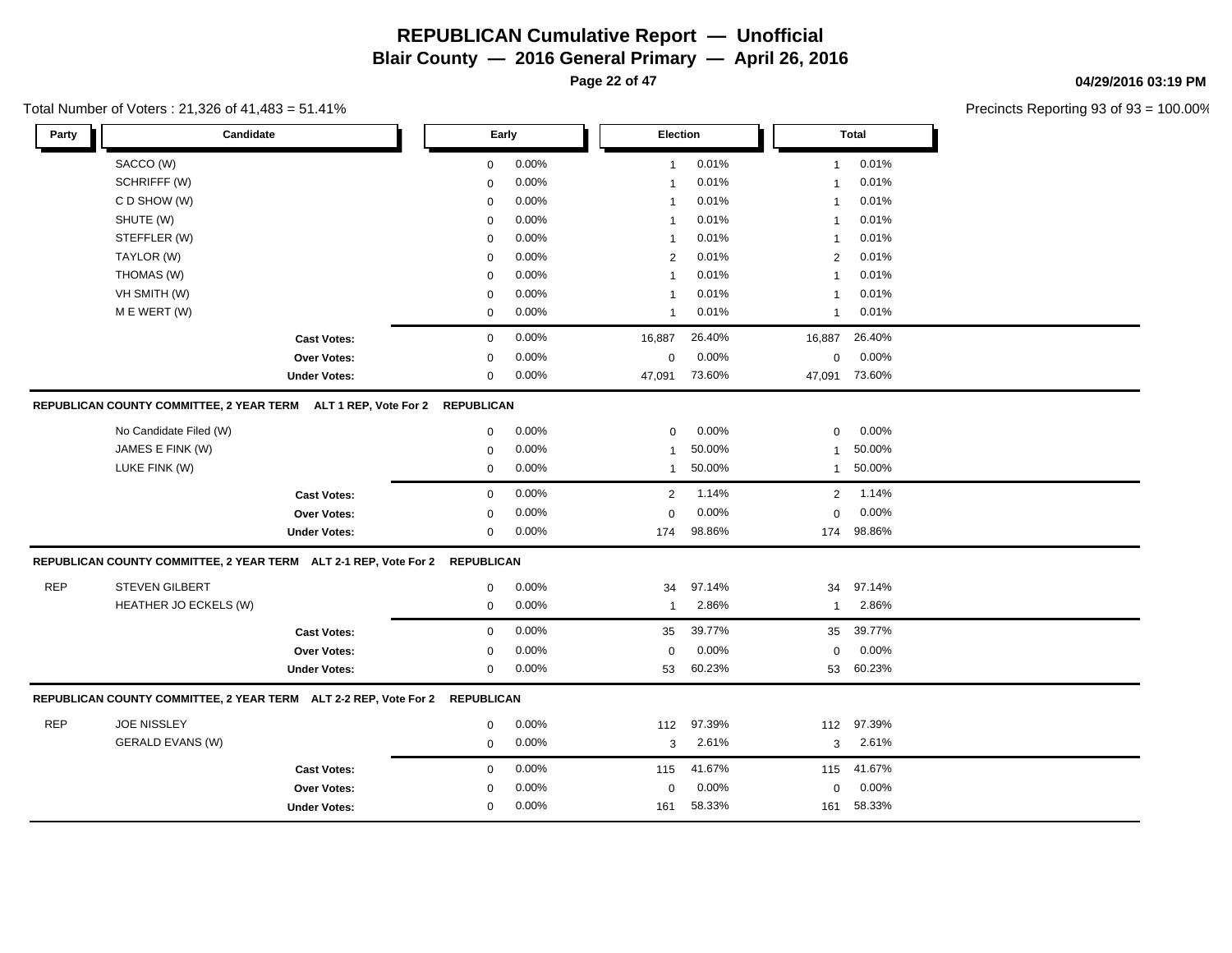**Page 22 of 47**

#### Total Number of Voters : 21,326 of 41,483 = 51.41%

**04/29/2016 03:19 PM**

| Party      | Candidate                                                                   |                     |             | Early | Election       |        |                | Total  |
|------------|-----------------------------------------------------------------------------|---------------------|-------------|-------|----------------|--------|----------------|--------|
|            | SACCO (W)                                                                   |                     | $\mathbf 0$ | 0.00% | $\mathbf{1}$   | 0.01%  | $\mathbf{1}$   | 0.01%  |
|            | SCHRIFFF (W)                                                                |                     | $\mathbf 0$ | 0.00% | $\mathbf{1}$   | 0.01%  | $\mathbf{1}$   | 0.01%  |
|            | C D SHOW (W)                                                                |                     | $\mathbf 0$ | 0.00% | $\mathbf{1}$   | 0.01%  | 1              | 0.01%  |
|            | SHUTE (W)                                                                   |                     | $\mathbf 0$ | 0.00% | $\mathbf{1}$   | 0.01%  | 1              | 0.01%  |
|            | STEFFLER (W)                                                                |                     | 0           | 0.00% | $\mathbf{1}$   | 0.01%  | $\mathbf{1}$   | 0.01%  |
|            | TAYLOR (W)                                                                  |                     | $\mathbf 0$ | 0.00% | 2              | 0.01%  | 2              | 0.01%  |
|            | THOMAS (W)                                                                  |                     | 0           | 0.00% | $\mathbf{1}$   | 0.01%  | $\mathbf{1}$   | 0.01%  |
|            | VH SMITH (W)                                                                |                     | 0           | 0.00% | -1             | 0.01%  | -1             | 0.01%  |
|            | M E WERT (W)                                                                |                     | $\mathbf 0$ | 0.00% | $\mathbf{1}$   | 0.01%  | $\mathbf{1}$   | 0.01%  |
|            |                                                                             | <b>Cast Votes:</b>  | $\mathbf 0$ | 0.00% | 16,887         | 26.40% | 16,887         | 26.40% |
|            |                                                                             | Over Votes:         | $\mathbf 0$ | 0.00% | 0              | 0.00%  | $\mathbf 0$    | 0.00%  |
|            |                                                                             | <b>Under Votes:</b> | 0           | 0.00% | 47,091         | 73.60% | 47,091         | 73.60% |
|            | REPUBLICAN COUNTY COMMITTEE, 2 YEAR TERM ALT 1 REP, Vote For 2 REPUBLICAN   |                     |             |       |                |        |                |        |
|            | No Candidate Filed (W)                                                      |                     | $\mathbf 0$ | 0.00% | $\mathbf 0$    | 0.00%  | $\mathbf 0$    | 0.00%  |
|            | JAMES E FINK (W)                                                            |                     | $\mathbf 0$ | 0.00% | $\mathbf{1}$   | 50.00% | $\mathbf{1}$   | 50.00% |
|            | LUKE FINK (W)                                                               |                     | 0           | 0.00% | $\mathbf{1}$   | 50.00% | $\mathbf{1}$   | 50.00% |
|            |                                                                             | <b>Cast Votes:</b>  | $\mathbf 0$ | 0.00% | $\overline{2}$ | 1.14%  | $\overline{2}$ | 1.14%  |
|            |                                                                             | Over Votes:         | 0           | 0.00% | 0              | 0.00%  | $\mathbf 0$    | 0.00%  |
|            |                                                                             | <b>Under Votes:</b> | $\mathbf 0$ | 0.00% | 174            | 98.86% | 174            | 98.86% |
|            | REPUBLICAN COUNTY COMMITTEE, 2 YEAR TERM ALT 2-1 REP, Vote For 2 REPUBLICAN |                     |             |       |                |        |                |        |
| <b>REP</b> | <b>STEVEN GILBERT</b>                                                       |                     | $\mathbf 0$ | 0.00% | 34             | 97.14% | 34             | 97.14% |
|            | HEATHER JO ECKELS (W)                                                       |                     | $\mathbf 0$ | 0.00% | $\mathbf{1}$   | 2.86%  | $\mathbf{1}$   | 2.86%  |
|            |                                                                             | <b>Cast Votes:</b>  | $\mathbf 0$ | 0.00% | 35             | 39.77% | 35             | 39.77% |
|            |                                                                             | Over Votes:         | $\mathbf 0$ | 0.00% | $\mathbf 0$    | 0.00%  | $\mathbf 0$    | 0.00%  |
|            |                                                                             | <b>Under Votes:</b> | $\mathbf 0$ | 0.00% | 53             | 60.23% | 53             | 60.23% |
|            | REPUBLICAN COUNTY COMMITTEE, 2 YEAR TERM ALT 2-2 REP, Vote For 2 REPUBLICAN |                     |             |       |                |        |                |        |
| <b>REP</b> | <b>JOE NISSLEY</b>                                                          |                     | $\mathbf 0$ | 0.00% | 112            | 97.39% | 112            | 97.39% |
|            | <b>GERALD EVANS (W)</b>                                                     |                     | $\mathbf 0$ | 0.00% | 3              | 2.61%  | 3              | 2.61%  |
|            |                                                                             | <b>Cast Votes:</b>  | $\mathbf 0$ | 0.00% | 115            | 41.67% | 115            | 41.67% |
|            |                                                                             | <b>Over Votes:</b>  | 0           | 0.00% | 0              | 0.00%  | $\mathbf 0$    | 0.00%  |
|            |                                                                             | <b>Under Votes:</b> | $\mathbf 0$ | 0.00% | 161            | 58.33% | 161            | 58.33% |
|            |                                                                             |                     |             |       |                |        |                |        |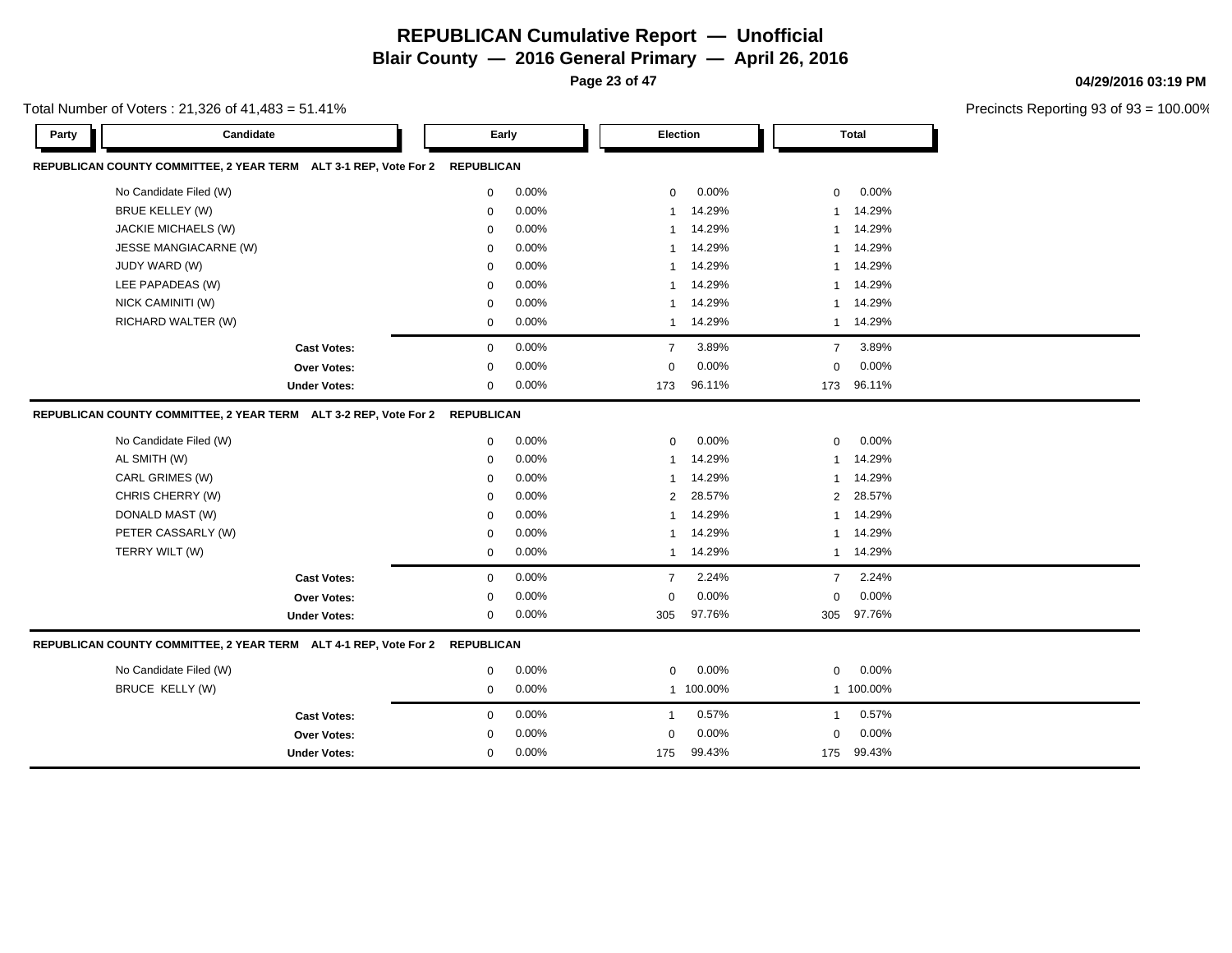**Blair County — 2016 General Primary — April 26, 2016**

**Page 23 of 47**

Precincts Reporting 93 of 93 = 100.00%

**04/29/2016 03:19 PM**

| Total Number of Voters : 21,326 of 41,483 = 51.41% |  |
|----------------------------------------------------|--|
|----------------------------------------------------|--|

| Candidate<br>Party                                                          |             | Early    |                | Election  |                | Total     |  |
|-----------------------------------------------------------------------------|-------------|----------|----------------|-----------|----------------|-----------|--|
| REPUBLICAN COUNTY COMMITTEE, 2 YEAR TERM ALT 3-1 REP, Vote For 2 REPUBLICAN |             |          |                |           |                |           |  |
| No Candidate Filed (W)                                                      | 0           | 0.00%    | $\mathbf{0}$   | 0.00%     | $\mathbf{0}$   | 0.00%     |  |
| <b>BRUE KELLEY (W)</b>                                                      | 0           | 0.00%    | -1             | 14.29%    | 1              | 14.29%    |  |
| JACKIE MICHAELS (W)                                                         | $\mathbf 0$ | 0.00%    | $\mathbf{1}$   | 14.29%    | $\mathbf{1}$   | 14.29%    |  |
| JESSE MANGIACARNE (W)                                                       | 0           | 0.00%    | $\overline{1}$ | 14.29%    | $\mathbf{1}$   | 14.29%    |  |
| JUDY WARD (W)                                                               | 0           | 0.00%    | -1             | 14.29%    |                | 1 14.29%  |  |
| LEE PAPADEAS (W)                                                            | $\mathbf 0$ | 0.00%    | $\mathbf{1}$   | 14.29%    | $\mathbf{1}$   | 14.29%    |  |
| NICK CAMINITI (W)                                                           | $\mathbf 0$ | 0.00%    | $\mathbf 1$    | 14.29%    | $\mathbf{1}$   | 14.29%    |  |
| RICHARD WALTER (W)                                                          | 0           | 0.00%    | $\mathbf{1}$   | 14.29%    | $\mathbf{1}$   | 14.29%    |  |
| <b>Cast Votes:</b>                                                          | $\mathbf 0$ | 0.00%    | $\overline{7}$ | 3.89%     | $\overline{7}$ | 3.89%     |  |
| Over Votes:                                                                 | 0           | 0.00%    | $\mathbf 0$    | 0.00%     | 0              | 0.00%     |  |
| <b>Under Votes:</b>                                                         | 0           | $0.00\%$ | 173            | 96.11%    | 173            | 96.11%    |  |
| REPUBLICAN COUNTY COMMITTEE, 2 YEAR TERM ALT 3-2 REP, Vote For 2 REPUBLICAN |             |          |                |           |                |           |  |
| No Candidate Filed (W)                                                      | $\mathbf 0$ | 0.00%    | $\mathbf{0}$   | 0.00%     | $\mathbf{0}$   | 0.00%     |  |
| AL SMITH (W)                                                                | $\mathbf 0$ | 0.00%    | $\mathbf{1}$   | 14.29%    | $\mathbf{1}$   | 14.29%    |  |
| CARL GRIMES (W)                                                             | 0           | 0.00%    | $\mathbf 1$    | 14.29%    | $\overline{1}$ | 14.29%    |  |
| CHRIS CHERRY (W)                                                            | $\mathbf 0$ | 0.00%    | 2              | 28.57%    | 2              | 28.57%    |  |
| DONALD MAST (W)                                                             | 0           | 0.00%    | $\mathbf 1$    | 14.29%    | $\mathbf{1}$   | 14.29%    |  |
| PETER CASSARLY (W)                                                          | 0           | 0.00%    | $\overline{1}$ | 14.29%    | $\mathbf{1}$   | 14.29%    |  |
| TERRY WILT (W)                                                              | 0           | 0.00%    | $\mathbf{1}$   | 14.29%    | $\mathbf{1}$   | 14.29%    |  |
| <b>Cast Votes:</b>                                                          | 0           | 0.00%    | $\overline{7}$ | 2.24%     | $\overline{7}$ | 2.24%     |  |
| Over Votes:                                                                 | 0           | 0.00%    | $\mathbf 0$    | 0.00%     | 0              | 0.00%     |  |
| <b>Under Votes:</b>                                                         | $\mathbf 0$ | 0.00%    | 305            | 97.76%    | 305            | 97.76%    |  |
| REPUBLICAN COUNTY COMMITTEE, 2 YEAR TERM ALT 4-1 REP, Vote For 2 REPUBLICAN |             |          |                |           |                |           |  |
| No Candidate Filed (W)                                                      | 0           | 0.00%    | $\mathbf 0$    | 0.00%     | 0              | 0.00%     |  |
| <b>BRUCE KELLY (W)</b>                                                      | 0           | 0.00%    |                | 1 100.00% |                | 1 100.00% |  |
| <b>Cast Votes:</b>                                                          | 0           | 0.00%    | $\overline{1}$ | 0.57%     | $\mathbf{1}$   | 0.57%     |  |
| <b>Over Votes:</b>                                                          | 0           | 0.00%    | $\mathbf 0$    | 0.00%     | $\mathbf 0$    | 0.00%     |  |
| <b>Under Votes:</b>                                                         | 0           | 0.00%    | 175            | 99.43%    | 175            | 99.43%    |  |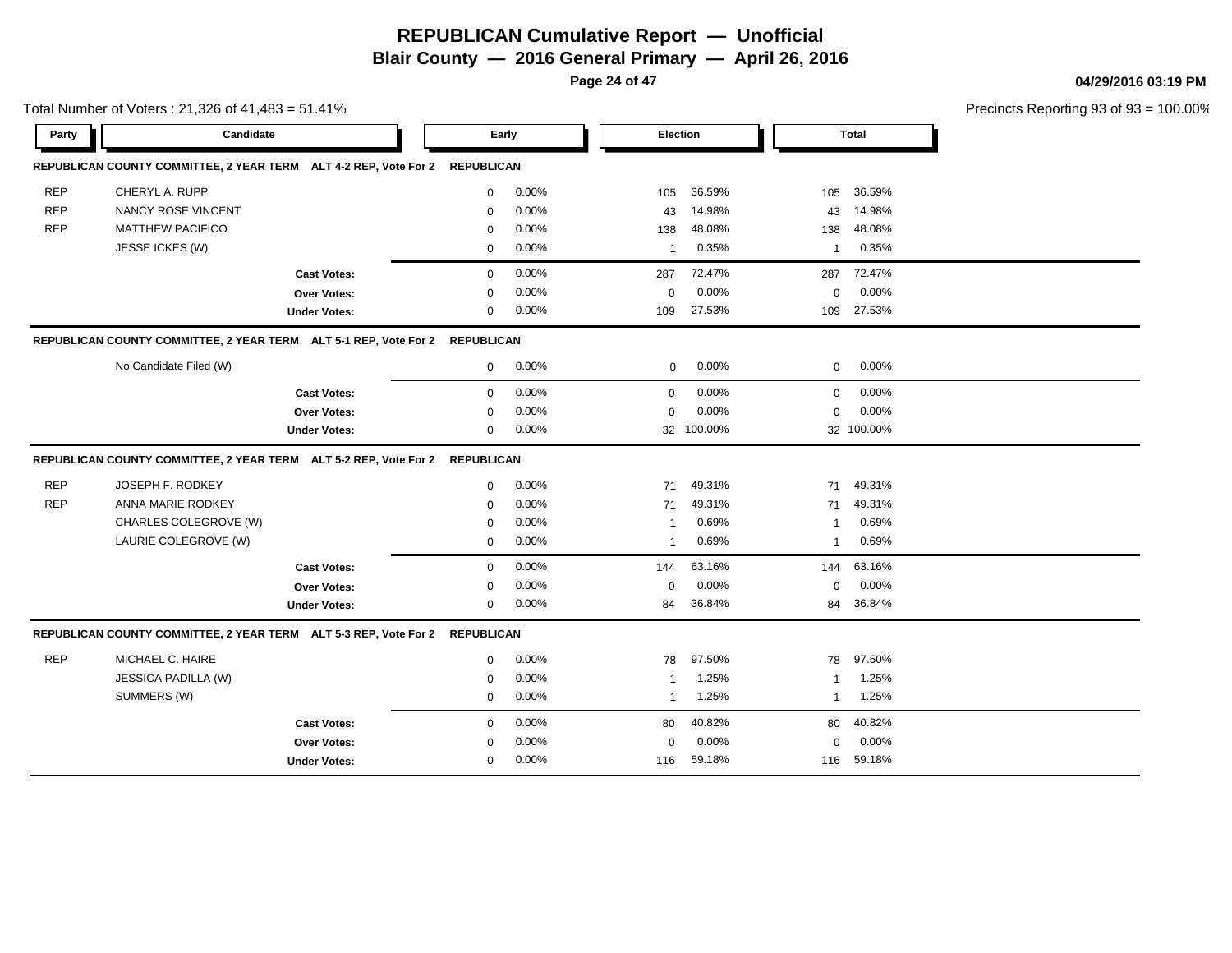**Page 24 of 47**

Total Number of Voters : 21,326 of 41,483 = 51.41%

#### **04/29/2016 03:19 PM**

| Party      | Candidate                                                                   |                     | Early        |       | Election       |            |                         | <b>Total</b> |  |
|------------|-----------------------------------------------------------------------------|---------------------|--------------|-------|----------------|------------|-------------------------|--------------|--|
|            | REPUBLICAN COUNTY COMMITTEE, 2 YEAR TERM ALT 4-2 REP, Vote For 2 REPUBLICAN |                     |              |       |                |            |                         |              |  |
| <b>REP</b> | CHERYL A. RUPP                                                              |                     | 0            | 0.00% | 105            | 36.59%     | 105                     | 36.59%       |  |
| <b>REP</b> | <b>NANCY ROSE VINCENT</b>                                                   |                     | 0            | 0.00% | 43             | 14.98%     | 43                      | 14.98%       |  |
| <b>REP</b> | <b>MATTHEW PACIFICO</b>                                                     |                     | $\mathbf 0$  | 0.00% | 138            | 48.08%     | 138                     | 48.08%       |  |
|            | JESSE ICKES (W)                                                             |                     | $\mathbf{0}$ | 0.00% | $\mathbf{1}$   | 0.35%      | 1                       | 0.35%        |  |
|            |                                                                             | <b>Cast Votes:</b>  | $\mathbf{0}$ | 0.00% | 287            | 72.47%     | 287                     | 72.47%       |  |
|            |                                                                             | <b>Over Votes:</b>  | 0            | 0.00% | 0              | 0.00%      | 0                       | $0.00\%$     |  |
|            |                                                                             | <b>Under Votes:</b> | 0            | 0.00% | 109            | 27.53%     | 109                     | 27.53%       |  |
|            | REPUBLICAN COUNTY COMMITTEE, 2 YEAR TERM ALT 5-1 REP, Vote For 2 REPUBLICAN |                     |              |       |                |            |                         |              |  |
|            | No Candidate Filed (W)                                                      |                     | 0            | 0.00% | 0              | 0.00%      | 0                       | $0.00\%$     |  |
|            |                                                                             | <b>Cast Votes:</b>  | $\mathbf{0}$ | 0.00% | $\mathbf 0$    | 0.00%      | $\mathbf{0}$            | 0.00%        |  |
|            |                                                                             | <b>Over Votes:</b>  | $\mathbf 0$  | 0.00% | $\mathbf 0$    | 0.00%      | $\mathbf 0$             | 0.00%        |  |
|            |                                                                             | <b>Under Votes:</b> | 0            | 0.00% |                | 32 100.00% |                         | 32 100.00%   |  |
|            | REPUBLICAN COUNTY COMMITTEE, 2 YEAR TERM ALT 5-2 REP, Vote For 2 REPUBLICAN |                     |              |       |                |            |                         |              |  |
| <b>REP</b> | JOSEPH F. RODKEY                                                            |                     | $\mathbf{0}$ | 0.00% | 71             | 49.31%     | 71                      | 49.31%       |  |
| <b>REP</b> | ANNA MARIE RODKEY                                                           |                     | $\mathbf 0$  | 0.00% | 71             | 49.31%     | 71                      | 49.31%       |  |
|            | CHARLES COLEGROVE (W)                                                       |                     | 0            | 0.00% | $\overline{1}$ | 0.69%      | $\overline{1}$          | 0.69%        |  |
|            | LAURIE COLEGROVE (W)                                                        |                     | 0            | 0.00% | $\mathbf{1}$   | 0.69%      | $\mathbf{1}$            | 0.69%        |  |
|            |                                                                             | <b>Cast Votes:</b>  | $\mathbf 0$  | 0.00% | 144            | 63.16%     | 144                     | 63.16%       |  |
|            |                                                                             | Over Votes:         | 0            | 0.00% | $\mathbf 0$    | 0.00%      | 0                       | $0.00\%$     |  |
|            |                                                                             | <b>Under Votes:</b> | 0            | 0.00% | 84             | 36.84%     | 84                      | 36.84%       |  |
|            | REPUBLICAN COUNTY COMMITTEE, 2 YEAR TERM ALT 5-3 REP, Vote For 2 REPUBLICAN |                     |              |       |                |            |                         |              |  |
| <b>REP</b> | MICHAEL C. HAIRE                                                            |                     | $\Omega$     | 0.00% | 78             | 97.50%     | 78                      | 97.50%       |  |
|            | JESSICA PADILLA (W)                                                         |                     | 0            | 0.00% | $\mathbf{1}$   | 1.25%      | $\overline{\mathbf{1}}$ | 1.25%        |  |
|            | SUMMERS (W)                                                                 |                     | 0            | 0.00% | $\mathbf{1}$   | 1.25%      | $\mathbf{1}$            | 1.25%        |  |
|            |                                                                             | <b>Cast Votes:</b>  | $\mathbf{0}$ | 0.00% | 80             | 40.82%     | 80                      | 40.82%       |  |
|            |                                                                             | <b>Over Votes:</b>  | 0            | 0.00% | $\mathbf 0$    | 0.00%      | 0                       | 0.00%        |  |
|            |                                                                             | <b>Under Votes:</b> | 0            | 0.00% | 116            | 59.18%     | 116                     | 59.18%       |  |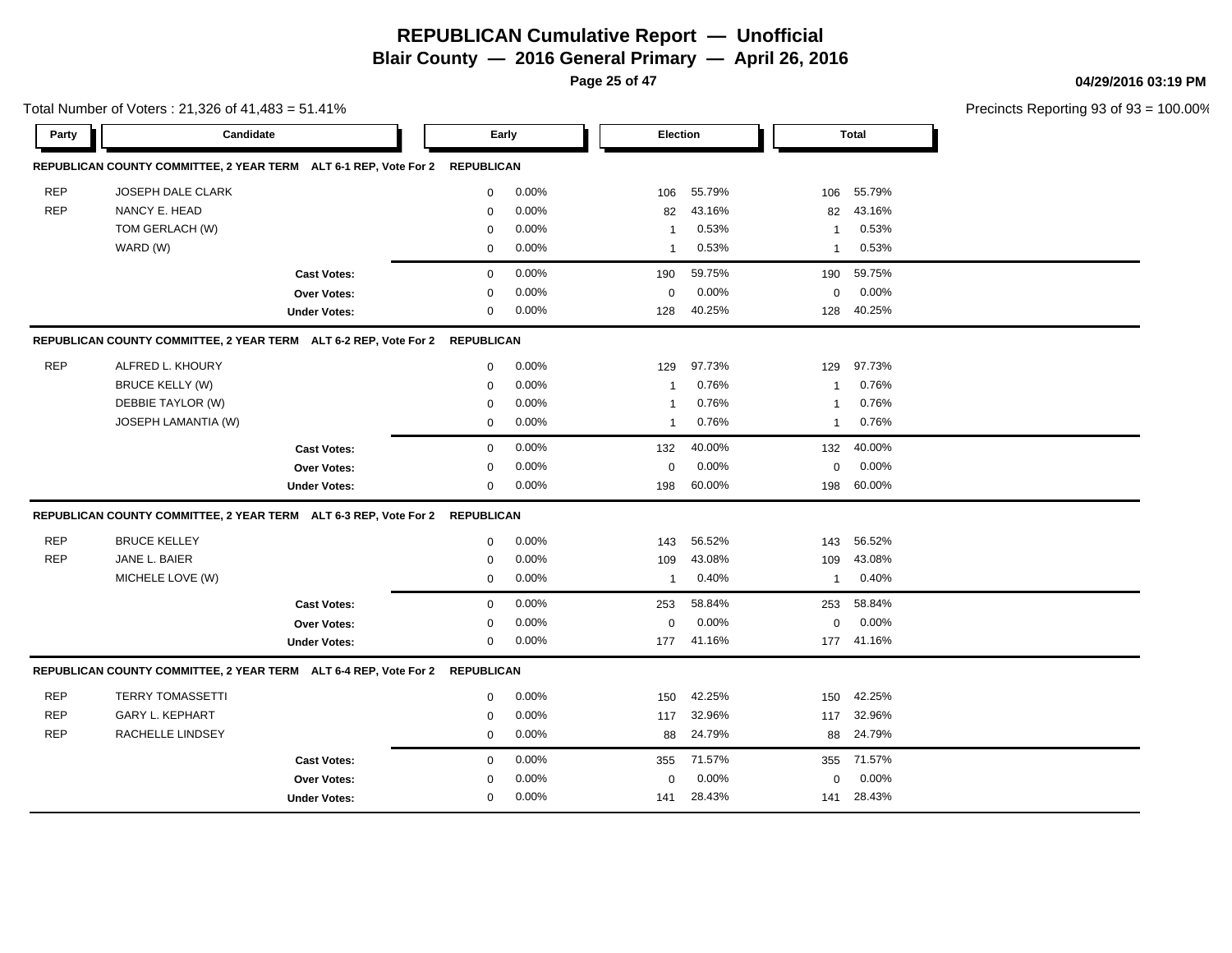**Page 25 of 47**

#### **04/29/2016 03:19 PM**

|            | Total Number of Voters: 21,326 of 41,483 = 51.41%                           |                     |                   |          |                |        |                |              | Precincts Reporting 93 of 93 |
|------------|-----------------------------------------------------------------------------|---------------------|-------------------|----------|----------------|--------|----------------|--------------|------------------------------|
| Party      | Candidate                                                                   |                     | Early             |          | Election       |        |                | <b>Total</b> |                              |
|            | REPUBLICAN COUNTY COMMITTEE, 2 YEAR TERM ALT 6-1 REP, Vote For 2 REPUBLICAN |                     |                   |          |                |        |                |              |                              |
| <b>REP</b> | <b>JOSEPH DALE CLARK</b>                                                    |                     | $\mathbf 0$       | 0.00%    | 106            | 55.79% | 106            | 55.79%       |                              |
| <b>REP</b> | NANCY E. HEAD                                                               |                     | 0                 | 0.00%    | 82             | 43.16% | 82             | 43.16%       |                              |
|            | TOM GERLACH (W)                                                             |                     | $\mathbf 0$       | 0.00%    | -1             | 0.53%  | -1             | 0.53%        |                              |
|            | WARD (W)                                                                    |                     | $\mathbf 0$       | 0.00%    | $\overline{1}$ | 0.53%  | $\overline{1}$ | 0.53%        |                              |
|            |                                                                             | <b>Cast Votes:</b>  | 0                 | 0.00%    | 190            | 59.75% | 190            | 59.75%       |                              |
|            |                                                                             | Over Votes:         | 0                 | 0.00%    | 0              | 0.00%  | 0              | 0.00%        |                              |
|            |                                                                             | <b>Under Votes:</b> | 0                 | 0.00%    | 128            | 40.25% | 128            | 40.25%       |                              |
|            | REPUBLICAN COUNTY COMMITTEE, 2 YEAR TERM ALT 6-2 REP, Vote For 2 REPUBLICAN |                     |                   |          |                |        |                |              |                              |
| <b>REP</b> | ALFRED L. KHOURY                                                            |                     | $\mathbf 0$       | 0.00%    | 129            | 97.73% | 129            | 97.73%       |                              |
|            | <b>BRUCE KELLY (W)</b>                                                      |                     | $\mathbf 0$       | 0.00%    | -1             | 0.76%  | 1              | 0.76%        |                              |
|            | DEBBIE TAYLOR (W)                                                           |                     | $\mathbf 0$       | 0.00%    | $\mathbf 1$    | 0.76%  | $\mathbf{1}$   | 0.76%        |                              |
|            | <b>JOSEPH LAMANTIA (W)</b>                                                  |                     | $\mathbf 0$       | 0.00%    | $\mathbf{1}$   | 0.76%  | $\mathbf{1}$   | 0.76%        |                              |
|            |                                                                             | <b>Cast Votes:</b>  | $\mathbf 0$       | 0.00%    | 132            | 40.00% | 132            | 40.00%       |                              |
|            |                                                                             | Over Votes:         | $\mathbf 0$       | 0.00%    | $\mathbf 0$    | 0.00%  | $\mathbf 0$    | 0.00%        |                              |
|            |                                                                             | <b>Under Votes:</b> | 0                 | $0.00\%$ | 198            | 60.00% |                | 198 60.00%   |                              |
|            | REPUBLICAN COUNTY COMMITTEE, 2 YEAR TERM ALT 6-3 REP, Vote For 2 REPUBLICAN |                     |                   |          |                |        |                |              |                              |
| <b>REP</b> | <b>BRUCE KELLEY</b>                                                         |                     | 0                 | 0.00%    | 143            | 56.52% | 143            | 56.52%       |                              |
| <b>REP</b> | JANE L. BAIER                                                               |                     | 0                 | 0.00%    | 109            | 43.08% | 109            | 43.08%       |                              |
|            | MICHELE LOVE (W)                                                            |                     | $\mathbf{0}$      | 0.00%    | $\mathbf{1}$   | 0.40%  | $\mathbf{1}$   | 0.40%        |                              |
|            |                                                                             | <b>Cast Votes:</b>  | $\mathbf 0$       | 0.00%    | 253            | 58.84% | 253            | 58.84%       |                              |
|            |                                                                             | Over Votes:         | 0                 | 0.00%    | $\mathbf 0$    | 0.00%  | $\mathbf 0$    | 0.00%        |                              |
|            |                                                                             | <b>Under Votes:</b> | $\mathbf{0}$      | 0.00%    | 177            | 41.16% |                | 177 41.16%   |                              |
|            | REPUBLICAN COUNTY COMMITTEE, 2 YEAR TERM ALT 6-4 REP, Vote For 2            |                     | <b>REPUBLICAN</b> |          |                |        |                |              |                              |
| <b>REP</b> | <b>TERRY TOMASSETTI</b>                                                     |                     | 0                 | 0.00%    | 150            | 42.25% | 150            | 42.25%       |                              |
| <b>REP</b> | <b>GARY L. KEPHART</b>                                                      |                     | 0                 | 0.00%    | 117            | 32.96% |                | 117 32.96%   |                              |
| <b>REP</b> | RACHELLE LINDSEY                                                            |                     | $\mathbf 0$       | 0.00%    | 88             | 24.79% | 88             | 24.79%       |                              |
|            |                                                                             | <b>Cast Votes:</b>  | $\mathbf 0$       | 0.00%    | 355            | 71.57% | 355            | 71.57%       |                              |
|            |                                                                             | Over Votes:         | $\Omega$          | 0.00%    | $\Omega$       | 0.00%  | $\mathbf 0$    | 0.00%        |                              |
|            |                                                                             | <b>Under Votes:</b> | $\mathbf{0}$      | 0.00%    | 141            | 28.43% | 141            | 28.43%       |                              |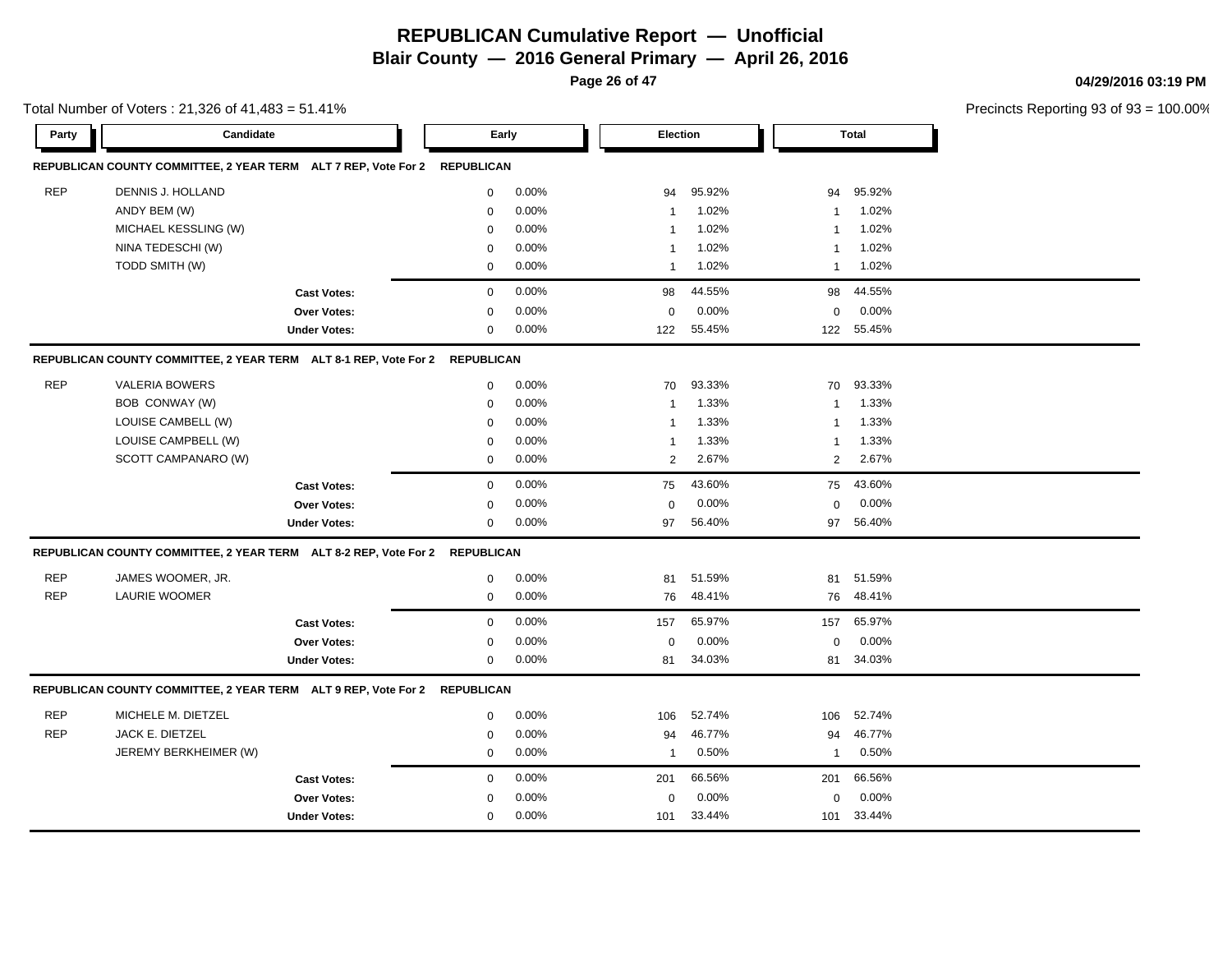**Blair County — 2016 General Primary — April 26, 2016**

**Page 26 of 47**

**04/29/2016 03:19 PM**

|            | Total Number of Voters: 21,326 of 41,483 = 51.41%                           |                     |                  |       |                |        |              |              | Precincts Reporting 93 of 93 |
|------------|-----------------------------------------------------------------------------|---------------------|------------------|-------|----------------|--------|--------------|--------------|------------------------------|
| Party      | Candidate                                                                   |                     | Early            |       | Election       |        |              | <b>Total</b> |                              |
|            | REPUBLICAN COUNTY COMMITTEE, 2 YEAR TERM ALT 7 REP, Vote For 2 REPUBLICAN   |                     |                  |       |                |        |              |              |                              |
| <b>REP</b> | DENNIS J. HOLLAND                                                           |                     | 0                | 0.00% | 94             | 95.92% | 94           | 95.92%       |                              |
|            | ANDY BEM (W)                                                                |                     | $\mathbf 0$      | 0.00% | $\mathbf{1}$   | 1.02%  | -1           | 1.02%        |                              |
|            | MICHAEL KESSLING (W)                                                        |                     | $\mathbf 0$      | 0.00% | $\mathbf 1$    | 1.02%  | 1            | 1.02%        |                              |
|            | NINA TEDESCHI (W)                                                           |                     | $\mathbf 0$      | 0.00% | -1             | 1.02%  | 1            | 1.02%        |                              |
|            | TODD SMITH (W)                                                              |                     | $\mathbf 0$      | 0.00% | $\mathbf{1}$   | 1.02%  | 1            | 1.02%        |                              |
|            |                                                                             | <b>Cast Votes:</b>  | $\mathbf 0$      | 0.00% | 98             | 44.55% | 98           | 44.55%       |                              |
|            |                                                                             | Over Votes:         | $\Omega$         | 0.00% | $\mathbf 0$    | 0.00%  | $\mathbf 0$  | 0.00%        |                              |
|            |                                                                             | <b>Under Votes:</b> | $\mathbf 0$      | 0.00% | 122            | 55.45% |              | 122 55.45%   |                              |
|            | REPUBLICAN COUNTY COMMITTEE, 2 YEAR TERM ALT 8-1 REP, Vote For 2 REPUBLICAN |                     |                  |       |                |        |              |              |                              |
| <b>REP</b> | <b>VALERIA BOWERS</b>                                                       |                     | 0                | 0.00% | 70             | 93.33% | 70           | 93.33%       |                              |
|            | BOB CONWAY (W)                                                              |                     | $\mathbf 0$      | 0.00% | 1              | 1.33%  | -1           | 1.33%        |                              |
|            | LOUISE CAMBELL (W)                                                          |                     | 0                | 0.00% | $\mathbf{1}$   | 1.33%  | 1            | 1.33%        |                              |
|            | LOUISE CAMPBELL (W)                                                         |                     | $\mathbf 0$      | 0.00% | $\mathbf{1}$   | 1.33%  | $\mathbf 1$  | 1.33%        |                              |
|            | SCOTT CAMPANARO (W)                                                         |                     | $\mathbf 0$      | 0.00% | $\overline{2}$ | 2.67%  | 2            | 2.67%        |                              |
|            |                                                                             | <b>Cast Votes:</b>  | $\mathbf 0$      | 0.00% | 75             | 43.60% | 75           | 43.60%       |                              |
|            |                                                                             | Over Votes:         | $\mathbf 0$      | 0.00% | $\mathbf 0$    | 0.00%  | $\mathbf 0$  | 0.00%        |                              |
|            |                                                                             | <b>Under Votes:</b> | $\mathbf 0$      | 0.00% | 97             | 56.40% |              | 97 56.40%    |                              |
|            | REPUBLICAN COUNTY COMMITTEE, 2 YEAR TERM ALT 8-2 REP, Vote For 2 REPUBLICAN |                     |                  |       |                |        |              |              |                              |
| <b>REP</b> | JAMES WOOMER, JR.                                                           |                     | $\mathbf 0$      | 0.00% | 81             | 51.59% | 81           | 51.59%       |                              |
| <b>REP</b> | <b>LAURIE WOOMER</b>                                                        |                     | $\boldsymbol{0}$ | 0.00% | 76             | 48.41% | 76           | 48.41%       |                              |
|            |                                                                             | <b>Cast Votes:</b>  | $\boldsymbol{0}$ | 0.00% | 157            | 65.97% | 157          | 65.97%       |                              |
|            |                                                                             | Over Votes:         | $\mathbf 0$      | 0.00% | 0              | 0.00%  | 0            | 0.00%        |                              |
|            |                                                                             | <b>Under Votes:</b> | 0                | 0.00% | 81             | 34.03% |              | 81 34.03%    |                              |
|            | REPUBLICAN COUNTY COMMITTEE, 2 YEAR TERM ALT 9 REP, Vote For 2 REPUBLICAN   |                     |                  |       |                |        |              |              |                              |
| <b>REP</b> | MICHELE M. DIETZEL                                                          |                     | 0                | 0.00% | 106            | 52.74% | 106          | 52.74%       |                              |
| <b>REP</b> | JACK E. DIETZEL                                                             |                     | $\mathbf 0$      | 0.00% | 94             | 46.77% | 94           | 46.77%       |                              |
|            | JEREMY BERKHEIMER (W)                                                       |                     | $\mathbf 0$      | 0.00% | $\mathbf{1}$   | 0.50%  | $\mathbf{1}$ | 0.50%        |                              |
|            |                                                                             | <b>Cast Votes:</b>  | $\mathbf 0$      | 0.00% | 201            | 66.56% | 201          | 66.56%       |                              |
|            |                                                                             | Over Votes:         | $\mathbf 0$      | 0.00% | 0              | 0.00%  | 0            | 0.00%        |                              |
|            |                                                                             | <b>Under Votes:</b> | $\mathbf 0$      | 0.00% | 101            | 33.44% |              | 101 33.44%   |                              |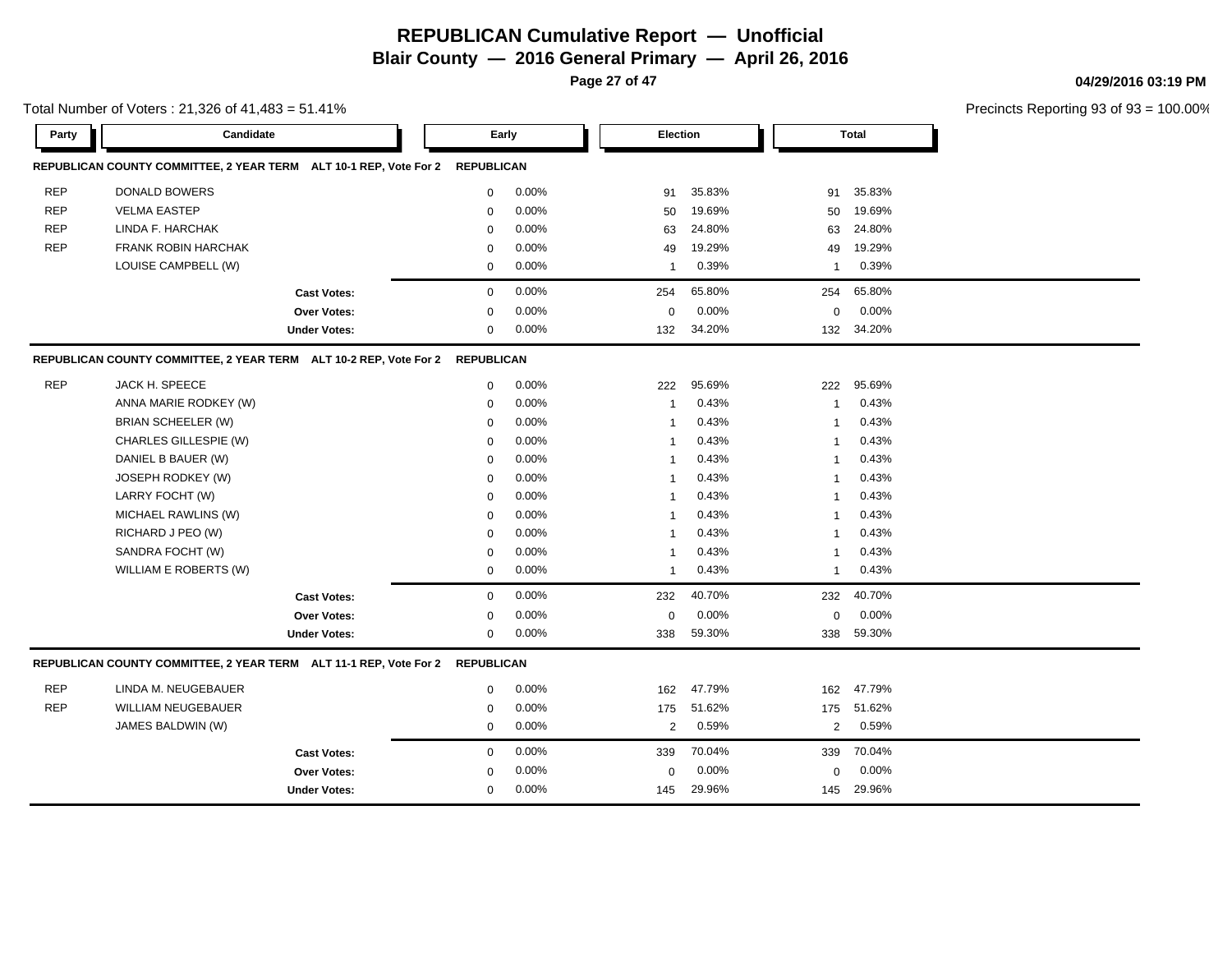**Page 27 of 47**

#### **04/29/2016 03:19 PM**

|            | Total Number of Voters: 21,326 of 41,483 = 51.41%                            |                     |             |          |                |          |                |              | Precincts Reporting 93 of 93 |
|------------|------------------------------------------------------------------------------|---------------------|-------------|----------|----------------|----------|----------------|--------------|------------------------------|
| Party      | Candidate                                                                    |                     | Early       |          |                | Election |                | <b>Total</b> |                              |
|            | REPUBLICAN COUNTY COMMITTEE, 2 YEAR TERM ALT 10-1 REP, Vote For 2 REPUBLICAN |                     |             |          |                |          |                |              |                              |
| <b>REP</b> | <b>DONALD BOWERS</b>                                                         |                     | $\mathbf 0$ | 0.00%    | 91             | 35.83%   | 91             | 35.83%       |                              |
| <b>REP</b> | <b>VELMA EASTEP</b>                                                          |                     | $\mathbf 0$ | 0.00%    | 50             | 19.69%   | 50             | 19.69%       |                              |
| <b>REP</b> | LINDA F. HARCHAK                                                             |                     | $\mathbf 0$ | 0.00%    | 63             | 24.80%   | 63             | 24.80%       |                              |
| <b>REP</b> | <b>FRANK ROBIN HARCHAK</b>                                                   |                     | $\mathbf 0$ | 0.00%    | 49             | 19.29%   | 49             | 19.29%       |                              |
|            | LOUISE CAMPBELL (W)                                                          |                     | $\mathbf 0$ | 0.00%    | $\mathbf{1}$   | 0.39%    | $\overline{1}$ | 0.39%        |                              |
|            |                                                                              | <b>Cast Votes:</b>  | $\mathbf 0$ | 0.00%    | 254            | 65.80%   | 254            | 65.80%       |                              |
|            |                                                                              | Over Votes:         | $\pmb{0}$   | 0.00%    | 0              | 0.00%    | $\mathbf 0$    | 0.00%        |                              |
|            |                                                                              | <b>Under Votes:</b> | 0           | $0.00\%$ | 132            | 34.20%   |                | 132 34.20%   |                              |
|            | REPUBLICAN COUNTY COMMITTEE, 2 YEAR TERM ALT 10-2 REP, Vote For 2 REPUBLICAN |                     |             |          |                |          |                |              |                              |
| <b>REP</b> | JACK H. SPEECE                                                               |                     | $\mathbf 0$ | 0.00%    | 222            | 95.69%   | 222            | 95.69%       |                              |
|            | ANNA MARIE RODKEY (W)                                                        |                     | 0           | 0.00%    | $\overline{1}$ | 0.43%    | -1             | 0.43%        |                              |
|            | BRIAN SCHEELER (W)                                                           |                     | 0           | 0.00%    | 1              | 0.43%    | -1             | 0.43%        |                              |
|            | CHARLES GILLESPIE (W)                                                        |                     | $\mathbf 0$ | 0.00%    | $\mathbf 1$    | 0.43%    | -1             | 0.43%        |                              |
|            | DANIEL B BAUER (W)                                                           |                     | $\mathbf 0$ | 0.00%    | $\mathbf 1$    | 0.43%    | -1             | 0.43%        |                              |
|            | JOSEPH RODKEY (W)                                                            |                     | $\mathbf 0$ | 0.00%    | $\mathbf 1$    | 0.43%    | 1              | 0.43%        |                              |
|            | LARRY FOCHT (W)                                                              |                     | $\mathbf 0$ | 0.00%    | -1             | 0.43%    | 1              | 0.43%        |                              |
|            | MICHAEL RAWLINS (W)                                                          |                     | $\mathbf 0$ | 0.00%    | $\mathbf 1$    | 0.43%    | 1              | 0.43%        |                              |
|            | RICHARD J PEO (W)                                                            |                     | $\mathbf 0$ | 0.00%    | 1              | 0.43%    | 1              | 0.43%        |                              |
|            | SANDRA FOCHT (W)                                                             |                     | $\mathbf 0$ | 0.00%    | $\mathbf 1$    | 0.43%    | -1             | 0.43%        |                              |
|            | WILLIAM E ROBERTS (W)                                                        |                     | 0           | 0.00%    | $\mathbf 1$    | 0.43%    | $\overline{1}$ | 0.43%        |                              |
|            |                                                                              | <b>Cast Votes:</b>  | $\pmb{0}$   | 0.00%    | 232            | 40.70%   | 232            | 40.70%       |                              |
|            |                                                                              | Over Votes:         | $\mathbf 0$ | 0.00%    | 0              | 0.00%    | $\mathbf 0$    | 0.00%        |                              |
|            |                                                                              | <b>Under Votes:</b> | $\pmb{0}$   | 0.00%    | 338            | 59.30%   | 338            | 59.30%       |                              |
|            | REPUBLICAN COUNTY COMMITTEE, 2 YEAR TERM ALT 11-1 REP, Vote For 2 REPUBLICAN |                     |             |          |                |          |                |              |                              |
| <b>REP</b> | LINDA M. NEUGEBAUER                                                          |                     | 0           | 0.00%    | 162            | 47.79%   | 162            | 47.79%       |                              |
| <b>REP</b> | <b>WILLIAM NEUGEBAUER</b>                                                    |                     | 0           | 0.00%    | 175            | 51.62%   | 175            | 51.62%       |                              |
|            | JAMES BALDWIN (W)                                                            |                     | 0           | 0.00%    | 2              | 0.59%    | 2              | 0.59%        |                              |
|            |                                                                              | <b>Cast Votes:</b>  | 0           | 0.00%    | 339            | 70.04%   | 339            | 70.04%       |                              |
|            |                                                                              | Over Votes:         | $\mathbf 0$ | 0.00%    | 0              | 0.00%    | 0              | 0.00%        |                              |
|            |                                                                              | <b>Under Votes:</b> | $\mathbf 0$ | $0.00\%$ | 145            | 29.96%   | 145            | 29.96%       |                              |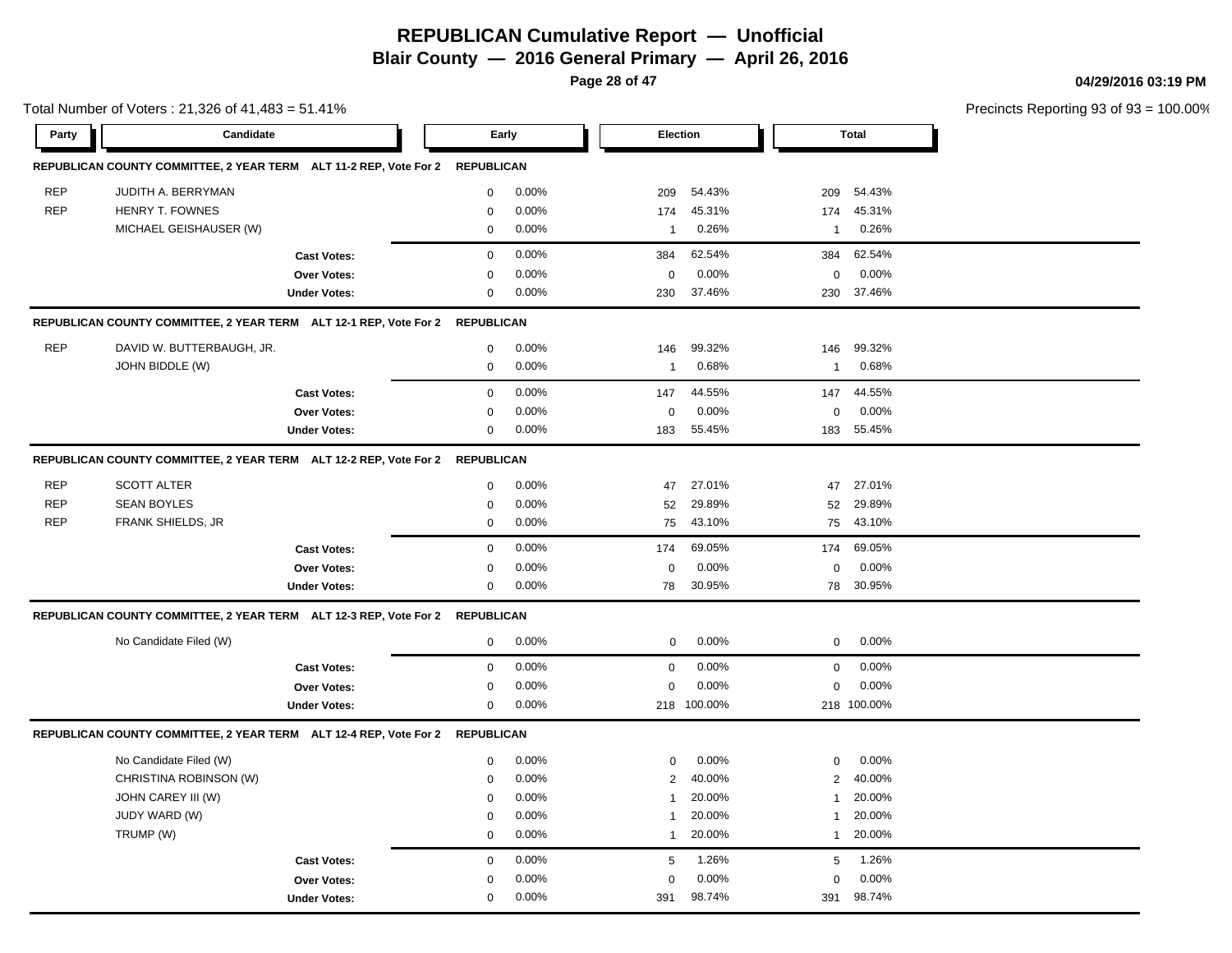**Blair County — 2016 General Primary — April 26, 2016**

**Page 28 of 47**

**04/29/2016 03:19 PM**

|            | Total Number of Voters: 21,326 of 41,483 = 51.41%                            |                     |                   |       |              |             |                  |              | Precincts Reporting 93 of 93 |
|------------|------------------------------------------------------------------------------|---------------------|-------------------|-------|--------------|-------------|------------------|--------------|------------------------------|
| Party      | Candidate                                                                    |                     | Early             |       |              | Election    |                  | <b>Total</b> |                              |
|            | REPUBLICAN COUNTY COMMITTEE, 2 YEAR TERM ALT 11-2 REP, Vote For 2 REPUBLICAN |                     |                   |       |              |             |                  |              |                              |
| <b>REP</b> | JUDITH A. BERRYMAN                                                           |                     | $\mathsf 0$       | 0.00% | 209          | 54.43%      | 209              | 54.43%       |                              |
| <b>REP</b> | HENRY T. FOWNES                                                              |                     | $\mathbf 0$       | 0.00% | 174          | 45.31%      | 174              | 45.31%       |                              |
|            | MICHAEL GEISHAUSER (W)                                                       |                     | $\mathbf 0$       | 0.00% | $\mathbf 1$  | 0.26%       | $\mathbf{1}$     | 0.26%        |                              |
|            |                                                                              | <b>Cast Votes:</b>  | $\mathbf 0$       | 0.00% | 384          | 62.54%      | 384              | 62.54%       |                              |
|            |                                                                              | Over Votes:         | $\mathbf 0$       | 0.00% | 0            | 0.00%       | 0                | 0.00%        |                              |
|            |                                                                              | <b>Under Votes:</b> | $\mathbf 0$       | 0.00% | 230          | 37.46%      | 230              | 37.46%       |                              |
|            | REPUBLICAN COUNTY COMMITTEE, 2 YEAR TERM ALT 12-1 REP, Vote For 2            |                     | <b>REPUBLICAN</b> |       |              |             |                  |              |                              |
| <b>REP</b> | DAVID W. BUTTERBAUGH, JR.                                                    |                     | 0                 | 0.00% | 146          | 99.32%      | 146              | 99.32%       |                              |
|            | JOHN BIDDLE (W)                                                              |                     | $\mathbf 0$       | 0.00% | $\mathbf{1}$ | 0.68%       | 1                | 0.68%        |                              |
|            |                                                                              | <b>Cast Votes:</b>  | $\mathbf 0$       | 0.00% | 147          | 44.55%      | 147              | 44.55%       |                              |
|            |                                                                              | Over Votes:         | $\mathbf 0$       | 0.00% | $\pmb{0}$    | 0.00%       | $\boldsymbol{0}$ | 0.00%        |                              |
|            |                                                                              | <b>Under Votes:</b> | $\mathbf 0$       | 0.00% | 183          | 55.45%      |                  | 183 55.45%   |                              |
|            | REPUBLICAN COUNTY COMMITTEE, 2 YEAR TERM ALT 12-2 REP, Vote For 2 REPUBLICAN |                     |                   |       |              |             |                  |              |                              |
| <b>REP</b> | <b>SCOTT ALTER</b>                                                           |                     | 0                 | 0.00% | 47           | 27.01%      | 47               | 27.01%       |                              |
| <b>REP</b> | <b>SEAN BOYLES</b>                                                           |                     | $\mathbf 0$       | 0.00% | 52           | 29.89%      | 52               | 29.89%       |                              |
| <b>REP</b> | FRANK SHIELDS, JR                                                            |                     | $\mathbf 0$       | 0.00% | 75           | 43.10%      | 75               | 43.10%       |                              |
|            |                                                                              | <b>Cast Votes:</b>  | $\mathbf 0$       | 0.00% | 174          | 69.05%      | 174              | 69.05%       |                              |
|            |                                                                              | Over Votes:         | $\mathbf 0$       | 0.00% | 0            | 0.00%       | 0                | 0.00%        |                              |
|            |                                                                              | <b>Under Votes:</b> | 0                 | 0.00% | 78           | 30.95%      | 78               | 30.95%       |                              |
|            | REPUBLICAN COUNTY COMMITTEE, 2 YEAR TERM ALT 12-3 REP, Vote For 2 REPUBLICAN |                     |                   |       |              |             |                  |              |                              |
|            | No Candidate Filed (W)                                                       |                     | $\mathbf 0$       | 0.00% | $\mathbf 0$  | 0.00%       | 0                | 0.00%        |                              |
|            |                                                                              | <b>Cast Votes:</b>  | $\boldsymbol{0}$  | 0.00% | $\mathsf 0$  | 0.00%       | $\mathbf 0$      | 0.00%        |                              |
|            |                                                                              | Over Votes:         | $\mathbf 0$       | 0.00% | $\mathbf 0$  | 0.00%       | 0                | 0.00%        |                              |
|            |                                                                              | <b>Under Votes:</b> | $\mathbf 0$       | 0.00% |              | 218 100.00% |                  | 218 100.00%  |                              |
|            | REPUBLICAN COUNTY COMMITTEE, 2 YEAR TERM ALT 12-4 REP, Vote For 2            |                     | <b>REPUBLICAN</b> |       |              |             |                  |              |                              |
|            | No Candidate Filed (W)                                                       |                     | $\mathbf 0$       | 0.00% | $\mathbf 0$  | 0.00%       | 0                | $0.00\%$     |                              |
|            | CHRISTINA ROBINSON (W)                                                       |                     | $\mathbf 0$       | 0.00% | $\sqrt{2}$   | 40.00%      | $\overline{2}$   | 40.00%       |                              |
|            | JOHN CAREY III (W)                                                           |                     | 0                 | 0.00% | $\mathbf{1}$ | 20.00%      | 1                | 20.00%       |                              |
|            | JUDY WARD (W)                                                                |                     | 0                 | 0.00% | $\mathbf{1}$ | 20.00%      | 1                | 20.00%       |                              |
|            | TRUMP (W)                                                                    |                     | $\mathbf 0$       | 0.00% | $\mathbf{1}$ | 20.00%      | $\mathbf{1}$     | 20.00%       |                              |
|            |                                                                              | <b>Cast Votes:</b>  | $\mathsf 0$       | 0.00% | 5            | 1.26%       | 5                | 1.26%        |                              |
|            |                                                                              | Over Votes:         | $\mathbf 0$       | 0.00% | $\mathbf 0$  | 0.00%       | $\mathbf 0$      | 0.00%        |                              |
|            |                                                                              | <b>Under Votes:</b> | $\mathbf 0$       | 0.00% | 391          | 98.74%      | 391              | 98.74%       |                              |
|            |                                                                              |                     |                   |       |              |             |                  |              |                              |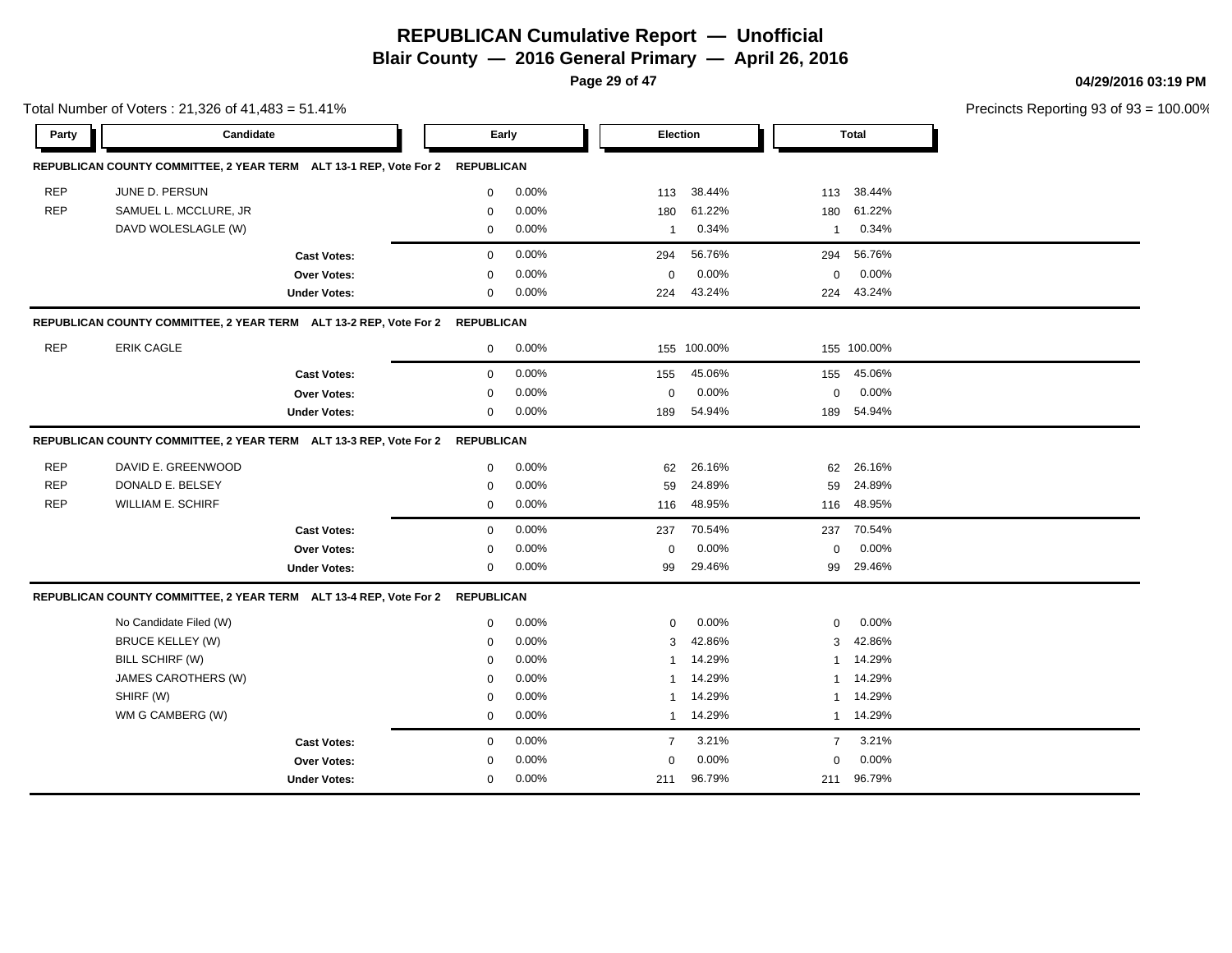**Blair County — 2016 General Primary — April 26, 2016**

**Page 29 of 47**

**04/29/2016 03:19 PM**

|            | Total Number of Voters: 21,326 of 41,483 = 51.41%                            |                     |             |       |                |             |                |              | Precincts Reporting 93 of 93 |
|------------|------------------------------------------------------------------------------|---------------------|-------------|-------|----------------|-------------|----------------|--------------|------------------------------|
| Party      | Candidate                                                                    |                     |             | Early | Election       |             |                | <b>Total</b> |                              |
|            | REPUBLICAN COUNTY COMMITTEE, 2 YEAR TERM ALT 13-1 REP, Vote For 2 REPUBLICAN |                     |             |       |                |             |                |              |                              |
| <b>REP</b> | JUNE D. PERSUN                                                               |                     | $\mathbf 0$ | 0.00% | 113            | 38.44%      | 113            | 38.44%       |                              |
| <b>REP</b> | SAMUEL L. MCCLURE, JR                                                        |                     | $\mathbf 0$ | 0.00% | 180            | 61.22%      | 180            | 61.22%       |                              |
|            | DAVD WOLESLAGLE (W)                                                          |                     | 0           | 0.00% | $\mathbf{1}$   | 0.34%       | $\mathbf 1$    | 0.34%        |                              |
|            |                                                                              | <b>Cast Votes:</b>  | $\mathbf 0$ | 0.00% | 294            | 56.76%      | 294            | 56.76%       |                              |
|            |                                                                              | Over Votes:         | $\mathbf 0$ | 0.00% | $\mathbf 0$    | 0.00%       | $\mathbf 0$    | 0.00%        |                              |
|            |                                                                              | <b>Under Votes:</b> | $\mathbf 0$ | 0.00% | 224            | 43.24%      | 224            | 43.24%       |                              |
|            | REPUBLICAN COUNTY COMMITTEE, 2 YEAR TERM ALT 13-2 REP, Vote For 2 REPUBLICAN |                     |             |       |                |             |                |              |                              |
| <b>REP</b> | <b>ERIK CAGLE</b>                                                            |                     | $\mathbf 0$ | 0.00% |                | 155 100.00% |                | 155 100.00%  |                              |
|            |                                                                              | <b>Cast Votes:</b>  | 0           | 0.00% | 155            | 45.06%      | 155            | 45.06%       |                              |
|            |                                                                              | Over Votes:         | $\mathbf 0$ | 0.00% | $\mathbf 0$    | 0.00%       | 0              | 0.00%        |                              |
|            |                                                                              | <b>Under Votes:</b> | $\mathbf 0$ | 0.00% | 189            | 54.94%      | 189            | 54.94%       |                              |
|            | REPUBLICAN COUNTY COMMITTEE, 2 YEAR TERM ALT 13-3 REP, Vote For 2 REPUBLICAN |                     |             |       |                |             |                |              |                              |
| <b>REP</b> | DAVID E. GREENWOOD                                                           |                     | 0           | 0.00% | 62             | 26.16%      | 62             | 26.16%       |                              |
| <b>REP</b> | DONALD E. BELSEY                                                             |                     | $\mathbf 0$ | 0.00% | 59             | 24.89%      | 59             | 24.89%       |                              |
| <b>REP</b> | <b>WILLIAM E. SCHIRF</b>                                                     |                     | $\mathbf 0$ | 0.00% | 116            | 48.95%      | 116            | 48.95%       |                              |
|            |                                                                              | <b>Cast Votes:</b>  | 0           | 0.00% | 237            | 70.54%      | 237            | 70.54%       |                              |
|            |                                                                              | Over Votes:         | 0           | 0.00% | 0              | 0.00%       | 0              | 0.00%        |                              |
|            |                                                                              | <b>Under Votes:</b> | 0           | 0.00% | 99             | 29.46%      | 99             | 29.46%       |                              |
|            | REPUBLICAN COUNTY COMMITTEE, 2 YEAR TERM ALT 13-4 REP, Vote For 2 REPUBLICAN |                     |             |       |                |             |                |              |                              |
|            | No Candidate Filed (W)                                                       |                     | 0           | 0.00% | 0              | 0.00%       | 0              | 0.00%        |                              |
|            | <b>BRUCE KELLEY (W)</b>                                                      |                     | $\mathbf 0$ | 0.00% | 3              | 42.86%      | 3              | 42.86%       |                              |
|            | BILL SCHIRF (W)                                                              |                     | $\mathbf 0$ | 0.00% | $\mathbf{1}$   | 14.29%      | $\mathbf{1}$   | 14.29%       |                              |
|            | JAMES CAROTHERS (W)                                                          |                     | $\mathbf 0$ | 0.00% | -1             | 14.29%      | $\mathbf{1}$   | 14.29%       |                              |
|            | SHIRF (W)                                                                    |                     | 0           | 0.00% | -1             | 14.29%      | 1              | 14.29%       |                              |
|            | WM G CAMBERG (W)                                                             |                     | $\mathbf 0$ | 0.00% | 1              | 14.29%      |                | 1 14.29%     |                              |
|            |                                                                              | <b>Cast Votes:</b>  | $\mathbf 0$ | 0.00% | $\overline{7}$ | 3.21%       | $\overline{7}$ | 3.21%        |                              |
|            |                                                                              | Over Votes:         | $\mathbf 0$ | 0.00% | $\mathbf 0$    | 0.00%       | $\mathbf 0$    | 0.00%        |                              |
|            |                                                                              | <b>Under Votes:</b> | 0           | 0.00% | 211            | 96.79%      |                | 211 96.79%   |                              |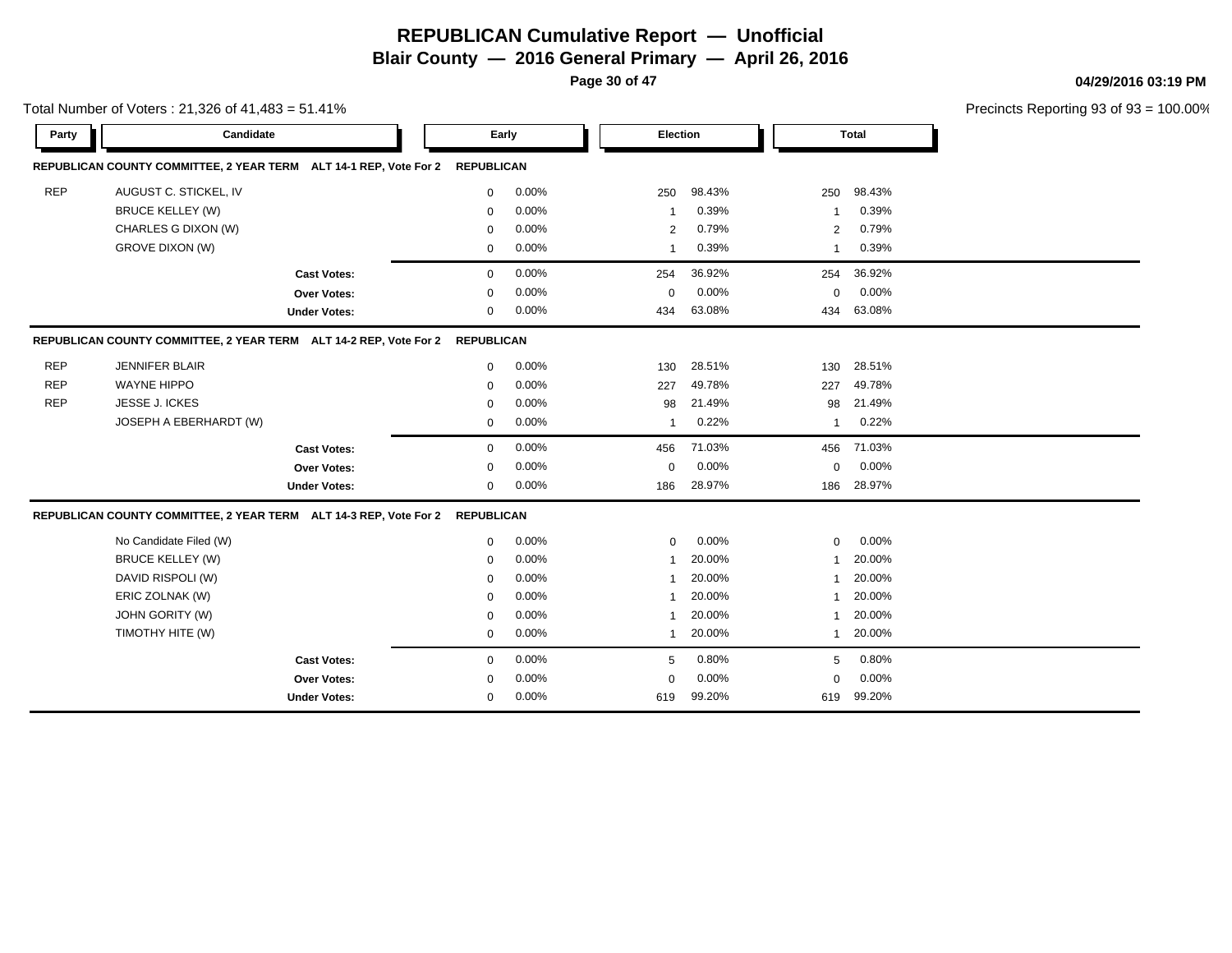**Blair County — 2016 General Primary — April 26, 2016**

**Page 30 of 47**

**04/29/2016 03:19 PM**

|            | Total Number of Voters: 21,326 of 41,483 = 51.41%                            |                     |             |       |             |        |              |              | Precincts Reporting 93 of 93 |
|------------|------------------------------------------------------------------------------|---------------------|-------------|-------|-------------|--------|--------------|--------------|------------------------------|
| Party      | Candidate                                                                    |                     |             | Early | Election    |        |              | <b>Total</b> |                              |
|            | REPUBLICAN COUNTY COMMITTEE, 2 YEAR TERM ALT 14-1 REP, Vote For 2 REPUBLICAN |                     |             |       |             |        |              |              |                              |
| <b>REP</b> | AUGUST C. STICKEL, IV                                                        |                     | $\mathbf 0$ | 0.00% | 250         | 98.43% | 250          | 98.43%       |                              |
|            | <b>BRUCE KELLEY (W)</b>                                                      |                     | $\mathbf 0$ | 0.00% | -1          | 0.39%  | -1           | 0.39%        |                              |
|            | CHARLES G DIXON (W)                                                          |                     | $\mathbf 0$ | 0.00% | 2           | 0.79%  | 2            | 0.79%        |                              |
|            | <b>GROVE DIXON (W)</b>                                                       |                     | $\mathbf 0$ | 0.00% | 1           | 0.39%  | $\mathbf 1$  | 0.39%        |                              |
|            |                                                                              | <b>Cast Votes:</b>  | $\mathbf 0$ | 0.00% | 254         | 36.92% | 254          | 36.92%       |                              |
|            |                                                                              | Over Votes:         | $\mathbf 0$ | 0.00% | 0           | 0.00%  | 0            | 0.00%        |                              |
|            |                                                                              | <b>Under Votes:</b> | $\mathbf 0$ | 0.00% | 434         | 63.08% | 434          | 63.08%       |                              |
|            | REPUBLICAN COUNTY COMMITTEE, 2 YEAR TERM ALT 14-2 REP, Vote For 2 REPUBLICAN |                     |             |       |             |        |              |              |                              |
| <b>REP</b> | <b>JENNIFER BLAIR</b>                                                        |                     | $\mathbf 0$ | 0.00% | 130         | 28.51% | 130          | 28.51%       |                              |
| <b>REP</b> | <b>WAYNE HIPPO</b>                                                           |                     | $\mathbf 0$ | 0.00% | 227         | 49.78% | 227          | 49.78%       |                              |
| <b>REP</b> | JESSE J. ICKES                                                               |                     | $\mathbf 0$ | 0.00% | 98          | 21.49% | 98           | 21.49%       |                              |
|            | JOSEPH A EBERHARDT (W)                                                       |                     | $\mathbf 0$ | 0.00% | -1          | 0.22%  | -1           | 0.22%        |                              |
|            |                                                                              | <b>Cast Votes:</b>  | $\mathbf 0$ | 0.00% | 456         | 71.03% | 456          | 71.03%       |                              |
|            |                                                                              | Over Votes:         | $\mathbf 0$ | 0.00% | $\mathbf 0$ | 0.00%  | 0            | 0.00%        |                              |
|            |                                                                              | <b>Under Votes:</b> | $\mathbf 0$ | 0.00% | 186         | 28.97% | 186          | 28.97%       |                              |
|            | REPUBLICAN COUNTY COMMITTEE, 2 YEAR TERM ALT 14-3 REP, Vote For 2 REPUBLICAN |                     |             |       |             |        |              |              |                              |
|            | No Candidate Filed (W)                                                       |                     | $\mathbf 0$ | 0.00% | $\mathbf 0$ | 0.00%  | $\mathbf{0}$ | 0.00%        |                              |
|            | <b>BRUCE KELLEY (W)</b>                                                      |                     | $\mathbf 0$ | 0.00% | -1          | 20.00% | -1           | 20.00%       |                              |
|            | DAVID RISPOLI (W)                                                            |                     | $\mathbf 0$ | 0.00% | 1           | 20.00% |              | 20.00%       |                              |
|            | ERIC ZOLNAK (W)                                                              |                     | 0           | 0.00% | -1          | 20.00% |              | 20.00%       |                              |
|            | JOHN GORITY (W)                                                              |                     | $\mathbf 0$ | 0.00% | -1          | 20.00% | -1           | 20.00%       |                              |
|            | TIMOTHY HITE (W)                                                             |                     | 0           | 0.00% | $\mathbf 1$ | 20.00% | $\mathbf{1}$ | 20.00%       |                              |
|            |                                                                              | <b>Cast Votes:</b>  | $\mathbf 0$ | 0.00% | 5           | 0.80%  | 5            | 0.80%        |                              |
|            |                                                                              | Over Votes:         | $\Omega$    | 0.00% | $\Omega$    | 0.00%  | $\Omega$     | 0.00%        |                              |
|            |                                                                              | <b>Under Votes:</b> | $\mathbf 0$ | 0.00% | 619         | 99.20% | 619          | 99.20%       |                              |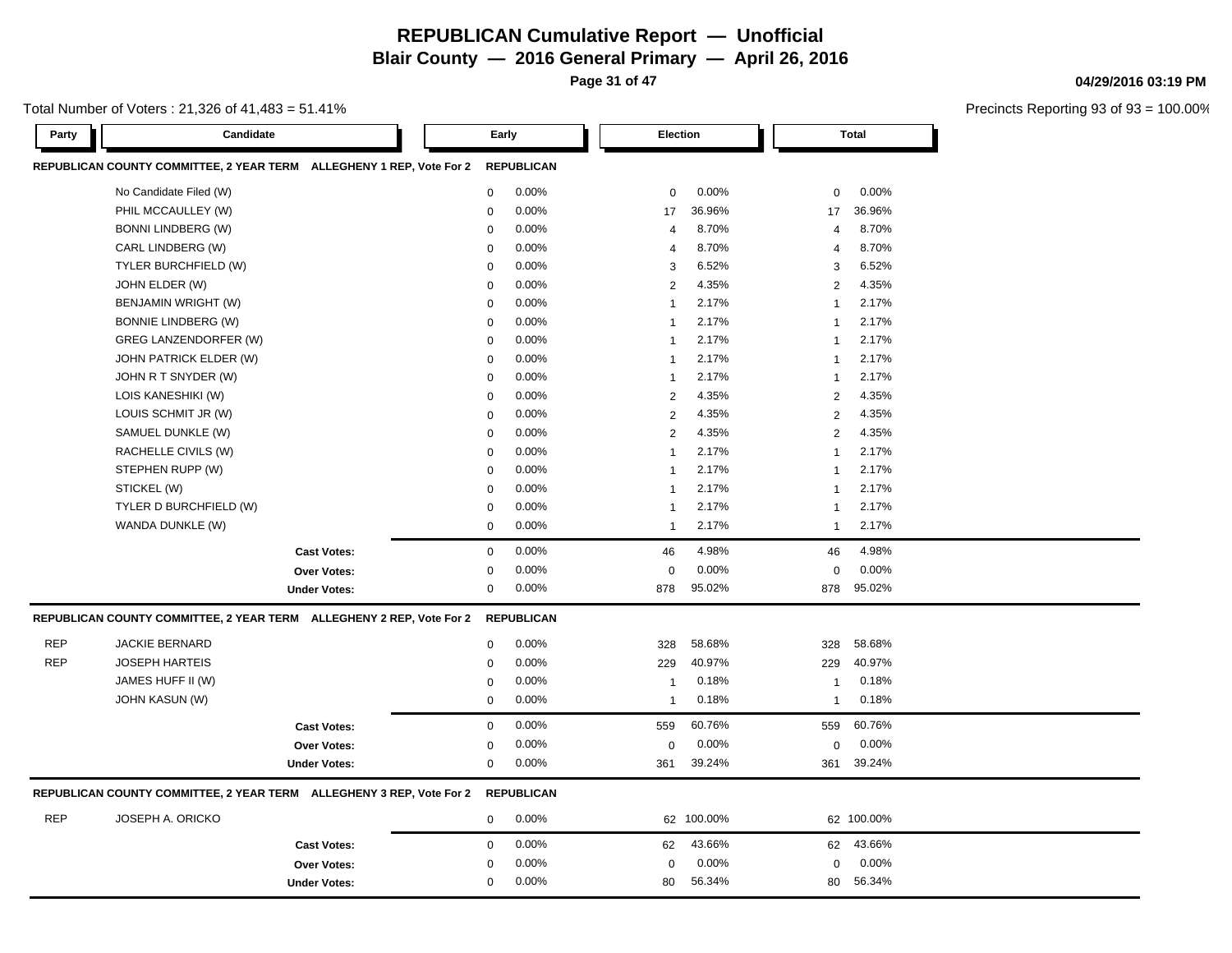**Page 31 of 47**

Total Number of Voters : 21,326 of 41,483 = 51.41%

| REPUBLICAN COUNTY COMMITTEE, 2 YEAR TERM ALLEGHENY 1 REP, Vote For 2<br><b>REPUBLICAN</b><br>No Candidate Filed (W)<br>0<br>0.00%<br>0.00%<br>0.00%<br>0<br>$\mathbf 0$<br>PHIL MCCAULLEY (W)<br>0<br>36.96%<br>36.96%<br>0.00%<br>17<br>17<br><b>BONNI LINDBERG (W)</b><br>8.70%<br>8.70%<br>0.00%<br>0<br>4<br>$\overline{4}$<br>CARL LINDBERG (W)<br>0.00%<br>8.70%<br>8.70%<br>0<br>$\overline{4}$<br>$\overline{4}$<br>TYLER BURCHFIELD (W)<br>0.00%<br>6.52%<br>6.52%<br>0<br>3<br>3<br>JOHN ELDER (W)<br>0<br>0.00%<br>2<br>4.35%<br>$\overline{2}$<br>4.35%<br>2.17%<br>2.17%<br>BENJAMIN WRIGHT (W)<br>0<br>0.00%<br>$\mathbf{1}$<br>1<br><b>BONNIE LINDBERG (W)</b><br>0<br>0.00%<br>2.17%<br>2.17%<br>$\mathbf{1}$<br>-1<br>0.00%<br>2.17%<br>2.17%<br>GREG LANZENDORFER (W)<br>$\mathbf 0$<br>$\mathbf{1}$<br>-1<br>0.00%<br>2.17%<br>2.17%<br>JOHN PATRICK ELDER (W)<br>0<br>$\mathbf{1}$<br>$\mathbf{1}$<br>JOHN R T SNYDER (W)<br>0.00%<br>2.17%<br>2.17%<br>0<br>$\mathbf{1}$<br>1<br>$\overline{2}$<br>4.35%<br>4.35%<br>LOIS KANESHIKI (W)<br>0<br>0.00%<br>$\overline{2}$<br>LOUIS SCHMIT JR (W)<br>0<br>$\overline{c}$<br>4.35%<br>$\overline{2}$<br>4.35%<br>0.00%<br>0.00%<br>4.35%<br>4.35%<br>SAMUEL DUNKLE (W)<br>$\overline{c}$<br>$\overline{2}$<br>0<br>RACHELLE CIVILS (W)<br>0.00%<br>2.17%<br>2.17%<br>0<br>$\mathbf{1}$<br>$\overline{1}$<br>STEPHEN RUPP (W)<br>0<br>0.00%<br>2.17%<br>2.17%<br>$\mathbf{1}$<br>$\mathbf 1$<br>STICKEL (W)<br>0<br>0.00%<br>2.17%<br>2.17%<br>$\mathbf{1}$<br>-1<br>TYLER D BURCHFIELD (W)<br>0.00%<br>2.17%<br>2.17%<br>0<br>$\mathbf{1}$<br>1<br>WANDA DUNKLE (W)<br>2.17%<br>0.00%<br>2.17%<br>0<br>$\mathbf{1}$<br>$\mathbf{1}$<br>$\mathbf 0$<br>0.00%<br>4.98%<br>4.98%<br><b>Cast Votes:</b><br>46<br>46<br>0.00%<br>0.00%<br>0.00%<br>$\mathbf 0$<br>$\mathbf 0$<br>Over Votes:<br>$\Omega$<br>0.00%<br>95.02%<br>95.02%<br><b>Under Votes:</b><br>0<br>878<br>878<br>REPUBLICAN COUNTY COMMITTEE, 2 YEAR TERM ALLEGHENY 2 REP, Vote For 2<br><b>REPUBLICAN</b><br><b>REP</b><br><b>JACKIE BERNARD</b><br>58.68%<br>0<br>0.00%<br>328<br>328<br>58.68%<br><b>REP</b><br><b>JOSEPH HARTEIS</b><br>0<br>0.00%<br>229<br>40.97%<br>40.97%<br>229<br>JAMES HUFF II (W)<br>0.00%<br>0.18%<br>0.18%<br>$\mathbf 0$<br>$\mathbf{1}$<br>-1<br><b>JOHN KASUN (W)</b><br>0.00%<br>0.18%<br>0.18%<br>0<br>$\mathbf{1}$<br>$\mathbf{1}$<br>0<br>0.00%<br>60.76%<br>559<br>60.76%<br><b>Cast Votes:</b><br>559<br>0.00%<br>0.00%<br>0.00%<br>0<br>$\mathbf 0$<br>Over Votes:<br>0<br>0<br>0.00%<br>39.24%<br>39.24%<br><b>Under Votes:</b><br>361<br>361<br>REPUBLICAN COUNTY COMMITTEE, 2 YEAR TERM ALLEGHENY 3 REP, Vote For 2<br><b>REPUBLICAN</b><br><b>REP</b><br>JOSEPH A. ORICKO<br>0.00%<br>0<br>62 100.00%<br>62 100.00%<br>43.66%<br>43.66%<br>0<br>0.00%<br><b>Cast Votes:</b><br>62<br>62<br>0.00%<br>0.00%<br>Over Votes:<br>0.00%<br>$\mathbf 0$<br>0<br>$\mathbf 0$ | Party | Candidate |                     |   | Early |    | <b>Election</b> |    | <b>Total</b> |  |
|------------------------------------------------------------------------------------------------------------------------------------------------------------------------------------------------------------------------------------------------------------------------------------------------------------------------------------------------------------------------------------------------------------------------------------------------------------------------------------------------------------------------------------------------------------------------------------------------------------------------------------------------------------------------------------------------------------------------------------------------------------------------------------------------------------------------------------------------------------------------------------------------------------------------------------------------------------------------------------------------------------------------------------------------------------------------------------------------------------------------------------------------------------------------------------------------------------------------------------------------------------------------------------------------------------------------------------------------------------------------------------------------------------------------------------------------------------------------------------------------------------------------------------------------------------------------------------------------------------------------------------------------------------------------------------------------------------------------------------------------------------------------------------------------------------------------------------------------------------------------------------------------------------------------------------------------------------------------------------------------------------------------------------------------------------------------------------------------------------------------------------------------------------------------------------------------------------------------------------------------------------------------------------------------------------------------------------------------------------------------------------------------------------------------------------------------------------------------------------------------------------------------------------------------------------------------------------------------------------------------------------------------------------------------------------------------------------------------------------------------------------------------------------------------------------------------------------------------------------------------------------------------------------------------------------------------|-------|-----------|---------------------|---|-------|----|-----------------|----|--------------|--|
|                                                                                                                                                                                                                                                                                                                                                                                                                                                                                                                                                                                                                                                                                                                                                                                                                                                                                                                                                                                                                                                                                                                                                                                                                                                                                                                                                                                                                                                                                                                                                                                                                                                                                                                                                                                                                                                                                                                                                                                                                                                                                                                                                                                                                                                                                                                                                                                                                                                                                                                                                                                                                                                                                                                                                                                                                                                                                                                                                |       |           |                     |   |       |    |                 |    |              |  |
|                                                                                                                                                                                                                                                                                                                                                                                                                                                                                                                                                                                                                                                                                                                                                                                                                                                                                                                                                                                                                                                                                                                                                                                                                                                                                                                                                                                                                                                                                                                                                                                                                                                                                                                                                                                                                                                                                                                                                                                                                                                                                                                                                                                                                                                                                                                                                                                                                                                                                                                                                                                                                                                                                                                                                                                                                                                                                                                                                |       |           |                     |   |       |    |                 |    |              |  |
|                                                                                                                                                                                                                                                                                                                                                                                                                                                                                                                                                                                                                                                                                                                                                                                                                                                                                                                                                                                                                                                                                                                                                                                                                                                                                                                                                                                                                                                                                                                                                                                                                                                                                                                                                                                                                                                                                                                                                                                                                                                                                                                                                                                                                                                                                                                                                                                                                                                                                                                                                                                                                                                                                                                                                                                                                                                                                                                                                |       |           |                     |   |       |    |                 |    |              |  |
|                                                                                                                                                                                                                                                                                                                                                                                                                                                                                                                                                                                                                                                                                                                                                                                                                                                                                                                                                                                                                                                                                                                                                                                                                                                                                                                                                                                                                                                                                                                                                                                                                                                                                                                                                                                                                                                                                                                                                                                                                                                                                                                                                                                                                                                                                                                                                                                                                                                                                                                                                                                                                                                                                                                                                                                                                                                                                                                                                |       |           |                     |   |       |    |                 |    |              |  |
|                                                                                                                                                                                                                                                                                                                                                                                                                                                                                                                                                                                                                                                                                                                                                                                                                                                                                                                                                                                                                                                                                                                                                                                                                                                                                                                                                                                                                                                                                                                                                                                                                                                                                                                                                                                                                                                                                                                                                                                                                                                                                                                                                                                                                                                                                                                                                                                                                                                                                                                                                                                                                                                                                                                                                                                                                                                                                                                                                |       |           |                     |   |       |    |                 |    |              |  |
|                                                                                                                                                                                                                                                                                                                                                                                                                                                                                                                                                                                                                                                                                                                                                                                                                                                                                                                                                                                                                                                                                                                                                                                                                                                                                                                                                                                                                                                                                                                                                                                                                                                                                                                                                                                                                                                                                                                                                                                                                                                                                                                                                                                                                                                                                                                                                                                                                                                                                                                                                                                                                                                                                                                                                                                                                                                                                                                                                |       |           |                     |   |       |    |                 |    |              |  |
|                                                                                                                                                                                                                                                                                                                                                                                                                                                                                                                                                                                                                                                                                                                                                                                                                                                                                                                                                                                                                                                                                                                                                                                                                                                                                                                                                                                                                                                                                                                                                                                                                                                                                                                                                                                                                                                                                                                                                                                                                                                                                                                                                                                                                                                                                                                                                                                                                                                                                                                                                                                                                                                                                                                                                                                                                                                                                                                                                |       |           |                     |   |       |    |                 |    |              |  |
|                                                                                                                                                                                                                                                                                                                                                                                                                                                                                                                                                                                                                                                                                                                                                                                                                                                                                                                                                                                                                                                                                                                                                                                                                                                                                                                                                                                                                                                                                                                                                                                                                                                                                                                                                                                                                                                                                                                                                                                                                                                                                                                                                                                                                                                                                                                                                                                                                                                                                                                                                                                                                                                                                                                                                                                                                                                                                                                                                |       |           |                     |   |       |    |                 |    |              |  |
|                                                                                                                                                                                                                                                                                                                                                                                                                                                                                                                                                                                                                                                                                                                                                                                                                                                                                                                                                                                                                                                                                                                                                                                                                                                                                                                                                                                                                                                                                                                                                                                                                                                                                                                                                                                                                                                                                                                                                                                                                                                                                                                                                                                                                                                                                                                                                                                                                                                                                                                                                                                                                                                                                                                                                                                                                                                                                                                                                |       |           |                     |   |       |    |                 |    |              |  |
|                                                                                                                                                                                                                                                                                                                                                                                                                                                                                                                                                                                                                                                                                                                                                                                                                                                                                                                                                                                                                                                                                                                                                                                                                                                                                                                                                                                                                                                                                                                                                                                                                                                                                                                                                                                                                                                                                                                                                                                                                                                                                                                                                                                                                                                                                                                                                                                                                                                                                                                                                                                                                                                                                                                                                                                                                                                                                                                                                |       |           |                     |   |       |    |                 |    |              |  |
|                                                                                                                                                                                                                                                                                                                                                                                                                                                                                                                                                                                                                                                                                                                                                                                                                                                                                                                                                                                                                                                                                                                                                                                                                                                                                                                                                                                                                                                                                                                                                                                                                                                                                                                                                                                                                                                                                                                                                                                                                                                                                                                                                                                                                                                                                                                                                                                                                                                                                                                                                                                                                                                                                                                                                                                                                                                                                                                                                |       |           |                     |   |       |    |                 |    |              |  |
|                                                                                                                                                                                                                                                                                                                                                                                                                                                                                                                                                                                                                                                                                                                                                                                                                                                                                                                                                                                                                                                                                                                                                                                                                                                                                                                                                                                                                                                                                                                                                                                                                                                                                                                                                                                                                                                                                                                                                                                                                                                                                                                                                                                                                                                                                                                                                                                                                                                                                                                                                                                                                                                                                                                                                                                                                                                                                                                                                |       |           |                     |   |       |    |                 |    |              |  |
|                                                                                                                                                                                                                                                                                                                                                                                                                                                                                                                                                                                                                                                                                                                                                                                                                                                                                                                                                                                                                                                                                                                                                                                                                                                                                                                                                                                                                                                                                                                                                                                                                                                                                                                                                                                                                                                                                                                                                                                                                                                                                                                                                                                                                                                                                                                                                                                                                                                                                                                                                                                                                                                                                                                                                                                                                                                                                                                                                |       |           |                     |   |       |    |                 |    |              |  |
|                                                                                                                                                                                                                                                                                                                                                                                                                                                                                                                                                                                                                                                                                                                                                                                                                                                                                                                                                                                                                                                                                                                                                                                                                                                                                                                                                                                                                                                                                                                                                                                                                                                                                                                                                                                                                                                                                                                                                                                                                                                                                                                                                                                                                                                                                                                                                                                                                                                                                                                                                                                                                                                                                                                                                                                                                                                                                                                                                |       |           |                     |   |       |    |                 |    |              |  |
|                                                                                                                                                                                                                                                                                                                                                                                                                                                                                                                                                                                                                                                                                                                                                                                                                                                                                                                                                                                                                                                                                                                                                                                                                                                                                                                                                                                                                                                                                                                                                                                                                                                                                                                                                                                                                                                                                                                                                                                                                                                                                                                                                                                                                                                                                                                                                                                                                                                                                                                                                                                                                                                                                                                                                                                                                                                                                                                                                |       |           |                     |   |       |    |                 |    |              |  |
|                                                                                                                                                                                                                                                                                                                                                                                                                                                                                                                                                                                                                                                                                                                                                                                                                                                                                                                                                                                                                                                                                                                                                                                                                                                                                                                                                                                                                                                                                                                                                                                                                                                                                                                                                                                                                                                                                                                                                                                                                                                                                                                                                                                                                                                                                                                                                                                                                                                                                                                                                                                                                                                                                                                                                                                                                                                                                                                                                |       |           |                     |   |       |    |                 |    |              |  |
|                                                                                                                                                                                                                                                                                                                                                                                                                                                                                                                                                                                                                                                                                                                                                                                                                                                                                                                                                                                                                                                                                                                                                                                                                                                                                                                                                                                                                                                                                                                                                                                                                                                                                                                                                                                                                                                                                                                                                                                                                                                                                                                                                                                                                                                                                                                                                                                                                                                                                                                                                                                                                                                                                                                                                                                                                                                                                                                                                |       |           |                     |   |       |    |                 |    |              |  |
|                                                                                                                                                                                                                                                                                                                                                                                                                                                                                                                                                                                                                                                                                                                                                                                                                                                                                                                                                                                                                                                                                                                                                                                                                                                                                                                                                                                                                                                                                                                                                                                                                                                                                                                                                                                                                                                                                                                                                                                                                                                                                                                                                                                                                                                                                                                                                                                                                                                                                                                                                                                                                                                                                                                                                                                                                                                                                                                                                |       |           |                     |   |       |    |                 |    |              |  |
|                                                                                                                                                                                                                                                                                                                                                                                                                                                                                                                                                                                                                                                                                                                                                                                                                                                                                                                                                                                                                                                                                                                                                                                                                                                                                                                                                                                                                                                                                                                                                                                                                                                                                                                                                                                                                                                                                                                                                                                                                                                                                                                                                                                                                                                                                                                                                                                                                                                                                                                                                                                                                                                                                                                                                                                                                                                                                                                                                |       |           |                     |   |       |    |                 |    |              |  |
|                                                                                                                                                                                                                                                                                                                                                                                                                                                                                                                                                                                                                                                                                                                                                                                                                                                                                                                                                                                                                                                                                                                                                                                                                                                                                                                                                                                                                                                                                                                                                                                                                                                                                                                                                                                                                                                                                                                                                                                                                                                                                                                                                                                                                                                                                                                                                                                                                                                                                                                                                                                                                                                                                                                                                                                                                                                                                                                                                |       |           |                     |   |       |    |                 |    |              |  |
|                                                                                                                                                                                                                                                                                                                                                                                                                                                                                                                                                                                                                                                                                                                                                                                                                                                                                                                                                                                                                                                                                                                                                                                                                                                                                                                                                                                                                                                                                                                                                                                                                                                                                                                                                                                                                                                                                                                                                                                                                                                                                                                                                                                                                                                                                                                                                                                                                                                                                                                                                                                                                                                                                                                                                                                                                                                                                                                                                |       |           |                     |   |       |    |                 |    |              |  |
|                                                                                                                                                                                                                                                                                                                                                                                                                                                                                                                                                                                                                                                                                                                                                                                                                                                                                                                                                                                                                                                                                                                                                                                                                                                                                                                                                                                                                                                                                                                                                                                                                                                                                                                                                                                                                                                                                                                                                                                                                                                                                                                                                                                                                                                                                                                                                                                                                                                                                                                                                                                                                                                                                                                                                                                                                                                                                                                                                |       |           |                     |   |       |    |                 |    |              |  |
|                                                                                                                                                                                                                                                                                                                                                                                                                                                                                                                                                                                                                                                                                                                                                                                                                                                                                                                                                                                                                                                                                                                                                                                                                                                                                                                                                                                                                                                                                                                                                                                                                                                                                                                                                                                                                                                                                                                                                                                                                                                                                                                                                                                                                                                                                                                                                                                                                                                                                                                                                                                                                                                                                                                                                                                                                                                                                                                                                |       |           |                     |   |       |    |                 |    |              |  |
|                                                                                                                                                                                                                                                                                                                                                                                                                                                                                                                                                                                                                                                                                                                                                                                                                                                                                                                                                                                                                                                                                                                                                                                                                                                                                                                                                                                                                                                                                                                                                                                                                                                                                                                                                                                                                                                                                                                                                                                                                                                                                                                                                                                                                                                                                                                                                                                                                                                                                                                                                                                                                                                                                                                                                                                                                                                                                                                                                |       |           |                     |   |       |    |                 |    |              |  |
|                                                                                                                                                                                                                                                                                                                                                                                                                                                                                                                                                                                                                                                                                                                                                                                                                                                                                                                                                                                                                                                                                                                                                                                                                                                                                                                                                                                                                                                                                                                                                                                                                                                                                                                                                                                                                                                                                                                                                                                                                                                                                                                                                                                                                                                                                                                                                                                                                                                                                                                                                                                                                                                                                                                                                                                                                                                                                                                                                |       |           |                     |   |       |    |                 |    |              |  |
|                                                                                                                                                                                                                                                                                                                                                                                                                                                                                                                                                                                                                                                                                                                                                                                                                                                                                                                                                                                                                                                                                                                                                                                                                                                                                                                                                                                                                                                                                                                                                                                                                                                                                                                                                                                                                                                                                                                                                                                                                                                                                                                                                                                                                                                                                                                                                                                                                                                                                                                                                                                                                                                                                                                                                                                                                                                                                                                                                |       |           |                     |   |       |    |                 |    |              |  |
|                                                                                                                                                                                                                                                                                                                                                                                                                                                                                                                                                                                                                                                                                                                                                                                                                                                                                                                                                                                                                                                                                                                                                                                                                                                                                                                                                                                                                                                                                                                                                                                                                                                                                                                                                                                                                                                                                                                                                                                                                                                                                                                                                                                                                                                                                                                                                                                                                                                                                                                                                                                                                                                                                                                                                                                                                                                                                                                                                |       |           |                     |   |       |    |                 |    |              |  |
|                                                                                                                                                                                                                                                                                                                                                                                                                                                                                                                                                                                                                                                                                                                                                                                                                                                                                                                                                                                                                                                                                                                                                                                                                                                                                                                                                                                                                                                                                                                                                                                                                                                                                                                                                                                                                                                                                                                                                                                                                                                                                                                                                                                                                                                                                                                                                                                                                                                                                                                                                                                                                                                                                                                                                                                                                                                                                                                                                |       |           |                     |   |       |    |                 |    |              |  |
|                                                                                                                                                                                                                                                                                                                                                                                                                                                                                                                                                                                                                                                                                                                                                                                                                                                                                                                                                                                                                                                                                                                                                                                                                                                                                                                                                                                                                                                                                                                                                                                                                                                                                                                                                                                                                                                                                                                                                                                                                                                                                                                                                                                                                                                                                                                                                                                                                                                                                                                                                                                                                                                                                                                                                                                                                                                                                                                                                |       |           |                     |   |       |    |                 |    |              |  |
|                                                                                                                                                                                                                                                                                                                                                                                                                                                                                                                                                                                                                                                                                                                                                                                                                                                                                                                                                                                                                                                                                                                                                                                                                                                                                                                                                                                                                                                                                                                                                                                                                                                                                                                                                                                                                                                                                                                                                                                                                                                                                                                                                                                                                                                                                                                                                                                                                                                                                                                                                                                                                                                                                                                                                                                                                                                                                                                                                |       |           |                     |   |       |    |                 |    |              |  |
|                                                                                                                                                                                                                                                                                                                                                                                                                                                                                                                                                                                                                                                                                                                                                                                                                                                                                                                                                                                                                                                                                                                                                                                                                                                                                                                                                                                                                                                                                                                                                                                                                                                                                                                                                                                                                                                                                                                                                                                                                                                                                                                                                                                                                                                                                                                                                                                                                                                                                                                                                                                                                                                                                                                                                                                                                                                                                                                                                |       |           |                     |   |       |    |                 |    |              |  |
|                                                                                                                                                                                                                                                                                                                                                                                                                                                                                                                                                                                                                                                                                                                                                                                                                                                                                                                                                                                                                                                                                                                                                                                                                                                                                                                                                                                                                                                                                                                                                                                                                                                                                                                                                                                                                                                                                                                                                                                                                                                                                                                                                                                                                                                                                                                                                                                                                                                                                                                                                                                                                                                                                                                                                                                                                                                                                                                                                |       |           |                     |   |       |    |                 |    |              |  |
|                                                                                                                                                                                                                                                                                                                                                                                                                                                                                                                                                                                                                                                                                                                                                                                                                                                                                                                                                                                                                                                                                                                                                                                                                                                                                                                                                                                                                                                                                                                                                                                                                                                                                                                                                                                                                                                                                                                                                                                                                                                                                                                                                                                                                                                                                                                                                                                                                                                                                                                                                                                                                                                                                                                                                                                                                                                                                                                                                |       |           |                     |   |       |    |                 |    |              |  |
|                                                                                                                                                                                                                                                                                                                                                                                                                                                                                                                                                                                                                                                                                                                                                                                                                                                                                                                                                                                                                                                                                                                                                                                                                                                                                                                                                                                                                                                                                                                                                                                                                                                                                                                                                                                                                                                                                                                                                                                                                                                                                                                                                                                                                                                                                                                                                                                                                                                                                                                                                                                                                                                                                                                                                                                                                                                                                                                                                |       |           |                     |   |       |    |                 |    |              |  |
|                                                                                                                                                                                                                                                                                                                                                                                                                                                                                                                                                                                                                                                                                                                                                                                                                                                                                                                                                                                                                                                                                                                                                                                                                                                                                                                                                                                                                                                                                                                                                                                                                                                                                                                                                                                                                                                                                                                                                                                                                                                                                                                                                                                                                                                                                                                                                                                                                                                                                                                                                                                                                                                                                                                                                                                                                                                                                                                                                |       |           |                     |   |       |    |                 |    |              |  |
|                                                                                                                                                                                                                                                                                                                                                                                                                                                                                                                                                                                                                                                                                                                                                                                                                                                                                                                                                                                                                                                                                                                                                                                                                                                                                                                                                                                                                                                                                                                                                                                                                                                                                                                                                                                                                                                                                                                                                                                                                                                                                                                                                                                                                                                                                                                                                                                                                                                                                                                                                                                                                                                                                                                                                                                                                                                                                                                                                |       |           | <b>Under Votes:</b> | 0 | 0.00% | 80 | 56.34%          | 80 | 56.34%       |  |

**04/29/2016 03:19 PM**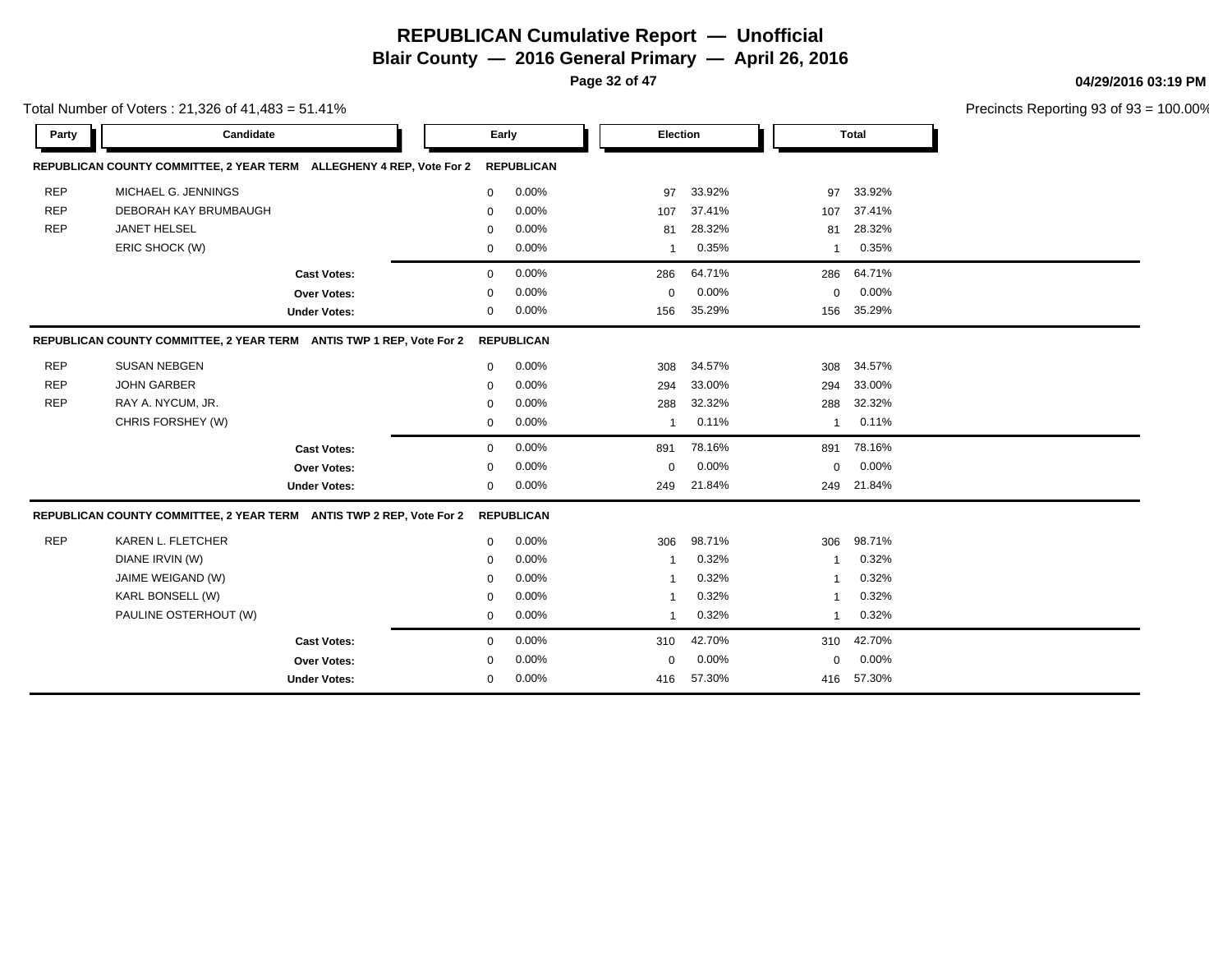**Page 32 of 47**

**04/29/2016 03:19 PM**

|            | Total Number of Voters: 21,326 of 41,483 = 51.41%                               |             |                   |              |        |          |              | Precincts Reporting 93 of 93 |
|------------|---------------------------------------------------------------------------------|-------------|-------------------|--------------|--------|----------|--------------|------------------------------|
| Party      | Candidate                                                                       |             | Early             | Election     |        |          | <b>Total</b> |                              |
|            | REPUBLICAN COUNTY COMMITTEE, 2 YEAR TERM ALLEGHENY 4 REP, Vote For 2            |             | <b>REPUBLICAN</b> |              |        |          |              |                              |
| <b>REP</b> | MICHAEL G. JENNINGS                                                             | $\mathbf 0$ | 0.00%             | 97           | 33.92% | 97       | 33.92%       |                              |
| <b>REP</b> | DEBORAH KAY BRUMBAUGH                                                           | $\mathbf 0$ | 0.00%             | 107          | 37.41% | 107      | 37.41%       |                              |
| <b>REP</b> | JANET HELSEL                                                                    | $\Omega$    | 0.00%             | 81           | 28.32% | 81       | 28.32%       |                              |
|            | ERIC SHOCK (W)                                                                  | $\mathbf 0$ | 0.00%             | $\mathbf{1}$ | 0.35%  | 1        | 0.35%        |                              |
|            | <b>Cast Votes:</b>                                                              | $\mathbf 0$ | 0.00%             | 286          | 64.71% | 286      | 64.71%       |                              |
|            | Over Votes:                                                                     | $\mathbf 0$ | 0.00%             | 0            | 0.00%  | 0        | 0.00%        |                              |
|            | <b>Under Votes:</b>                                                             | $\mathbf 0$ | 0.00%             | 156          | 35.29% | 156      | 35.29%       |                              |
|            | REPUBLICAN COUNTY COMMITTEE, 2 YEAR TERM ANTIS TWP 1 REP, Vote For 2 REPUBLICAN |             |                   |              |        |          |              |                              |
| <b>REP</b> | <b>SUSAN NEBGEN</b>                                                             | $\mathbf 0$ | 0.00%             | 308          | 34.57% | 308      | 34.57%       |                              |
| <b>REP</b> | <b>JOHN GARBER</b>                                                              | $\mathbf 0$ | 0.00%             | 294          | 33.00% | 294      | 33.00%       |                              |
| <b>REP</b> | RAY A. NYCUM, JR.                                                               | $\Omega$    | 0.00%             | 288          | 32.32% | 288      | 32.32%       |                              |
|            | CHRIS FORSHEY (W)                                                               | $\mathbf 0$ | 0.00%             | $\mathbf{1}$ | 0.11%  | 1        | 0.11%        |                              |
|            | <b>Cast Votes:</b>                                                              | $\mathbf 0$ | 0.00%             | 891          | 78.16% | 891      | 78.16%       |                              |
|            | Over Votes:                                                                     | $\mathbf 0$ | 0.00%             | 0            | 0.00%  | 0        | 0.00%        |                              |
|            | <b>Under Votes:</b>                                                             | $\mathbf 0$ | 0.00%             | 249          | 21.84% | 249      | 21.84%       |                              |
|            | REPUBLICAN COUNTY COMMITTEE, 2 YEAR TERM ANTIS TWP 2 REP, Vote For 2 REPUBLICAN |             |                   |              |        |          |              |                              |
| <b>REP</b> | KAREN L. FLETCHER                                                               | $\mathbf 0$ | 0.00%             | 306          | 98.71% | 306      | 98.71%       |                              |
|            | DIANE IRVIN (W)                                                                 | $\mathbf 0$ | 0.00%             | -1           | 0.32%  |          | 0.32%        |                              |
|            | JAIME WEIGAND (W)                                                               | $\Omega$    | 0.00%             | -1           | 0.32%  |          | 0.32%        |                              |
|            | KARL BONSELL (W)                                                                | 0           | 0.00%             | 1            | 0.32%  | 1        | 0.32%        |                              |
|            | PAULINE OSTERHOUT (W)                                                           | 0           | 0.00%             | $\mathbf{1}$ | 0.32%  | 1        | 0.32%        |                              |
|            | <b>Cast Votes:</b>                                                              | $\mathbf 0$ | 0.00%             | 310          | 42.70% | 310      | 42.70%       |                              |
|            | Over Votes:                                                                     | $\mathbf 0$ | 0.00%             | $\mathbf 0$  | 0.00%  | $\Omega$ | 0.00%        |                              |
|            | <b>Under Votes:</b>                                                             | 0           | 0.00%             | 416          | 57.30% | 416      | 57.30%       |                              |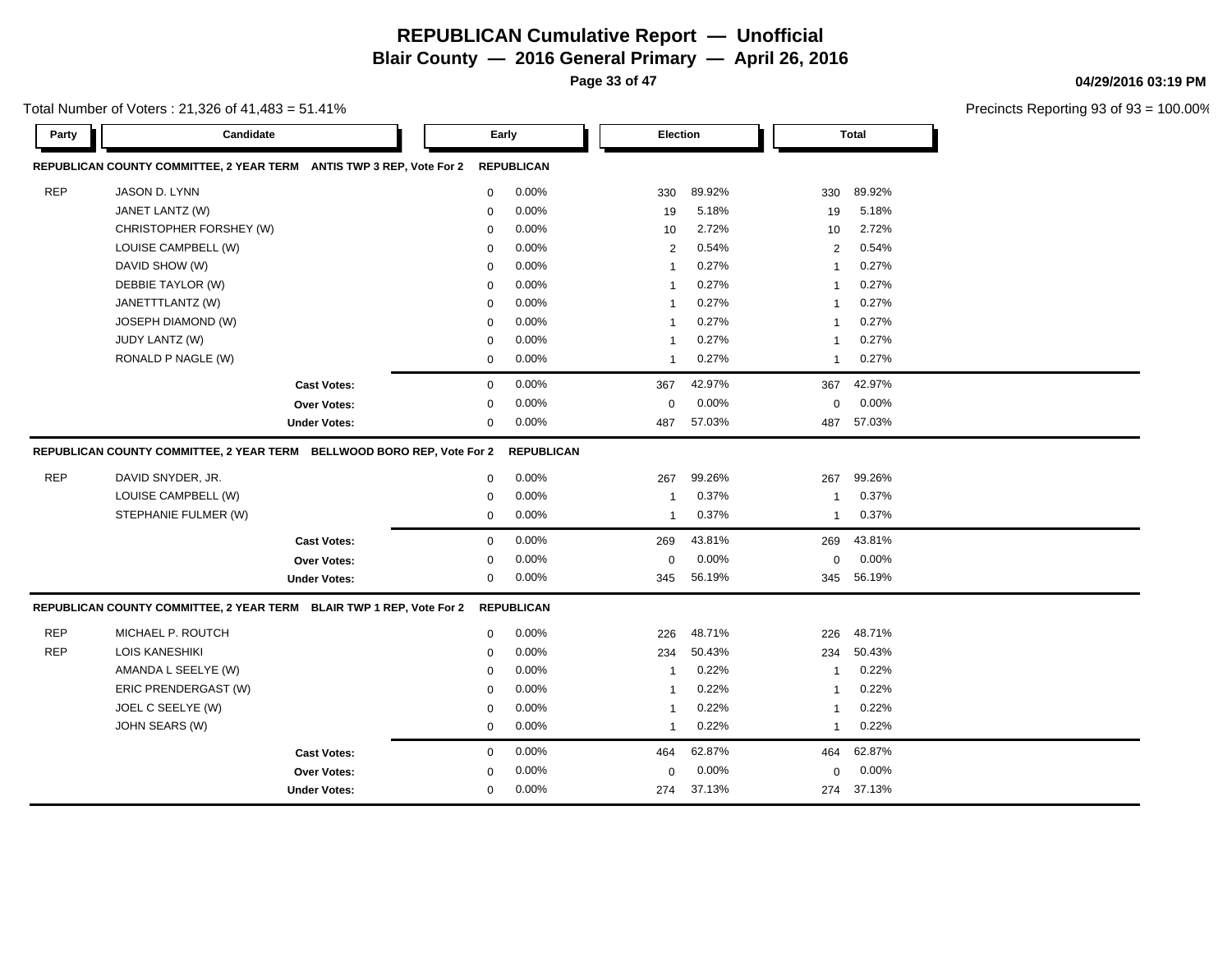**Page 33 of 47**

**04/29/2016 03:19 PM**

| Total Number of Voters : 21,326 of 41,483 = 51.41% |  |
|----------------------------------------------------|--|
|----------------------------------------------------|--|

| <b>Party</b> | Candidate                                                              |                     |             | Early             | Election       |        |     | <b>Total</b>            |  |
|--------------|------------------------------------------------------------------------|---------------------|-------------|-------------------|----------------|--------|-----|-------------------------|--|
|              | REPUBLICAN COUNTY COMMITTEE, 2 YEAR TERM ANTIS TWP 3 REP, Vote For 2   |                     |             | <b>REPUBLICAN</b> |                |        |     |                         |  |
| <b>REP</b>   | JASON D. LYNN                                                          |                     | $\mathbf 0$ | 0.00%             | 330            | 89.92% | 330 | 89.92%                  |  |
|              | JANET LANTZ (W)                                                        |                     | 0           | 0.00%             | 19             | 5.18%  | 19  | 5.18%                   |  |
|              | CHRISTOPHER FORSHEY (W)                                                |                     | $\mathbf 0$ | 0.00%             | 10             | 2.72%  |     | 2.72%<br>10             |  |
|              | LOUISE CAMPBELL (W)                                                    |                     | 0           | 0.00%             | 2              | 0.54%  |     | 0.54%<br>$\overline{2}$ |  |
|              | DAVID SHOW (W)                                                         |                     | $\mathbf 0$ | 0.00%             | $\overline{1}$ | 0.27%  |     | 0.27%<br>$\overline{1}$ |  |
|              | DEBBIE TAYLOR (W)                                                      |                     | $\mathbf 0$ | 0.00%             | $\overline{1}$ | 0.27%  |     | 0.27%<br>$\overline{1}$ |  |
|              | JANETTTLANTZ (W)                                                       |                     | $\mathbf 0$ | 0.00%             | $\overline{1}$ | 0.27%  |     | 0.27%<br>$\overline{1}$ |  |
|              | <b>JOSEPH DIAMOND (W)</b>                                              |                     | $\mathbf 0$ | 0.00%             | $\overline{1}$ | 0.27%  |     | 0.27%<br>$\overline{1}$ |  |
|              | JUDY LANTZ (W)                                                         |                     | $\mathbf 0$ | 0.00%             | $\mathbf{1}$   | 0.27%  |     | 0.27%<br>$\mathbf 1$    |  |
|              | RONALD P NAGLE (W)                                                     |                     | $\mathbf 0$ | $0.00\%$          | $\mathbf{1}$   | 0.27%  |     | 0.27%<br>$\overline{1}$ |  |
|              |                                                                        | <b>Cast Votes:</b>  | $\mathbf 0$ | 0.00%             | 367            | 42.97% | 367 | 42.97%                  |  |
|              |                                                                        | Over Votes:         | $\mathbf 0$ | 0.00%             | $\mathbf 0$    | 0.00%  |     | 0.00%<br>$\Omega$       |  |
|              |                                                                        | <b>Under Votes:</b> | 0           | 0.00%             | 487            | 57.03% | 487 | 57.03%                  |  |
|              | REPUBLICAN COUNTY COMMITTEE, 2 YEAR TERM BELLWOOD BORO REP, Vote For 2 |                     |             | <b>REPUBLICAN</b> |                |        |     |                         |  |
| <b>REP</b>   | DAVID SNYDER, JR.                                                      |                     | $\mathbf 0$ | 0.00%             | 267            | 99.26% | 267 | 99.26%                  |  |
|              | LOUISE CAMPBELL (W)                                                    |                     | $\mathbf 0$ | 0.00%             | -1             | 0.37%  |     | 0.37%<br>-1             |  |
|              | STEPHANIE FULMER (W)                                                   |                     | $\mathbf 0$ | 0.00%             | $\overline{1}$ | 0.37%  |     | 0.37%<br>$\mathbf{1}$   |  |
|              |                                                                        | <b>Cast Votes:</b>  | $\mathbf 0$ | 0.00%             | 269            | 43.81% | 269 | 43.81%                  |  |
|              |                                                                        | Over Votes:         | $\mathbf 0$ | 0.00%             | 0              | 0.00%  |     | 0.00%<br>0              |  |
|              |                                                                        | <b>Under Votes:</b> | $\mathbf 0$ | 0.00%             | 345            | 56.19% | 345 | 56.19%                  |  |
|              | REPUBLICAN COUNTY COMMITTEE, 2 YEAR TERM BLAIR TWP 1 REP, Vote For 2   |                     |             | <b>REPUBLICAN</b> |                |        |     |                         |  |
| <b>REP</b>   | MICHAEL P. ROUTCH                                                      |                     | $\mathbf 0$ | 0.00%             | 226            | 48.71% | 226 | 48.71%                  |  |
| <b>REP</b>   | <b>LOIS KANESHIKI</b>                                                  |                     | $\mathbf 0$ | 0.00%             | 234            | 50.43% | 234 | 50.43%                  |  |
|              | AMANDA L SEELYE (W)                                                    |                     | $\mathbf 0$ | $0.00\%$          | $\overline{1}$ | 0.22%  |     | 0.22%<br>-1             |  |
|              | ERIC PRENDERGAST (W)                                                   |                     | $\mathbf 0$ | 0.00%             | $\overline{1}$ | 0.22%  |     | 0.22%<br>$\overline{1}$ |  |
|              | JOEL C SEELYE (W)                                                      |                     | $\mathbf 0$ | 0.00%             | $\overline{1}$ | 0.22%  |     | 0.22%<br>$\overline{1}$ |  |
|              | JOHN SEARS (W)                                                         |                     | $\mathbf 0$ | 0.00%             | $\mathbf{1}$   | 0.22%  |     | 0.22%<br>$\mathbf 1$    |  |
|              |                                                                        | <b>Cast Votes:</b>  | $\mathbf 0$ | 0.00%             | 464            | 62.87% | 464 | 62.87%                  |  |
|              |                                                                        | <b>Over Votes:</b>  | $\mathbf 0$ | 0.00%             | 0              | 0.00%  |     | 0.00%<br>0              |  |
|              |                                                                        | <b>Under Votes:</b> | 0           | 0.00%             | 274            | 37.13% |     | 274 37.13%              |  |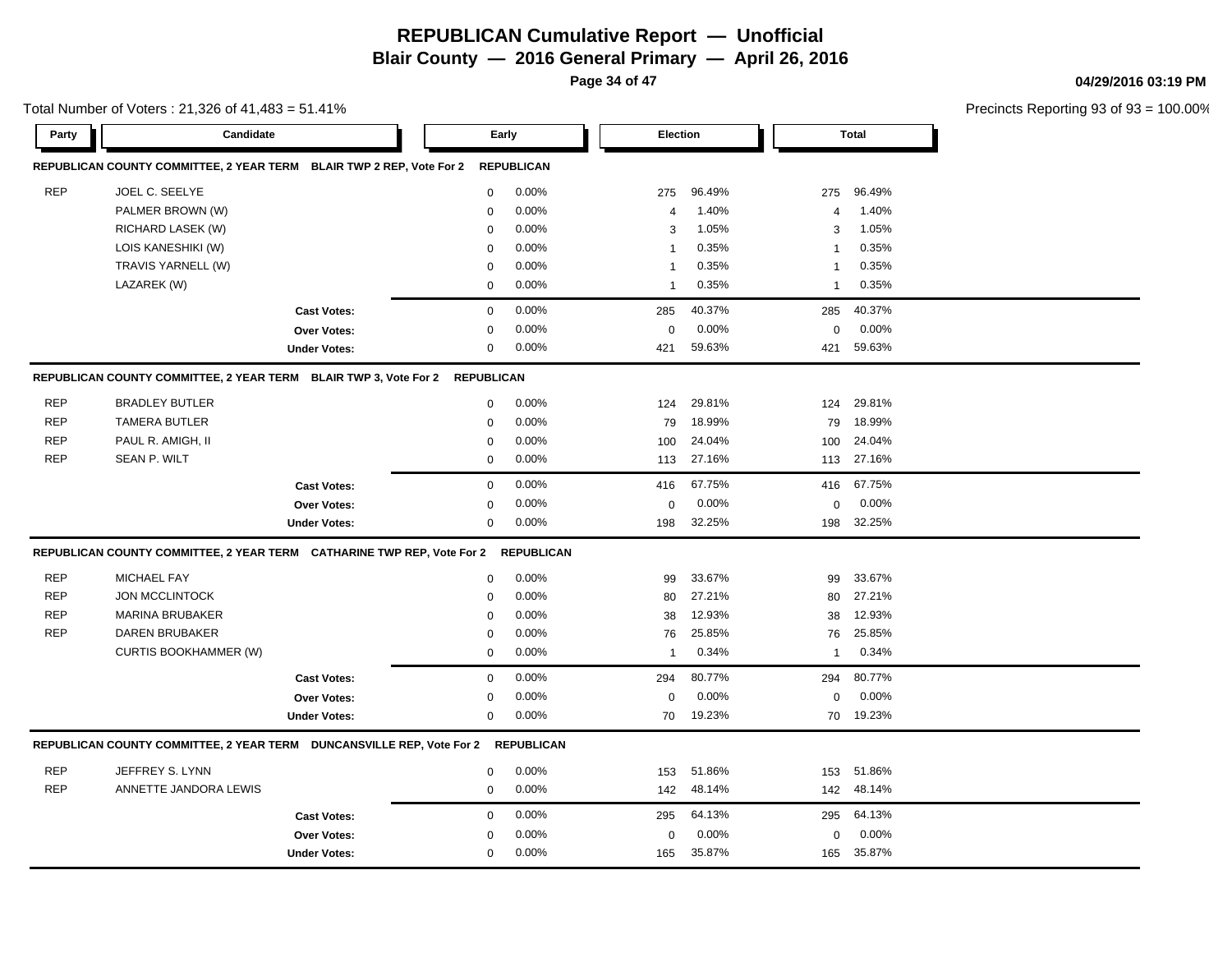**Page 34 of 47**

Total Number of Voters : 21,326 of 41,483 = 51.41%

#### **04/29/2016 03:19 PM**

| Party      | Candidate                                                                         |                     |                  | Early             | <b>Election</b>         |        |                | <b>Total</b> |  |
|------------|-----------------------------------------------------------------------------------|---------------------|------------------|-------------------|-------------------------|--------|----------------|--------------|--|
|            | REPUBLICAN COUNTY COMMITTEE, 2 YEAR TERM BLAIR TWP 2 REP, Vote For 2              |                     |                  | <b>REPUBLICAN</b> |                         |        |                |              |  |
| <b>REP</b> | JOEL C. SEELYE                                                                    |                     | $\mathbf 0$      | 0.00%             | 275                     | 96.49% | 275            | 96.49%       |  |
|            | PALMER BROWN (W)                                                                  |                     | $\mathbf 0$      | 0.00%             | $\overline{4}$          | 1.40%  | 4              | 1.40%        |  |
|            | RICHARD LASEK (W)                                                                 |                     | $\mathbf 0$      | 0.00%             | 3                       | 1.05%  | 3              | 1.05%        |  |
|            | LOIS KANESHIKI (W)                                                                |                     | $\mathbf 0$      | 0.00%             | $\mathbf{1}$            | 0.35%  | $\mathbf{1}$   | 0.35%        |  |
|            | TRAVIS YARNELL (W)                                                                |                     | $\mathbf 0$      | 0.00%             | $\mathbf{1}$            | 0.35%  | -1             | 0.35%        |  |
|            | LAZAREK (W)                                                                       |                     | 0                | 0.00%             | $\overline{\mathbf{1}}$ | 0.35%  | $\mathbf{1}$   | 0.35%        |  |
|            |                                                                                   | <b>Cast Votes:</b>  | $\Omega$         | 0.00%             | 285                     | 40.37% | 285            | 40.37%       |  |
|            |                                                                                   | Over Votes:         | $\mathbf 0$      | 0.00%             | 0                       | 0.00%  | $\mathbf 0$    | 0.00%        |  |
|            |                                                                                   | <b>Under Votes:</b> | $\mathbf 0$      | 0.00%             | 421                     | 59.63% | 421            | 59.63%       |  |
|            | REPUBLICAN COUNTY COMMITTEE, 2 YEAR TERM BLAIR TWP 3, Vote For 2 REPUBLICAN       |                     |                  |                   |                         |        |                |              |  |
| <b>REP</b> | <b>BRADLEY BUTLER</b>                                                             |                     | $\mathbf 0$      | 0.00%             | 124                     | 29.81% | 124            | 29.81%       |  |
| <b>REP</b> | <b>TAMERA BUTLER</b>                                                              |                     | $\mathbf 0$      | 0.00%             | 79                      | 18.99% | 79             | 18.99%       |  |
| <b>REP</b> | PAUL R. AMIGH, II                                                                 |                     | $\mathbf 0$      | 0.00%             | 100                     | 24.04% | 100            | 24.04%       |  |
| <b>REP</b> | <b>SEAN P. WILT</b>                                                               |                     | $\mathbf 0$      | 0.00%             | 113                     | 27.16% | 113            | 27.16%       |  |
|            |                                                                                   | <b>Cast Votes:</b>  | $\mathbf 0$      | 0.00%             | 416                     | 67.75% | 416            | 67.75%       |  |
|            |                                                                                   | Over Votes:         | $\mathbf 0$      | 0.00%             | $\Omega$                | 0.00%  | $\mathbf 0$    | 0.00%        |  |
|            |                                                                                   | <b>Under Votes:</b> | $\mathbf 0$      | 0.00%             | 198                     | 32.25% | 198            | 32.25%       |  |
|            | REPUBLICAN COUNTY COMMITTEE, 2 YEAR TERM CATHARINE TWP REP, Vote For 2 REPUBLICAN |                     |                  |                   |                         |        |                |              |  |
| <b>REP</b> | <b>MICHAEL FAY</b>                                                                |                     | $\boldsymbol{0}$ | 0.00%             | 99                      | 33.67% | 99             | 33.67%       |  |
| <b>REP</b> | <b>JON MCCLINTOCK</b>                                                             |                     | $\mathbf 0$      | 0.00%             | 80                      | 27.21% | 80             | 27.21%       |  |
| <b>REP</b> | <b>MARINA BRUBAKER</b>                                                            |                     | $\mathbf 0$      | $0.00\%$          | 38                      | 12.93% | 38             | 12.93%       |  |
| <b>REP</b> | DAREN BRUBAKER                                                                    |                     | $\mathbf 0$      | 0.00%             | 76                      | 25.85% | 76             | 25.85%       |  |
|            | <b>CURTIS BOOKHAMMER (W)</b>                                                      |                     | $\mathbf 0$      | 0.00%             | $\mathbf{1}$            | 0.34%  | $\overline{1}$ | 0.34%        |  |
|            |                                                                                   | <b>Cast Votes:</b>  | $\mathbf 0$      | 0.00%             | 294                     | 80.77% | 294            | 80.77%       |  |
|            |                                                                                   | Over Votes:         | $\mathbf 0$      | 0.00%             | $\Omega$                | 0.00%  | $\mathbf 0$    | 0.00%        |  |
|            |                                                                                   | <b>Under Votes:</b> | $\mathbf 0$      | $0.00\%$          | 70                      | 19.23% |                | 70 19.23%    |  |
|            | REPUBLICAN COUNTY COMMITTEE, 2 YEAR TERM DUNCANSVILLE REP, Vote For 2             |                     |                  | <b>REPUBLICAN</b> |                         |        |                |              |  |
| <b>REP</b> | JEFFREY S. LYNN                                                                   |                     | $\mathbf 0$      | 0.00%             | 153                     | 51.86% | 153            | 51.86%       |  |
| <b>REP</b> | ANNETTE JANDORA LEWIS                                                             |                     | $\mathbf 0$      | 0.00%             | 142                     | 48.14% |                | 142 48.14%   |  |
|            |                                                                                   | <b>Cast Votes:</b>  | $\mathbf 0$      | 0.00%             | 295                     | 64.13% | 295            | 64.13%       |  |
|            |                                                                                   | <b>Over Votes:</b>  | $\Omega$         | 0.00%             | $\Omega$                | 0.00%  | $\Omega$       | 0.00%        |  |
|            |                                                                                   | <b>Under Votes:</b> | $\mathbf 0$      | 0.00%             | 165                     | 35.87% | 165            | 35.87%       |  |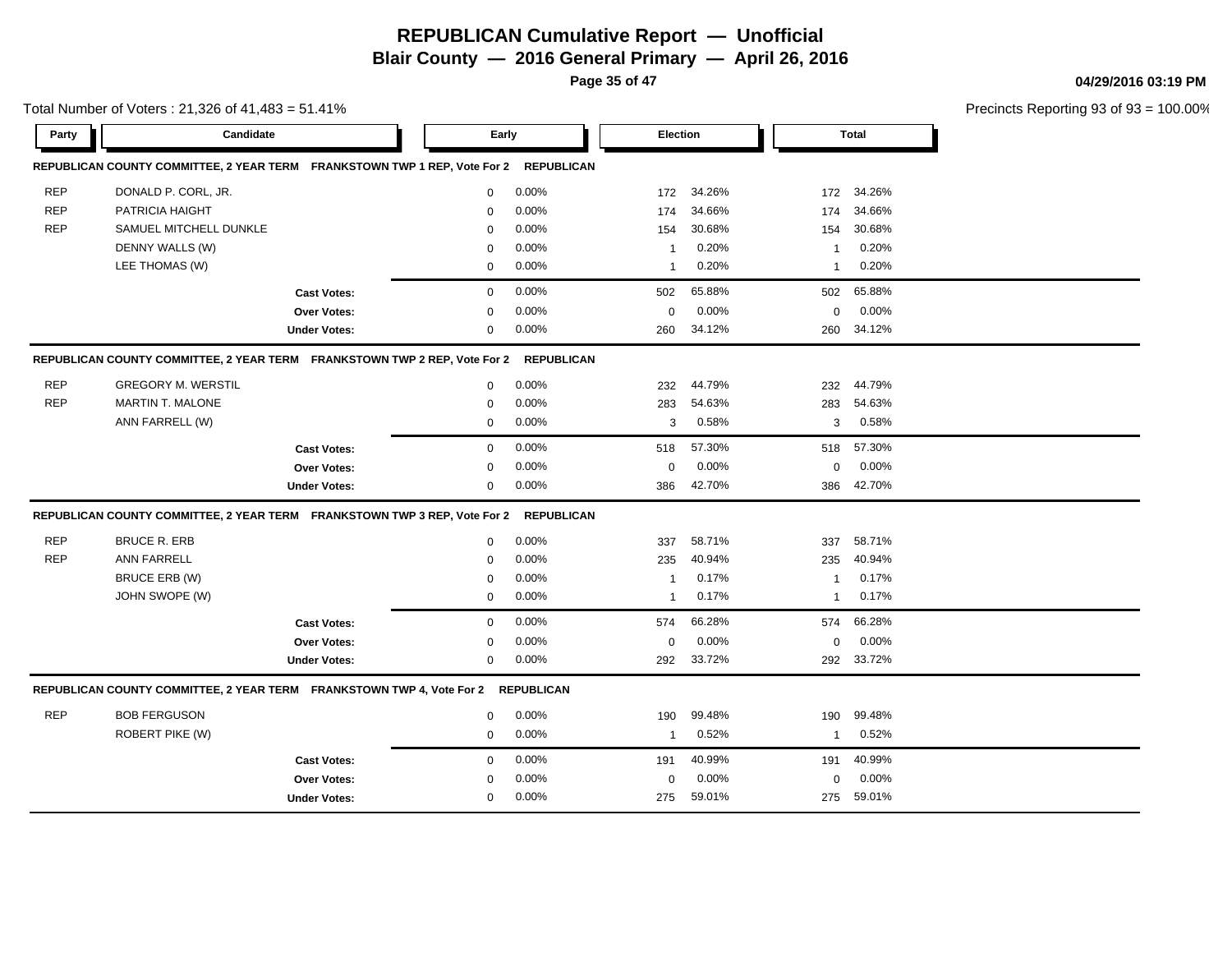**Page 35 of 47**

Total Number of Voters : 21,326 of 41,483 = 51.41%

#### **04/29/2016 03:19 PM**

| Party      | Candidate                                                                        |                     |             | Early             |                | Election |              | <b>Total</b> |  |
|------------|----------------------------------------------------------------------------------|---------------------|-------------|-------------------|----------------|----------|--------------|--------------|--|
|            | REPUBLICAN COUNTY COMMITTEE, 2 YEAR TERM FRANKSTOWN TWP 1 REP, Vote For 2        |                     |             | <b>REPUBLICAN</b> |                |          |              |              |  |
| <b>REP</b> | DONALD P. CORL, JR.                                                              |                     | 0           | 0.00%             | 172            | 34.26%   | 172          | 34.26%       |  |
| <b>REP</b> | PATRICIA HAIGHT                                                                  |                     | $\mathbf 0$ | 0.00%             | 174            | 34.66%   | 174          | 34.66%       |  |
| <b>REP</b> | SAMUEL MITCHELL DUNKLE                                                           |                     | 0           | 0.00%             | 154            | 30.68%   | 154          | 30.68%       |  |
|            | DENNY WALLS (W)                                                                  |                     | $\mathbf 0$ | 0.00%             | $\mathbf{1}$   | 0.20%    | $\mathbf{1}$ | 0.20%        |  |
|            | LEE THOMAS (W)                                                                   |                     | 0           | 0.00%             | $\mathbf{1}$   | 0.20%    | $\mathbf{1}$ | 0.20%        |  |
|            |                                                                                  | <b>Cast Votes:</b>  | $\mathbf 0$ | 0.00%             | 502            | 65.88%   | 502          | 65.88%       |  |
|            |                                                                                  | <b>Over Votes:</b>  | $\mathbf 0$ | 0.00%             | $\mathbf{0}$   | 0.00%    | $\mathbf 0$  | 0.00%        |  |
|            |                                                                                  | <b>Under Votes:</b> | $\mathbf 0$ | 0.00%             | 260            | 34.12%   | 260          | 34.12%       |  |
|            | REPUBLICAN COUNTY COMMITTEE, 2 YEAR TERM FRANKSTOWN TWP 2 REP, Vote For 2        |                     |             | <b>REPUBLICAN</b> |                |          |              |              |  |
| <b>REP</b> | <b>GREGORY M. WERSTIL</b>                                                        |                     | 0           | 0.00%             | 232            | 44.79%   | 232          | 44.79%       |  |
| <b>REP</b> | <b>MARTIN T. MALONE</b>                                                          |                     | $\mathbf 0$ | 0.00%             | 283            | 54.63%   | 283          | 54.63%       |  |
|            | ANN FARRELL (W)                                                                  |                     | 0           | 0.00%             | 3              | 0.58%    | 3            | 0.58%        |  |
|            |                                                                                  | <b>Cast Votes:</b>  | $\mathbf 0$ | 0.00%             | 518            | 57.30%   | 518          | 57.30%       |  |
|            |                                                                                  | Over Votes:         | $\mathbf 0$ | 0.00%             | $\mathbf 0$    | 0.00%    | $\mathbf 0$  | 0.00%        |  |
|            |                                                                                  | <b>Under Votes:</b> | $\mathbf 0$ | 0.00%             | 386            | 42.70%   | 386          | 42.70%       |  |
|            | REPUBLICAN COUNTY COMMITTEE, 2 YEAR TERM FRANKSTOWN TWP 3 REP, Vote For 2        |                     |             | <b>REPUBLICAN</b> |                |          |              |              |  |
| <b>REP</b> | <b>BRUCE R. ERB</b>                                                              |                     | $\mathbf 0$ | 0.00%             | 337            | 58.71%   | 337          | 58.71%       |  |
| <b>REP</b> | <b>ANN FARRELL</b>                                                               |                     | $\Omega$    | 0.00%             | 235            | 40.94%   | 235          | 40.94%       |  |
|            | <b>BRUCE ERB (W)</b>                                                             |                     | $\Omega$    | 0.00%             | $\overline{1}$ | 0.17%    | $\mathbf{1}$ | 0.17%        |  |
|            | JOHN SWOPE (W)                                                                   |                     | 0           | 0.00%             | $\mathbf{1}$   | 0.17%    | 1            | 0.17%        |  |
|            |                                                                                  | <b>Cast Votes:</b>  | 0           | 0.00%             | 574            | 66.28%   | 574          | 66.28%       |  |
|            |                                                                                  | Over Votes:         | 0           | 0.00%             | 0              | 0.00%    | 0            | 0.00%        |  |
|            |                                                                                  | <b>Under Votes:</b> | 0           | 0.00%             | 292            | 33.72%   | 292          | 33.72%       |  |
|            | REPUBLICAN COUNTY COMMITTEE, 2 YEAR TERM FRANKSTOWN TWP 4, Vote For 2 REPUBLICAN |                     |             |                   |                |          |              |              |  |
| <b>REP</b> | <b>BOB FERGUSON</b>                                                              |                     | 0           | 0.00%             | 190            | 99.48%   | 190          | 99.48%       |  |
|            | <b>ROBERT PIKE (W)</b>                                                           |                     | $\mathbf 0$ | 0.00%             | $\mathbf{1}$   | 0.52%    | $\mathbf{1}$ | 0.52%        |  |
|            |                                                                                  | <b>Cast Votes:</b>  | $\mathbf 0$ | 0.00%             | 191            | 40.99%   | 191          | 40.99%       |  |
|            |                                                                                  | <b>Over Votes:</b>  | $\mathbf 0$ | 0.00%             | $\mathbf{0}$   | 0.00%    | $\mathbf 0$  | 0.00%        |  |
|            |                                                                                  | <b>Under Votes:</b> | $\mathbf 0$ | 0.00%             | 275            | 59.01%   | 275          | 59.01%       |  |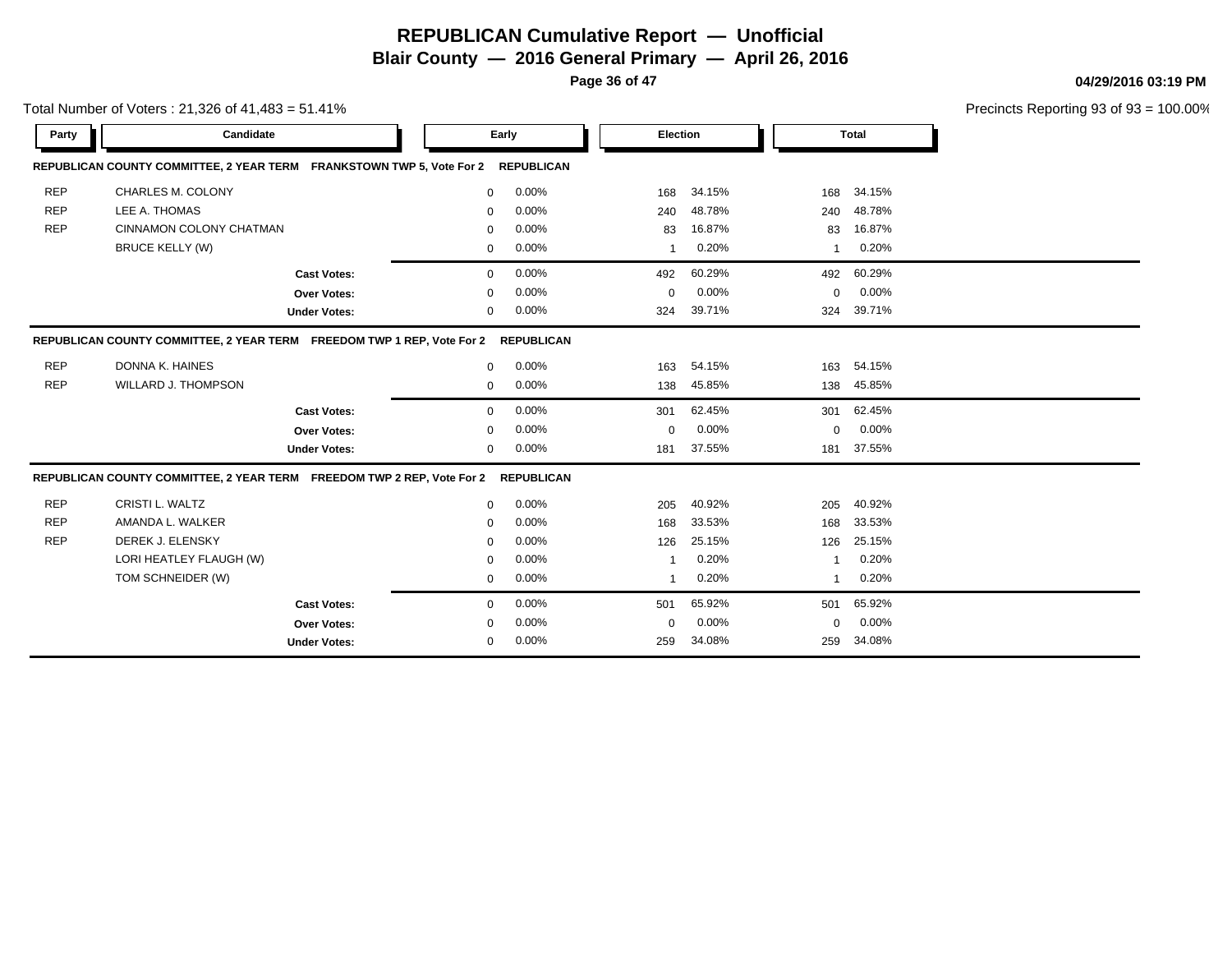**Blair County — 2016 General Primary — April 26, 2016**

**Page 36 of 47**

Total Number of Voters : 21,326 of 41,483 = 51.41%

#### **04/29/2016 03:19 PM**

| <b>Party</b>                                                                                | Candidate                                                              |                     |              | Early             |             | <b>Election</b> |             | <b>Total</b> |  |  |  |
|---------------------------------------------------------------------------------------------|------------------------------------------------------------------------|---------------------|--------------|-------------------|-------------|-----------------|-------------|--------------|--|--|--|
|                                                                                             | REPUBLICAN COUNTY COMMITTEE, 2 YEAR TERM FRANKSTOWN TWP 5, Vote For 2  |                     |              | <b>REPUBLICAN</b> |             |                 |             |              |  |  |  |
| <b>REP</b>                                                                                  | <b>CHARLES M. COLONY</b>                                               |                     | 0            | 0.00%             | 168         | 34.15%          | 168         | 34.15%       |  |  |  |
| <b>REP</b>                                                                                  | LEE A. THOMAS                                                          |                     | $\Omega$     | 0.00%             | 240         | 48.78%          | 240         | 48.78%       |  |  |  |
| <b>REP</b>                                                                                  | CINNAMON COLONY CHATMAN                                                |                     | 0            | 0.00%             | 83          | 16.87%          | 83          | 16.87%       |  |  |  |
|                                                                                             | <b>BRUCE KELLY (W)</b>                                                 |                     | 0            | 0.00%             | -1          | 0.20%           |             | 0.20%        |  |  |  |
|                                                                                             |                                                                        | <b>Cast Votes:</b>  | $\mathbf{0}$ | 0.00%             | 492         | 60.29%          | 492         | 60.29%       |  |  |  |
|                                                                                             |                                                                        | Over Votes:         | 0            | 0.00%             | $\mathbf 0$ | 0.00%           | $\mathbf 0$ | 0.00%        |  |  |  |
|                                                                                             |                                                                        | <b>Under Votes:</b> | 0            | 0.00%             | 324         | 39.71%          | 324         | 39.71%       |  |  |  |
| REPUBLICAN COUNTY COMMITTEE, 2 YEAR TERM FREEDOM TWP 1 REP, Vote For 2<br><b>REPUBLICAN</b> |                                                                        |                     |              |                   |             |                 |             |              |  |  |  |
| <b>REP</b>                                                                                  | DONNA K. HAINES                                                        |                     | $\mathbf 0$  | 0.00%             | 163         | 54.15%          | 163         | 54.15%       |  |  |  |
| <b>REP</b>                                                                                  | <b>WILLARD J. THOMPSON</b>                                             |                     | 0            | 0.00%             | 138         | 45.85%          | 138         | 45.85%       |  |  |  |
|                                                                                             |                                                                        | <b>Cast Votes:</b>  | $\Omega$     | 0.00%             | 301         | 62.45%          | 301         | 62.45%       |  |  |  |
|                                                                                             |                                                                        | Over Votes:         | 0            | 0.00%             | $\mathbf 0$ | 0.00%           | $\Omega$    | 0.00%        |  |  |  |
|                                                                                             |                                                                        | <b>Under Votes:</b> | 0            | 0.00%             | 181         | 37.55%          | 181         | 37.55%       |  |  |  |
|                                                                                             | REPUBLICAN COUNTY COMMITTEE, 2 YEAR TERM FREEDOM TWP 2 REP, Vote For 2 |                     |              | <b>REPUBLICAN</b> |             |                 |             |              |  |  |  |
| <b>REP</b>                                                                                  | <b>CRISTI L. WALTZ</b>                                                 |                     | $\Omega$     | 0.00%             | 205         | 40.92%          | 205         | 40.92%       |  |  |  |
| <b>REP</b>                                                                                  | AMANDA L. WALKER                                                       |                     | 0            | 0.00%             | 168         | 33.53%          | 168         | 33.53%       |  |  |  |
| <b>REP</b>                                                                                  | DEREK J. ELENSKY                                                       |                     | 0            | 0.00%             | 126         | 25.15%          | 126         | 25.15%       |  |  |  |
|                                                                                             | LORI HEATLEY FLAUGH (W)                                                |                     | $\Omega$     | 0.00%             |             | 0.20%           |             | 0.20%        |  |  |  |
|                                                                                             | TOM SCHNEIDER (W)                                                      |                     | 0            | 0.00%             | 1           | 0.20%           | 1           | 0.20%        |  |  |  |
|                                                                                             |                                                                        | <b>Cast Votes:</b>  | $\Omega$     | 0.00%             | 501         | 65.92%          | 501         | 65.92%       |  |  |  |
|                                                                                             |                                                                        | Over Votes:         | 0            | 0.00%             | 0           | 0.00%           | $\Omega$    | 0.00%        |  |  |  |
|                                                                                             |                                                                        | <b>Under Votes:</b> | 0            | 0.00%             | 259         | 34.08%          | 259         | 34.08%       |  |  |  |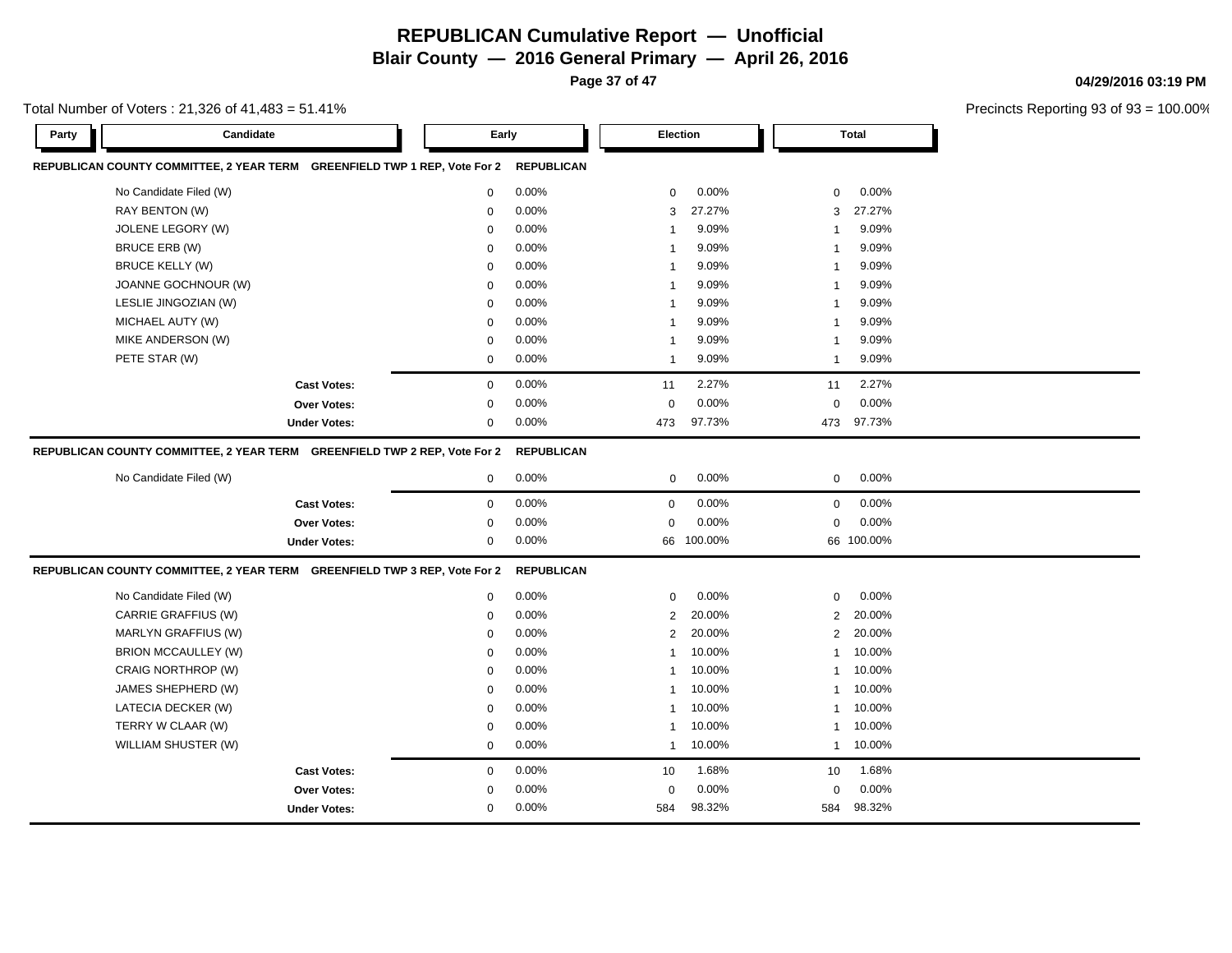**Page 37 of 47**

**04/29/2016 03:19 PM**

| Candidate<br>Party                                                        | Early       |                   |                         | <b>Election</b> |                | <b>Total</b> |
|---------------------------------------------------------------------------|-------------|-------------------|-------------------------|-----------------|----------------|--------------|
| REPUBLICAN COUNTY COMMITTEE, 2 YEAR TERM GREENFIELD TWP 1 REP, Vote For 2 |             | <b>REPUBLICAN</b> |                         |                 |                |              |
| No Candidate Filed (W)                                                    | 0           | 0.00%             | 0                       | 0.00%           | 0              | 0.00%        |
| RAY BENTON (W)                                                            | $\mathbf 0$ | 0.00%             | 3                       | 27.27%          | 3              | 27.27%       |
| <b>JOLENE LEGORY (W)</b>                                                  | 0           | 0.00%             | $\overline{\mathbf{1}}$ | 9.09%           | 1              | 9.09%        |
| BRUCE ERB (W)                                                             | $\mathbf 0$ | 0.00%             | $\overline{1}$          | 9.09%           | $\mathbf{1}$   | 9.09%        |
| <b>BRUCE KELLY (W)</b>                                                    | $\mathbf 0$ | 0.00%             | $\overline{1}$          | 9.09%           | 1              | 9.09%        |
| JOANNE GOCHNOUR (W)                                                       | $\mathbf 0$ | 0.00%             | $\overline{1}$          | 9.09%           | $\mathbf{1}$   | 9.09%        |
| LESLIE JINGOZIAN (W)                                                      | $\mathbf 0$ | 0.00%             | $\overline{1}$          | 9.09%           | $\mathbf{1}$   | 9.09%        |
| MICHAEL AUTY (W)                                                          | $\Omega$    | 0.00%             | $\overline{1}$          | 9.09%           | $\mathbf{1}$   | 9.09%        |
| MIKE ANDERSON (W)                                                         | $\mathbf 0$ | 0.00%             | -1                      | 9.09%           | $\mathbf{1}$   | 9.09%        |
| PETE STAR (W)                                                             | $\mathbf 0$ | 0.00%             | $\overline{1}$          | 9.09%           | $\mathbf{1}$   | 9.09%        |
| <b>Cast Votes:</b>                                                        | $\mathbf 0$ | 0.00%             | 11                      | 2.27%           | 11             | 2.27%        |
| Over Votes:                                                               | $\mathbf 0$ | 0.00%             | $\mathbf 0$             | 0.00%           | $\mathbf 0$    | 0.00%        |
| <b>Under Votes:</b>                                                       | $\mathbf 0$ | 0.00%             | 473                     | 97.73%          | 473            | 97.73%       |
| REPUBLICAN COUNTY COMMITTEE, 2 YEAR TERM GREENFIELD TWP 2 REP, Vote For 2 |             | <b>REPUBLICAN</b> |                         |                 |                |              |
| No Candidate Filed (W)                                                    | 0           | 0.00%             | $\mathbf 0$             | 0.00%           | $\mathbf 0$    | 0.00%        |
| <b>Cast Votes:</b>                                                        | $\mathbf 0$ | 0.00%             | $\mathbf 0$             | 0.00%           | $\mathbf 0$    | 0.00%        |
| <b>Over Votes:</b>                                                        | $\mathbf 0$ | 0.00%             | $\mathbf 0$             | 0.00%           | $\mathbf 0$    | 0.00%        |
| <b>Under Votes:</b>                                                       | $\mathbf 0$ | $0.00\%$          | 66                      | 100.00%         |                | 66 100.00%   |
| REPUBLICAN COUNTY COMMITTEE, 2 YEAR TERM GREENFIELD TWP 3 REP, Vote For 2 |             | <b>REPUBLICAN</b> |                         |                 |                |              |
| No Candidate Filed (W)                                                    | $\mathbf 0$ | 0.00%             | $\mathbf 0$             | 0.00%           | $\mathbf 0$    | 0.00%        |
| CARRIE GRAFFIUS (W)                                                       | $\mathbf 0$ | 0.00%             | $\overline{2}$          | 20.00%          | $\overline{2}$ | 20.00%       |
| MARLYN GRAFFIUS (W)                                                       | $\mathbf 0$ | 0.00%             | $\overline{2}$          | 20.00%          | $\overline{2}$ | 20.00%       |
| <b>BRION MCCAULLEY (W)</b>                                                | $\mathbf 0$ | 0.00%             | $\overline{1}$          | 10.00%          | $\mathbf{1}$   | 10.00%       |
| CRAIG NORTHROP (W)                                                        | $\mathbf 0$ | 0.00%             | $\overline{1}$          | 10.00%          | $\mathbf{1}$   | 10.00%       |
| JAMES SHEPHERD (W)                                                        | $\Omega$    | 0.00%             | $\mathbf 1$             | 10.00%          | 1              | 10.00%       |
| LATECIA DECKER (W)                                                        | $\Omega$    | 0.00%             | $\overline{1}$          | 10.00%          | $\mathbf{1}$   | 10.00%       |
| TERRY W CLAAR (W)                                                         | $\mathbf 0$ | 0.00%             | -1                      | 10.00%          | 1              | 10.00%       |
| WILLIAM SHUSTER (W)                                                       | $\mathbf 0$ | 0.00%             | -1                      | 10.00%          | $\mathbf{1}$   | 10.00%       |
| <b>Cast Votes:</b>                                                        | $\mathbf 0$ | 0.00%             | 10                      | 1.68%           | 10             | 1.68%        |
| Over Votes:                                                               | $\mathbf 0$ | 0.00%             | $\mathbf 0$             | 0.00%           | $\mathbf 0$    | 0.00%        |
| <b>Under Votes:</b>                                                       | $\mathbf 0$ | 0.00%             | 584                     | 98.32%          | 584            | 98.32%       |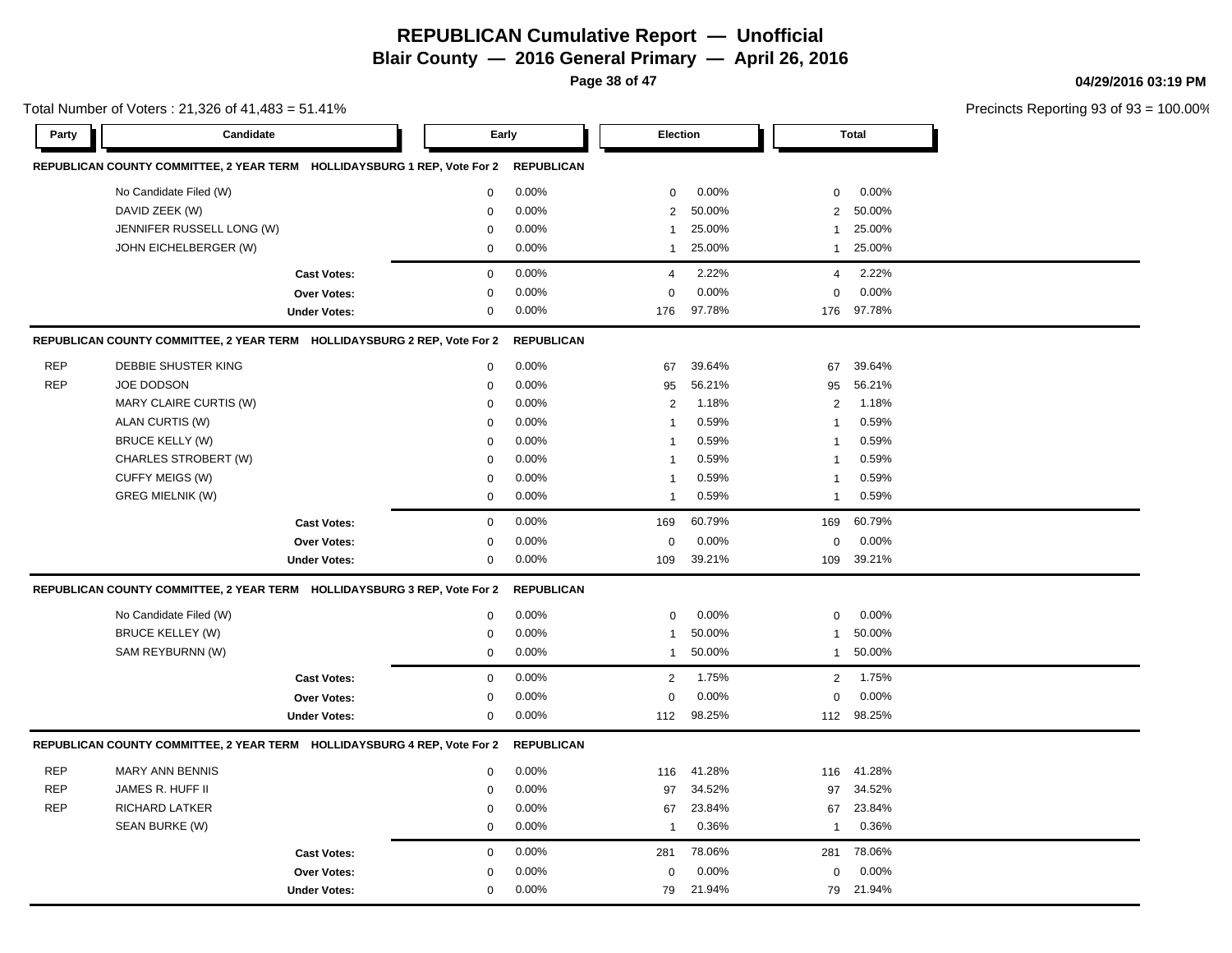**Page 38 of 47**

#### **04/29/2016 03:19 PM**

|            | Total Number of Voters: 21,326 of 41,483 = 51.41%                        |                     |                  |                   |                |        |                |              | Precincts Reporting 93 of 93 |  |
|------------|--------------------------------------------------------------------------|---------------------|------------------|-------------------|----------------|--------|----------------|--------------|------------------------------|--|
| Party      | Candidate                                                                |                     | Early            |                   | Election       |        |                | <b>Total</b> |                              |  |
|            | REPUBLICAN COUNTY COMMITTEE, 2 YEAR TERM HOLLIDAYSBURG 1 REP, Vote For 2 |                     |                  | <b>REPUBLICAN</b> |                |        |                |              |                              |  |
|            | No Candidate Filed (W)                                                   |                     | 0                | 0.00%             | 0              | 0.00%  | 0              | 0.00%        |                              |  |
|            | DAVID ZEEK (W)                                                           |                     | $\Omega$         | 0.00%             | $\mathbf{2}$   | 50.00% | $\overline{2}$ | 50.00%       |                              |  |
|            | JENNIFER RUSSELL LONG (W)                                                |                     | $\Omega$         | 0.00%             | $\mathbf 1$    | 25.00% | $\mathbf{1}$   | 25.00%       |                              |  |
|            | JOHN EICHELBERGER (W)                                                    |                     | $\Omega$         | 0.00%             | $\mathbf 1$    | 25.00% | $\mathbf{1}$   | 25.00%       |                              |  |
|            |                                                                          | <b>Cast Votes:</b>  | $\boldsymbol{0}$ | 0.00%             | 4              | 2.22%  | 4              | 2.22%        |                              |  |
|            |                                                                          | Over Votes:         | 0                | 0.00%             | $\mathbf 0$    | 0.00%  | 0              | 0.00%        |                              |  |
|            |                                                                          | <b>Under Votes:</b> | 0                | 0.00%             | 176            | 97.78% | 176            | 97.78%       |                              |  |
|            | REPUBLICAN COUNTY COMMITTEE, 2 YEAR TERM HOLLIDAYSBURG 2 REP, Vote For 2 |                     |                  | <b>REPUBLICAN</b> |                |        |                |              |                              |  |
| <b>REP</b> | DEBBIE SHUSTER KING                                                      |                     | 0                | 0.00%             | 67             | 39.64% | 67             | 39.64%       |                              |  |
| <b>REP</b> | <b>JOE DODSON</b>                                                        |                     | $\Omega$         | 0.00%             | 95             | 56.21% | 95             | 56.21%       |                              |  |
|            | MARY CLAIRE CURTIS (W)                                                   |                     | $\mathbf 0$      | 0.00%             | $\mathbf{2}$   | 1.18%  | 2              | 1.18%        |                              |  |
|            | ALAN CURTIS (W)                                                          |                     | $\mathbf 0$      | 0.00%             | $\overline{1}$ | 0.59%  | -1             | 0.59%        |                              |  |
|            | <b>BRUCE KELLY (W)</b>                                                   |                     | $\mathbf 0$      | 0.00%             | $\mathbf 1$    | 0.59%  | 1              | 0.59%        |                              |  |
|            | CHARLES STROBERT (W)                                                     |                     | $\Omega$         | 0.00%             | $\overline{1}$ | 0.59%  | -1             | 0.59%        |                              |  |
|            | CUFFY MEIGS (W)                                                          |                     | $\mathbf 0$      | 0.00%             | $\mathbf{1}$   | 0.59%  | -1             | 0.59%        |                              |  |
|            | <b>GREG MIELNIK (W)</b>                                                  |                     | $\mathbf 0$      | 0.00%             | -1             | 0.59%  | -1             | 0.59%        |                              |  |
|            |                                                                          | <b>Cast Votes:</b>  | $\mathbf 0$      | 0.00%             | 169            | 60.79% | 169            | 60.79%       |                              |  |
|            |                                                                          | Over Votes:         | 0                | 0.00%             | $\mathbf 0$    | 0.00%  | 0              | 0.00%        |                              |  |
|            |                                                                          | <b>Under Votes:</b> | 0                | 0.00%             | 109            | 39.21% | 109            | 39.21%       |                              |  |
|            | REPUBLICAN COUNTY COMMITTEE, 2 YEAR TERM HOLLIDAYSBURG 3 REP, Vote For 2 |                     |                  | <b>REPUBLICAN</b> |                |        |                |              |                              |  |
|            | No Candidate Filed (W)                                                   |                     | $\mathbf 0$      | 0.00%             | 0              | 0.00%  | $\mathbf 0$    | 0.00%        |                              |  |
|            | <b>BRUCE KELLEY (W)</b>                                                  |                     | $\mathbf 0$      | 0.00%             | $\mathbf 1$    | 50.00% | -1             | 50.00%       |                              |  |
|            | SAM REYBURNN (W)                                                         |                     | 0                | 0.00%             | $\mathbf 1$    | 50.00% | $\mathbf{1}$   | 50.00%       |                              |  |
|            |                                                                          | <b>Cast Votes:</b>  | 0                | 0.00%             | 2              | 1.75%  | $\overline{2}$ | 1.75%        |                              |  |
|            |                                                                          | Over Votes:         | $\mathbf 0$      | 0.00%             | $\mathbf 0$    | 0.00%  | $\mathbf 0$    | 0.00%        |                              |  |
|            |                                                                          | <b>Under Votes:</b> | $\mathbf 0$      | 0.00%             | 112            | 98.25% |                | 112 98.25%   |                              |  |
|            | REPUBLICAN COUNTY COMMITTEE, 2 YEAR TERM HOLLIDAYSBURG 4 REP, Vote For 2 |                     |                  | <b>REPUBLICAN</b> |                |        |                |              |                              |  |
| <b>REP</b> | <b>MARY ANN BENNIS</b>                                                   |                     | 0                | 0.00%             | 116            | 41.28% | 116            | 41.28%       |                              |  |
| <b>REP</b> | JAMES R. HUFF II                                                         |                     | $\mathbf 0$      | 0.00%             | 97             | 34.52% | 97             | 34.52%       |                              |  |
| <b>REP</b> | <b>RICHARD LATKER</b>                                                    |                     | $\Omega$         | 0.00%             | 67             | 23.84% | 67             | 23.84%       |                              |  |
|            | SEAN BURKE (W)                                                           |                     | 0                | 0.00%             | $\overline{1}$ | 0.36%  | $\mathbf{1}$   | 0.36%        |                              |  |
|            |                                                                          | <b>Cast Votes:</b>  | $\mathbf 0$      | 0.00%             | 281            | 78.06% | 281            | 78.06%       |                              |  |
|            |                                                                          | Over Votes:         | $\mathbf 0$      | 0.00%             | 0              | 0.00%  | 0              | 0.00%        |                              |  |
|            |                                                                          | <b>Under Votes:</b> | 0                | 0.00%             | 79             | 21.94% |                | 79 21.94%    |                              |  |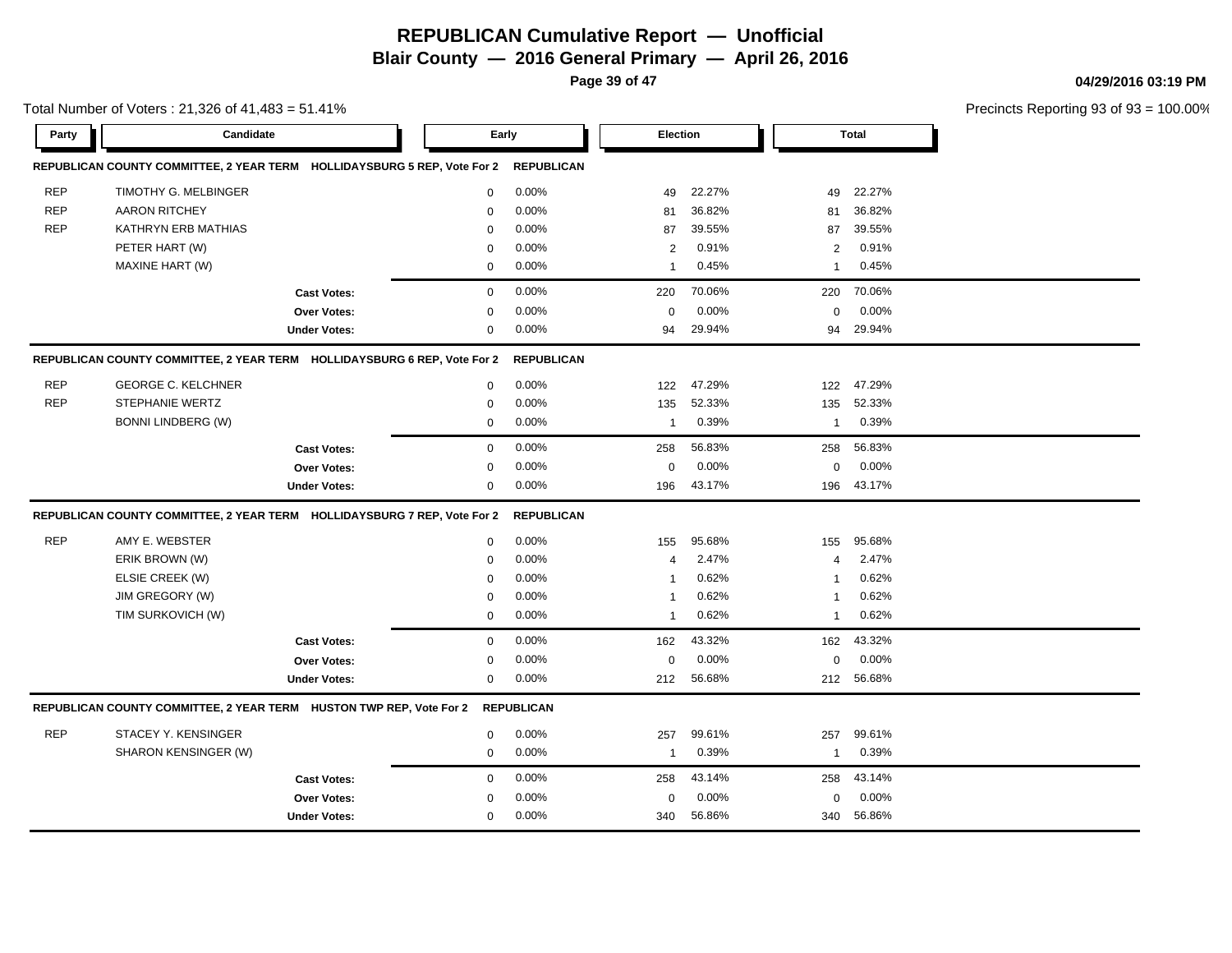**Page 39 of 47**

#### **04/29/2016 03:19 PM**

Precincts Reporting 93 of 93 = 100.00%

| Party      | Candidate                                                                |                     | Early       |                   | Election       |        |                | <b>Total</b> |  |
|------------|--------------------------------------------------------------------------|---------------------|-------------|-------------------|----------------|--------|----------------|--------------|--|
|            | REPUBLICAN COUNTY COMMITTEE, 2 YEAR TERM HOLLIDAYSBURG 5 REP, Vote For 2 |                     |             | <b>REPUBLICAN</b> |                |        |                |              |  |
| <b>REP</b> | TIMOTHY G. MELBINGER                                                     |                     | $\mathbf 0$ | 0.00%             | 49             | 22.27% | 49             | 22.27%       |  |
| <b>REP</b> | <b>AARON RITCHEY</b>                                                     |                     | $\mathbf 0$ | 0.00%             | 81             | 36.82% | 81             | 36.82%       |  |
| <b>REP</b> | KATHRYN ERB MATHIAS                                                      |                     | $\mathbf 0$ | 0.00%             | 87             | 39.55% | 87             | 39.55%       |  |
|            | PETER HART (W)                                                           |                     | $\mathbf 0$ | 0.00%             | $\overline{2}$ | 0.91%  | 2              | 0.91%        |  |
|            | MAXINE HART (W)                                                          |                     | $\mathbf 0$ | 0.00%             | $\mathbf{1}$   | 0.45%  | $\mathbf{1}$   | 0.45%        |  |
|            |                                                                          | <b>Cast Votes:</b>  | $\mathbf 0$ | 0.00%             | 220            | 70.06% | 220            | 70.06%       |  |
|            |                                                                          | Over Votes:         | $\mathbf 0$ | 0.00%             | $\Omega$       | 0.00%  | $\mathbf 0$    | 0.00%        |  |
|            |                                                                          | <b>Under Votes:</b> | $\mathbf 0$ | 0.00%             | 94             | 29.94% | 94             | 29.94%       |  |
|            | REPUBLICAN COUNTY COMMITTEE, 2 YEAR TERM HOLLIDAYSBURG 6 REP, Vote For 2 | <b>REPUBLICAN</b>   |             |                   |                |        |                |              |  |
| <b>REP</b> | <b>GEORGE C. KELCHNER</b>                                                |                     | $\mathbf 0$ | 0.00%             | 122            | 47.29% | 122            | 47.29%       |  |
| <b>REP</b> | STEPHANIE WERTZ                                                          |                     | $\mathbf 0$ | 0.00%             | 135            | 52.33% | 135            | 52.33%       |  |
|            | <b>BONNI LINDBERG (W)</b>                                                |                     | $\mathbf 0$ | 0.00%             | $\mathbf{1}$   | 0.39%  | $\mathbf{1}$   | 0.39%        |  |
|            |                                                                          | <b>Cast Votes:</b>  | $\mathbf 0$ | 0.00%             | 258            | 56.83% | 258            | 56.83%       |  |
|            |                                                                          | Over Votes:         | $\mathbf 0$ | 0.00%             | $\mathbf 0$    | 0.00%  | $\mathbf 0$    | 0.00%        |  |
|            |                                                                          | <b>Under Votes:</b> | $\mathbf 0$ | 0.00%             | 196            | 43.17% | 196            | 43.17%       |  |
|            | REPUBLICAN COUNTY COMMITTEE, 2 YEAR TERM HOLLIDAYSBURG 7 REP, Vote For 2 |                     |             | <b>REPUBLICAN</b> |                |        |                |              |  |
| <b>REP</b> | AMY E. WEBSTER                                                           |                     | $\mathbf 0$ | 0.00%             | 155            | 95.68% | 155            | 95.68%       |  |
|            | ERIK BROWN (W)                                                           |                     | $\mathbf 0$ | 0.00%             | $\overline{4}$ | 2.47%  | $\overline{4}$ | 2.47%        |  |
|            | ELSIE CREEK (W)                                                          |                     | $\mathbf 0$ | 0.00%             | $\mathbf{1}$   | 0.62%  | -1             | 0.62%        |  |
|            | JIM GREGORY (W)                                                          |                     | 0           | 0.00%             | $\mathbf 1$    | 0.62%  | -1             | 0.62%        |  |
|            | TIM SURKOVICH (W)                                                        |                     | 0           | 0.00%             | $\mathbf 1$    | 0.62%  | -1             | 0.62%        |  |
|            |                                                                          | <b>Cast Votes:</b>  | $\mathbf 0$ | 0.00%             | 162            | 43.32% | 162            | 43.32%       |  |
|            |                                                                          | Over Votes:         | $\mathbf 0$ | 0.00%             | $\mathbf 0$    | 0.00%  | $\mathbf 0$    | 0.00%        |  |
|            |                                                                          | <b>Under Votes:</b> | 0           | 0.00%             | 212            | 56.68% | 212            | 56.68%       |  |
|            | REPUBLICAN COUNTY COMMITTEE, 2 YEAR TERM HUSTON TWP REP, Vote For 2      |                     |             | <b>REPUBLICAN</b> |                |        |                |              |  |
| <b>REP</b> | STACEY Y. KENSINGER                                                      |                     | $\mathbf 0$ | 0.00%             | 257            | 99.61% | 257            | 99.61%       |  |
|            | SHARON KENSINGER (W)                                                     |                     | $\mathbf 0$ | 0.00%             | $\mathbf{1}$   | 0.39%  | -1             | 0.39%        |  |
|            |                                                                          | <b>Cast Votes:</b>  | 0           | 0.00%             | 258            | 43.14% | 258            | 43.14%       |  |
|            |                                                                          | Over Votes:         | 0           | 0.00%             | 0              | 0.00%  | 0              | 0.00%        |  |
|            |                                                                          | <b>Under Votes:</b> | $\mathbf 0$ | 0.00%             | 340            | 56.86% | 340            | 56.86%       |  |

Total Number of Voters : 21,326 of 41,483 = 51.41%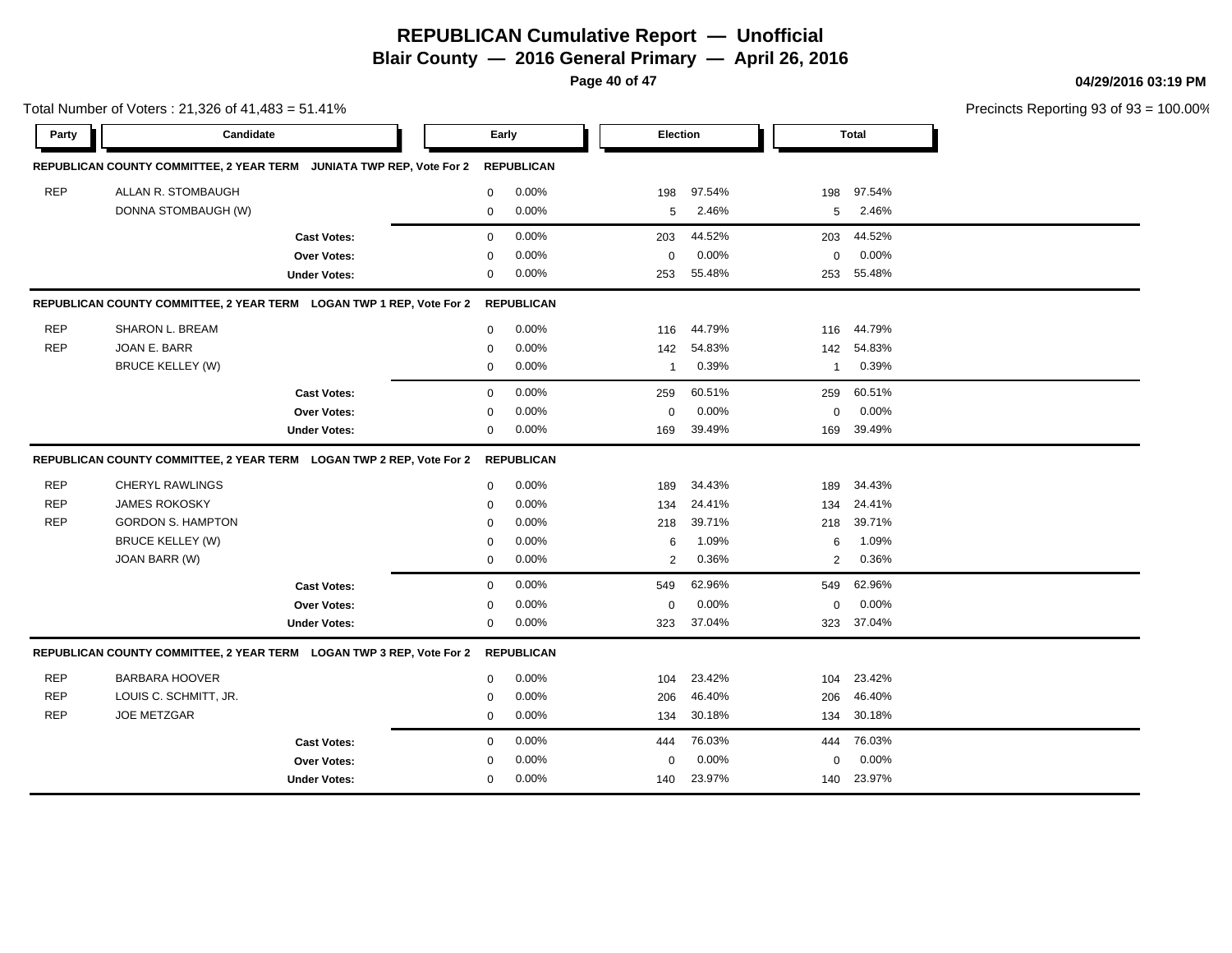**Blair County — 2016 General Primary — April 26, 2016**

**Page 40 of 47**

**04/29/2016 03:19 PM**

|            | Total Number of Voters: 21,326 of 41,483 = 51.41%                    |                     |              |                   |                |        |                |        | Precincts Reporting 93 of 93 |
|------------|----------------------------------------------------------------------|---------------------|--------------|-------------------|----------------|--------|----------------|--------|------------------------------|
| Party      | Candidate                                                            |                     |              | Early             | Election       |        |                | Total  |                              |
|            | REPUBLICAN COUNTY COMMITTEE, 2 YEAR TERM JUNIATA TWP REP, Vote For 2 |                     |              | <b>REPUBLICAN</b> |                |        |                |        |                              |
| <b>REP</b> | ALLAN R. STOMBAUGH                                                   |                     | 0            | 0.00%             | 198            | 97.54% | 198            | 97.54% |                              |
|            | DONNA STOMBAUGH (W)                                                  |                     | 0            | 0.00%             | 5              | 2.46%  | 5              | 2.46%  |                              |
|            |                                                                      | <b>Cast Votes:</b>  | $\mathbf{0}$ | 0.00%             | 203            | 44.52% | 203            | 44.52% |                              |
|            |                                                                      | Over Votes:         | $\mathbf 0$  | 0.00%             | $\mathbf 0$    | 0.00%  | $\mathbf 0$    | 0.00%  |                              |
|            |                                                                      | <b>Under Votes:</b> | 0            | 0.00%             | 253            | 55.48% | 253            | 55.48% |                              |
|            | REPUBLICAN COUNTY COMMITTEE, 2 YEAR TERM LOGAN TWP 1 REP, Vote For 2 |                     |              | <b>REPUBLICAN</b> |                |        |                |        |                              |
| <b>REP</b> | SHARON L. BREAM                                                      |                     | $\mathbf{0}$ | 0.00%             | 116            | 44.79% | 116            | 44.79% |                              |
| <b>REP</b> | JOAN E. BARR                                                         |                     | $\mathbf 0$  | 0.00%             | 142            | 54.83% | 142            | 54.83% |                              |
|            | <b>BRUCE KELLEY (W)</b>                                              |                     | 0            | 0.00%             | $\mathbf{1}$   | 0.39%  | $\mathbf 1$    | 0.39%  |                              |
|            |                                                                      | <b>Cast Votes:</b>  | $\mathbf{0}$ | 0.00%             | 259            | 60.51% | 259            | 60.51% |                              |
|            |                                                                      | Over Votes:         | $\mathbf 0$  | 0.00%             | 0              | 0.00%  | $\mathbf 0$    | 0.00%  |                              |
|            |                                                                      | <b>Under Votes:</b> | 0            | 0.00%             | 169            | 39.49% | 169            | 39.49% |                              |
|            | REPUBLICAN COUNTY COMMITTEE, 2 YEAR TERM LOGAN TWP 2 REP, Vote For 2 |                     |              | <b>REPUBLICAN</b> |                |        |                |        |                              |
| <b>REP</b> | <b>CHERYL RAWLINGS</b>                                               |                     | 0            | 0.00%             | 189            | 34.43% | 189            | 34.43% |                              |
| <b>REP</b> | <b>JAMES ROKOSKY</b>                                                 |                     | $\mathbf 0$  | 0.00%             | 134            | 24.41% | 134            | 24.41% |                              |
| <b>REP</b> | <b>GORDON S. HAMPTON</b>                                             |                     | $\mathbf 0$  | 0.00%             | 218            | 39.71% | 218            | 39.71% |                              |
|            | <b>BRUCE KELLEY (W)</b>                                              |                     | $\mathbf 0$  | 0.00%             | 6              | 1.09%  | 6              | 1.09%  |                              |
|            | JOAN BARR (W)                                                        |                     | 0            | 0.00%             | $\overline{c}$ | 0.36%  | $\overline{2}$ | 0.36%  |                              |
|            |                                                                      | <b>Cast Votes:</b>  | $\mathbf 0$  | 0.00%             | 549            | 62.96% | 549            | 62.96% |                              |
|            |                                                                      | Over Votes:         | $\mathbf 0$  | 0.00%             | $\Omega$       | 0.00%  | $\mathbf 0$    | 0.00%  |                              |
|            |                                                                      | <b>Under Votes:</b> | 0            | 0.00%             | 323            | 37.04% | 323            | 37.04% |                              |
|            | REPUBLICAN COUNTY COMMITTEE, 2 YEAR TERM LOGAN TWP 3 REP, Vote For 2 |                     |              | <b>REPUBLICAN</b> |                |        |                |        |                              |
| <b>REP</b> | <b>BARBARA HOOVER</b>                                                |                     | $\mathbf 0$  | 0.00%             | 104            | 23.42% | 104            | 23.42% |                              |
| <b>REP</b> | LOUIS C. SCHMITT, JR.                                                |                     | 0            | 0.00%             | 206            | 46.40% | 206            | 46.40% |                              |
| <b>REP</b> | <b>JOE METZGAR</b>                                                   |                     | 0            | 0.00%             | 134            | 30.18% | 134            | 30.18% |                              |
|            |                                                                      | <b>Cast Votes:</b>  | $\mathbf 0$  | 0.00%             | 444            | 76.03% | 444            | 76.03% |                              |
|            |                                                                      | Over Votes:         | $\mathbf 0$  | 0.00%             | $\Omega$       | 0.00%  | $\mathbf 0$    | 0.00%  |                              |
|            |                                                                      | <b>Under Votes:</b> | 0            | 0.00%             | 140            | 23.97% | 140            | 23.97% |                              |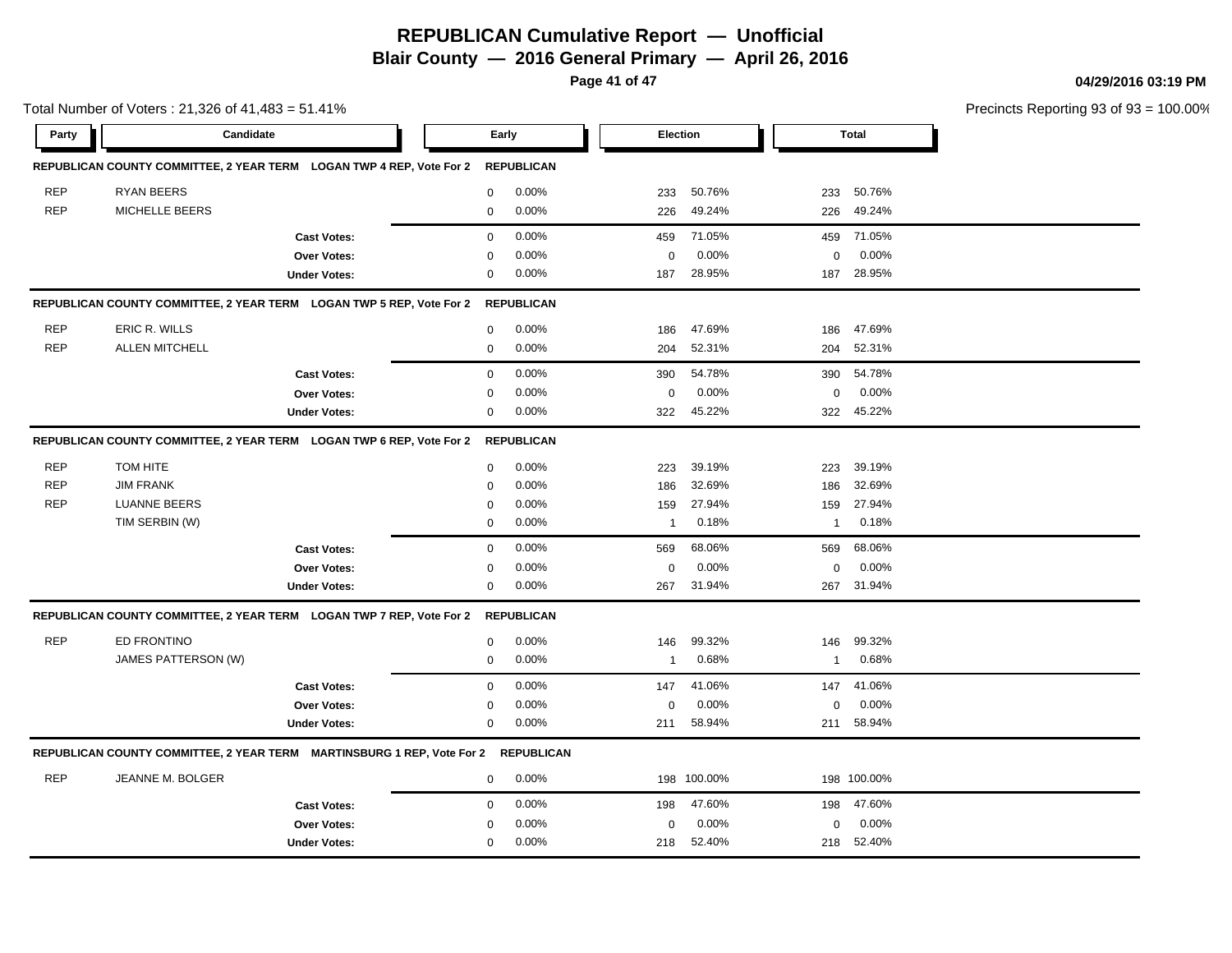**Blair County — 2016 General Primary — April 26, 2016**

**Page 41 of 47**

**04/29/2016 03:19 PM**

|            | Total Number of Voters: 21,326 of 41,483 = 51.41% |                                                                                   |             |                   |                 |             |                         |              | Precincts Reporting 93 of 93 |
|------------|---------------------------------------------------|-----------------------------------------------------------------------------------|-------------|-------------------|-----------------|-------------|-------------------------|--------------|------------------------------|
| Party      | Candidate                                         |                                                                                   | Early       |                   | <b>Election</b> |             |                         | <b>Total</b> |                              |
|            |                                                   | REPUBLICAN COUNTY COMMITTEE, 2 YEAR TERM LOGAN TWP 4 REP, Vote For 2              |             | <b>REPUBLICAN</b> |                 |             |                         |              |                              |
| <b>REP</b> | <b>RYAN BEERS</b>                                 |                                                                                   | $\mathbf 0$ | 0.00%             | 233             | 50.76%      | 233                     | 50.76%       |                              |
| <b>REP</b> | MICHELLE BEERS                                    |                                                                                   | $\mathbf 0$ | 0.00%             | 226             | 49.24%      | 226                     | 49.24%       |                              |
|            |                                                   | <b>Cast Votes:</b>                                                                | 0           | 0.00%             | 459             | 71.05%      | 459                     | 71.05%       |                              |
|            |                                                   | Over Votes:                                                                       | $\mathbf 0$ | 0.00%             | $\mathbf 0$     | 0.00%       | 0                       | 0.00%        |                              |
|            |                                                   | <b>Under Votes:</b>                                                               | 0           | 0.00%             | 187             | 28.95%      | 187                     | 28.95%       |                              |
|            |                                                   | REPUBLICAN COUNTY COMMITTEE, 2 YEAR TERM LOGAN TWP 5 REP, Vote For 2              |             | <b>REPUBLICAN</b> |                 |             |                         |              |                              |
| <b>REP</b> | ERIC R. WILLS                                     |                                                                                   | 0           | 0.00%             | 186             | 47.69%      | 186                     | 47.69%       |                              |
| <b>REP</b> | <b>ALLEN MITCHELL</b>                             |                                                                                   | $\mathbf 0$ | 0.00%             | 204             | 52.31%      | 204                     | 52.31%       |                              |
|            |                                                   | <b>Cast Votes:</b>                                                                | $\mathbf 0$ | 0.00%             | 390             | 54.78%      | 390                     | 54.78%       |                              |
|            |                                                   | Over Votes:                                                                       | 0           | 0.00%             | 0               | 0.00%       | 0                       | 0.00%        |                              |
|            |                                                   | <b>Under Votes:</b>                                                               | $\mathbf 0$ | 0.00%             | 322             | 45.22%      | 322                     | 45.22%       |                              |
|            |                                                   | REPUBLICAN COUNTY COMMITTEE, 2 YEAR TERM LOGAN TWP 6 REP, Vote For 2              |             | <b>REPUBLICAN</b> |                 |             |                         |              |                              |
| <b>REP</b> | TOM HITE                                          |                                                                                   | $\mathbf 0$ | 0.00%             | 223             | 39.19%      | 223                     | 39.19%       |                              |
| <b>REP</b> | <b>JIM FRANK</b>                                  |                                                                                   | $\mathbf 0$ | 0.00%             | 186             | 32.69%      | 186                     | 32.69%       |                              |
| <b>REP</b> | <b>LUANNE BEERS</b>                               |                                                                                   | 0           | 0.00%             | 159             | 27.94%      | 159                     | 27.94%       |                              |
|            | TIM SERBIN (W)                                    |                                                                                   | 0           | 0.00%             | $\mathbf{1}$    | 0.18%       | $\mathbf 1$             | 0.18%        |                              |
|            |                                                   | <b>Cast Votes:</b>                                                                | 0           | 0.00%             | 569             | 68.06%      | 569                     | 68.06%       |                              |
|            |                                                   | Over Votes:                                                                       | $\mathbf 0$ | 0.00%             | 0               | 0.00%       | 0                       | 0.00%        |                              |
|            |                                                   | <b>Under Votes:</b>                                                               | $\mathbf 0$ | 0.00%             | 267             | 31.94%      | 267                     | 31.94%       |                              |
|            |                                                   | REPUBLICAN COUNTY COMMITTEE, 2 YEAR TERM LOGAN TWP 7 REP, Vote For 2              |             | <b>REPUBLICAN</b> |                 |             |                         |              |                              |
| <b>REP</b> | ED FRONTINO                                       |                                                                                   | 0           | 0.00%             | 146             | 99.32%      | 146                     | 99.32%       |                              |
|            | JAMES PATTERSON (W)                               |                                                                                   | $\mathbf 0$ | 0.00%             | $\mathbf{1}$    | 0.68%       | $\overline{\mathbf{1}}$ | 0.68%        |                              |
|            |                                                   | <b>Cast Votes:</b>                                                                | $\mathbf 0$ | 0.00%             | 147             | 41.06%      | 147                     | 41.06%       |                              |
|            |                                                   | Over Votes:                                                                       | $\mathbf 0$ | 0.00%             | 0               | 0.00%       | 0                       | 0.00%        |                              |
|            |                                                   | <b>Under Votes:</b>                                                               | 0           | 0.00%             | 211             | 58.94%      | 211                     | 58.94%       |                              |
|            |                                                   | REPUBLICAN COUNTY COMMITTEE, 2 YEAR TERM MARTINSBURG 1 REP, Vote For 2 REPUBLICAN |             |                   |                 |             |                         |              |                              |
| <b>REP</b> | JEANNE M. BOLGER                                  |                                                                                   | 0           | 0.00%             |                 | 198 100.00% |                         | 198 100.00%  |                              |
|            |                                                   | <b>Cast Votes:</b>                                                                | $\mathbf 0$ | 0.00%             | 198             | 47.60%      | 198                     | 47.60%       |                              |
|            |                                                   | Over Votes:                                                                       | $\Omega$    | 0.00%             | 0               | 0.00%       | 0                       | 0.00%        |                              |
|            |                                                   | <b>Under Votes:</b>                                                               | $\mathbf 0$ | 0.00%             | 218             | 52.40%      | 218                     | 52.40%       |                              |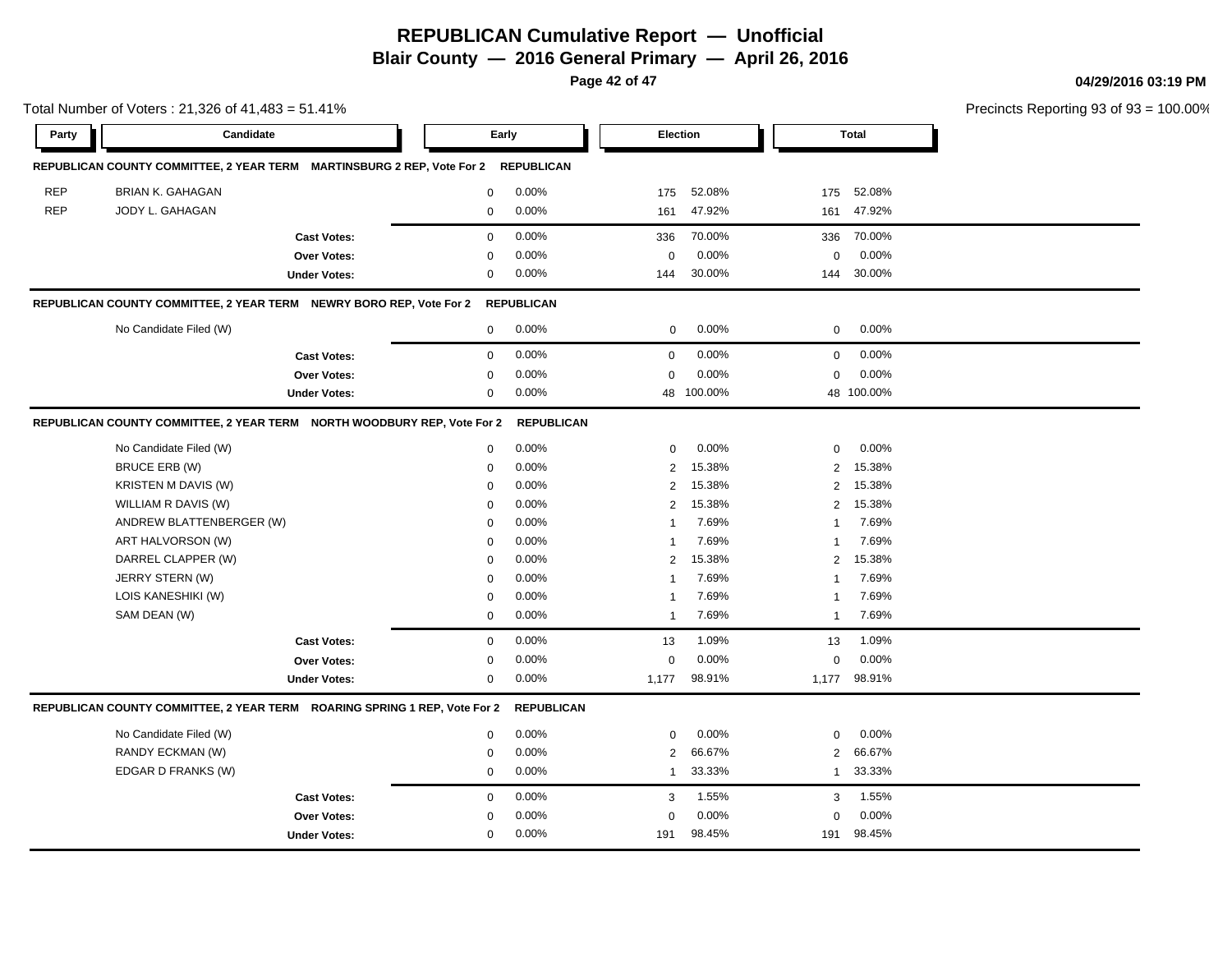**Blair County — 2016 General Primary — April 26, 2016**

**Page 42 of 47**

**04/29/2016 03:19 PM**

|            | Total Number of Voters: 21,326 of 41,483 = 51.41%                         |                     |             |                   |                |            |                  | Precincts Reporting 93 of 93 |  |
|------------|---------------------------------------------------------------------------|---------------------|-------------|-------------------|----------------|------------|------------------|------------------------------|--|
| Party      | Candidate                                                                 |                     |             | Early             |                | Election   |                  | <b>Total</b>                 |  |
|            | REPUBLICAN COUNTY COMMITTEE, 2 YEAR TERM MARTINSBURG 2 REP, Vote For 2    |                     |             | <b>REPUBLICAN</b> |                |            |                  |                              |  |
| <b>REP</b> | BRIAN K. GAHAGAN                                                          |                     | $\mathbf 0$ | 0.00%             | 175            | 52.08%     | 175              | 52.08%                       |  |
| <b>REP</b> | JODY L. GAHAGAN                                                           |                     | $\mathbf 0$ | 0.00%             | 161            | 47.92%     | 161              | 47.92%                       |  |
|            |                                                                           | <b>Cast Votes:</b>  | $\mathbf 0$ | 0.00%             | 336            | 70.00%     | 336              | 70.00%                       |  |
|            |                                                                           | Over Votes:         | $\mathbf 0$ | 0.00%             | $\mathbf 0$    | 0.00%      | $\mathbf 0$      | 0.00%                        |  |
|            |                                                                           | <b>Under Votes:</b> | $\mathbf 0$ | 0.00%             | 144            | 30.00%     | 144              | 30.00%                       |  |
|            | REPUBLICAN COUNTY COMMITTEE, 2 YEAR TERM NEWRY BORO REP, Vote For 2       |                     |             | <b>REPUBLICAN</b> |                |            |                  |                              |  |
|            | No Candidate Filed (W)                                                    |                     | 0           | $0.00\%$          | 0              | 0.00%      | 0                | $0.00\%$                     |  |
|            |                                                                           | <b>Cast Votes:</b>  | $\mathbf 0$ | 0.00%             | 0              | 0.00%      | 0                | 0.00%                        |  |
|            |                                                                           | Over Votes:         | $\mathbf 0$ | 0.00%             | $\mathbf 0$    | 0.00%      | 0                | 0.00%                        |  |
|            |                                                                           | <b>Under Votes:</b> | $\mathbf 0$ | 0.00%             |                | 48 100.00% |                  | 48 100.00%                   |  |
|            | REPUBLICAN COUNTY COMMITTEE, 2 YEAR TERM NORTH WOODBURY REP, Vote For 2   |                     |             | <b>REPUBLICAN</b> |                |            |                  |                              |  |
|            | No Candidate Filed (W)                                                    |                     | $\mathbf 0$ | 0.00%             | $\mathbf 0$    | 0.00%      | $\mathbf 0$      | 0.00%                        |  |
|            | <b>BRUCE ERB (W)</b>                                                      |                     | $\mathbf 0$ | 0.00%             | 2              | 15.38%     | 2                | 15.38%                       |  |
|            | KRISTEN M DAVIS (W)                                                       |                     | 0           | 0.00%             | $\sqrt{2}$     | 15.38%     | $\overline{2}$   | 15.38%                       |  |
|            | WILLIAM R DAVIS (W)                                                       |                     | $\mathbf 0$ | 0.00%             | $\overline{2}$ | 15.38%     | 2                | 15.38%                       |  |
|            | ANDREW BLATTENBERGER (W)                                                  |                     | 0           | 0.00%             | $\mathbf{1}$   | 7.69%      | 1                | 7.69%                        |  |
|            | ART HALVORSON (W)                                                         |                     | 0           | 0.00%             | $\mathbf{1}$   | 7.69%      | 1                | 7.69%                        |  |
|            | DARREL CLAPPER (W)                                                        |                     | $\mathbf 0$ | 0.00%             | 2              | 15.38%     | 2                | 15.38%                       |  |
|            | JERRY STERN (W)                                                           |                     | $\mathbf 0$ | 0.00%             | $\mathbf{1}$   | 7.69%      | 1                | 7.69%                        |  |
|            | LOIS KANESHIKI (W)                                                        |                     | $\mathbf 0$ | 0.00%             | $\mathbf{1}$   | 7.69%      | 1                | 7.69%                        |  |
|            | SAM DEAN (W)                                                              |                     | $\mathbf 0$ | 0.00%             | $\mathbf{1}$   | 7.69%      | $\mathbf{1}$     | 7.69%                        |  |
|            |                                                                           | <b>Cast Votes:</b>  | $\mathbf 0$ | 0.00%             | 13             | 1.09%      | 13               | 1.09%                        |  |
|            |                                                                           | Over Votes:         | $\mathbf 0$ | 0.00%             | 0              | 0.00%      | $\boldsymbol{0}$ | 0.00%                        |  |
|            |                                                                           | <b>Under Votes:</b> | 0           | $0.00\%$          | 1,177          | 98.91%     |                  | 1,177 98.91%                 |  |
|            | REPUBLICAN COUNTY COMMITTEE, 2 YEAR TERM ROARING SPRING 1 REP, Vote For 2 |                     |             | <b>REPUBLICAN</b> |                |            |                  |                              |  |
|            | No Candidate Filed (W)                                                    |                     | $\mathbf 0$ | 0.00%             | $\mathbf 0$    | 0.00%      | $\mathbf 0$      | $0.00\%$                     |  |
|            | RANDY ECKMAN (W)                                                          |                     | $\mathbf 0$ | 0.00%             | $\overline{2}$ | 66.67%     | 2                | 66.67%                       |  |
|            | EDGAR D FRANKS (W)                                                        |                     | $\mathbf 0$ | 0.00%             | $\mathbf{1}$   | 33.33%     | $\mathbf{1}$     | 33.33%                       |  |
|            |                                                                           | <b>Cast Votes:</b>  | $\mathbf 0$ | 0.00%             | 3              | 1.55%      | 3                | 1.55%                        |  |
|            |                                                                           | Over Votes:         | $\mathbf 0$ | 0.00%             | $\mathbf 0$    | 0.00%      | $\mathbf 0$      | 0.00%                        |  |
|            |                                                                           | <b>Under Votes:</b> | $\mathbf 0$ | 0.00%             | 191            | 98.45%     | 191              | 98.45%                       |  |
|            |                                                                           |                     |             |                   |                |            |                  |                              |  |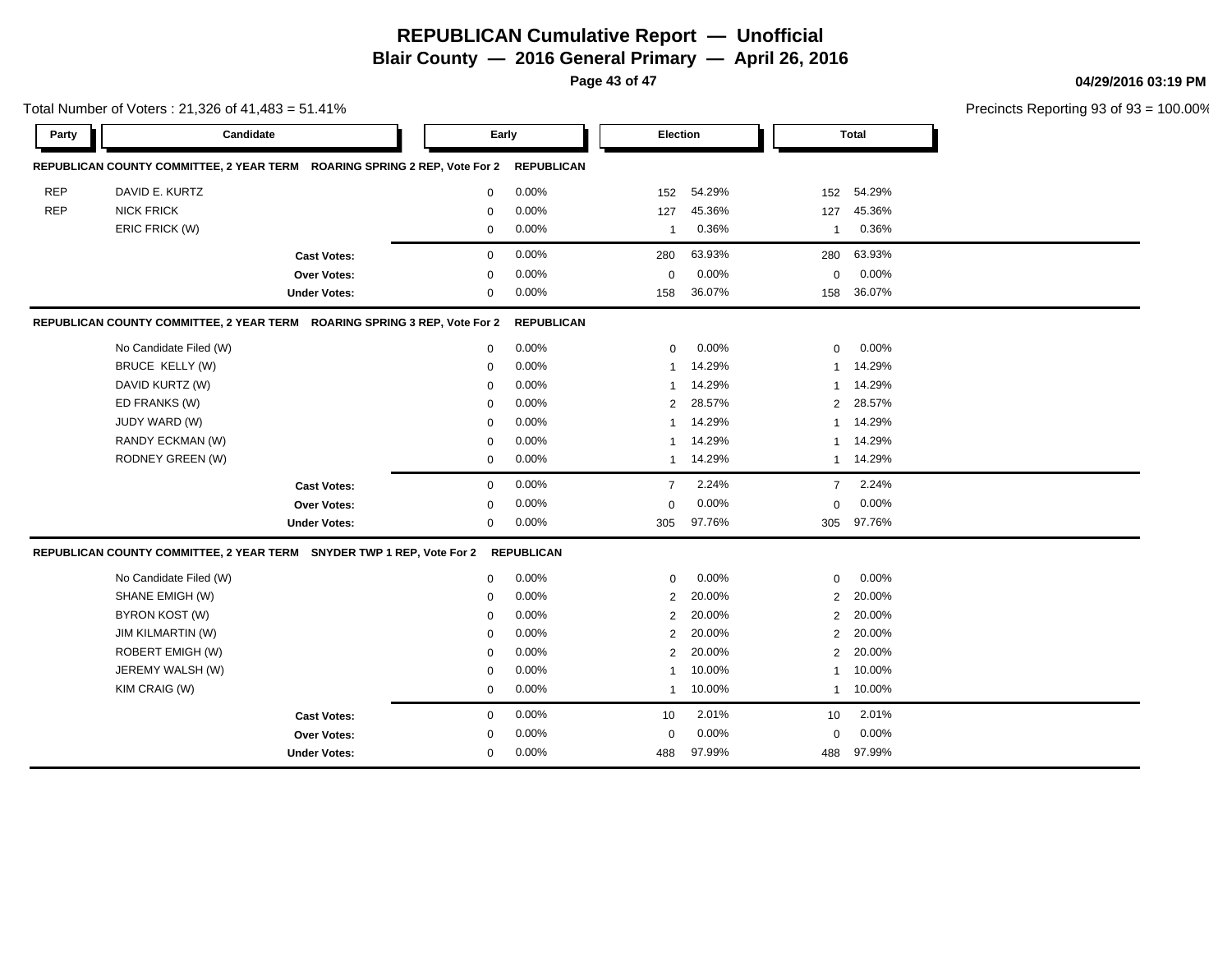**Blair County — 2016 General Primary — April 26, 2016**

**Page 43 of 47**

**04/29/2016 03:19 PM**

|            | Total Number of Voters: $21,326$ of $41,483 = 51.41\%$                    |                     |             |                   |                |        |                |              |  |  |
|------------|---------------------------------------------------------------------------|---------------------|-------------|-------------------|----------------|--------|----------------|--------------|--|--|
| Party      | Candidate                                                                 |                     | Early       |                   | Election       |        |                | <b>Total</b> |  |  |
|            | REPUBLICAN COUNTY COMMITTEE, 2 YEAR TERM ROARING SPRING 2 REP, Vote For 2 |                     |             | <b>REPUBLICAN</b> |                |        |                |              |  |  |
| <b>REP</b> | DAVID E. KURTZ                                                            |                     | $\mathbf 0$ | 0.00%             | 152            | 54.29% | 152            | 54.29%       |  |  |
| <b>REP</b> | <b>NICK FRICK</b>                                                         |                     | $\mathbf 0$ | 0.00%             | 127            | 45.36% | 127            | 45.36%       |  |  |
|            | ERIC FRICK (W)                                                            |                     | 0           | 0.00%             | $\mathbf{1}$   | 0.36%  | $\mathbf{1}$   | 0.36%        |  |  |
|            |                                                                           | <b>Cast Votes:</b>  | $\mathbf 0$ | 0.00%             | 280            | 63.93% | 280            | 63.93%       |  |  |
|            |                                                                           | Over Votes:         | 0           | 0.00%             | 0              | 0.00%  | 0              | 0.00%        |  |  |
|            |                                                                           | <b>Under Votes:</b> | $\mathbf 0$ | 0.00%             | 158            | 36.07% | 158            | 36.07%       |  |  |
|            | REPUBLICAN COUNTY COMMITTEE, 2 YEAR TERM ROARING SPRING 3 REP, Vote For 2 |                     |             | <b>REPUBLICAN</b> |                |        |                |              |  |  |
|            | No Candidate Filed (W)                                                    |                     | $\mathbf 0$ | 0.00%             | 0              | 0.00%  | $\mathbf 0$    | 0.00%        |  |  |
|            | <b>BRUCE KELLY (W)</b>                                                    |                     | $\mathbf 0$ | 0.00%             | 1              | 14.29% | $\mathbf{1}$   | 14.29%       |  |  |
|            | DAVID KURTZ (W)                                                           |                     | 0           | 0.00%             | 1              | 14.29% | 1              | 14.29%       |  |  |
|            | ED FRANKS (W)                                                             |                     | $\mathbf 0$ | 0.00%             | $\overline{2}$ | 28.57% | 2              | 28.57%       |  |  |
|            | JUDY WARD (W)                                                             |                     | $\Omega$    | 0.00%             | 1              | 14.29% | $\mathbf{1}$   | 14.29%       |  |  |
|            | RANDY ECKMAN (W)                                                          |                     | 0           | 0.00%             | 1              | 14.29% | $\mathbf{1}$   | 14.29%       |  |  |
|            | RODNEY GREEN (W)                                                          |                     | 0           | 0.00%             | $\mathbf{1}$   | 14.29% | $\mathbf{1}$   | 14.29%       |  |  |
|            |                                                                           | <b>Cast Votes:</b>  | $\mathbf 0$ | 0.00%             | $\overline{7}$ | 2.24%  | $\overline{7}$ | 2.24%        |  |  |
|            |                                                                           | Over Votes:         | $\Omega$    | 0.00%             | $\pmb{0}$      | 0.00%  | $\mathbf 0$    | 0.00%        |  |  |
|            |                                                                           | <b>Under Votes:</b> | $\mathbf 0$ | 0.00%             | 305            | 97.76% | 305            | 97.76%       |  |  |
|            | REPUBLICAN COUNTY COMMITTEE, 2 YEAR TERM SNYDER TWP 1 REP, Vote For 2     |                     |             | <b>REPUBLICAN</b> |                |        |                |              |  |  |
|            | No Candidate Filed (W)                                                    |                     | $\mathbf 0$ | 0.00%             | 0              | 0.00%  | 0              | 0.00%        |  |  |
|            | SHANE EMIGH (W)                                                           |                     | $\mathbf 0$ | 0.00%             | 2              | 20.00% | 2              | 20.00%       |  |  |
|            | BYRON KOST (W)                                                            |                     | $\Omega$    | 0.00%             | $\overline{2}$ | 20.00% | 2              | 20.00%       |  |  |
|            | <b>JIM KILMARTIN (W)</b>                                                  |                     | $\Omega$    | 0.00%             | 2              | 20.00% | 2              | 20.00%       |  |  |
|            | ROBERT EMIGH (W)                                                          |                     | $\Omega$    | 0.00%             | 2              | 20.00% | 2              | 20.00%       |  |  |
|            | JEREMY WALSH (W)                                                          |                     | $\Omega$    | 0.00%             | 1              | 10.00% | 1              | 10.00%       |  |  |
|            | KIM CRAIG (W)                                                             |                     | $\Omega$    | 0.00%             | $\mathbf{1}$   | 10.00% | $\mathbf{1}$   | 10.00%       |  |  |

**Over Votes:** 0 **Under Votes:** 0

**Cast Votes:** 0 0.00% 10 2.01% 10 2.01%

488 97.99%

488 488 97.99% 97.99%

0.00% 0 0.00%

0.00% 0

 $93 = 100.00%$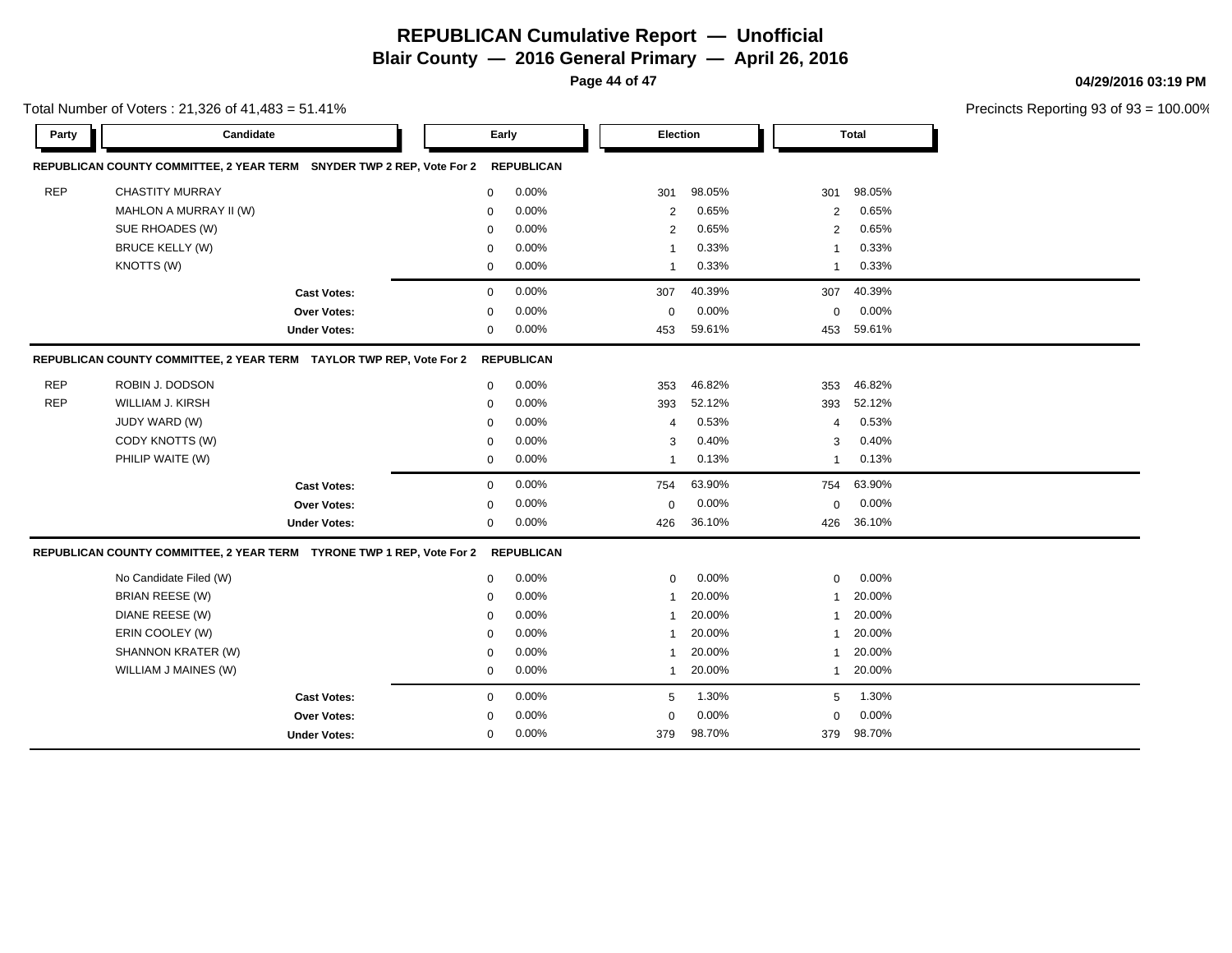**Blair County — 2016 General Primary — April 26, 2016**

**Page 44 of 47**

**04/29/2016 03:19 PM**

| Total Number of Voters: $21,326$ of $41,483 = 51.41\%$                |                                                                       |                     |             |                   |  |                |        |              |              | Precincts Reporting 93 of 93 |
|-----------------------------------------------------------------------|-----------------------------------------------------------------------|---------------------|-------------|-------------------|--|----------------|--------|--------------|--------------|------------------------------|
| Party                                                                 | Candidate                                                             |                     | Early       |                   |  | Election       |        |              | <b>Total</b> |                              |
| REPUBLICAN COUNTY COMMITTEE, 2 YEAR TERM SNYDER TWP 2 REP, Vote For 2 |                                                                       | <b>REPUBLICAN</b>   |             |                   |  |                |        |              |              |                              |
| <b>REP</b>                                                            | <b>CHASTITY MURRAY</b>                                                |                     | 0           | 0.00%             |  | 301            | 98.05% | 301          | 98.05%       |                              |
|                                                                       | MAHLON A MURRAY II (W)                                                |                     | $\mathbf 0$ | 0.00%             |  | $\overline{2}$ | 0.65%  | 2            | 0.65%        |                              |
|                                                                       | SUE RHOADES (W)                                                       |                     | 0           | 0.00%             |  | $\overline{2}$ | 0.65%  | 2            | 0.65%        |                              |
|                                                                       | <b>BRUCE KELLY (W)</b>                                                |                     | $\mathbf 0$ | 0.00%             |  | $\mathbf{1}$   | 0.33%  | 1            | 0.33%        |                              |
|                                                                       | KNOTTS (W)                                                            |                     | $\mathbf 0$ | 0.00%             |  | 1              | 0.33%  | 1            | 0.33%        |                              |
|                                                                       |                                                                       | <b>Cast Votes:</b>  | $\mathbf 0$ | 0.00%             |  | 307            | 40.39% | 307          | 40.39%       |                              |
|                                                                       |                                                                       | Over Votes:         | $\mathbf 0$ | $0.00\%$          |  | $\mathbf 0$    | 0.00%  | $\mathbf 0$  | 0.00%        |                              |
|                                                                       |                                                                       | <b>Under Votes:</b> | 0           | 0.00%             |  | 453            | 59.61% | 453          | 59.61%       |                              |
|                                                                       | REPUBLICAN COUNTY COMMITTEE, 2 YEAR TERM TAYLOR TWP REP, Vote For 2   |                     |             | <b>REPUBLICAN</b> |  |                |        |              |              |                              |
| <b>REP</b>                                                            | ROBIN J. DODSON                                                       |                     | 0           | 0.00%             |  | 353            | 46.82% | 353          | 46.82%       |                              |
| <b>REP</b>                                                            | WILLIAM J. KIRSH                                                      |                     | $\mathbf 0$ | 0.00%             |  | 393            | 52.12% | 393          | 52.12%       |                              |
|                                                                       | JUDY WARD (W)                                                         |                     | $\mathbf 0$ | 0.00%             |  | $\overline{4}$ | 0.53%  | 4            | 0.53%        |                              |
|                                                                       | CODY KNOTTS (W)                                                       |                     | $\mathbf 0$ | 0.00%             |  | 3              | 0.40%  | 3            | 0.40%        |                              |
|                                                                       | PHILIP WAITE (W)                                                      |                     | $\mathbf 0$ | 0.00%             |  | $\mathbf{1}$   | 0.13%  | $\mathbf{1}$ | 0.13%        |                              |
|                                                                       |                                                                       | <b>Cast Votes:</b>  | $\mathbf 0$ | 0.00%             |  | 754            | 63.90% | 754          | 63.90%       |                              |
|                                                                       |                                                                       | Over Votes:         | $\mathbf 0$ | 0.00%             |  | 0              | 0.00%  | $\mathbf 0$  | 0.00%        |                              |
|                                                                       |                                                                       | <b>Under Votes:</b> | 0           | 0.00%             |  | 426            | 36.10% | 426          | 36.10%       |                              |
|                                                                       | REPUBLICAN COUNTY COMMITTEE, 2 YEAR TERM TYRONE TWP 1 REP, Vote For 2 |                     |             | <b>REPUBLICAN</b> |  |                |        |              |              |                              |
|                                                                       | No Candidate Filed (W)                                                |                     | $\mathbf 0$ | 0.00%             |  | $\mathbf 0$    | 0.00%  | $\mathbf 0$  | 0.00%        |                              |
|                                                                       | <b>BRIAN REESE (W)</b>                                                |                     | $\mathbf 0$ | 0.00%             |  | $\mathbf 1$    | 20.00% | 1            | 20.00%       |                              |
|                                                                       | DIANE REESE (W)                                                       |                     | $\mathbf 0$ | 0.00%             |  | $\mathbf 1$    | 20.00% | 1            | 20.00%       |                              |
|                                                                       | ERIN COOLEY (W)                                                       |                     | $\mathbf 0$ | 0.00%             |  | $\mathbf{1}$   | 20.00% | 1            | 20.00%       |                              |
|                                                                       | SHANNON KRATER (W)                                                    |                     | 0           | 0.00%             |  | $\mathbf 1$    | 20.00% | 1            | 20.00%       |                              |
|                                                                       | WILLIAM J MAINES (W)                                                  |                     |             | 0.00%<br>0        |  | 1              | 20.00% |              | 1 20.00%     |                              |
|                                                                       |                                                                       | <b>Cast Votes:</b>  | 0           | 0.00%             |  | 5              | 1.30%  | 5            | 1.30%        |                              |
|                                                                       |                                                                       | Over Votes:         | $\mathbf 0$ | 0.00%             |  | $\mathbf 0$    | 0.00%  | $\mathbf 0$  | 0.00%        |                              |
|                                                                       |                                                                       | <b>Under Votes:</b> | $\mathbf 0$ | 0.00%             |  | 379            | 98.70% | 379          | 98.70%       |                              |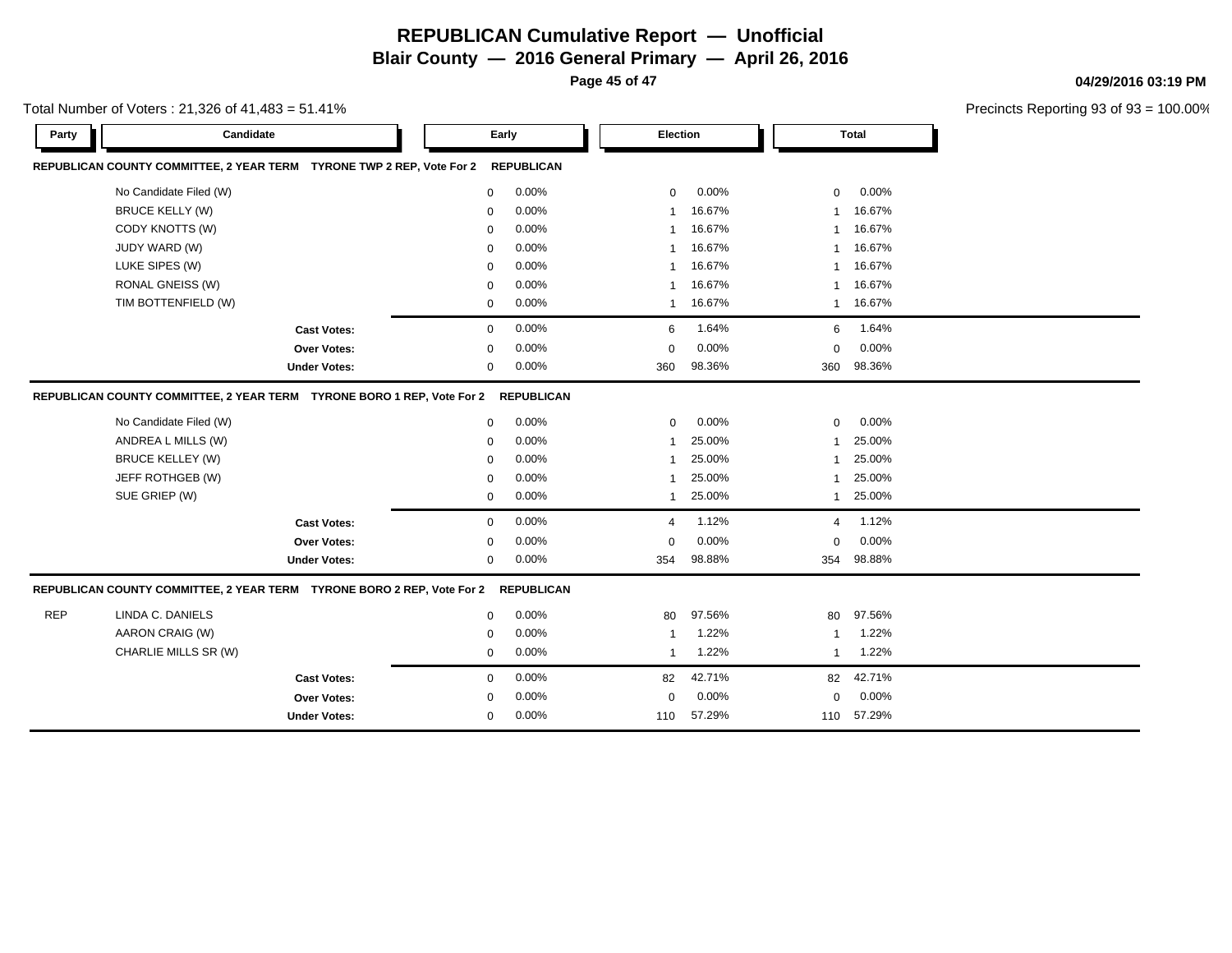**Blair County — 2016 General Primary — April 26, 2016**

**Page 45 of 47**

**04/29/2016 03:19 PM**

Precincts Reporting 93 of 93 = 100.00%

| Candidate<br>Party                                                     | Early       |                   |                | Election |                | <b>Total</b> |  |
|------------------------------------------------------------------------|-------------|-------------------|----------------|----------|----------------|--------------|--|
| REPUBLICAN COUNTY COMMITTEE, 2 YEAR TERM TYRONE TWP 2 REP, Vote For 2  |             | <b>REPUBLICAN</b> |                |          |                |              |  |
| No Candidate Filed (W)                                                 | 0           | 0.00%             | $\mathbf 0$    | 0.00%    | $\mathbf 0$    | 0.00%        |  |
| <b>BRUCE KELLY (W)</b>                                                 | 0           | 0.00%             | $\mathbf{1}$   | 16.67%   | 1              | 16.67%       |  |
| CODY KNOTTS (W)                                                        | 0           | 0.00%             | $\overline{1}$ | 16.67%   | -1             | 16.67%       |  |
| JUDY WARD (W)                                                          | $\Omega$    | 0.00%             | $\mathbf{1}$   | 16.67%   | 1              | 16.67%       |  |
| LUKE SIPES (W)                                                         | 0           | 0.00%             | 1              | 16.67%   | 1              | 16.67%       |  |
| <b>RONAL GNEISS (W)</b>                                                | 0           | 0.00%             | $\mathbf{1}$   | 16.67%   | 1              | 16.67%       |  |
| TIM BOTTENFIELD (W)                                                    | 0           | 0.00%             | $\overline{1}$ | 16.67%   | $\overline{1}$ | 16.67%       |  |
| <b>Cast Votes:</b>                                                     | $\mathbf 0$ | 0.00%             | 6              | 1.64%    | 6              | 1.64%        |  |
| Over Votes:                                                            | 0           | 0.00%             | 0              | 0.00%    | $\Omega$       | 0.00%        |  |
| <b>Under Votes:</b>                                                    | 0           | 0.00%             | 360            | 98.36%   | 360            | 98.36%       |  |
| REPUBLICAN COUNTY COMMITTEE, 2 YEAR TERM TYRONE BORO 1 REP, Vote For 2 |             | <b>REPUBLICAN</b> |                |          |                |              |  |
| No Candidate Filed (W)                                                 | $\mathbf 0$ | 0.00%             | $\mathbf 0$    | 0.00%    | $\mathbf 0$    | 0.00%        |  |
| ANDREA L MILLS (W)                                                     | 0           | 0.00%             | 1              | 25.00%   | 1              | 25.00%       |  |
| <b>BRUCE KELLEY (W)</b>                                                | $\mathbf 0$ | 0.00%             | $\mathbf 1$    | 25.00%   |                | 25.00%       |  |
| JEFF ROTHGEB (W)                                                       | 0           | 0.00%             | -1             | 25.00%   | 1              | 25.00%       |  |
| SUE GRIEP (W)                                                          | $\mathbf 0$ | 0.00%             | 1              | 25.00%   | 1              | 25.00%       |  |
| <b>Cast Votes:</b>                                                     | $\mathbf 0$ | 0.00%             | 4              | 1.12%    | 4              | 1.12%        |  |
| Over Votes:                                                            | $\mathbf 0$ | 0.00%             | 0              | 0.00%    | $\mathbf 0$    | 0.00%        |  |
| <b>Under Votes:</b>                                                    | 0           | 0.00%             | 354            | 98.88%   | 354            | 98.88%       |  |
| REPUBLICAN COUNTY COMMITTEE, 2 YEAR TERM TYRONE BORO 2 REP, Vote For 2 |             | <b>REPUBLICAN</b> |                |          |                |              |  |
| <b>REP</b><br>LINDA C. DANIELS                                         | $\mathbf 0$ | 0.00%             | 80             | 97.56%   | 80             | 97.56%       |  |
| AARON CRAIG (W)                                                        | 0           | 0.00%             | -1             | 1.22%    |                | 1.22%        |  |
| CHARLIE MILLS SR (W)                                                   | 0           | 0.00%             | $\mathbf{1}$   | 1.22%    | $\mathbf{1}$   | 1.22%        |  |
| <b>Cast Votes:</b>                                                     | $\mathbf 0$ | 0.00%             | 82             | 42.71%   | 82             | 42.71%       |  |
| <b>Over Votes:</b>                                                     | 0           | 0.00%             | $\mathbf 0$    | 0.00%    | $\mathbf 0$    | 0.00%        |  |
| <b>Under Votes:</b>                                                    | 0           | 0.00%             | 110            | 57.29%   | 110            | 57.29%       |  |

#### Total Number of Voters : 21,326 of 41,483 = 51.41%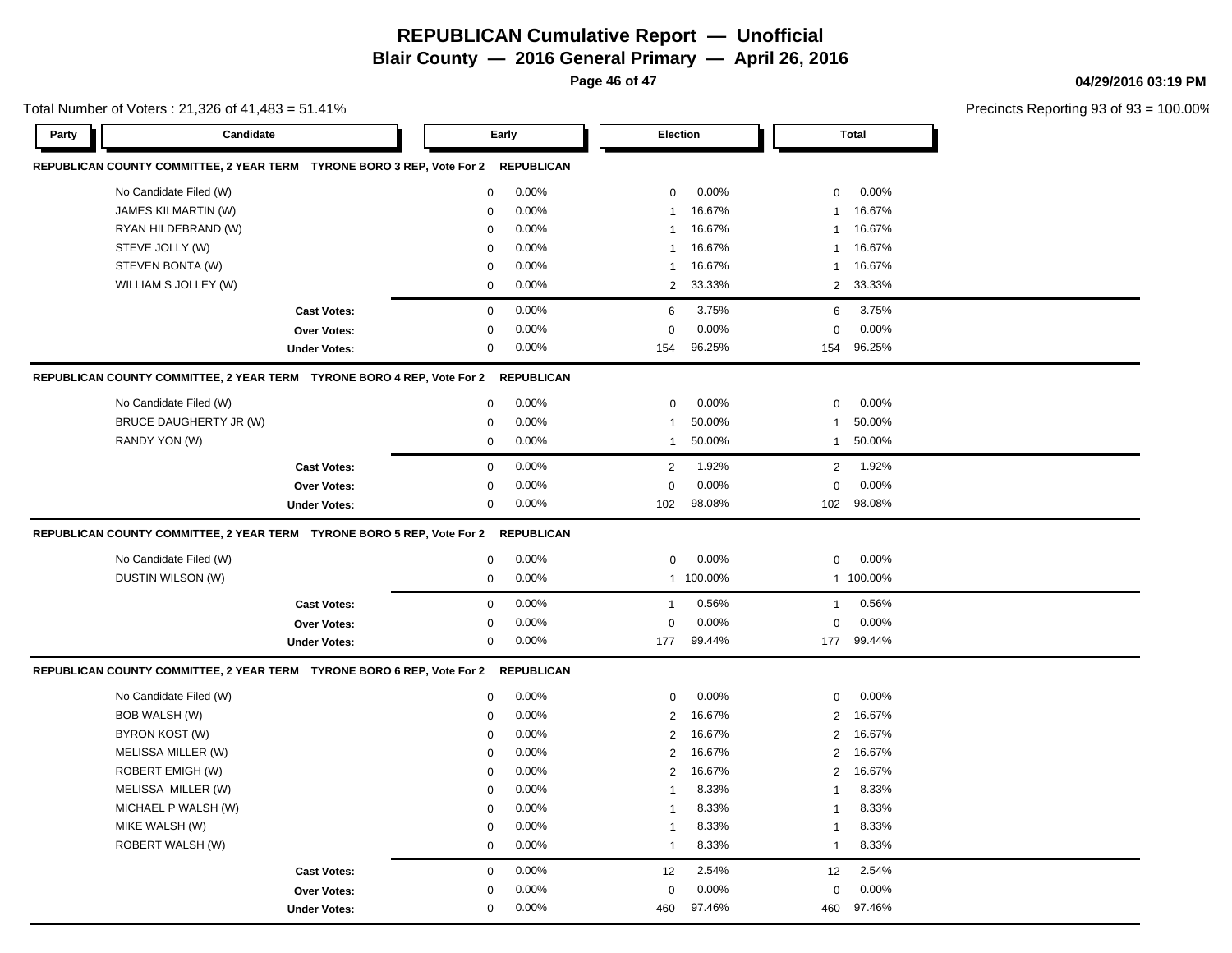**Blair County — 2016 General Primary — April 26, 2016**

**Page 46 of 47**

#### **04/29/2016 03:19 PM**

| Total Number of Voters: 21,326 of 41,483 = 51.41% |                                                                        |                     |             |                   |                |           |                |              | Precincts Reporting 93 of 93 |
|---------------------------------------------------|------------------------------------------------------------------------|---------------------|-------------|-------------------|----------------|-----------|----------------|--------------|------------------------------|
| Party                                             | Candidate                                                              |                     | Early       |                   |                | Election  |                | <b>Total</b> |                              |
|                                                   | REPUBLICAN COUNTY COMMITTEE, 2 YEAR TERM TYRONE BORO 3 REP, Vote For 2 |                     |             | <b>REPUBLICAN</b> |                |           |                |              |                              |
|                                                   | No Candidate Filed (W)                                                 |                     | $\mathbf 0$ | 0.00%             | 0              | 0.00%     | $\mathbf 0$    | 0.00%        |                              |
|                                                   | JAMES KILMARTIN (W)                                                    |                     | 0           | 0.00%             | $\mathbf{1}$   | 16.67%    | 1              | 16.67%       |                              |
|                                                   | RYAN HILDEBRAND (W)                                                    |                     | $\mathbf 0$ | 0.00%             | 1              | 16.67%    | 1              | 16.67%       |                              |
|                                                   | STEVE JOLLY (W)                                                        |                     | $\Omega$    | 0.00%             | 1              | 16.67%    | 1              | 16.67%       |                              |
|                                                   | STEVEN BONTA (W)                                                       |                     | $\mathbf 0$ | 0.00%             | 1              | 16.67%    | 1              | 16.67%       |                              |
|                                                   | WILLIAM S JOLLEY (W)                                                   |                     | $\mathbf 0$ | 0.00%             | 2              | 33.33%    | $\overline{2}$ | 33.33%       |                              |
|                                                   |                                                                        | <b>Cast Votes:</b>  | $\mathsf 0$ | 0.00%             | 6              | 3.75%     | 6              | 3.75%        |                              |
|                                                   |                                                                        | Over Votes:         | 0           | 0.00%             | 0              | 0.00%     | 0              | 0.00%        |                              |
|                                                   |                                                                        | <b>Under Votes:</b> | $\mathbf 0$ | 0.00%             | 154            | 96.25%    | 154            | 96.25%       |                              |
|                                                   | REPUBLICAN COUNTY COMMITTEE, 2 YEAR TERM TYRONE BORO 4 REP, Vote For 2 |                     |             | <b>REPUBLICAN</b> |                |           |                |              |                              |
|                                                   | No Candidate Filed (W)                                                 |                     | $\mathbf 0$ | 0.00%             | $\pmb{0}$      | 0.00%     | 0              | 0.00%        |                              |
|                                                   | BRUCE DAUGHERTY JR (W)                                                 |                     | $\mathbf 0$ | 0.00%             | $\mathbf{1}$   | 50.00%    | $\mathbf{1}$   | 50.00%       |                              |
|                                                   | RANDY YON (W)                                                          |                     | $\pmb{0}$   | 0.00%             | 1              | 50.00%    | $\mathbf{1}$   | 50.00%       |                              |
|                                                   |                                                                        | <b>Cast Votes:</b>  | $\mathbf 0$ | 0.00%             | $\overline{2}$ | 1.92%     | $\overline{2}$ | 1.92%        |                              |
|                                                   |                                                                        | Over Votes:         | $\pmb{0}$   | 0.00%             | $\Omega$       | 0.00%     | $\pmb{0}$      | 0.00%        |                              |
|                                                   |                                                                        | <b>Under Votes:</b> | 0           | 0.00%             | 102            | 98.08%    | 102            | 98.08%       |                              |
|                                                   | REPUBLICAN COUNTY COMMITTEE, 2 YEAR TERM TYRONE BORO 5 REP, Vote For 2 |                     |             | <b>REPUBLICAN</b> |                |           |                |              |                              |
|                                                   | No Candidate Filed (W)                                                 |                     | $\pmb{0}$   | 0.00%             | $\pmb{0}$      | 0.00%     | 0              | 0.00%        |                              |
|                                                   | DUSTIN WILSON (W)                                                      |                     | $\mathbf 0$ | 0.00%             |                | 1 100.00% |                | 1 100.00%    |                              |
|                                                   |                                                                        | <b>Cast Votes:</b>  | $\mathbf 0$ | 0.00%             | $\mathbf{1}$   | 0.56%     | $\mathbf{1}$   | 0.56%        |                              |
|                                                   |                                                                        | Over Votes:         | 0           | 0.00%             | 0              | 0.00%     | 0              | 0.00%        |                              |
|                                                   |                                                                        | <b>Under Votes:</b> | $\mathbf 0$ | 0.00%             | 177            | 99.44%    | 177            | 99.44%       |                              |
|                                                   | REPUBLICAN COUNTY COMMITTEE, 2 YEAR TERM TYRONE BORO 6 REP, Vote For 2 |                     |             | <b>REPUBLICAN</b> |                |           |                |              |                              |
|                                                   | No Candidate Filed (W)                                                 |                     | 0           | 0.00%             | 0              | 0.00%     | 0              | 0.00%        |                              |
|                                                   | <b>BOB WALSH (W)</b>                                                   |                     | $\Omega$    | 0.00%             | 2              | 16.67%    | $\overline{2}$ | 16.67%       |                              |
|                                                   | BYRON KOST (W)                                                         |                     | $\mathbf 0$ | 0.00%             | $\overline{2}$ | 16.67%    | 2              | 16.67%       |                              |
|                                                   | MELISSA MILLER (W)                                                     |                     | $\mathbf 0$ | 0.00%             | $\overline{2}$ | 16.67%    | $\overline{2}$ | 16.67%       |                              |
|                                                   | ROBERT EMIGH (W)                                                       |                     | $\mathbf 0$ | 0.00%             | $\overline{2}$ | 16.67%    | $\overline{c}$ | 16.67%       |                              |
|                                                   | MELISSA MILLER (W)                                                     |                     | $\mathbf 0$ | 0.00%             | $\mathbf{1}$   | 8.33%     | 1              | 8.33%        |                              |
|                                                   | MICHAEL P WALSH (W)                                                    |                     | $\mathbf 0$ | 0.00%             | $\mathbf{1}$   | 8.33%     | $\mathbf 1$    | 8.33%        |                              |
|                                                   | MIKE WALSH (W)                                                         |                     | $\mathbf 0$ | 0.00%             | $\mathbf{1}$   | 8.33%     | 1              | 8.33%        |                              |
|                                                   | ROBERT WALSH (W)                                                       |                     | $\mathbf 0$ | 0.00%             | $\mathbf{1}$   | 8.33%     | 1              | 8.33%        |                              |
|                                                   |                                                                        | <b>Cast Votes:</b>  | $\mathbf 0$ | 0.00%             | 12             | 2.54%     | 12             | 2.54%        |                              |
|                                                   |                                                                        | Over Votes:         | $\mathbf 0$ | 0.00%             | $\mathbf 0$    | 0.00%     | $\mathbf 0$    | 0.00%        |                              |
|                                                   |                                                                        | <b>Under Votes:</b> | $\mathbf 0$ | 0.00%             | 460            | 97.46%    | 460            | 97.46%       |                              |